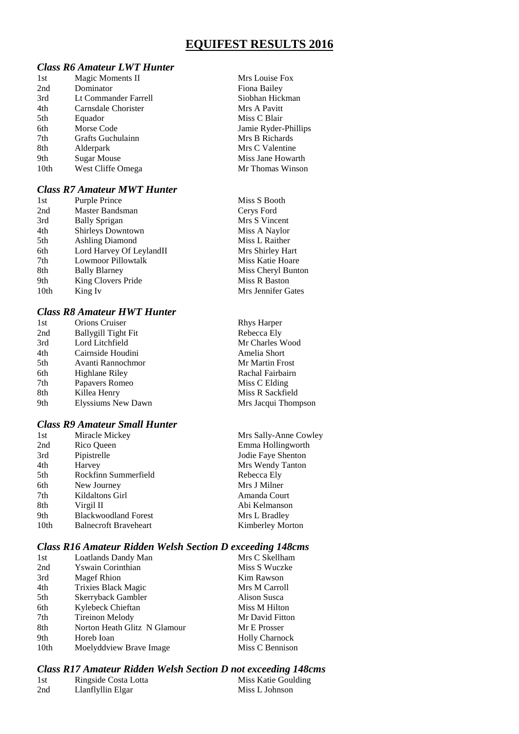# **EQUIFEST RESULTS 2016**

## *Class R6 Amateur LWT Hunter*

| 1st  | Magic Moments II     | Mrs Louise Fox       |
|------|----------------------|----------------------|
| 2nd  | Dominator            | Fiona Bailey         |
| 3rd  | Lt Commander Farrell | Siobhan Hickman      |
| 4th  | Carnsdale Chorister  | Mrs A Pavitt         |
| 5th  | Equador              | Miss C Blair         |
| 6th  | Morse Code           | Jamie Ryder-Phillips |
| 7th  | Grafts Guchulainn    | Mrs B Richards       |
| 8th  | Alderpark            | Mrs C Valentine      |
| 9th  | <b>Sugar Mouse</b>   | Miss Jane Howarth    |
| 10th | West Cliffe Omega    | Mr Thomas Winson     |
|      |                      |                      |

## *Class R7 Amateur MWT Hunter*

| 1st  | Purple Prince            | Miss S Booth       |
|------|--------------------------|--------------------|
| 2nd  | Master Bandsman          | Cerys Ford         |
| 3rd  | <b>Bally Sprigan</b>     | Mrs S Vincent      |
| 4th  | <b>Shirleys Downtown</b> | Miss A Naylor      |
| 5th  | <b>Ashling Diamond</b>   | Miss L Raither     |
| 6th  | Lord Harvey Of LeylandII | Mrs Shirley Hart   |
| 7th  | Lowmoor Pillowtalk       | Miss Katie Hoare   |
| 8th  | <b>Bally Blarney</b>     | Miss Cheryl Bunton |
| 9th  | King Clovers Pride       | Miss R Baston      |
| 10th | King Iv                  | Mrs Jennifer Gates |
|      |                          |                    |

## *Class R8 Amateur HWT Hunter*

| 1st | <b>Orions Cruiser</b> | <b>Rhys Harper</b>  |
|-----|-----------------------|---------------------|
| 2nd | Ballygill Tight Fit   | Rebecca Ely         |
| 3rd | Lord Litchfield       | Mr Charles Wood     |
| 4th | Cairnside Houdini     | Amelia Short        |
| 5th | Avanti Rannochmor     | Mr Martin Frost     |
| 6th | Highlane Riley        | Rachal Fairbairn    |
| 7th | Papavers Romeo        | Miss C Elding       |
| 8th | Killea Henry          | Miss R Sackfield    |
| 9th | Elyssiums New Dawn    | Mrs Jacqui Thompson |
|     |                       |                     |

#### *Class R9 Amateur Small Hunter*

| 1st  | Miracle Mickey               | Mrs Sally-Anne Cowley   |
|------|------------------------------|-------------------------|
| 2nd  | Rico Queen                   | Emma Hollingworth       |
| 3rd  | Pipistrelle                  | Jodie Faye Shenton      |
| 4th  | Harvey                       | Mrs Wendy Tanton        |
| 5th  | Rockfinn Summerfield         | Rebecca Ely             |
| 6th  | New Journey                  | Mrs J Milner            |
| 7th  | Kildaltons Girl              | Amanda Court            |
| 8th  | Virgil II                    | Abi Kelmanson           |
| 9th  | <b>Blackwoodland Forest</b>  | Mrs L Bradley           |
| 10th | <b>Balnecroft Braveheart</b> | <b>Kimberley Morton</b> |
|      |                              |                         |

## *Class R16 Amateur Ridden Welsh Section D exceeding 148cms*

| 1st              | Loatlands Dandy Man          | Mrs C Skellham        |
|------------------|------------------------------|-----------------------|
| 2nd              | Yswain Corinthian            | Miss S Wuczke         |
| 3rd              | Magef Rhion                  | Kim Rawson            |
| 4th              | Trixies Black Magic          | Mrs M Carroll         |
| 5th              | Skerryback Gambler           | Alison Susca          |
| 6th              | Kylebeck Chieftan            | Miss M Hilton         |
| 7th              | <b>Tireinon Melody</b>       | Mr David Fitton       |
| 8th              | Norton Heath Glitz N Glamour | Mr E Prosser          |
| 9th              | Horeb Ioan                   | <b>Holly Charnock</b> |
| 10 <sub>th</sub> | Moelyddview Brave Image      | Miss C Bennison       |

#### *Class R17 Amateur Ridden Welsh Section D not exceeding 148cms*

| 1st | Ringside Costa Lotta | Miss Katie Goulding |
|-----|----------------------|---------------------|
| 2nd | Llanflyllin Elgar    | Miss L Johnson      |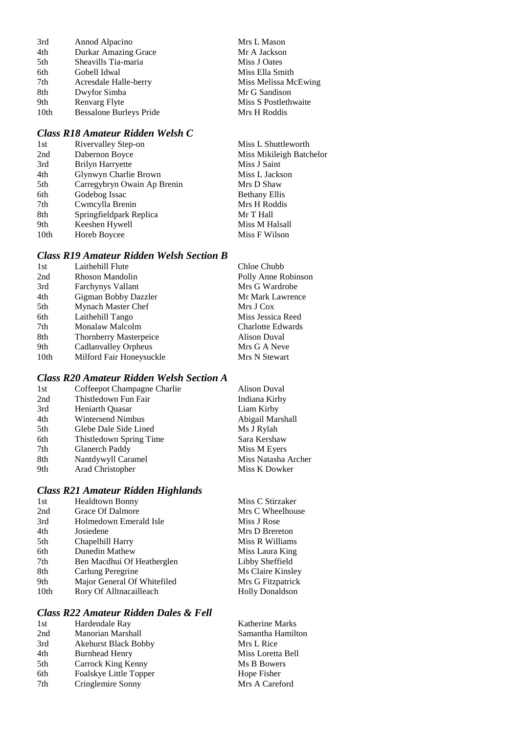| 3rd  | Annod Alpacino                 | Mrs L Mason          |
|------|--------------------------------|----------------------|
| 4th  | <b>Durkar Amazing Grace</b>    | Mr A Jackson         |
| 5th  | Sheavills Tia-maria            | Miss J Oates         |
| 6th  | Gobell Idwal                   | Miss Ella Smith      |
| 7th  | Acresdale Halle-berry          | Miss Melissa McEwing |
| 8th  | Dwyfor Simba                   | Mr G Sandison        |
| 9th  | Renvarg Flyte                  | Miss S Postlethwaite |
| 10th | <b>Bessalone Burleys Pride</b> | Mrs H Roddis         |
|      |                                |                      |

## *Class R18 Amateur Ridden Welsh C*

| 1st  | Rivervalley Step-on         | Miss L Shuttleworth      |
|------|-----------------------------|--------------------------|
| 2nd  | Dabernon Boyce              | Miss Mikileigh Batchelor |
| 3rd  | <b>Brilyn Harryette</b>     | Miss J Saint             |
| 4th  | Glynwyn Charlie Brown       | Miss L Jackson           |
| 5th  | Carregybryn Owain Ap Brenin | Mrs D Shaw               |
| 6th  | Godebog Issac               | <b>Bethany Ellis</b>     |
| 7th  | Cwmcylla Brenin             | Mrs H Roddis             |
| 8th  | Springfieldpark Replica     | Mr T Hall                |
| 9th  | Keeshen Hywell              | Miss M Halsall           |
| 10th | Horeb Boycee                | Miss F Wilson            |

#### *Class R19 Amateur Ridden Welsh Section B*

| Laithehill Flute              | Chloe Chubb              |
|-------------------------------|--------------------------|
| Rhoson Mandolin               | Polly Anne Robinson      |
| <b>Farchynys Vallant</b>      | Mrs G Wardrobe           |
| Gigman Bobby Dazzler          | Mr Mark Lawrence         |
| Mynach Master Chef            | Mrs J Cox                |
| Laithehill Tango              | Miss Jessica Reed        |
| Monalaw Malcolm               | <b>Charlotte Edwards</b> |
| <b>Thornberry Masterpeice</b> | Alison Duval             |
| Cadlanvalley Orpheus          | Mrs G A Neve             |
| Milford Fair Honeysuckle      | Mrs N Stewart            |
|                               |                          |

# *Class R20 Amateur Ridden Welsh Section A*

| 1st | Coffeepot Champagne Charlie | <b>Alison Duval</b> |
|-----|-----------------------------|---------------------|
| 2nd | Thistledown Fun Fair        | Indiana Kirby       |
| 3rd | Heniarth Ouasar             | Liam Kirby          |
| 4th | <b>Wintersend Nimbus</b>    | Abigail Marshall    |
| 5th | Glebe Dale Side Lined       | Ms J Rylah          |
| 6th | Thistledown Spring Time     | Sara Kershaw        |
| 7th | Glanerch Paddy              | Miss M Eyers        |
| 8th | Nantdywyll Caramel          | Miss Natasha Archer |
| 9th | Arad Christopher            | Miss K Dowker       |

## *Class R21 Amateur Ridden Highlands*

| 1st              | <b>Healdtown Bonny</b>      | Miss C Stirzaker       |
|------------------|-----------------------------|------------------------|
| 2nd              | Grace Of Dalmore            | Mrs C Wheelhouse       |
| 3rd              | Holmedown Emerald Isle      | Miss J Rose            |
| 4th              | Josiedene                   | Mrs D Brereton         |
| 5th              | Chapelhill Harry            | Miss R Williams        |
| 6th              | Dunedin Mathew              | Miss Laura King        |
| 7th              | Ben Macdhui Of Heatherglen  | Libby Sheffield        |
| 8th              | Carlung Peregrine           | Ms Claire Kinsley      |
| 9th              | Major General Of Whitefiled | Mrs G Fitzpatrick      |
| 10 <sub>th</sub> | Rory Of Alltnacailleach     | <b>Holly Donaldson</b> |
|                  |                             |                        |

#### *Class R22 Amateur Ridden Dales & Fell*

| 1st | Hardendale Ray              | Katherine Marks   |
|-----|-----------------------------|-------------------|
| 2nd | <b>Manorian Marshall</b>    | Samantha Hamilton |
| 3rd | <b>Akehurst Black Bobby</b> | Mrs L Rice        |
| 4th | <b>Burnhead Henry</b>       | Miss Loretta Bell |
| 5th | Carrock King Kenny          | Ms B Bowers       |
| 6th | Foalskye Little Topper      | Hope Fisher       |
| 7th | Cringlemire Sonny           | Mrs A Careford    |
|     |                             |                   |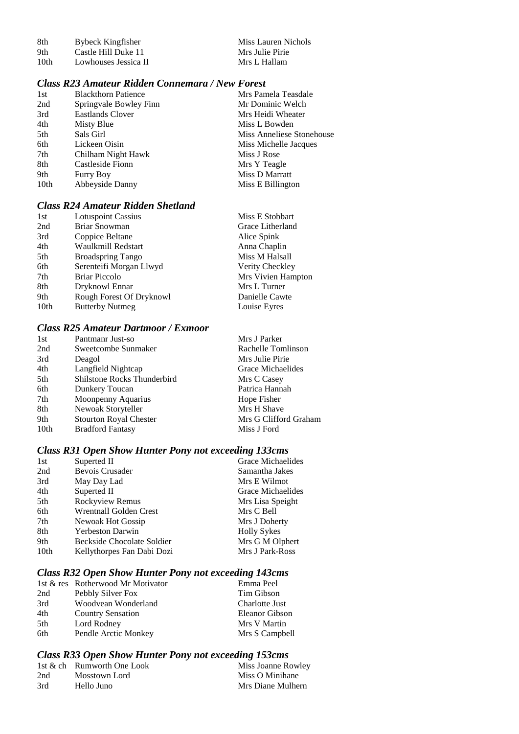| -8th | Bybeck Kingfisher    | Miss Lauren Nichols |
|------|----------------------|---------------------|
| -9th | Castle Hill Duke 11  | Mrs Julie Pirie     |
| 10th | Lowhouses Jessica II | Mrs L Hallam        |

# *Class R23 Amateur Ridden Connemara / New Forest*

| 1st  | <b>Blackthorn Patience</b> | Mrs Pamela Teasdale       |
|------|----------------------------|---------------------------|
| 2nd  | Springvale Bowley Finn     | Mr Dominic Welch          |
| 3rd  | Eastlands Clover           | Mrs Heidi Wheater         |
| 4th  | Misty Blue                 | Miss L Bowden             |
| 5th  | Sals Girl                  | Miss Anneliese Stonehouse |
| 6th  | Lickeen Oisin              | Miss Michelle Jacques     |
| 7th  | Chilham Night Hawk         | Miss J Rose               |
| 8th  | Castleside Fionn           | Mrs Y Teagle              |
| 9th  | <b>Furry Boy</b>           | Miss D Marratt            |
| 10th | Abbeyside Danny            | Miss E Billington         |
|      |                            |                           |

# *Class R24 Amateur Ridden Shetland*

| 1st  | <b>Lotuspoint Cassius</b> | Miss E Stobbart    |
|------|---------------------------|--------------------|
| 2nd  | <b>Briar Snowman</b>      | Grace Litherland   |
| 3rd  | Coppice Beltane           | Alice Spink        |
| 4th  | Waulkmill Redstart        | Anna Chaplin       |
| 5th  | <b>Broadspring Tango</b>  | Miss M Halsall     |
| 6th  | Serenteifi Morgan Llwyd   | Verity Checkley    |
| 7th  | <b>Briar Piccolo</b>      | Mrs Vivien Hampton |
| 8th  | Dryknowl Ennar            | Mrs L Turner       |
| 9th  | Rough Forest Of Dryknowl  | Danielle Cawte     |
| 10th | <b>Butterby Nutmeg</b>    | Louise Eyres       |

## *Class R25 Amateur Dartmoor / Exmoor*

| Mrs J Parker          |
|-----------------------|
| Rachelle Tomlinson    |
| Mrs Julie Pirie       |
| Grace Michaelides     |
| Mrs C Casey           |
| Patrica Hannah        |
| Hope Fisher           |
| Mrs H Shave           |
| Mrs G Clifford Graham |
| Miss J Ford           |
|                       |

# *Class R31 Open Show Hunter Pony not exceeding 133cms*

| 1st  | Superted II                   | Grace Michaelides  |
|------|-------------------------------|--------------------|
| 2nd  | <b>Bevois Crusader</b>        | Samantha Jakes     |
| 3rd  | May Day Lad                   | Mrs E Wilmot       |
| 4th  | Superted II                   | Grace Michaelides  |
| 5th  | Rockyview Remus               | Mrs Lisa Speight   |
| 6th  | <b>Wrentnall Golden Crest</b> | Mrs C Bell         |
| 7th  | Newoak Hot Gossip             | Mrs J Doherty      |
| 8th  | <b>Yerbeston Darwin</b>       | <b>Holly Sykes</b> |
| 9th  | Beckside Chocolate Soldier    | Mrs G M Olphert    |
| 10th | Kellythorpes Fan Dabi Dozi    | Mrs J Park-Ross    |

# *Class R32 Open Show Hunter Pony not exceeding 143cms*

|     | 1st & res Rotherwood Mr Motivator | Emma Peel      |
|-----|-----------------------------------|----------------|
| 2nd | Pebbly Silver Fox                 | Tim Gibson     |
| 3rd | Woodvean Wonderland               | Charlotte Just |
| 4th | <b>Country Sensation</b>          | Eleanor Gibson |
| 5th | Lord Rodney                       | Mrs V Martin   |
| 6th | Pendle Arctic Monkey              | Mrs S Campbell |

# *Class R33 Open Show Hunter Pony not exceeding 153cms*

|     | 1st & ch Rumworth One Look | Miss Joanne Rowley |
|-----|----------------------------|--------------------|
| 2nd | Mosstown Lord              | Miss O Minihane    |
| 3rd | Hello Juno                 | Mrs Diane Mulhern  |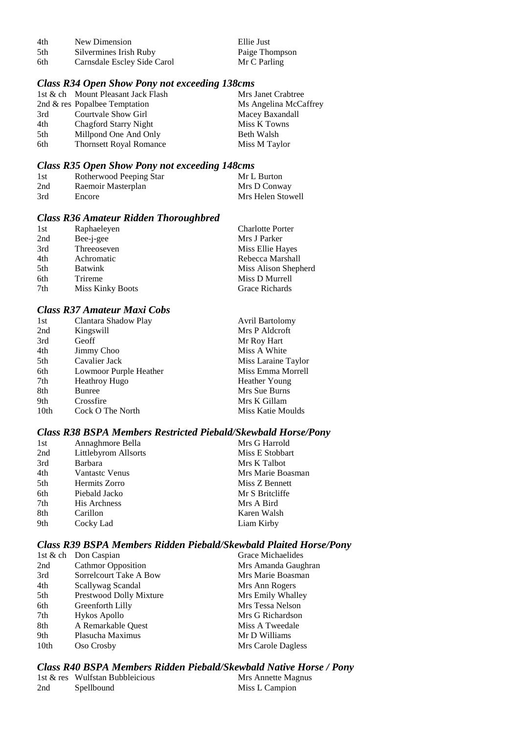| 4th  | New Dimension               | Ellie Just     |
|------|-----------------------------|----------------|
| .5th | Silvermines Irish Ruby      | Paige Thompson |
| 6th  | Carnsdale Escley Side Carol | Mr C Parling   |

#### *Class R34 Open Show Pony not exceeding 138cms*

|     | 1st & ch Mount Pleasant Jack Flash | Mrs Janet Crabtree    |
|-----|------------------------------------|-----------------------|
|     | 2nd $\&$ res Popalbee Temptation   | Ms Angelina McCaffrey |
| 3rd | Courtvale Show Girl                | Macey Baxandall       |
| 4th | Chagford Starry Night              | Miss K Towns          |
| 5th | Millpond One And Only              | Beth Walsh            |
| 6th | <b>Thornsett Royal Romance</b>     | Miss M Taylor         |
|     |                                    |                       |

## *Class R35 Open Show Pony not exceeding 148cms*

| 1st | Rotherwood Peeping Star | Mr L Burton       |
|-----|-------------------------|-------------------|
| 2nd | Raemoir Masterplan      | Mrs D Conway      |
| 3rd | Encore                  | Mrs Helen Stowell |

# *Class R36 Amateur Ridden Thoroughbred*

| 1st | Raphaeleyen             | <b>Charlotte Porter</b> |
|-----|-------------------------|-------------------------|
| 2nd | Bee-j-gee               | Mrs J Parker            |
| 3rd | Threeoseven             | Miss Ellie Hayes        |
| 4th | Achromatic              | Rebecca Marshall        |
| 5th | <b>Batwink</b>          | Miss Alison Shepherd    |
| 6th | Trireme                 | Miss D Murrell          |
| 7th | <b>Miss Kinky Boots</b> | Grace Richards          |

## *Class R37 Amateur Maxi Cobs*

| 1st  | Clantara Shadow Play   | <b>Avril Bartolomy</b> |
|------|------------------------|------------------------|
| 2nd  | Kingswill              | Mrs P Aldcroft         |
| 3rd  | Geoff                  | Mr Roy Hart            |
| 4th  | <b>Jimmy Choo</b>      | Miss A White           |
| 5th  | Cavalier Jack          | Miss Laraine Taylor    |
| 6th  | Lowmoor Purple Heather | Miss Emma Morrell      |
| 7th  | <b>Heathroy Hugo</b>   | <b>Heather Young</b>   |
| 8th  | Bunree                 | Mrs Sue Burns          |
| 9th  | Crossfire              | Mrs K Gillam           |
| 10th | Cock O The North       | Miss Katie Moulds      |

#### *Class R38 BSPA Members Restricted Piebald/Skewbald Horse/Pony*

| 1st | Annaghmore Bella      | Mrs G Harrold     |
|-----|-----------------------|-------------------|
| 2nd | Littlebyrom Allsorts  | Miss E Stobbart   |
| 3rd | <b>Barbara</b>        | Mrs K Talbot      |
| 4th | <b>Vantastc Venus</b> | Mrs Marie Boasman |
| 5th | Hermits Zorro         | Miss Z Bennett    |
| 6th | Piebald Jacko         | Mr S Britcliffe   |
| 7th | <b>His Archness</b>   | Mrs A Bird        |
| 8th | Carillon              | Karen Walsh       |
| 9th | Cocky Lad             | Liam Kirby        |

### *Class R39 BSPA Members Ridden Piebald/Skewbald Plaited Horse/Pony*

| 1st & ch Don Caspian      | Grace Michaelides   |
|---------------------------|---------------------|
| <b>Cathmor Opposition</b> | Mrs Amanda Gaughran |
| Sorrelcourt Take A Bow    | Mrs Marie Boasman   |
| Scallywag Scandal         | Mrs Ann Rogers      |
| Prestwood Dolly Mixture   | Mrs Emily Whalley   |
| Greenforth Lilly          | Mrs Tessa Nelson    |
| Hykos Apollo              | Mrs G Richardson    |
| A Remarkable Quest        | Miss A Tweedale     |
| Plasucha Maximus          | Mr D Williams       |
| Oso Crosby                | Mrs Carole Dagless  |
|                           |                     |

# *Class R40 BSPA Members Ridden Piebald/Skewbald Native Horse / Pony*

|     | 1st & res Wulfstan Bubbleicious | Mrs Annette Magnus |
|-----|---------------------------------|--------------------|
| 2nd | Spellbound                      | Miss L Campion     |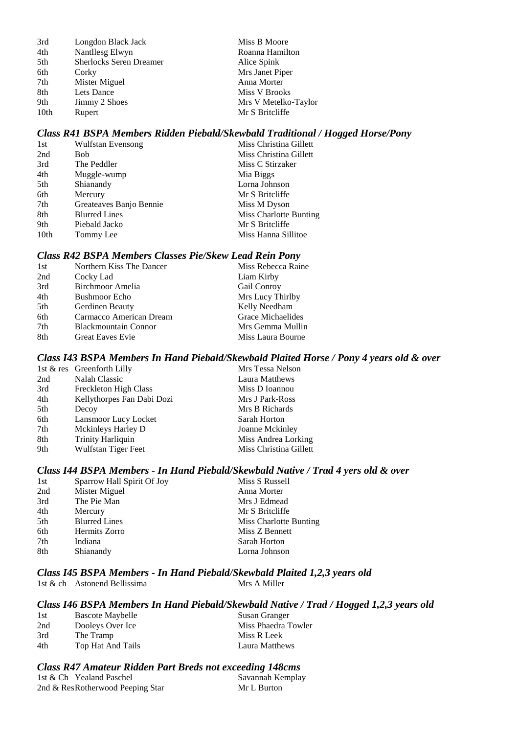| 3rd  | Longdon Black Jack             | Miss B Moore         |
|------|--------------------------------|----------------------|
| 4th  | Nantllesg Elwyn                | Roanna Hamilton      |
| 5th  | <b>Sherlocks Seren Dreamer</b> | Alice Spink          |
| 6th  | Corky                          | Mrs Janet Piper      |
| 7th  | Mister Miguel                  | Anna Morter          |
| 8th  | Lets Dance                     | Miss V Brooks        |
| 9th  | Jimmy 2 Shoes                  | Mrs V Metelko-Taylor |
| 10th | Rupert                         | Mr S Britcliffe      |

## *Class R41 BSPA Members Ridden Piebald/Skewbald Traditional / Hogged Horse/Pony*

| 1st  | <b>Wulfstan Evensong</b> | Miss Christina Gillett |
|------|--------------------------|------------------------|
| 2nd  | <b>Bob</b>               | Miss Christina Gillett |
| 3rd  | The Peddler              | Miss C Stirzaker       |
| 4th  | Muggle-wump              | Mia Biggs              |
| 5th  | Shianandy                | Lorna Johnson          |
| 6th  | Mercury                  | Mr S Britcliffe        |
| 7th  | Greateaves Banjo Bennie  | Miss M Dyson           |
| 8th  | <b>Blurred Lines</b>     | Miss Charlotte Bunting |
| 9th  | Piebald Jacko            | Mr S Britcliffe        |
| 10th | Tommy Lee                | Miss Hanna Sillitoe    |

#### *Class R42 BSPA Members Classes Pie/Skew Lead Rein Pony*

| 1st | Northern Kiss The Dancer    | Miss Rebecca Raine |
|-----|-----------------------------|--------------------|
| 2nd | Cocky Lad                   | Liam Kirby         |
| 3rd | Birchmoor Amelia            | Gail Conroy        |
| 4th | <b>Bushmoor</b> Echo        | Mrs Lucy Thirlby   |
| 5th | Gerdinen Beauty             | Kelly Needham      |
| 6th | Carmacco American Dream     | Grace Michaelides  |
| 7th | <b>Blackmountain Connor</b> | Mrs Gemma Mullin   |
| 8th | <b>Great Eaves Evie</b>     | Miss Laura Bourne  |

#### *Class I43 BSPA Members In Hand Piebald/Skewbald Plaited Horse / Pony 4 years old & over*

|     | 1st $\&$ res Greenforth Lilly | Mrs Tessa Nelson       |
|-----|-------------------------------|------------------------|
| 2nd | Nalah Classic                 | Laura Matthews         |
| 3rd | Freckleton High Class         | Miss D Ioannou         |
| 4th | Kellythorpes Fan Dabi Dozi    | Mrs J Park-Ross        |
| 5th | Decoy                         | Mrs B Richards         |
| 6th | Lansmoor Lucy Locket          | Sarah Horton           |
| 7th | Mckinleys Harley D            | Joanne Mckinley        |
| 8th | <b>Trinity Harliquin</b>      | Miss Andrea Lorking    |
| 9th | Wulfstan Tiger Feet           | Miss Christina Gillett |

#### *Class I44 BSPA Members - In Hand Piebald/Skewbald Native / Trad 4 yers old & over*

| 1st | Sparrow Hall Spirit Of Joy | Miss S Russell         |
|-----|----------------------------|------------------------|
| 2nd | Mister Miguel              | Anna Morter            |
| 3rd | The Pie Man                | Mrs J Edmead           |
| 4th | Mercury                    | Mr S Britcliffe        |
| 5th | <b>Blurred Lines</b>       | Miss Charlotte Bunting |
| 6th | Hermits Zorro              | Miss Z Bennett         |
| 7th | Indiana                    | Sarah Horton           |
| 8th | Shianandy                  | Lorna Johnson          |
|     |                            |                        |

*Class I45 BSPA Members - In Hand Piebald/Skewbald Plaited 1,2,3 years old* 1st & ch Astonend Bellissima<br>Mrs A Miller

#### *Class I46 BSPA Members In Hand Piebald/Skewbald Native / Trad / Hogged 1,2,3 years old*

| 1st | <b>Bascote Maybelle</b> | Susan Granger       |
|-----|-------------------------|---------------------|
| 2nd | Dooleys Over Ice        | Miss Phaedra Towler |
| 3rd | The Tramp               | Miss R Leek         |
| 4th | Top Hat And Tails       | Laura Matthews      |

#### *Class R47 Amateur Ridden Part Breds not exceeding 148cms*

| 1st & Ch Yealand Paschel         | Savannah Kemplay |
|----------------------------------|------------------|
| 2nd & ResRotherwood Peeping Star | Mr L Burton      |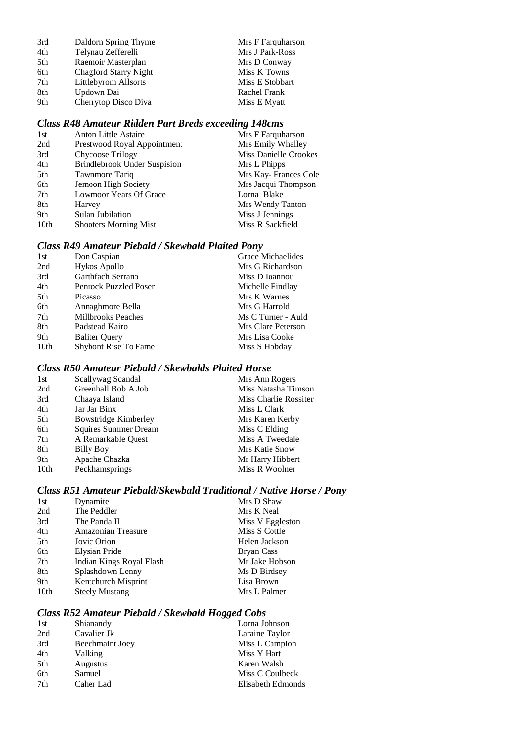| Daldorn Spring Thyme         | Mrs F Farquharson |
|------------------------------|-------------------|
| Telynau Zefferelli           | Mrs J Park-Ross   |
| Raemoir Masterplan           | Mrs D Conway      |
| <b>Chagford Starry Night</b> | Miss K Towns      |
| Littlebyrom Allsorts         | Miss E Stobbart   |
| Updown Dai                   | Rachel Frank      |
| Cherrytop Disco Diva         | Miss E Myatt      |
|                              |                   |

# *Class R48 Amateur Ridden Part Breds exceeding 148cms*

| <b>Anton Little Astaire</b>         | Mrs F Farquharson            |
|-------------------------------------|------------------------------|
| Prestwood Royal Appointment         | Mrs Emily Whalley            |
| Chycoose Trilogy                    | <b>Miss Danielle Crookes</b> |
| <b>Brindlebrook Under Suspision</b> | Mrs L Phipps                 |
| Tawnmore Tariq                      | Mrs Kay-Frances Cole         |
| Jemoon High Society                 | Mrs Jacqui Thompson          |
| Lowmoor Years Of Grace              | Lorna Blake                  |
| Harvey                              | Mrs Wendy Tanton             |
| Sulan Jubilation                    | Miss J Jennings              |
| <b>Shooters Morning Mist</b>        | Miss R Sackfield             |
|                                     |                              |

# *Class R49 Amateur Piebald / Skewbald Plaited Pony*

| 1st  | Don Caspian                  | Grace Michaelides  |
|------|------------------------------|--------------------|
| 2nd  | Hykos Apollo                 | Mrs G Richardson   |
| 3rd  | Garthfach Serrano            | Miss D Ioannou     |
| 4th  | <b>Penrock Puzzled Poser</b> | Michelle Findlay   |
| 5th  | Picasso                      | Mrs K Warnes       |
| 6th  | Annaghmore Bella             | Mrs G Harrold      |
| 7th  | <b>Millbrooks Peaches</b>    | Ms C Turner - Auld |
| 8th  | Padstead Kairo               | Mrs Clare Peterson |
| 9th  | <b>Baliter Query</b>         | Mrs Lisa Cooke     |
| 10th | <b>Shybont Rise To Fame</b>  | Miss S Hobday      |
|      |                              |                    |

#### *Class R50 Amateur Piebald / Skewbalds Plaited Horse*

| Scallywag Scandal    | Mrs Ann Rogers        |
|----------------------|-----------------------|
| Greenhall Bob A Job  | Miss Natasha Timson   |
| Chaaya Island        | Miss Charlie Rossiter |
| Jar Jar Binx         | Miss L Clark          |
| Bowstridge Kimberley | Mrs Karen Kerby       |
| Squires Summer Dream | Miss C Elding         |
| A Remarkable Ouest   | Miss A Tweedale       |
| Billy Boy            | Mrs Katie Snow        |
| Apache Chazka        | Mr Harry Hibbert      |
| Peckhamsprings       | Miss R Woolner        |
|                      |                       |

# *Class R51 Amateur Piebald/Skewbald Traditional / Native Horse / Pony*

| 1st              | Dynamite                  | Mrs D Shaw       |
|------------------|---------------------------|------------------|
| 2nd              | The Peddler               | Mrs K Neal       |
| 3rd              | The Panda II              | Miss V Eggleston |
| 4th              | <b>Amazonian Treasure</b> | Miss S Cottle    |
| 5th              | Jovic Orion               | Helen Jackson    |
| 6th              | Elysian Pride             | Bryan Cass       |
| 7th              | Indian Kings Royal Flash  | Mr Jake Hobson   |
| 8th              | Splashdown Lenny          | Ms D Birdsey     |
| 9th              | Kentchurch Misprint       | Lisa Brown       |
| 10 <sub>th</sub> | <b>Steely Mustang</b>     | Mrs L Palmer     |

## *Class R52 Amateur Piebald / Skewbald Hogged Cobs*

| 1st | Shianandy       | Lorna Johnson     |
|-----|-----------------|-------------------|
| 2nd | Cavalier Jk     | Laraine Taylor    |
| 3rd | Beechmaint Joey | Miss L Campion    |
| 4th | Valking         | Miss Y Hart       |
| 5th | Augustus        | Karen Walsh       |
| 6th | Samuel          | Miss C Coulbeck   |
| 7th | Caher Lad       | Elisabeth Edmonds |
|     |                 |                   |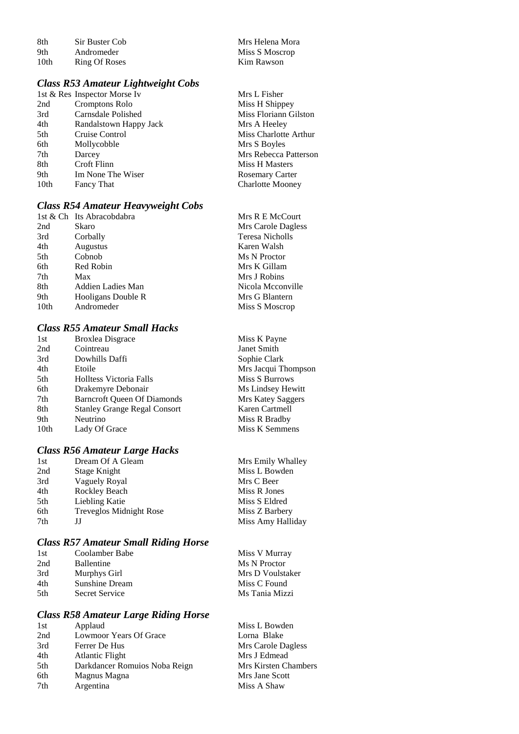8th Sir Buster Cob Mrs Helena Mora<br>9th Andromeder Miss S Moscrop 9th Andromeder Miss S Moscrop<br>10th Ring Of Roses Kim Rawson Ring Of Roses

## *Class R53 Amateur Lightweight Cobs*

|      | 1st & Res Inspector Morse Iv | Mrs L Fisher            |
|------|------------------------------|-------------------------|
| 2nd  | Cromptons Rolo               | Miss H Shippey          |
| 3rd  | Carnsdale Polished           | Miss Floriann Gilston   |
| 4th  | Randalstown Happy Jack       | Mrs A Heeley            |
| 5th  | Cruise Control               | Miss Charlotte Arthur   |
| 6th  | Mollycobble                  | Mrs S Boyles            |
| 7th  | Darcey                       | Mrs Rebecca Patterson   |
| 8th  | Croft Flinn                  | Miss H Masters          |
| 9th  | Im None The Wiser            | <b>Rosemary Carter</b>  |
| 10th | Fancy That                   | <b>Charlotte Mooney</b> |
|      |                              |                         |

# *Class R54 Amateur Heavyweight Cobs*

|                  | 1st & Ch Its Abracobdabra | Mrs R E McCourt    |
|------------------|---------------------------|--------------------|
| 2nd              | Skaro                     | Mrs Carole Dagless |
| 3rd              | Corbally                  | Teresa Nicholls    |
| 4th              | <b>Augustus</b>           | Karen Walsh        |
| 5th              | Cobnob                    | Ms N Proctor       |
| 6th              | Red Robin                 | Mrs K Gillam       |
| 7th              | Max                       | Mrs J Robins       |
| 8th              | Addien Ladies Man         | Nicola Mcconville  |
| 9th              | Hooligans Double R        | Mrs G Blantern     |
| 10 <sub>th</sub> | Andromeder                | Miss S Moscrop     |

# *Class R55 Amateur Small Hacks*

| 1st  | <b>Broxlea Disgrace</b>             | Miss K Payne        |
|------|-------------------------------------|---------------------|
| 2nd  | Cointreau                           | Janet Smith         |
| 3rd  | Dowhills Daffi                      | Sophie Clark        |
| 4th  | Etoile                              | Mrs Jacqui Thompson |
| 5th  | <b>Holltess Victoria Falls</b>      | Miss S Burrows      |
| 6th  | Drakemyre Debonair                  | Ms Lindsey Hewitt   |
| 7th  | <b>Barncroft Queen Of Diamonds</b>  | Mrs Katey Saggers   |
| 8th  | <b>Stanley Grange Regal Consort</b> | Karen Cartmell      |
| 9th  | Neutrino                            | Miss R Bradby       |
| 10th | Lady Of Grace                       | Miss K Semmens      |
|      |                                     |                     |

# *Class R56 Amateur Large Hacks*

| 1st | Dream Of A Gleam               | Mrs Emily Whalley |
|-----|--------------------------------|-------------------|
| 2nd | Stage Knight                   | Miss L Bowden     |
| 3rd | Vaguely Royal                  | Mrs C Beer        |
| 4th | Rockley Beach                  | Miss R Jones      |
| 5th | Liebling Katie                 | Miss S Eldred     |
| 6th | <b>Treveglos Midnight Rose</b> | Miss Z Barbery    |
| 7th | IJ                             | Miss Amy Halliday |
|     |                                |                   |

# *Class R57 Amateur Small Riding Horse*

| Coolamber Babe    | Miss V Murray    |
|-------------------|------------------|
| <b>Ballentine</b> | Ms N Proctor     |
| Murphys Girl      | Mrs D Voulstaker |
| Sunshine Dream    | Miss C Found     |
| Secret Service    | Ms Tania Mizzi   |
|                   |                  |

## *Class R58 Amateur Large Riding Horse*

| 1st | Applaud                       | Miss L Bowden        |
|-----|-------------------------------|----------------------|
| 2nd | Lowmoor Years Of Grace        | Lorna Blake          |
| 3rd | Ferrer De Hus                 | Mrs Carole Dagless   |
| 4th | <b>Atlantic Flight</b>        | Mrs J Edmead         |
| 5th | Darkdancer Romuios Noba Reign | Mrs Kirsten Chambers |
| 6th | Magnus Magna                  | Mrs Jane Scott       |
| 7th | Argentina                     | Miss A Shaw          |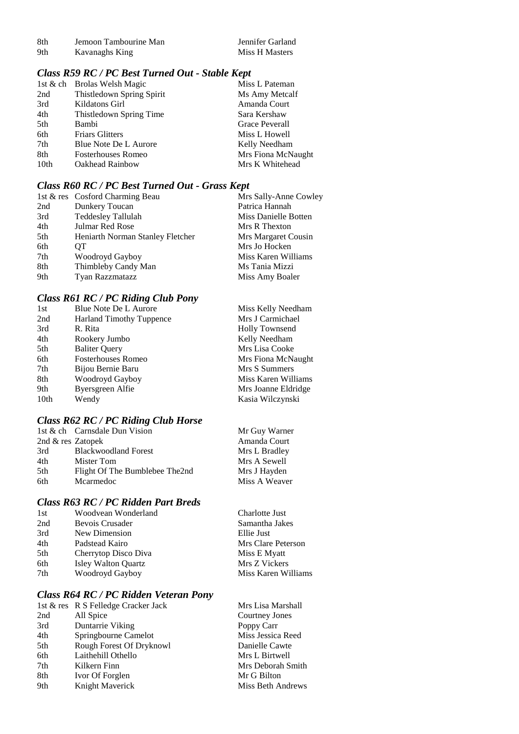| -8th | Jemoon Tambourine Man |
|------|-----------------------|
| 9th  | Kavanaghs King        |

#### *Class R59 RC / PC Best Turned Out - Stable Kept*

| 1st & ch Brolas Welsh Magic | Miss L Pateman     |
|-----------------------------|--------------------|
| Thistledown Spring Spirit   | Ms Amy Metcalf     |
| Kildatons Girl              | Amanda Court       |
| Thistledown Spring Time     | Sara Kershaw       |
| Bambi                       | Grace Peverall     |
| <b>Friars Glitters</b>      | Miss L Howell      |
| Blue Note De L Aurore       | Kelly Needham      |
| <b>Fosterhouses Romeo</b>   | Mrs Fiona McNaught |
| Oakhead Rainbow             | Mrs K Whitehead    |
|                             |                    |

## *Class R60 RC / PC Best Turned Out - Grass Kept*

|     | 1st & res Cosford Charming Beau  | Mrs Sally-Anne Cowley |
|-----|----------------------------------|-----------------------|
| 2nd | Dunkery Toucan                   | Patrica Hannah        |
| 3rd | <b>Teddesley Tallulah</b>        | Miss Danielle Botten  |
| 4th | Julmar Red Rose                  | Mrs R Thexton         |
| 5th | Heniarth Norman Stanley Fletcher | Mrs Margaret Cousin   |
| 6th | OТ                               | Mrs Jo Hocken         |
| 7th | Woodroyd Gayboy                  | Miss Karen Williams   |
| 8th | Thimbleby Candy Man              | Ms Tania Mizzi        |
| 9th | Tyan Razzmatazz                  | Miss Amy Boaler       |

# *Class R61 RC / PC Riding Club Pony*

| Blue Note De L Aurore           | Miss Kelly Needham    |
|---------------------------------|-----------------------|
| <b>Harland Timothy Tuppence</b> | Mrs J Carmichael      |
| R. Rita                         | <b>Holly Townsend</b> |
| Rookery Jumbo                   | Kelly Needham         |
| <b>Baliter Query</b>            | Mrs Lisa Cooke        |
| <b>Fosterhouses Romeo</b>       | Mrs Fiona McNaught    |
| Bijou Bernie Baru               | Mrs S Summers         |
| Woodroyd Gayboy                 | Miss Karen Williams   |
| Byersgreen Alfie                | Mrs Joanne Eldridge   |
| Wendy                           | Kasia Wilczynski      |
|                                 |                       |

# *Class R62 RC / PC Riding Club Horse*

|                     | 1st & ch Carnsdale Dun Vision  | Mr Guy Warner |
|---------------------|--------------------------------|---------------|
| 2nd $&$ res Zatopek |                                | Amanda Court  |
| 3rd                 | <b>Blackwoodland Forest</b>    | Mrs L Bradley |
| 4th                 | Mister Tom                     | Mrs A Sewell  |
| 5th                 | Flight Of The Bumblebee The2nd | Mrs J Hayden  |
| 6th                 | Mcarmedoc                      | Miss A Weaver |
|                     |                                |               |

## *Class R63 RC / PC Ridden Part Breds*

| 1st | Woodvean Wonderland        | Charlotte Just      |
|-----|----------------------------|---------------------|
| 2nd | Bevois Crusader            | Samantha Jakes      |
| 3rd | New Dimension              | Ellie Just          |
| 4th | Padstead Kairo             | Mrs Clare Peterson  |
| 5th | Cherrytop Disco Diva       | Miss E Myatt        |
| 6th | <b>Isley Walton Quartz</b> | Mrs Z Vickers       |
| 7th | Woodroyd Gayboy            | Miss Karen Williams |
|     |                            |                     |

#### *Class R64 RC / PC Ridden Veteran Pony*

|     | 1st & res R S Felledge Cracker Jack | Mrs Lisa Marshall |
|-----|-------------------------------------|-------------------|
| 2nd | All Spice                           | Courtney Jones    |
| 3rd | Duntarrie Viking                    | Poppy Carr        |
| 4th | Springbourne Camelot                | Miss Jessica Reed |
| 5th | Rough Forest Of Dryknowl            | Danielle Cawte    |
| 6th | Laithehill Othello                  | Mrs L Birtwell    |
| 7th | Kilkern Finn                        | Mrs Deborah Smith |
| 8th | Ivor Of Forglen                     | Mr G Bilton       |
| 9th | Knight Maverick                     | Miss Beth Andrews |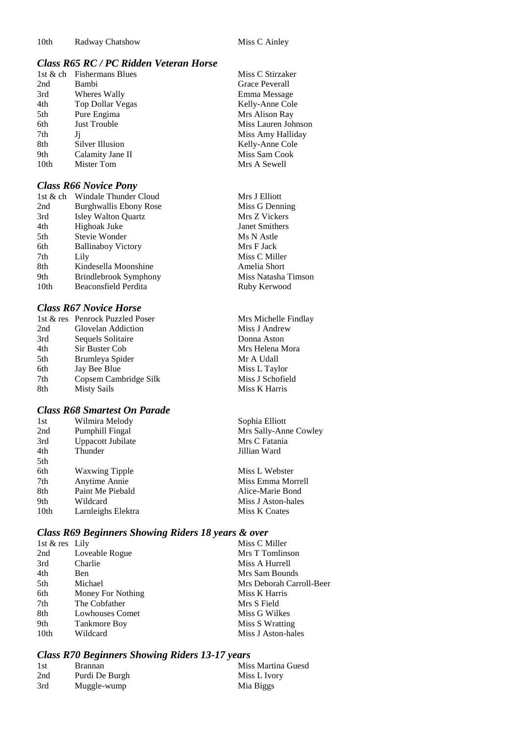Miss C Stirzaker Grace Peverall Emma Message Kelly-Anne Cole Mrs Alison Ray Miss Lauren Johnson Miss Amy Halliday Kelly-Anne Cole Miss Sam Cook Mrs A Sewell

Mrs Michelle Findlay Miss J Andrew Donna Aston Mrs Helena Mora Mr A Udall Miss L Taylor Miss J Schofield Miss K Harris

## *Class R65 RC / PC Ridden Veteran Horse*

|                  | 1st & ch Fishermans Blues |
|------------------|---------------------------|
| 2nd              | Bambi                     |
| 3rd              | Wheres Wally              |
| 4th              | Top Dollar Vegas          |
| 5th              | Pure Engima               |
| 6th              | <b>Just Trouble</b>       |
| 7th              | Ji                        |
| 8th              | Silver Illusion           |
| 9th              | Calamity Jane II          |
| 10 <sub>th</sub> | Mister Tom                |

#### *Class R66 Novice Pony*

| 1st & ch | Windale Thunder Cloud      | Mrs J Elliott       |
|----------|----------------------------|---------------------|
| 2nd      | Burghwallis Ebony Rose     | Miss G Denning      |
| 3rd      | <b>Isley Walton Quartz</b> | Mrs Z Vickers       |
| 4th      | Highoak Juke               | Janet Smithers      |
| 5th      | Stevie Wonder              | Ms N Astle          |
| 6th      | <b>Ballinaboy Victory</b>  | Mrs F Jack          |
| 7th      | Lily                       | Miss C Miller       |
| 8th      | Kindesella Moonshine       | Amelia Short        |
| 9th      | Brindlebrook Symphony      | Miss Natasha Timson |
| 10th     | Beaconsfield Perdita       | Ruby Kerwood        |
|          |                            |                     |

## *Class R67 Novice Horse*

| 1st & res Penrock Puzzled Poser |
|---------------------------------|
| Glovelan Addiction              |
| Sequels Solitaire               |
| Sir Buster Cob                  |
| Brumleya Spider                 |
| Jay Bee Blue                    |
| Copsem Cambridge Silk           |
| Misty Sails                     |
|                                 |

## *Class R68 Smartest On Parade*

| 1st  | Wilmira Melody        | Sophia Elliott        |
|------|-----------------------|-----------------------|
| 2nd  | Pumphill Fingal       | Mrs Sally-Anne Cowley |
| 3rd  | Uppacott Jubilate     | Mrs C Fatania         |
| 4th  | Thunder               | Jillian Ward          |
| 5th  |                       |                       |
| 6th  | <b>Waxwing Tipple</b> | Miss L Webster        |
| 7th  | Anytime Annie         | Miss Emma Morrell     |
| 8th  | Paint Me Piebald      | Alice-Marie Bond      |
| 9th  | Wildcard              | Miss J Aston-hales    |
| 10th | Larnleighs Elektra    | Miss K Coates         |

# *Class R69 Beginners Showing Riders 18 years & over*

| 1st $&$ res Lily |                     |  | Miss C Miller            |
|------------------|---------------------|--|--------------------------|
| 2nd              | Loveable Rogue      |  | Mrs T Tomlinson          |
| 3rd              | Charlie             |  | Miss A Hurrell           |
| 4th              | Ben                 |  | Mrs Sam Bounds           |
| 5th              | Michael             |  | Mrs Deborah Carroll-Beer |
| 6th              | Money For Nothing   |  | Miss K Harris            |
| 7th              | The Cobfather       |  | Mrs S Field              |
| 8th              | Lowhouses Comet     |  | Miss G Wilkes            |
| 9th              | <b>Tankmore Boy</b> |  | Miss S Wratting          |
| 10th             | Wildcard            |  | Miss J Aston-hales       |
|                  |                     |  |                          |

## *Class R70 Beginners Showing Riders 13-17 years*

| 1st | <b>Brannan</b> | Miss Martina Guesd |
|-----|----------------|--------------------|
| 2nd | Purdi De Burgh | Miss L Ivory       |
| 3rd | Muggle-wump    | Mia Biggs          |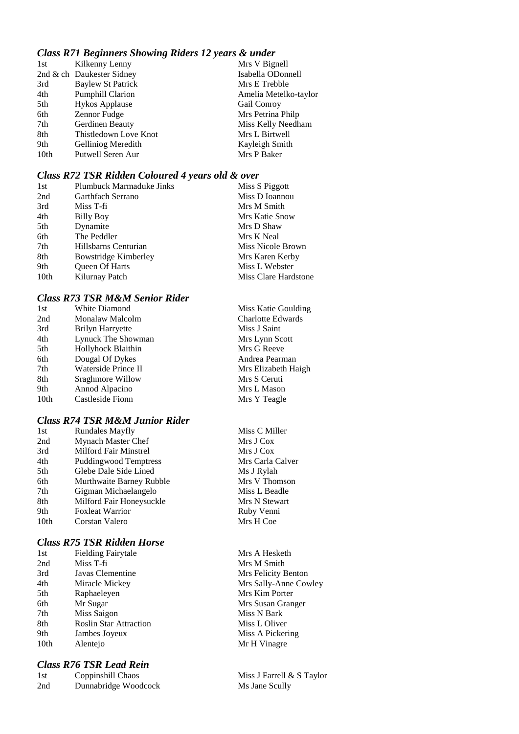## *Class R71 Beginners Showing Riders 12 years & under*

| Kilkenny Lenny            | Mrs V Bignell         |
|---------------------------|-----------------------|
| 2nd & ch Daukester Sidney | Isabella ODonnell     |
| Baylew St Patrick         | Mrs E Trebble         |
| <b>Pumphill Clarion</b>   | Amelia Metelko-taylor |
| <b>Hykos Applause</b>     | <b>Gail Conroy</b>    |
| Zennor Fudge              | Mrs Petrina Philp     |
| Gerdinen Beauty           | Miss Kelly Needham    |
| Thistledown Love Knot     | Mrs L Birtwell        |
| Gelliniog Meredith        | Kayleigh Smith        |
| Putwell Seren Aur         | Mrs P Baker           |
|                           |                       |

#### *Class R72 TSR Ridden Coloured 4 years old & over*

| 1st              | Plumbuck Marmaduke Jinks | Miss S Piggott       |
|------------------|--------------------------|----------------------|
| 2nd              | Garthfach Serrano        | Miss D Ioannou       |
| 3rd              | Miss T-fi                | Mrs M Smith          |
| 4th              | Billy Boy                | Mrs Katie Snow       |
| 5th              | Dynamite                 | Mrs D Shaw           |
| 6th              | The Peddler              | Mrs K Neal           |
| 7th              | Hillsbarns Centurian     | Miss Nicole Brown    |
| 8th              | Bowstridge Kimberley     | Mrs Karen Kerby      |
| 9th              | <b>Oueen Of Harts</b>    | Miss L Webster       |
| 10 <sub>th</sub> | Kilurnay Patch           | Miss Clare Hardstone |

## *Class R73 TSR M&M Senior Rider*

| 1st  | White Diamond           | Miss Katie Goulding      |
|------|-------------------------|--------------------------|
| 2nd  | Monalaw Malcolm         | <b>Charlotte Edwards</b> |
| 3rd  | <b>Brilyn Harryette</b> | Miss J Saint             |
| 4th  | Lynuck The Showman      | Mrs Lynn Scott           |
| 5th  | Hollyhock Blaithin      | Mrs G Reeve              |
| 6th  | Dougal Of Dykes         | Andrea Pearman           |
| 7th  | Waterside Prince II     | Mrs Elizabeth Haigh      |
| 8th  | Sraghmore Willow        | Mrs S Ceruti             |
| 9th  | Annod Alpacino          | Mrs L Mason              |
| 10th | Castleside Fionn        | Mrs Y Teagle             |
|      |                         |                          |

## *Class R74 TSR M&M Junior Rider*

| 1st              | <b>Rundales Mayfly</b>       | Miss C Miller    |
|------------------|------------------------------|------------------|
| 2nd              | Mynach Master Chef           | Mrs J Cox        |
| 3rd              | Milford Fair Minstrel        | Mrs J Cox        |
| 4th              | <b>Puddingwood Temptress</b> | Mrs Carla Calver |
| 5th              | Glebe Dale Side Lined        | Ms J Rylah       |
| 6th              | Murthwaite Barney Rubble     | Mrs V Thomson    |
| 7th              | Gigman Michaelangelo         | Miss L Beadle    |
| 8th              | Milford Fair Honeysuckle     | Mrs N Stewart    |
| 9th              | <b>Foxleat Warrior</b>       | Ruby Venni       |
| 10 <sub>th</sub> | Corstan Valero               | Mrs H Coe        |
|                  |                              |                  |

## *Class R75 TSR Ridden Horse*

| 1st  | <b>Fielding Fairytale</b>     |
|------|-------------------------------|
| 2nd  | Miss T-fi                     |
| 3rd  | Javas Clementine              |
| 4th  | Miracle Mickey                |
| 5th  | Raphaeleyen                   |
| 6th  | Mr Sugar                      |
| 7th  | Miss Saigon                   |
| 8th  | <b>Roslin Star Attraction</b> |
| 9th  | Jambes Joyeux                 |
| 10th | Alentejo                      |

## *Class R76 TSR Lead Rein*

| 1st | Coppinshill Chaos    |
|-----|----------------------|
| 2nd | Dunnabridge Woodcock |

| Miss C Miller    |
|------------------|
| Mrs J Cox        |
| Mrs J Cox        |
| Mrs Carla Calver |
| Ms J Rylah       |
| Mrs V Thomson    |
| Miss L Beadle    |
| Mrs N Stewart    |
| Ruby Venni       |
| Mrs H Coe        |
|                  |

Mrs A Hesketh Mrs M Smith Mrs Felicity Benton Mrs Sally-Anne Cowley Mrs Kim Porter Mrs Susan Granger Miss N Bark Miss L Oliver Miss A Pickering ejo Mr H Vinagre

> Miss J Farrell & S Taylor Ms Jane Scully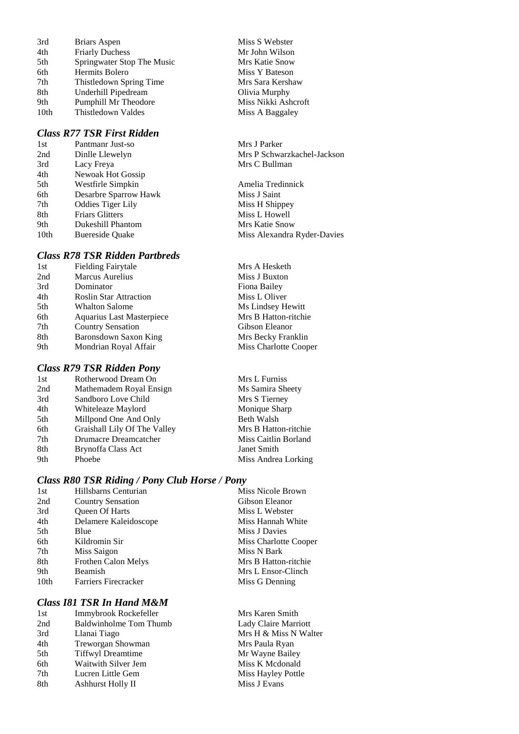| 3rd              | Briars Aspen               |
|------------------|----------------------------|
| 4th              | <b>Friarly Duchess</b>     |
| 5th              | Springwater Stop The Music |
| 6th              | <b>Hermits Bolero</b>      |
| 7th              | Thistledown Spring Time    |
| 8th              | Underhill Pipedream        |
| 9th              | Pumphill Mr Theodore       |
| 10 <sub>th</sub> | Thistledown Valdes         |

#### *Class R77 TSR First Ridden*

| 1st              | Pantmanr Just-so         |
|------------------|--------------------------|
| 2nd              | Dinlle Llewelyn          |
| 3rd              | Lacy Freya               |
| 4th              | Newoak Hot Gossip        |
| 5th              | Westfirle Simpkin        |
| 6th              | Desarbre Sparrow Hawk    |
| 7th              | <b>Oddies Tiger Lily</b> |
| 8th              | <b>Friars Glitters</b>   |
| 9th              | Dukeshill Phantom        |
| 10 <sub>th</sub> | <b>Buereside Quake</b>   |

## *Class R78 TSR Ridden Partbreds*

| 1st | <b>Fielding Fairytale</b>     |
|-----|-------------------------------|
| 2nd | Marcus Aurelius               |
| 3rd | Dominator                     |
| 4th | <b>Roslin Star Attraction</b> |
| 5th | <b>Whalton Salome</b>         |
| 6th | Aquarius Last Masterpiece     |
| 7th | <b>Country Sensation</b>      |
| 8th | Baronsdown Saxon King         |
| 9th | Mondrian Royal Affair         |
|     |                               |

## *Class R79 TSR Ridden Pony*

| 1st | Rotherwood Dream On         |
|-----|-----------------------------|
| 2nd | Mathemadem Royal Ensign     |
| 3rd | Sandboro Love Child         |
| 4th | Whiteleaze Maylord          |
| 5th | Millpond One And Only       |
| 6th | Graishall Lily Of The Valle |
| 7th | Drumacre Dreamcatcher       |
| 8th | Brynoffa Class Act          |
| 9th | Phoebe                      |

### *Class R80 TSR Riding / Pony Club Horse / Pony*

| 1st  | Hillsbarns Centurian        | Miss Nicole Brown     |
|------|-----------------------------|-----------------------|
| 2nd  | <b>Country Sensation</b>    | Gibson Eleanor        |
| 3rd  | Queen Of Harts              | Miss L Webster        |
| 4th  | Delamere Kaleidoscope       | Miss Hannah White     |
| 5th  | Blue                        | Miss J Davies         |
| 6th  | Kildromin Sir               | Miss Charlotte Cooper |
| 7th  | Miss Saigon                 | Miss N Bark           |
| 8th  | Frothen Calon Melys         | Mrs B Hatton-ritchie  |
| 9th  | Beamish                     | Mrs L Ensor-Clinch    |
| 10th | <b>Farriers Firecracker</b> | Miss G Denning        |
|      |                             |                       |

### *Class I81 TSR In Hand M&M*

| Immybrook Rockefeller         |
|-------------------------------|
| <b>Baldwinholme Tom Thumb</b> |
| Llanai Tiago                  |
| Treworgan Showman             |
| <b>Tiffwyl Dreamtime</b>      |
| Waitwith Silver Jem           |
| Lucren Little Gem             |
| Ashhurst Holly II             |
|                               |

Miss S Webster Mr John Wilson Mrs Katie Snow Miss Y Bateson Mrs Sara Kershaw Olivia Murphy Miss Nikki Ashcroft Miss A Baggaley

Mrs J Parker Mrs P Schwarzkachel-Jackson Mrs C Bullman

Amelia Tredinnick Miss J Saint Miss H Shippey Miss L Howell Mrs Katie Snow Miss Alexandra Ryder-Davies

Mrs A Hesketh Miss J Buxton Fiona Bailey Miss L Oliver Ms Lindsey Hewitt Mrs B Hatton-ritchie Gibson Eleanor Mrs Becky Franklin Miss Charlotte Cooper

Mrs L Furniss Ms Samira Sheety Mrs S Tierney Monique Sharp Beth Walsh y Mrs B Hatton-ritchie Miss Caitlin Borland Janet Smith Miss Andrea Lorking

> Mrs Karen Smith Lady Claire Marriott Mrs H & Miss N Walter Mrs Paula Ryan Mr Wayne Bailey Miss K Mcdonald Miss Hayley Pottle Miss J Evans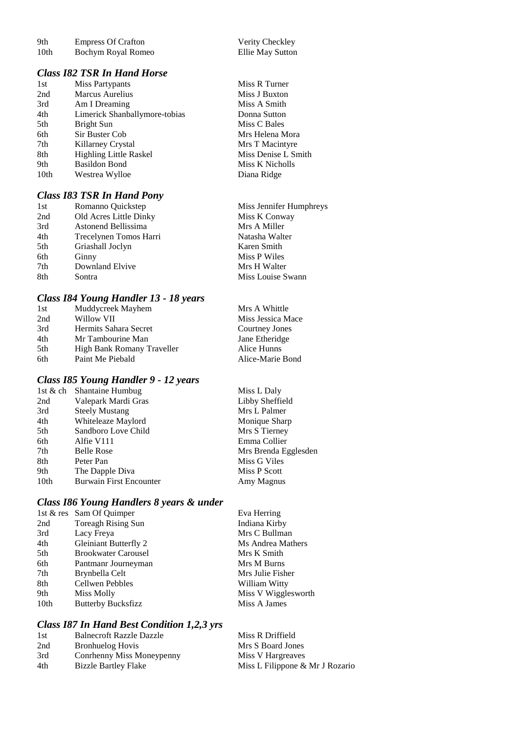| 9th              | <b>Empress Of Crafton</b> | Verity Checkley  |
|------------------|---------------------------|------------------|
| 10 <sub>th</sub> | Bochym Royal Romeo        | Ellie May Sutton |

# *Class I82 TSR In Hand Horse*

| 1st  | <b>Miss Partypants</b>        |
|------|-------------------------------|
| 2nd  | Marcus Aurelius               |
| 3rd  | Am I Dreaming                 |
| 4th  | Limerick Shanballymore-tobias |
| 5th  | Bright Sun                    |
| 6th  | Sir Buster Cob                |
| 7th  | Killarney Crystal             |
| 8th  | <b>Highling Little Raskel</b> |
| 9th  | <b>Basildon Bond</b>          |
| 10th | Westrea Wylloe                |
|      |                               |

# *Class I83 TSR In Hand Pony*

| 1st | Romanno Quickstep      | Miss Jennifer Humphreys |
|-----|------------------------|-------------------------|
| 2nd | Old Acres Little Dinky | Miss K Conway           |
| 3rd | Astonend Bellissima    | Mrs A Miller            |
| 4th | Trecelynen Tomos Harri | Natasha Walter          |
| 5th | Griashall Joclyn       | Karen Smith             |
| 6th | Ginny                  | Miss P Wiles            |
| 7th | Downland Elvive        | Mrs H Walter            |
| 8th | Sontra                 | Miss Louise Swann       |

Verity Checkley

Miss R Turner Miss J Buxton Miss A Smith Donna Sutton Miss C Bales Mrs Helena Mora Mrs T Macintyre Miss Denise L Smith Miss K Nicholls Diana Ridge

# *Class I84 Young Handler 13 - 18 years*

| 1st | Muddycreek Mayhem          | Mrs A Whittle     |
|-----|----------------------------|-------------------|
| 2nd | Willow VII                 | Miss Jessica Mace |
| 3rd | Hermits Sahara Secret      | Courtney Jones    |
| 4th | Mr Tambourine Man          | Jane Etheridge    |
| 5th | High Bank Romany Traveller | Alice Hunns       |
| 6th | Paint Me Piebald           | Alice-Marie Bond  |

# *Class I85 Young Handler 9 - 12 years*

|      | 1st & ch Shantaine Humbug      | Miss L Daly          |
|------|--------------------------------|----------------------|
| 2nd  | Valepark Mardi Gras            | Libby Sheffield      |
| 3rd  | <b>Steely Mustang</b>          | Mrs L Palmer         |
| 4th  | Whiteleaze Maylord             | Monique Sharp        |
| 5th  | Sandboro Love Child            | Mrs S Tierney        |
| 6th  | Alfie V111                     | Emma Collier         |
| 7th  | <b>Belle Rose</b>              | Mrs Brenda Egglesden |
| 8th  | Peter Pan                      | Miss G Viles         |
| 9th  | The Dapple Diva                | Miss P Scott         |
| 10th | <b>Burwain First Encounter</b> | Amy Magnus           |

# *Class I86 Young Handlers 8 years & under*

|      | 1st & res Sam Of Quimper     | Eva Herring         |
|------|------------------------------|---------------------|
| 2nd  | <b>Toreagh Rising Sun</b>    | Indiana Kirby       |
| 3rd  | Lacy Freya                   | Mrs C Bullman       |
| 4th  | <b>Gleiniant Butterfly 2</b> | Ms Andrea Mathers   |
| 5th  | <b>Brookwater Carousel</b>   | Mrs K Smith         |
| 6th  | Pantmanr Journeyman          | Mrs M Burns         |
| 7th  | Brynbella Celt               | Mrs Julie Fisher    |
| 8th  | Cellwen Pebbles              | William Witty       |
| 9th  | Miss Molly                   | Miss V Wigglesworth |
| 10th | <b>Butterby Bucksfizz</b>    | Miss A James        |

## *Class I87 In Hand Best Condition 1,2,3 yrs*

| -1 st | <b>Balnecroft Razzle Dazzle</b> | Miss R Driffield                |
|-------|---------------------------------|---------------------------------|
| 2nd   | <b>Bronhuelog Hovis</b>         | Mrs S Board Jones               |
| 3rd   | Conrhenny Miss Moneypenny       | Miss V Hargreaves               |
| 4th   | <b>Bizzle Bartley Flake</b>     | Miss L Filippone & Mr J Rozario |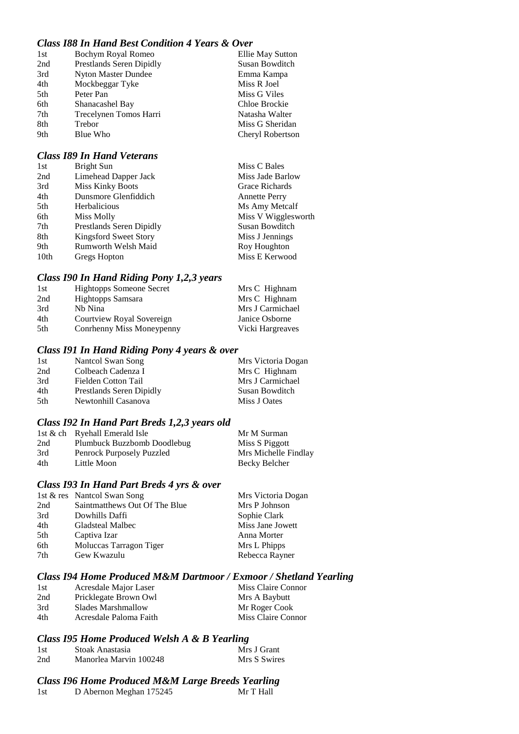## *Class I88 In Hand Best Condition 4 Years & Over*

| 1st | Bochym Royal Romeo         | Ellie May Sutton |
|-----|----------------------------|------------------|
| 2nd | Prestlands Seren Dipidly   | Susan Bowditch   |
| 3rd | <b>Nyton Master Dundee</b> | Emma Kampa       |
| 4th | Mockbeggar Tyke            | Miss R Joel      |
| 5th | Peter Pan                  | Miss G Viles     |
| 6th | Shanacashel Bay            | Chloe Brockie    |
| 7th | Trecelynen Tomos Harri     | Natasha Walter   |
| 8th | Trebor                     | Miss G Sheridan  |
| 9th | Blue Who                   | Cheryl Robertson |

#### *Class I89 In Hand Veterans*

| 1st  | <b>Bright Sun</b>        | Miss C Bales         |
|------|--------------------------|----------------------|
| 2nd  | Limehead Dapper Jack     | Miss Jade Barlow     |
| 3rd  | <b>Miss Kinky Boots</b>  | Grace Richards       |
| 4th  | Dunsmore Glenfiddich     | <b>Annette Perry</b> |
| 5th  | Herbalicious             | Ms Amy Metcalf       |
| 6th  | Miss Molly               | Miss V Wigglesworth  |
| 7th  | Prestlands Seren Dipidly | Susan Bowditch       |
| 8th  | Kingsford Sweet Story    | Miss J Jennings      |
| 9th  | Rumworth Welsh Maid      | Roy Houghton         |
| 10th | Gregs Hopton             | Miss E Kerwood       |

#### *Class I90 In Hand Riding Pony 1,2,3 years*

| 1st | <b>Hightopps Someone Secret</b> | Mrs C Highnam    |
|-----|---------------------------------|------------------|
| 2nd | Hightopps Samsara               | Mrs C Highnam    |
| 3rd | Nh Nina                         | Mrs J Carmichael |
| 4th | Courtview Royal Sovereign       | Janice Osborne   |
| 5th | Conrhenny Miss Moneypenny       | Vicki Hargreaves |

#### *Class I91 In Hand Riding Pony 4 years & over*

| Nantcol Swan Song        | Mrs Victoria Dogan |
|--------------------------|--------------------|
| Colbeach Cadenza I       | Mrs C Highnam      |
| Fielden Cotton Tail      | Mrs J Carmichael   |
| Prestlands Seren Dipidly | Susan Bowditch     |
| Newtonhill Casanova      | Miss J Oates       |
|                          |                    |

#### *Class I92 In Hand Part Breds 1,2,3 years old*

|     | 1st & ch Ryehall Emerald Isle | Mr M Surman          |
|-----|-------------------------------|----------------------|
| 2nd | Plumbuck Buzzbomb Doodlebug   | Miss S Piggott       |
| 3rd | Penrock Purposely Puzzled     | Mrs Michelle Findlay |
| 4th | Little Moon                   | Becky Belcher        |

#### *Class I93 In Hand Part Breds 4 yrs & over*

|     | 1st & res Nantcol Swan Song   | Mrs Victoria Dogan |
|-----|-------------------------------|--------------------|
| 2nd | Saintmatthews Out Of The Blue | Mrs P Johnson      |
| 3rd | Dowhills Daffi                | Sophie Clark       |
| 4th | <b>Gladsteal Malbec</b>       | Miss Jane Jowett   |
| 5th | Captiva Izar                  | Anna Morter        |
| 6th | Moluccas Tarragon Tiger       | Mrs L Phipps       |
| 7th | Gew Kwazulu                   | Rebecca Rayner     |
|     |                               |                    |

# *Class I94 Home Produced M&M Dartmoor / Exmoor / Shetland Yearling*

| 1st | Acresdale Major Laser  | Miss Claire Connor |
|-----|------------------------|--------------------|
| 2nd | Pricklegate Brown Owl  | Mrs A Baybutt      |
| 3rd | Slades Marshmallow     | Mr Roger Cook      |
| 4th | Acresdale Paloma Faith | Miss Claire Connor |

#### *Class I95 Home Produced Welsh A & B Yearling*

| -1st | Stoak Anastasia        | Mrs J Grant  |
|------|------------------------|--------------|
| 2nd  | Manorlea Marvin 100248 | Mrs S Swires |

#### *Class I96 Home Produced M&M Large Breeds Yearling*

| 1st | D Abernon Meghan 175245 | Mr T Hall |
|-----|-------------------------|-----------|
|-----|-------------------------|-----------|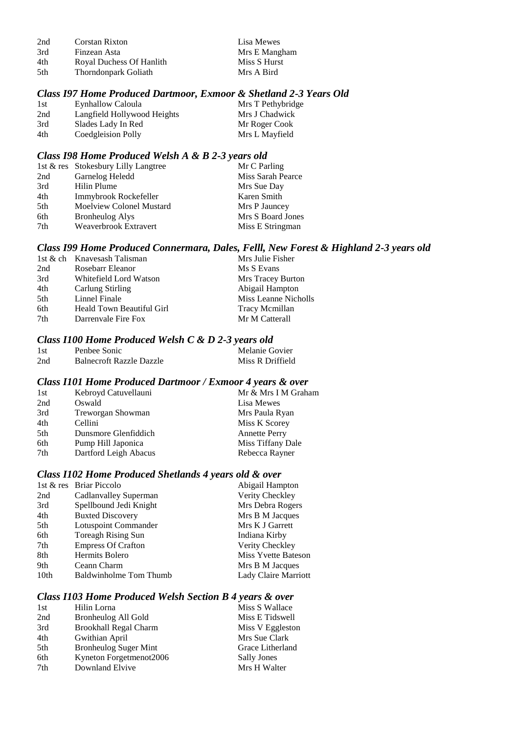| 2nd | Corstan Rixton           | Lisa Mewes    |
|-----|--------------------------|---------------|
| 3rd | Finzean Asta             | Mrs E Mangham |
| 4th | Royal Duchess Of Hanlith | Miss S Hurst  |
| 5th | Thorndonpark Goliath     | Mrs A Bird    |

# *Class I97 Home Produced Dartmoor, Exmoor & Shetland 2-3 Years Old*

| 1st | Eynhallow Caloula           | Mrs T Pethybridge |
|-----|-----------------------------|-------------------|
| 2nd | Langfield Hollywood Heights | Mrs J Chadwick    |
| 3rd | Slades Lady In Red          | Mr Roger Cook     |
| 4th | Coedgleision Polly          | Mrs L Mayfield    |

# *Class I98 Home Produced Welsh A & B 2-3 years old*

|                          | Mr C Parling                        |
|--------------------------|-------------------------------------|
| Garnelog Heledd          | Miss Sarah Pearce                   |
| Hilin Plume              | Mrs Sue Day                         |
| Immybrook Rockefeller    | Karen Smith                         |
| Moelview Colonel Mustard | Mrs P Jauncey                       |
| <b>Bronheulog Alys</b>   | Mrs S Board Jones                   |
| Weaverbrook Extravert    | Miss E Stringman                    |
|                          | 1st & res Stokesbury Lilly Langtree |

# *Class I99 Home Produced Connermara, Dales, Felll, New Forest & Highland 2-3 years old*

|     | 1st & ch Knavesash Talisman | Mrs Julie Fisher      |
|-----|-----------------------------|-----------------------|
| 2nd | Rosebarr Eleanor            | Ms S Evans            |
| 3rd | Whitefield Lord Watson      | Mrs Tracey Burton     |
| 4th | Carlung Stirling            | Abigail Hampton       |
| 5th | Linnel Finale               | Miss Leanne Nicholls  |
| 6th | Heald Town Beautiful Girl   | <b>Tracy Mcmillan</b> |
| 7th | Darrenvale Fire Fox         | Mr M Catterall        |
|     |                             |                       |

# *Class I100 Home Produced Welsh C & D 2-3 years old*

| 1st | Penbee Sonic                    | Melanie Govier   |
|-----|---------------------------------|------------------|
| 2nd | <b>Balnecroft Razzle Dazzle</b> | Miss R Driffield |

#### *Class I101 Home Produced Dartmoor / Exmoor 4 years & over*

| Mr & Mrs I M Graham |
|---------------------|
|                     |
|                     |
|                     |
|                     |
|                     |
|                     |
|                     |

# *Class I102 Home Produced Shetlands 4 years old & over*

|                  | 1st & res Briar Piccolo   | Abigail Hampton      |
|------------------|---------------------------|----------------------|
| 2nd              | Cadlanvalley Superman     | Verity Checkley      |
| 3rd              | Spellbound Jedi Knight    | Mrs Debra Rogers     |
| 4th              | <b>Buxted Discovery</b>   | Mrs B M Jacques      |
| 5th              | Lotuspoint Commander      | Mrs K J Garrett      |
| 6th              | <b>Toreagh Rising Sun</b> | Indiana Kirby        |
| 7th              | <b>Empress Of Crafton</b> | Verity Checkley      |
| 8th              | Hermits Bolero            | Miss Yvette Bateson  |
| 9th              | Ceann Charm               | Mrs B M Jacques      |
| 10 <sub>th</sub> | Baldwinholme Tom Thumb    | Lady Claire Marriott |

## *Class I103 Home Produced Welsh Section B 4 years & over*

| 1st | Hilin Lorna                  | Miss S Wallace   |
|-----|------------------------------|------------------|
| 2nd | Bronheulog All Gold          | Miss E Tidswell  |
| 3rd | <b>Brookhall Regal Charm</b> | Miss V Eggleston |
| 4th | Gwithian April               | Mrs Sue Clark    |
| 5th | <b>Bronheulog Suger Mint</b> | Grace Litherland |
| 6th | Kyneton Forgetmenot2006      | Sally Jones      |
| 7th | Downland Elvive              | Mrs H Walter     |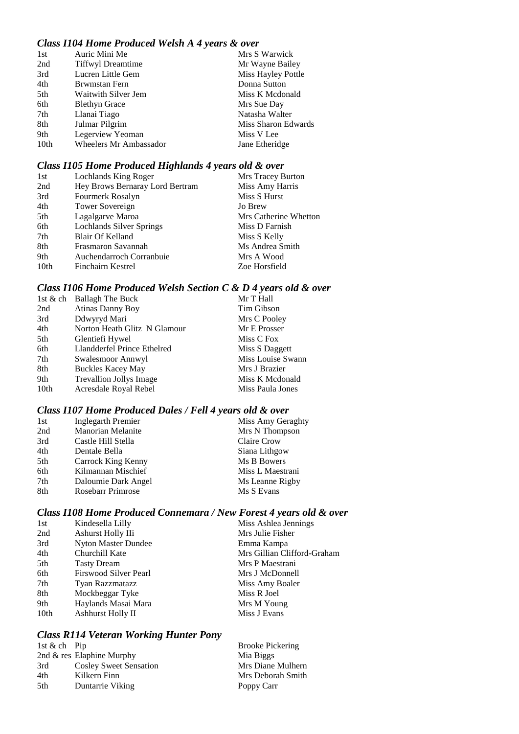## *Class I104 Home Produced Welsh A 4 years & over*

| 1st              | Auric Mini Me            | Mrs S Warwick       |
|------------------|--------------------------|---------------------|
| 2nd              | <b>Tiffwyl Dreamtime</b> | Mr Wayne Bailey     |
| 3rd              | Lucren Little Gem        | Miss Hayley Pottle  |
| 4th              | Brwmstan Fern            | Donna Sutton        |
| 5th              | Waitwith Silver Jem      | Miss K Mcdonald     |
| 6th              | <b>Blethyn Grace</b>     | Mrs Sue Day         |
| 7th              | Llanai Tiago             | Natasha Walter      |
| 8th              | Julmar Pilgrim           | Miss Sharon Edwards |
| 9th              | Legerview Yeoman         | Miss V Lee          |
| 10 <sub>th</sub> | Wheelers Mr Ambassador   | Jane Etheridge      |

## *Class I105 Home Produced Highlands 4 years old & over*

| Lochlands King Roger            | Mrs Tracey Burton     |
|---------------------------------|-----------------------|
| Hey Brows Bernaray Lord Bertram | Miss Amy Harris       |
| Fourmerk Rosalyn                | Miss S Hurst          |
| Tower Sovereign                 | Jo Brew               |
| Lagalgarve Maroa                | Mrs Catherine Whetton |
| Lochlands Silver Springs        | Miss D Farnish        |
| Blair Of Kelland                | Miss S Kelly          |
| Frasmaron Savannah              | Ms Andrea Smith       |
| Auchendarroch Corranbuie        | Mrs A Wood            |
| Finchairn Kestrel               | Zoe Horsfield         |
|                                 |                       |

# *Class I106 Home Produced Welsh Section C & D 4 years old & over*

|      | 1st & ch Ballagh The Buck      | Mr T Hall         |
|------|--------------------------------|-------------------|
| 2nd  | <b>Atinas Danny Boy</b>        | Tim Gibson        |
| 3rd  | Ddwyryd Mari                   | Mrs C Pooley      |
| 4th  | Norton Heath Glitz N Glamour   | Mr E Prosser      |
| 5th  | Glentiefi Hywel                | Miss C Fox        |
| 6th  | Llandderfel Prince Ethelred    | Miss S Daggett    |
| 7th  | Swalesmoor Annwyl              | Miss Louise Swann |
| 8th  | <b>Buckles Kacey May</b>       | Mrs J Brazier     |
| 9th  | <b>Trevallion Jollys Image</b> | Miss K Mcdonald   |
| 10th | Acresdale Royal Rebel          | Miss Paula Jones  |

# *Class I107 Home Produced Dales / Fell 4 years old & over*

| 1st | <b>Inglegarth Premier</b> | Miss Amy Geraghty |
|-----|---------------------------|-------------------|
| 2nd | <b>Manorian Melanite</b>  | Mrs N Thompson    |
| 3rd | Castle Hill Stella        | Claire Crow       |
| 4th | Dentale Bella             | Siana Lithgow     |
| 5th | Carrock King Kenny        | Ms B Bowers       |
| 6th | Kilmannan Mischief        | Miss L Maestrani  |
| 7th | Daloumie Dark Angel       | Ms Leanne Rigby   |
| 8th | <b>Rosebarr Primrose</b>  | Ms S Evans        |

## *Class I108 Home Produced Connemara / New Forest 4 years old & over*

| 1st  | Kindesella Lilly       | Miss Ashlea Jennings        |
|------|------------------------|-----------------------------|
| 2nd  | Ashurst Holly IIi      | Mrs Julie Fisher            |
| 3rd  | Nyton Master Dundee    | Emma Kampa                  |
| 4th  | Churchill Kate         | Mrs Gillian Clifford-Graham |
| 5th  | <b>Tasty Dream</b>     | Mrs P Maestrani             |
| 6th  | Firswood Silver Pearl  | Mrs J McDonnell             |
| 7th  | <b>Tyan Razzmatazz</b> | Miss Amy Boaler             |
| 8th  | Mockbeggar Tyke        | Miss R Joel                 |
| 9th  | Haylands Masai Mara    | Mrs M Young                 |
| 10th | Ashhurst Holly II      | Miss J Evans                |

#### *Class R114 Veteran Working Hunter Pony*

| 1st & ch Pip |                               | <b>Brooke Pickering</b> |
|--------------|-------------------------------|-------------------------|
|              | 2nd $\&$ res Elaphine Murphy  | Mia Biggs               |
| 3rd          | <b>Cosley Sweet Sensation</b> | Mrs Diane Mulhern       |
| 4th          | Kilkern Finn                  | Mrs Deborah Smith       |
| 5th          | Duntarrie Viking              | Poppy Carr              |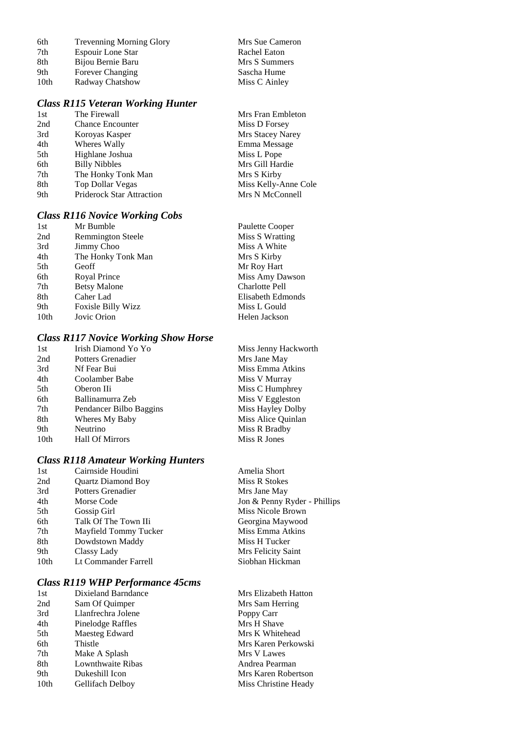| 6th              | <b>Trevenning Morning Glory</b> | Mrs Sue Cameron |
|------------------|---------------------------------|-----------------|
| 7th              | <b>Espouir Lone Star</b>        | Rachel Eaton    |
| 8th              | Bijou Bernie Baru               | Mrs S Summers   |
| 9th              | Forever Changing                | Sascha Hume     |
| 10 <sub>th</sub> | Radway Chatshow                 | Miss C Ainley   |

#### *Class R115 Veteran Working Hunter*

| 1st | The Firewall                     | Mrs Fran Embleton    |
|-----|----------------------------------|----------------------|
| 2nd | <b>Chance Encounter</b>          | Miss D Forsey        |
| 3rd | Koroyas Kasper                   | Mrs Stacey Narey     |
| 4th | Wheres Wally                     | Emma Message         |
| 5th | Highlane Joshua                  | Miss L Pope          |
| 6th | <b>Billy Nibbles</b>             | Mrs Gill Hardie      |
| 7th | The Honky Tonk Man               | Mrs S Kirby          |
| 8th | Top Dollar Vegas                 | Miss Kelly-Anne Cole |
| 9th | <b>Priderock Star Attraction</b> | Mrs N McConnell      |
|     |                                  |                      |

### *Class R116 Novice Working Cobs*

| Mr Bumble                | Paulette Cooper   |
|--------------------------|-------------------|
| <b>Remmington Steele</b> | Miss S Wratting   |
| <b>Jimmy Choo</b>        | Miss A White      |
| The Honky Tonk Man       | Mrs S Kirby       |
| Geoff                    | Mr Roy Hart       |
| Royal Prince             | Miss Amy Dawson   |
| <b>Betsy Malone</b>      | Charlotte Pell    |
| Caher Lad                | Elisabeth Edmonds |
| Foxisle Billy Wizz       | Miss L Gould      |
| Jovic Orion              | Helen Jackson     |
|                          |                   |

#### *Class R117 Novice Working Show Horse*

| Irish Diamond Yo Yo     | Miss Jenny Hackworth |
|-------------------------|----------------------|
| Potters Grenadier       | Mrs Jane May         |
| Nf Fear Bui             | Miss Emma Atkins     |
| Coolamber Babe          | Miss V Murray        |
| Oberon IIi              | Miss C Humphrey      |
| Ballinamurra Zeb        | Miss V Eggleston     |
| Pendancer Bilbo Baggins | Miss Hayley Dolby    |
| Wheres My Baby          | Miss Alice Quinlan   |
| Neutrino                | Miss R Bradby        |
| <b>Hall Of Mirrors</b>  | Miss R Jones         |
|                         |                      |

## *Class R118 Amateur Working Hunters*

| 1 <sub>st</sub> | Cairnside Houdini         | Amelia Short                 |
|-----------------|---------------------------|------------------------------|
| 2nd             | <b>Quartz Diamond Boy</b> | Miss R Stokes                |
| 3rd             | Potters Grenadier         | Mrs Jane May                 |
| 4th             | Morse Code                | Jon & Penny Ryder - Phillips |
| 5th             | Gossip Girl               | Miss Nicole Brown            |
| 6th             | Talk Of The Town IIi      | Georgina Maywood             |
| 7th             | Mayfield Tommy Tucker     | Miss Emma Atkins             |
| 8th             | Dowdstown Maddy           | Miss H Tucker                |
| 9th             | Classy Lady               | Mrs Felicity Saint           |
| 10th            | Lt Commander Farrell      | Siobhan Hickman              |
|                 |                           |                              |

#### *Class R119 WHP Performance 45cms*

| 1st  | Dixieland Barndance |
|------|---------------------|
| 2nd  | Sam Of Quimper      |
| 3rd  | Llanfrechra Jolene  |
| 4th  | Pinelodge Raffles   |
| 5th  | Maesteg Edward      |
| 6th  | Thistle             |
| 7th  | Make A Splash       |
| 8th  | Lownthwaite Ribas   |
| 9th  | Dukeshill Icon      |
| 10th | Gellifach Delboy    |
|      |                     |

Mrs Elizabeth Hatton Mrs Sam Herring Poppy Carr Mrs H Shave Mrs K Whitehead Mrs Karen Perkowski **Mrs V Lawes** Andrea Pearman Mrs Karen Robertson Miss Christine Heady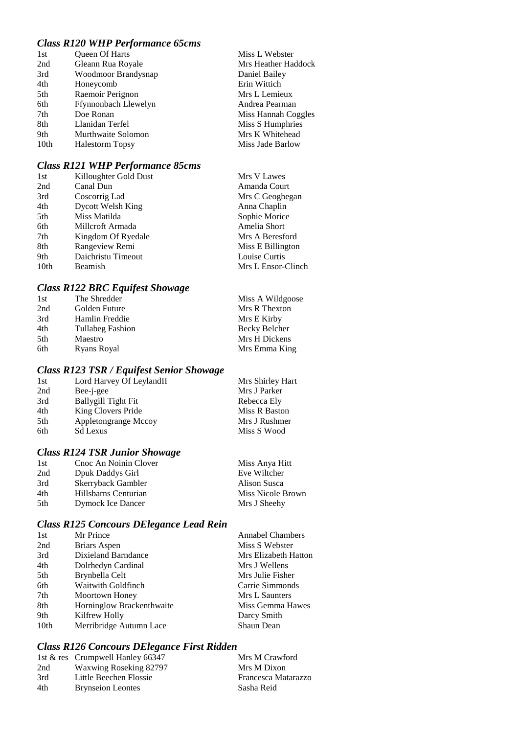## *Class R120 WHP Performance 65cms*

| 1st  | Queen Of Harts         | Miss L Webster      |
|------|------------------------|---------------------|
| 2nd  | Gleann Rua Royale      | Mrs Heather Haddock |
| 3rd  | Woodmoor Brandysnap    | Daniel Bailey       |
| 4th  | Honeycomb              | Erin Wittich        |
| 5th  | Raemoir Perignon       | Mrs L Lemieux       |
| 6th  | Ffynnonbach Llewelyn   | Andrea Pearman      |
| 7th  | Doe Ronan              | Miss Hannah Coggles |
| 8th  | Llanidan Terfel        | Miss S Humphries    |
| 9th  | Murthwaite Solomon     | Mrs K Whitehead     |
| 10th | <b>Halestorm Topsy</b> | Miss Jade Barlow    |

# *Class R121 WHP Performance 85cms*

| 1st              | Killoughter Gold Dust | Mrs V Lawes        |
|------------------|-----------------------|--------------------|
| 2nd              | Canal Dun             | Amanda Court       |
| 3rd              | Coscorrig Lad         | Mrs C Geoghegan    |
| 4th              | Dycott Welsh King     | Anna Chaplin       |
| 5th              | Miss Matilda          | Sophie Morice      |
| 6th              | Millcroft Armada      | Amelia Short       |
| 7th              | Kingdom Of Ryedale    | Mrs A Beresford    |
| 8th              | Rangeview Remi        | Miss E Billington  |
| 9th              | Daichristu Timeout    | Louise Curtis      |
| 10 <sub>th</sub> | Beamish               | Mrs L Ensor-Clinch |

# *Class R122 BRC Equifest Showage*

| Miss A Wildgoose |
|------------------|
| Mrs R Thexton    |
| Mrs E Kirby      |
| Becky Belcher    |
| Mrs H Dickens    |
| Mrs Emma King    |
|                  |

# *Class R123 TSR / Equifest Senior Showage*

| Lord Harvey Of LeylandII<br>1st | Mrs Shirley Hart |
|---------------------------------|------------------|
| 2nd<br>Bee-i-gee                | Mrs J Parker     |
| 3rd<br>Ballygill Tight Fit      | Rebecca Ely      |
| King Clovers Pride<br>4th       | Miss R Baston    |
| Appletongrange Mccoy<br>5th     | Mrs J Rushmer    |
| 6th<br><b>Sd Lexus</b>          | Miss S Wood      |

# *Class R124 TSR Junior Showage*

| 1st  | Cnoc An Noinin Clover    | Miss Anya Hitt    |
|------|--------------------------|-------------------|
| 2nd  | Dpuk Daddys Girl         | Eve Wiltcher      |
| 3rd  | Skerryback Gambler       | Alison Susca      |
| 4th  | Hillsbarns Centurian     | Miss Nicole Brown |
| .5th | <b>Dymock Ice Dancer</b> | Mrs J Sheehy      |

# *Class R125 Concours DElegance Lead Rein*

| Mr Prince                 | <b>Annabel Chambers</b> |
|---------------------------|-------------------------|
| Briars Aspen              | Miss S Webster          |
| Dixieland Barndance       | Mrs Elizabeth Hatton    |
| Dolrhedyn Cardinal        | Mrs J Wellens           |
| Brynbella Celt            | Mrs Julie Fisher        |
| Waitwith Goldfinch        | Carrie Simmonds         |
| Moortown Honey            | Mrs L Saunters          |
| Horninglow Brackenthwaite | Miss Gemma Hawes        |
| Kilfrew Holly             | Darcy Smith             |
| Merribridge Autumn Lace   | Shaun Dean              |
|                           |                         |

# *Class R126 Concours DElegance First Ridden*

|     | 1st & res Crumpwell Hanley 66347 | Mrs M Crawford      |
|-----|----------------------------------|---------------------|
| 2nd | Waxwing Roseking 82797           | Mrs M Dixon         |
| 3rd | Little Beechen Flossie           | Francesca Matarazzo |
| 4th | <b>Brynseion Leontes</b>         | Sasha Reid          |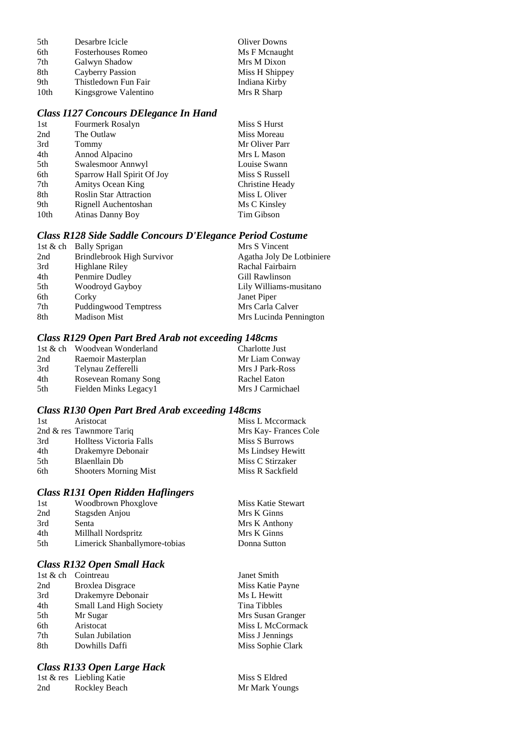| 5th  | Desarbre Icicle           | <b>Oliver Downs</b> |
|------|---------------------------|---------------------|
| 6th  | <b>Fosterhouses Romeo</b> | Ms F Mcnaught       |
| 7th  | Galwyn Shadow             | Mrs M Dixon         |
| 8th  | Cayberry Passion          | Miss H Shippey      |
| 9th  | Thistledown Fun Fair      | Indiana Kirby       |
| 10th | Kingsgrowe Valentino      | Mrs R Sharp         |

#### *Class I127 Concours DElegance In Hand*

| 1st  | Fourmerk Rosalyn              | Miss S Hurst    |
|------|-------------------------------|-----------------|
| 2nd  | The Outlaw                    | Miss Moreau     |
| 3rd  | Tommy                         | Mr Oliver Parr  |
| 4th  | Annod Alpacino                | Mrs L Mason     |
| 5th  | Swalesmoor Annwyl             | Louise Swann    |
| 6th  | Sparrow Hall Spirit Of Joy    | Miss S Russell  |
| 7th  | <b>Amitys Ocean King</b>      | Christine Heady |
| 8th  | <b>Roslin Star Attraction</b> | Miss L Oliver   |
| 9th  | Rignell Auchentoshan          | Ms C Kinsley    |
| 10th | <b>Atinas Danny Boy</b>       | Tim Gibson      |
|      |                               |                 |

#### *Class R128 Side Saddle Concours D'Elegance Period Costume*

|     | 1st & ch Bally Sprigan       | Mrs S Vincent             |
|-----|------------------------------|---------------------------|
| 2nd | Brindlebrook High Survivor   | Agatha Joly De Lotbiniere |
| 3rd | Highlane Riley               | Rachal Fairbairn          |
| 4th | Penmire Dudley               | Gill Rawlinson            |
| 5th | Woodroyd Gayboy              | Lily Williams-musitano    |
| 6th | Corky                        | Janet Piper               |
| 7th | <b>Puddingwood Temptress</b> | Mrs Carla Calver          |
| 8th | <b>Madison Mist</b>          | Mrs Lucinda Pennington    |

#### *Class R129 Open Part Bred Arab not exceeding 148cms*

|     | 1st & ch Woodvean Wonderland | Charlotte Just   |
|-----|------------------------------|------------------|
| 2nd | Raemoir Masterplan           | Mr Liam Conway   |
| 3rd | Telynau Zefferelli           | Mrs J Park-Ross  |
| 4th | Rosevean Romany Song         | Rachel Eaton     |
| 5th | Fielden Minks Legacy1        | Mrs J Carmichael |

#### *Class R130 Open Part Bred Arab exceeding 148cms*

| 1st | Aristocat                    | Miss L Mccormack     |
|-----|------------------------------|----------------------|
|     | 2nd & res Tawnmore Tariq     | Mrs Kay-Frances Cole |
| 3rd | Holltess Victoria Falls      | Miss S Burrows       |
| 4th | Drakemyre Debonair           | Ms Lindsey Hewitt    |
| 5th | Blaenllain Db                | Miss C Stirzaker     |
| 6th | <b>Shooters Morning Mist</b> | Miss R Sackfield     |

#### *Class R131 Open Ridden Haflingers*

| 1st | Woodbrown Phoxglove           | Miss Katie Stewart |
|-----|-------------------------------|--------------------|
| 2nd | Stagsden Anjou                | Mrs K Ginns        |
| 3rd | Senta                         | Mrs K Anthony      |
| 4th | Millhall Nordspritz           | Mrs K Ginns        |
| 5th | Limerick Shanballymore-tobias | Donna Sutton       |
|     |                               |                    |

# *Class R132 Open Small Hack*

|     | 1st & ch Cointreau             | Janet Smith       |
|-----|--------------------------------|-------------------|
| 2nd | <b>Broxlea Disgrace</b>        | Miss Katie Payne  |
| 3rd | Drakemyre Debonair             | Ms L Hewitt       |
| 4th | <b>Small Land High Society</b> | Tina Tibbles      |
| 5th | Mr Sugar                       | Mrs Susan Granger |
| 6th | Aristocat                      | Miss L McCormack  |
| 7th | Sulan Jubilation               | Miss J Jennings   |
| 8th | Dowhills Daffi                 | Miss Sophie Clark |
|     |                                |                   |

## *Class R133 Open Large Hack*

1st & res Liebling Katie Miss S Eldred 2nd Rockley Beach Mr Mark Youngs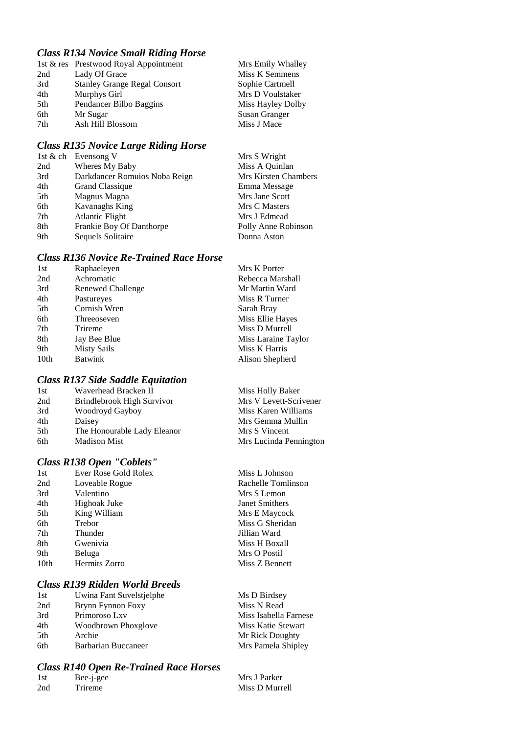## *Class R134 Novice Small Riding Horse*

|     | 1st & res Prestwood Royal Appointment | Mrs Emily Whalley    |
|-----|---------------------------------------|----------------------|
| 2nd | Lady Of Grace                         | Miss K Semmens       |
| 3rd | <b>Stanley Grange Regal Consort</b>   | Sophie Cartmell      |
| 4th | Murphys Girl                          | Mrs D Voulstaker     |
| 5th | Pendancer Bilbo Baggins               | Miss Hayley Dolby    |
| 6th | Mr Sugar                              | <b>Susan Granger</b> |
| 7th | Ash Hill Blossom                      | Miss J Mace          |

## *Class R135 Novice Large Riding Horse*

|     | 1st & ch Evensong V           | Mrs S Wright         |
|-----|-------------------------------|----------------------|
| 2nd | Wheres My Baby                | Miss A Quinlan       |
| 3rd | Darkdancer Romuios Noba Reign | Mrs Kirsten Chambers |
| 4th | <b>Grand Classique</b>        | Emma Message         |
| 5th | Magnus Magna                  | Mrs Jane Scott       |
| 6th | Kavanaghs King                | Mrs C Masters        |
| 7th | Atlantic Flight               | Mrs J Edmead         |
| 8th | Frankie Boy Of Danthorpe      | Polly Anne Robinson  |
| 9th | Sequels Solitaire             | Donna Aston          |

### *Class R136 Novice Re-Trained Race Horse*

| 1st              | Raphaeleyen        | Mrs K Porter        |
|------------------|--------------------|---------------------|
| 2nd              | Achromatic         | Rebecca Marshall    |
| 3rd              | Renewed Challenge  | Mr Martin Ward      |
| 4th              | Pastureyes         | Miss R Turner       |
| 5th              | Cornish Wren       | Sarah Bray          |
| 6th              | Threeoseven        | Miss Ellie Hayes    |
| 7th              | Trireme            | Miss D Murrell      |
| 8th              | Jay Bee Blue       | Miss Laraine Taylor |
| 9th              | <b>Misty Sails</b> | Miss K Harris       |
| 10 <sub>th</sub> | <b>Batwink</b>     | Alison Shepherd     |
|                  |                    |                     |

### *Class R137 Side Saddle Equitation*

| 1st | Waverhead Bracken II        |
|-----|-----------------------------|
| 2nd | Brindlebrook High Survivor  |
| 3rd | Woodroyd Gayboy             |
| 4th | Daisey                      |
| 5th | The Honourable Lady Eleanor |
| 6th | <b>Madison Mist</b>         |

#### *Class R138 Open "Coblets"*

| 1st  | Ever Rose Gold Rolex |
|------|----------------------|
| 2nd  | Loveable Rogue       |
| 3rd  | Valentino            |
| 4th  | Highoak Juke         |
| 5th  | King William         |
| 6th  | Trebor               |
| 7th  | Thunder              |
| 8th  | Gwenivia             |
| 9th  | Beluga               |
| 10th | Hermits Zorro        |
|      |                      |

### *Class R139 Ridden World Breeds*

| Miss Isabella Farnese |
|-----------------------|
| Miss Katie Stewart    |
| Mr Rick Doughty       |
| Mrs Pamela Shipley    |
|                       |

# *Class R140 Open Re-Trained Race Horses*

| 1st | Bee-j-gee | Mrs J Parker   |
|-----|-----------|----------------|
| 2nd | Trireme   | Miss D Murrell |

Miss Holly Baker Mrs V Levett-Scrivener

Miss Karen Williams Mrs Gemma Mullin Mrs S Vincent Mrs Lucinda Pennington

Miss L Johnson Rachelle Tomlinson Mrs S Lemon Janet Smithers Mrs E Maycock Miss G Sheridan Jillian Ward Miss H Boxall Mrs O Postil Miss Z Bennett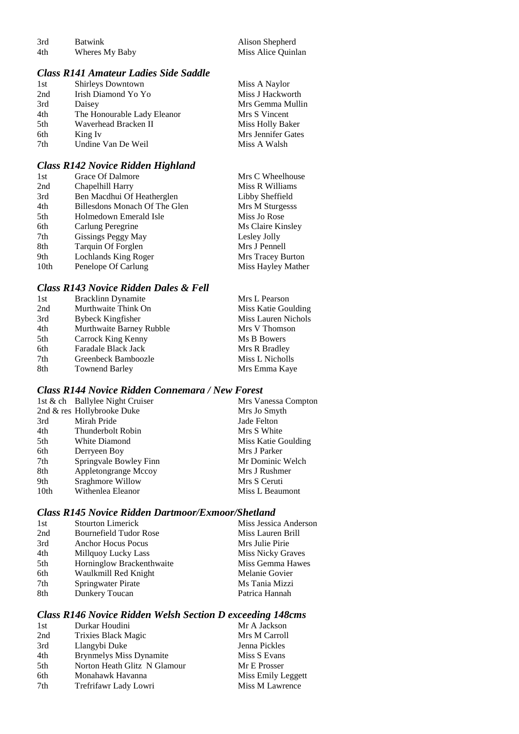| 3rd | <b>Batwink</b> | Alison Shepherd    |
|-----|----------------|--------------------|
| 4th | Wheres My Baby | Miss Alice Quinlan |

# *Class R141 Amateur Ladies Side Saddle*

| 1st | Shirleys Downtown           | Miss A Naylor      |
|-----|-----------------------------|--------------------|
| 2nd | Irish Diamond Yo Yo         | Miss J Hackworth   |
| 3rd | Daisey                      | Mrs Gemma Mullin   |
| 4th | The Honourable Lady Eleanor | Mrs S Vincent      |
| 5th | Waverhead Bracken II        | Miss Holly Baker   |
| 6th | King Iv                     | Mrs Jennifer Gates |
| 7th | Undine Van De Weil          | Miss A Walsh       |
|     |                             |                    |

## *Class R142 Novice Ridden Highland*

| 1st              | Grace Of Dalmore              | Mrs C Wheelhouse   |
|------------------|-------------------------------|--------------------|
| 2nd              | Chapelhill Harry              | Miss R Williams    |
| 3rd              | Ben Macdhui Of Heatherglen    | Libby Sheffield    |
| 4th              | Billesdons Monach Of The Glen | Mrs M Sturgesss    |
| 5th              | Holmedown Emerald Isle        | Miss Jo Rose       |
| 6th              | Carlung Peregrine             | Ms Claire Kinsley  |
| 7th              | Gissings Peggy May            | Lesley Jolly       |
| 8th              | Tarquin Of Forglen            | Mrs J Pennell      |
| 9th              | Lochlands King Roger          | Mrs Tracey Burton  |
| 10 <sub>th</sub> | Penelope Of Carlung           | Miss Hayley Mather |

## *Class R143 Novice Ridden Dales & Fell*

| <b>Bracklinn Dynamite</b> | Mrs L Pearson       |
|---------------------------|---------------------|
| Murthwaite Think On       | Miss Katie Goulding |
| Bybeck Kingfisher         | Miss Lauren Nichols |
| Murthwaite Barney Rubble  | Mrs V Thomson       |
| Carrock King Kenny        | Ms B Bowers         |
| Faradale Black Jack       | Mrs R Bradley       |
| Greenbeck Bamboozle       | Miss L Nicholls     |
| <b>Townend Barley</b>     | Mrs Emma Kaye       |
|                           |                     |

## *Class R144 Novice Ridden Connemara / New Forest*

|      | 1st & ch Ballylee Night Cruiser | Mrs Vanessa Compton |
|------|---------------------------------|---------------------|
|      | 2nd & res Hollybrooke Duke      | Mrs Jo Smyth        |
| 3rd  | Mirah Pride                     | Jade Felton         |
| 4th  | Thunderbolt Robin               | Mrs S White         |
| 5th  | White Diamond                   | Miss Katie Goulding |
| 6th  | Derryeen Boy                    | Mrs J Parker        |
| 7th  | Springvale Bowley Finn          | Mr Dominic Welch    |
| 8th  | Appletongrange Mccoy            | Mrs J Rushmer       |
| 9th  | Sraghmore Willow                | Mrs S Ceruti        |
| 10th | Withenlea Eleanor               | Miss L Beaumont     |

### *Class R145 Novice Ridden Dartmoor/Exmoor/Shetland*

| 1st | <b>Stourton Limerick</b>      | Miss Jessica Anderson |
|-----|-------------------------------|-----------------------|
| 2nd | <b>Bournefield Tudor Rose</b> | Miss Lauren Brill     |
| 3rd | <b>Anchor Hocus Pocus</b>     | Mrs Julie Pirie       |
| 4th | Millquoy Lucky Lass           | Miss Nicky Graves     |
| 5th | Horninglow Brackenthwaite     | Miss Gemma Hawes      |
| 6th | Waulkmill Red Knight          | Melanie Govier        |
| 7th | Springwater Pirate            | Ms Tania Mizzi        |
| 8th | Dunkery Toucan                | Patrica Hannah        |

# *Class R146 Novice Ridden Welsh Section D exceeding 148cms*

| Mr A Jackson       |
|--------------------|
| Mrs M Carroll      |
| Jenna Pickles      |
| Miss S Evans       |
| Mr E Prosser       |
| Miss Emily Leggett |
| Miss M Lawrence    |
|                    |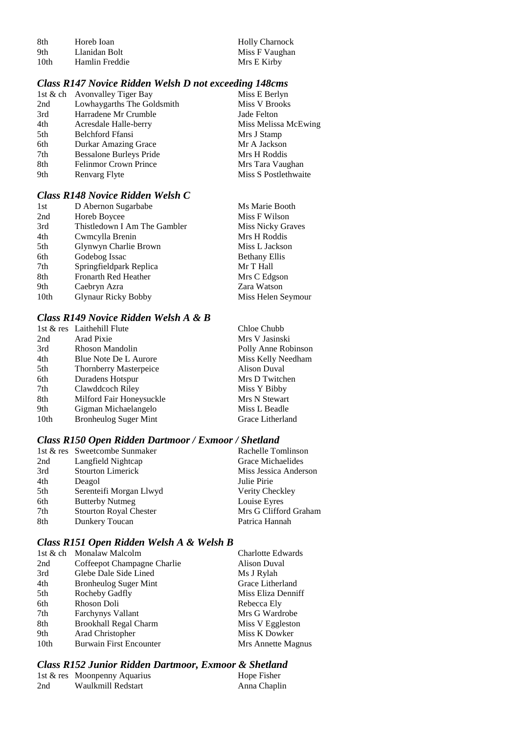| 8th              | Horeb Ioan     |
|------------------|----------------|
| 9th              | Llanidan Bolt  |
| 10 <sub>th</sub> | Hamlin Freddie |

# *Class R147 Novice Ridden Welsh D not exceeding 148cms*

|     | 1st & ch Avonvalley Tiger Bay  | Miss E Berlyn        |
|-----|--------------------------------|----------------------|
| 2nd | Lowhaygarths The Goldsmith     | Miss V Brooks        |
| 3rd | Harradene Mr Crumble           | Jade Felton          |
| 4th | Acresdale Halle-berry          | Miss Melissa McEwing |
| 5th | <b>Belchford Ffansi</b>        | Mrs J Stamp          |
| 6th | <b>Durkar Amazing Grace</b>    | Mr A Jackson         |
| 7th | <b>Bessalone Burleys Pride</b> | Mrs H Roddis         |
| 8th | <b>Felinmor Crown Prince</b>   | Mrs Tara Vaughan     |
| 9th | Renvarg Flyte                  | Miss S Postlethwaite |
|     |                                |                      |

## *Class R148 Novice Ridden Welsh C*

| 1st              | D Abernon Sugarbabe          | Ms Marie Booth       |
|------------------|------------------------------|----------------------|
| 2nd              | Horeb Boycee                 | Miss F Wilson        |
| 3rd              | Thistledown I Am The Gambler | Miss Nicky Graves    |
| 4th              | Cwmcylla Brenin              | Mrs H Roddis         |
| 5th              | Glynwyn Charlie Brown        | Miss L Jackson       |
| 6th              | Godebog Issac                | <b>Bethany Ellis</b> |
| 7th              | Springfieldpark Replica      | Mr T Hall            |
| 8th              | <b>Fronarth Red Heather</b>  | Mrs C Edgson         |
| 9th              | Caebryn Azra                 | Zara Watson          |
| 10 <sub>th</sub> | <b>Glynaur Ricky Bobby</b>   | Miss Helen Seymour   |

## *Class R149 Novice Ridden Welsh A & B*

|                               | Chloe Chubb                |
|-------------------------------|----------------------------|
| Arad Pixie                    | Mrs V Jasinski             |
| Rhoson Mandolin               | Polly Anne Robinson        |
| Blue Note De L Aurore         | Miss Kelly Needham         |
| <b>Thornberry Masterpeice</b> | <b>Alison Duval</b>        |
| Duradens Hotspur              | Mrs D Twitchen             |
| Clawddcoch Riley              | Miss Y Bibby               |
| Milford Fair Honeysuckle      | Mrs N Stewart              |
| Gigman Michaelangelo          | Miss L Beadle              |
| <b>Bronheulog Suger Mint</b>  | Grace Litherland           |
|                               | 1st & res Laithehill Flute |

### *Class R150 Open Ridden Dartmoor / Exmoor / Shetland*

|     | 1st & res Sweetcombe Sunmaker | Rachelle Tomlinson    |
|-----|-------------------------------|-----------------------|
| 2nd | Langfield Nightcap            | Grace Michaelides     |
| 3rd | <b>Stourton Limerick</b>      | Miss Jessica Anderson |
| 4th | Deagol                        | Julie Pirie           |
| 5th | Serenteifi Morgan Llwyd       | Verity Checkley       |
| 6th | <b>Butterby Nutmeg</b>        | Louise Eyres          |
| 7th | <b>Stourton Royal Chester</b> | Mrs G Clifford Graham |
| 8th | Dunkery Toucan                | Patrica Hannah        |

## *Class R151 Open Ridden Welsh A & Welsh B*

| 1st & ch Monalaw Malcolm       | <b>Charlotte Edwards</b> |
|--------------------------------|--------------------------|
| Coffeepot Champagne Charlie    | <b>Alison Duval</b>      |
| Glebe Dale Side Lined          | Ms J Rylah               |
| <b>Bronheulog Suger Mint</b>   | Grace Litherland         |
| Rocheby Gadfly                 | Miss Eliza Denniff       |
| Rhoson Doli                    | Rebecca Ely              |
| <b>Farchynys Vallant</b>       | Mrs G Wardrobe           |
| <b>Brookhall Regal Charm</b>   | Miss V Eggleston         |
| Arad Christopher               | Miss K Dowker            |
| <b>Burwain First Encounter</b> | Mrs Annette Magnus       |
|                                |                          |

# *Class R152 Junior Ridden Dartmoor, Exmoor & Shetland*

|     | 1st & res Moonpenny Aquarius | Hope Fisher  |
|-----|------------------------------|--------------|
| 2nd | Waulkmill Redstart           | Anna Chaplin |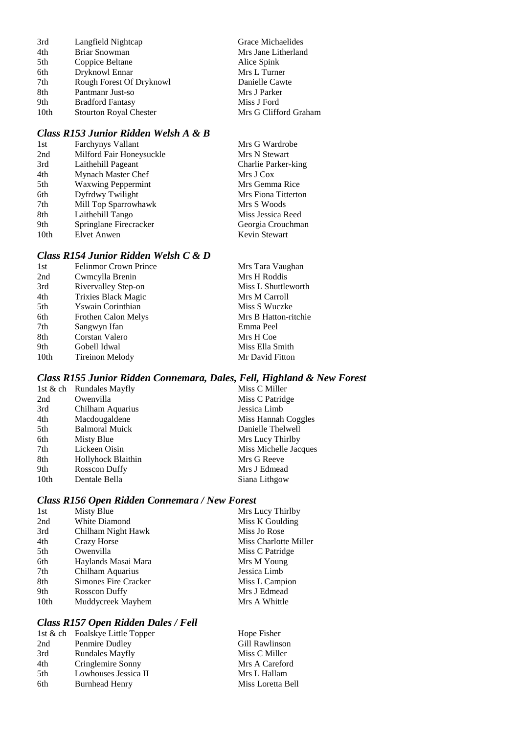| 3rd              | Langfield Nightcap            | Grace Michaelides     |
|------------------|-------------------------------|-----------------------|
| 4th              | Briar Snowman                 | Mrs Jane Litherland   |
| 5th              | Coppice Beltane               | Alice Spink           |
| 6th              | Dryknowl Ennar                | Mrs L Turner          |
| 7th              | Rough Forest Of Dryknowl      | Danielle Cawte        |
| 8th              | Pantmanr Just-so              | Mrs J Parker          |
| 9th              | <b>Bradford Fantasy</b>       | Miss J Ford           |
| 10 <sub>th</sub> | <b>Stourton Royal Chester</b> | Mrs G Clifford Graham |
|                  |                               |                       |

## *Class R153 Junior Ridden Welsh A & B*

| 1st              | <b>Farchynys Vallant</b>  | Mrs G Wardrobe      |
|------------------|---------------------------|---------------------|
| 2nd              | Milford Fair Honeysuckle  | Mrs N Stewart       |
| 3rd              | Laithehill Pageant        | Charlie Parker-king |
| 4th              | Mynach Master Chef        | Mrs J Cox           |
| 5th              | <b>Waxwing Peppermint</b> | Mrs Gemma Rice      |
| 6th              | Dyfrdwy Twilight          | Mrs Fiona Titterton |
| 7th              | Mill Top Sparrowhawk      | Mrs S Woods         |
| 8th              | Laithehill Tango          | Miss Jessica Reed   |
| 9th              | Springlane Firecracker    | Georgia Crouchman   |
| 10 <sub>th</sub> | Elvet Anwen               | Kevin Stewart       |

#### *Class R154 Junior Ridden Welsh C & D*

| 1st  | <b>Felinmor Crown Prince</b> | Mrs Tara Vaughan     |
|------|------------------------------|----------------------|
| 2nd  | Cwmcylla Brenin              | Mrs H Roddis         |
| 3rd  | Rivervalley Step-on          | Miss L Shuttleworth  |
| 4th  | <b>Trixies Black Magic</b>   | Mrs M Carroll        |
| 5th  | Yswain Corinthian            | Miss S Wuczke        |
| 6th  | Frothen Calon Melys          | Mrs B Hatton-ritchie |
| 7th  | Sangwyn Ifan                 | Emma Peel            |
| 8th  | Corstan Valero               | Mrs H Coe            |
| 9th  | Gobell Idwal                 | Miss Ella Smith      |
| 10th | Tireinon Melody              | Mr David Fitton      |
|      |                              |                      |

# *Class R155 Junior Ridden Connemara, Dales, Fell, Highland & New Forest*

| 1st & ch Rundales Mayfly | Miss C Miller         |
|--------------------------|-----------------------|
| Owenvilla                | Miss C Patridge       |
| Chilham Aquarius         | Jessica Limb          |
| Macdougaldene            | Miss Hannah Coggles   |
| <b>Balmoral Muick</b>    | Danielle Thelwell     |
| Misty Blue               | Mrs Lucy Thirlby      |
| Lickeen Oisin            | Miss Michelle Jacques |
| Hollyhock Blaithin       | Mrs G Reeve           |
| Rosscon Duffy            | Mrs J Edmead          |
| Dentale Bella            | Siana Lithgow         |
|                          |                       |

## *Class R156 Open Ridden Connemara / New Forest*

| Misty Blue           | Mrs Lucy Thirlby      |
|----------------------|-----------------------|
| White Diamond        | Miss K Goulding       |
| Chilham Night Hawk   | Miss Jo Rose          |
| Crazy Horse          | Miss Charlotte Miller |
| Owenvilla            | Miss C Patridge       |
| Haylands Masai Mara  | Mrs M Young           |
| Chilham Aquarius     | Jessica Limb          |
| Simones Fire Cracker | Miss L Campion        |
| Rosscon Duffy        | Mrs J Edmead          |
| Muddycreek Mayhem    | Mrs A Whittle         |
|                      |                       |

# *Class R157 Open Ridden Dales / Fell*

|                        | Hope Fisher                     |
|------------------------|---------------------------------|
| Penmire Dudley         | Gill Rawlinson                  |
| <b>Rundales Mayfly</b> | Miss C Miller                   |
| Cringlemire Sonny      | Mrs A Careford                  |
| Lowhouses Jessica II   | Mrs L Hallam                    |
| <b>Burnhead Henry</b>  | Miss Loretta Bell               |
|                        | 1st & ch Foalskye Little Topper |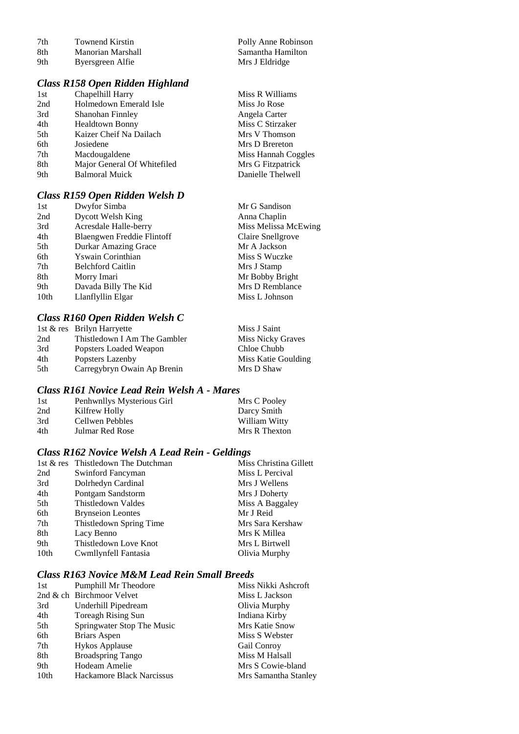|     | Class R158 Open Ridden Highland |                     |
|-----|---------------------------------|---------------------|
| 9th | Byersgreen Alfie                | Mrs J Eldridge      |
| 8th | Manorian Marshall               | Samantha Hamilton   |
| 7th | Townend Kirstin                 | Polly Anne Robinson |

| 1st | Chapelhill Harry            | Miss R Williams     |
|-----|-----------------------------|---------------------|
| 2nd | Holmedown Emerald Isle      | Miss Jo Rose        |
| 3rd | Shanohan Finnley            | Angela Carter       |
| 4th | <b>Healdtown Bonny</b>      | Miss C Stirzaker    |
| 5th | Kaizer Cheif Na Dailach     | Mrs V Thomson       |
| 6th | Josiedene                   | Mrs D Brereton      |
| 7th | Macdougaldene               | Miss Hannah Coggles |
| 8th | Major General Of Whitefiled | Mrs G Fitzpatrick   |
| 9th | <b>Balmoral Muick</b>       | Danielle Thelwell   |
|     |                             |                     |

## *Class R159 Open Ridden Welsh D*

| 1st  | Dwyfor Simba               | Mr G Sandison        |
|------|----------------------------|----------------------|
| 2nd  | Dycott Welsh King          | Anna Chaplin         |
| 3rd  | Acresdale Halle-berry      | Miss Melissa McEwing |
| 4th  | Blaengwen Freddie Flintoff | Claire Snellgrove    |
| 5th  | Durkar Amazing Grace       | Mr A Jackson         |
| 6th  | Yswain Corinthian          | Miss S Wuczke        |
| 7th  | <b>Belchford Caitlin</b>   | Mrs J Stamp          |
| 8th  | Morry Imari                | Mr Bobby Bright      |
| 9th  | Davada Billy The Kid       | Mrs D Remblance      |
| 10th | Llanflyllin Elgar          | Miss L Johnson       |
|      |                            |                      |

# *Class R160 Open Ridden Welsh C*

|     | 1st & res Brilyn Harryette   | Miss J Saint             |
|-----|------------------------------|--------------------------|
| 2nd | Thistledown I Am The Gambler | <b>Miss Nicky Graves</b> |
| 3rd | Popsters Loaded Weapon       | Chloe Chubb              |
| 4th | Popsters Lazenby             | Miss Katie Goulding      |
| 5th | Carregybryn Owain Ap Brenin  | Mrs D Shaw               |

## *Class R161 Novice Lead Rein Welsh A - Mares*

| 1st | Penhwnllys Mysterious Girl | Mrs C Pooley  |
|-----|----------------------------|---------------|
| 2nd | Kilfrew Holly              | Darcy Smith   |
| 3rd | Cellwen Pebbles            | William Witty |
| 4th | Julmar Red Rose            | Mrs R Thexton |

## *Class R162 Novice Welsh A Lead Rein - Geldings*

|                  | 1st & res Thistledown The Dutchman | Miss Christina Gillett |
|------------------|------------------------------------|------------------------|
| 2nd              | Swinford Fancyman                  | Miss L Percival        |
| 3rd              | Dolrhedyn Cardinal                 | Mrs J Wellens          |
| 4th              | Pontgam Sandstorm                  | Mrs J Doherty          |
| 5th              | Thistledown Valdes                 | Miss A Baggaley        |
| 6th              | <b>Brynseion Leontes</b>           | Mr J Reid              |
| 7th              | Thistledown Spring Time            | Mrs Sara Kershaw       |
| 8th              | Lacy Benno                         | Mrs K Millea           |
| 9th              | Thistledown Love Knot              | Mrs L Birtwell         |
| 10 <sub>th</sub> | Cwmllynfell Fantasia               | Olivia Murphy          |
|                  |                                    |                        |

## *Class R163 Novice M&M Lead Rein Small Breeds*

| 1st              | Pumphill Mr Theodore       | Miss Nikki Ashcroft  |
|------------------|----------------------------|----------------------|
|                  | 2nd & ch Birchmoor Velvet  | Miss L Jackson       |
| 3rd              | Underhill Pipedream        | Olivia Murphy        |
| 4th              | Toreagh Rising Sun         | Indiana Kirby        |
| 5th              | Springwater Stop The Music | Mrs Katie Snow       |
| 6th              | Briars Aspen               | Miss S Webster       |
| 7th              | <b>Hykos Applause</b>      | Gail Conroy          |
| 8th              | <b>Broadspring Tango</b>   | Miss M Halsall       |
| 9th              | Hodeam Amelie              | Mrs S Cowie-bland    |
| 10 <sub>th</sub> | Hackamore Black Narcissus  | Mrs Samantha Stanley |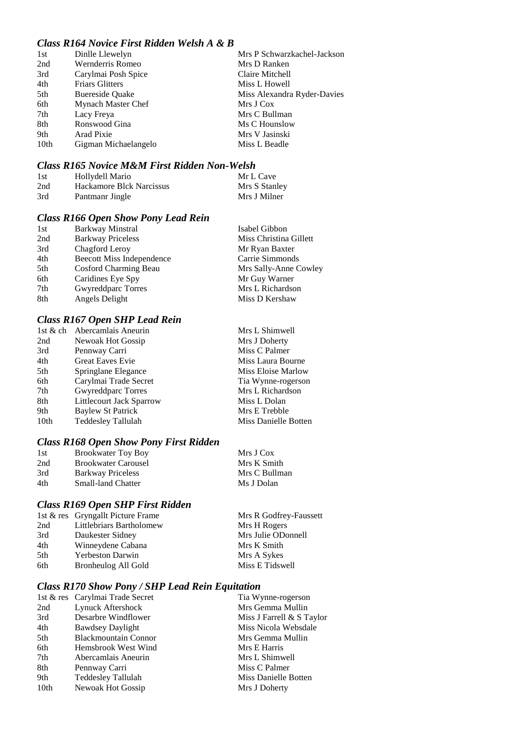## *Class R164 Novice First Ridden Welsh A & B*

| 1st  | Dinlle Llewelyn        | Mrs P Schwarzkachel-Jackson |
|------|------------------------|-----------------------------|
| 2nd  | Wernderris Romeo       | Mrs D Ranken                |
| 3rd  | Carylmai Posh Spice    | Claire Mitchell             |
| 4th  | <b>Friars Glitters</b> | Miss L Howell               |
| 5th  | <b>Buereside Ouake</b> | Miss Alexandra Ryder-Davies |
| 6th  | Mynach Master Chef     | Mrs J Cox                   |
| 7th  | Lacy Freya             | Mrs C Bullman               |
| 8th  | Ronswood Gina          | Ms C Hounslow               |
| 9th  | Arad Pixie             | Mrs V Jasinski              |
| 10th | Gigman Michaelangelo   | Miss L Beadle               |

## *Class R165 Novice M&M First Ridden Non-Welsh*

| 1st | Hollydell Mario          | Mr L Cave     |
|-----|--------------------------|---------------|
| 2nd | Hackamore Blck Narcissus | Mrs S Stanley |
| 3rd | Pantmanr Jingle          | Mrs J Milner  |

# *Class R166 Open Show Pony Lead Rein*

| 1st | Barkway Minstral                 | Isabel Gibbon          |
|-----|----------------------------------|------------------------|
| 2nd | <b>Barkway Priceless</b>         | Miss Christina Gillett |
| 3rd | Chagford Leroy                   | Mr Ryan Baxter         |
| 4th | <b>Beecott Miss Independence</b> | Carrie Simmonds        |
| 5th | <b>Cosford Charming Beau</b>     | Mrs Sally-Anne Cowley  |
| 6th | Caridines Eye Spy                | Mr Guy Warner          |
| 7th | Gwyreddparc Torres               | Mrs L Richardson       |
| 8th | Angels Delight                   | Miss D Kershaw         |

## *Class R167 Open SHP Lead Rein*

| Abercamlais Aneurin       | Mrs L Shimwell       |
|---------------------------|----------------------|
| Newoak Hot Gossip         | Mrs J Doherty        |
| Pennway Carri             | Miss C Palmer        |
| <b>Great Eaves Evie</b>   | Miss Laura Bourne    |
| Springlane Elegance       | Miss Eloise Marlow   |
| Carylmai Trade Secret     | Tia Wynne-rogerson   |
| <b>Gwyreddparc Torres</b> | Mrs L Richardson     |
| Littlecourt Jack Sparrow  | Miss L Dolan         |
| Baylew St Patrick         | Mrs E Trebble        |
| <b>Teddesley Tallulah</b> | Miss Danielle Botten |
|                           |                      |

## *Class R168 Open Show Pony First Ridden*

| 1st | <b>Brookwater Toy Boy</b>  | Mrs J Cox     |
|-----|----------------------------|---------------|
| 2nd | <b>Brookwater Carousel</b> | Mrs K Smith   |
| 3rd | <b>Barkway Priceless</b>   | Mrs C Bullman |
| 4th | <b>Small-land Chatter</b>  | Ms J Dolan    |
|     |                            |               |

#### *Class R169 Open SHP First Ridden*

|     | 1st & res Gryngallt Picture Frame | Mrs R Godfrey-Faussett |
|-----|-----------------------------------|------------------------|
| 2nd | Littlebriars Bartholomew          | Mrs H Rogers           |
| 3rd | Daukester Sidney                  | Mrs Julie ODonnell     |
| 4th | Winneydene Cabana                 | Mrs K Smith            |
| 5th | <b>Yerbeston Darwin</b>           | Mrs A Sykes            |
| 6th | Bronheulog All Gold               | Miss E Tidswell        |
|     |                                   |                        |

## *Class R170 Show Pony / SHP Lead Rein Equitation*

|      | 1st & res Carylmai Trade Secret | Tia Wynne-rogerson        |
|------|---------------------------------|---------------------------|
| 2nd  | Lynuck Aftershock               | Mrs Gemma Mullin          |
| 3rd  | Desarbre Windflower             | Miss J Farrell & S Taylor |
| 4th  | Bawdsey Daylight                | Miss Nicola Websdale      |
| 5th  | <b>Blackmountain Connor</b>     | Mrs Gemma Mullin          |
| 6th  | Hemsbrook West Wind             | Mrs E Harris              |
| 7th  | Abercamlais Aneurin             | Mrs L Shimwell            |
| 8th  | Pennway Carri                   | Miss C Palmer             |
| 9th  | <b>Teddesley Tallulah</b>       | Miss Danielle Botten      |
| 10th | Newoak Hot Gossip               | Mrs J Doherty             |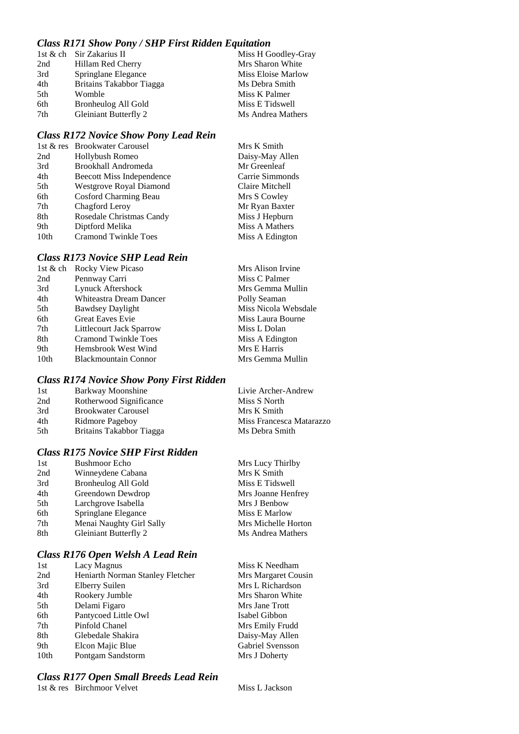## *Class R171 Show Pony / SHP First Ridden Equitation*

|     | 1st & ch Sir Zakarius II | Miss H Goodley-Gray |
|-----|--------------------------|---------------------|
| 2nd | Hillam Red Cherry        | Mrs Sharon White    |
| 3rd | Springlane Elegance      | Miss Eloise Marlow  |
| 4th | Britains Takabbor Tiagga | Ms Debra Smith      |
| 5th | Womble                   | Miss K Palmer       |
| 6th | Bronheulog All Gold      | Miss E Tidswell     |
| 7th | Gleiniant Butterfly 2    | Ms Andrea Mathers   |
|     |                          |                     |

#### *Class R172 Novice Show Pony Lead Rein*

|                  | 1st & res Brookwater Carousel | Mrs K Smith     |
|------------------|-------------------------------|-----------------|
| 2nd              | Hollybush Romeo               | Daisy-May Allen |
| 3rd              | Brookhall Andromeda           | Mr Greenleaf    |
| 4th              | Beecott Miss Independence     | Carrie Simmonds |
| 5th              | Westgrove Royal Diamond       | Claire Mitchell |
| 6th              | Cosford Charming Beau         | Mrs S Cowley    |
| 7th              | Chagford Leroy                | Mr Ryan Baxter  |
| 8th              | Rosedale Christmas Candy      | Miss J Hepburn  |
| 9th              | Diptford Melika               | Miss A Mathers  |
| 10 <sub>th</sub> | <b>Cramond Twinkle Toes</b>   | Miss A Edington |

### *Class R173 Novice SHP Lead Rein*

| 1st & ch         | <b>Rocky View Picaso</b>    | Mrs Alison Irvine    |
|------------------|-----------------------------|----------------------|
| 2nd              | Pennway Carri               | Miss C Palmer        |
| 3rd              | Lynuck Aftershock           | Mrs Gemma Mullin     |
| 4th              | Whiteastra Dream Dancer     | Polly Seaman         |
| 5th              | <b>Bawdsey Daylight</b>     | Miss Nicola Websdale |
| 6th              | <b>Great Eaves Evie</b>     | Miss Laura Bourne    |
| 7th              | Littlecourt Jack Sparrow    | Miss L Dolan         |
| 8th              | <b>Cramond Twinkle Toes</b> | Miss A Edington      |
| 9th              | Hemsbrook West Wind         | Mrs E Harris         |
| 10 <sub>th</sub> | <b>Blackmountain Connor</b> | Mrs Gemma Mullin     |
|                  |                             |                      |

#### *Class R174 Novice Show Pony First Ridden*

| 1st | Barkway Moonshine          | Livie Archer-Andrew      |
|-----|----------------------------|--------------------------|
| 2nd | Rotherwood Significance    | Miss S North             |
| 3rd | <b>Brookwater Carousel</b> | Mrs K Smith              |
| 4th | Ridmore Pageboy            | Miss Francesca Matarazzo |
| 5th | Britains Takabbor Tiagga   | Ms Debra Smith           |

# *Class R175 Novice SHP First Ridden*

| 1st | <b>Bushmoor Echo</b>         | Mrs Lucy Thirlby    |
|-----|------------------------------|---------------------|
| 2nd | Winneydene Cabana            | Mrs K Smith         |
| 3rd | Bronheulog All Gold          | Miss E Tidswell     |
| 4th | Greendown Dewdrop            | Mrs Joanne Henfrey  |
| 5th | Larchgrove Isabella          | Mrs J Benbow        |
| 6th | Springlane Elegance          | Miss E Marlow       |
| 7th | Menai Naughty Girl Sally     | Mrs Michelle Horton |
| 8th | <b>Gleiniant Butterfly 2</b> | Ms Andrea Mathers   |
|     |                              |                     |

#### *Class R176 Open Welsh A Lead Rein*

| 1st              | Lacy Magnus                      | Miss K Needh          |
|------------------|----------------------------------|-----------------------|
| 2nd              | Heniarth Norman Stanley Fletcher | Mrs Margaret          |
| 3rd              | Elberry Suilen                   | Mrs L Richard         |
| 4th              | Rookery Jumble                   | Mrs Sharon W          |
| 5th              | Delami Figaro                    | Mrs Jane Trott        |
| 6th              | Pantycoed Little Owl             | Isabel Gibbon         |
| 7th              | Pinfold Chanel                   | Mrs Emily Fru         |
| 8th              | Glebedale Shakira                | Daisy-May Al          |
| 9th              | Elcon Majic Blue                 | <b>Gabriel Svenss</b> |
| 10 <sub>th</sub> | Pontgam Sandstorm                | Mrs J Doherty         |

# *Class R177 Open Small Breeds Lead Rein*

1st & res Birchmoor Velvet Miss L Jackson

Needham argaret Cousin Richardson naron White<br>ne Trott mily Frudd May Allen 1 Svensson Doherty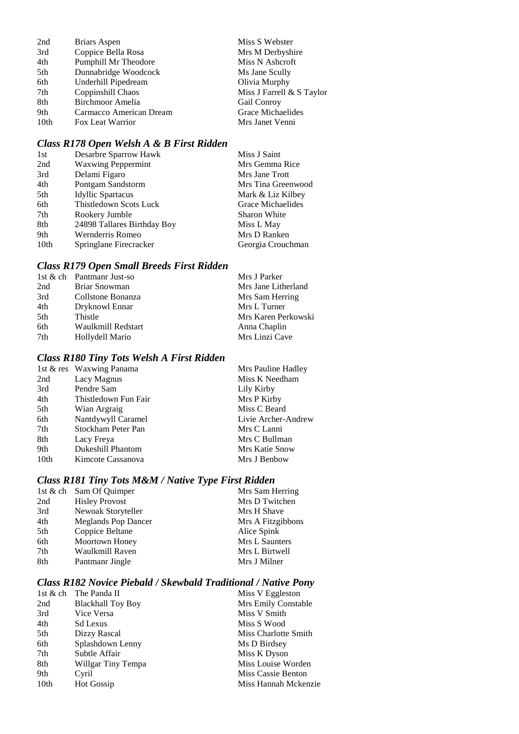| 2nd              | <b>Briars Aspen</b>     | Miss S Webster            |
|------------------|-------------------------|---------------------------|
| 3rd              | Coppice Bella Rosa      | Mrs M Derbyshire          |
| 4th              | Pumphill Mr Theodore    | Miss N Ashcroft           |
| 5th              | Dunnabridge Woodcock    | Ms Jane Scully            |
| 6th              | Underhill Pipedream     | Olivia Murphy             |
| 7th              | Coppinshill Chaos       | Miss J Farrell & S Taylor |
| 8th              | Birchmoor Amelia        | Gail Conroy               |
| 9th              | Carmacco American Dream | Grace Michaelides         |
| 10 <sub>th</sub> | Fox Leat Warrior        | Mrs Janet Venni           |

# *Class R178 Open Welsh A & B First Ridden*

| 1st              | Desarbre Sparrow Hawk       | Miss J Saint        |
|------------------|-----------------------------|---------------------|
| 2nd              | <b>Waxwing Peppermint</b>   | Mrs Gemma Rice      |
| 3rd              | Delami Figaro               | Mrs Jane Trott      |
| 4th              | Pontgam Sandstorm           | Mrs Tina Greenwood  |
| 5th              | <b>Idyllic Spartacus</b>    | Mark & Liz Kilbey   |
| 6th              | Thistledown Scots Luck      | Grace Michaelides   |
| 7th              | Rookery Jumble              | <b>Sharon White</b> |
| 8th              | 24898 Tallares Birthday Boy | Miss L May          |
| 9th              | Wernderris Romeo            | Mrs D Ranken        |
| 10 <sub>th</sub> | Springlane Firecracker      | Georgia Crouchman   |

# *Class R179 Open Small Breeds First Ridden*

|     | 1st $\&$ ch Pantmanr Just-so | Mrs J Parker        |
|-----|------------------------------|---------------------|
| 2nd | Briar Snowman                | Mrs Jane Litherland |
| 3rd | Collstone Bonanza            | Mrs Sam Herring     |
| 4th | Dryknowl Ennar               | Mrs L Turner        |
| 5th | Thistle                      | Mrs Karen Perkowski |
| 6th | Waulkmill Redstart           | Anna Chaplin        |
| 7th | Hollydell Mario              | Mrs Linzi Cave      |

# *Class R180 Tiny Tots Welsh A First Ridden*

|                  | 1st & res Waxwing Panama | Mrs Pauline Hadley    |
|------------------|--------------------------|-----------------------|
| 2nd              | Lacy Magnus              | Miss K Needham        |
| 3rd              | Pendre Sam               | Lily Kirby            |
| 4th              | Thistledown Fun Fair     | Mrs P Kirby           |
| 5th              | Wian Argraig             | Miss C Beard          |
| 6th              | Nantdywyll Caramel       | Livie Archer-Andrew   |
| 7th              | Stockham Peter Pan       | Mrs C Lanni           |
| 8th              | Lacy Freya               | Mrs C Bullman         |
| 9th              | <b>Dukeshill Phantom</b> | <b>Mrs Katie Snow</b> |
| 10 <sub>th</sub> | Kimcote Cassanova        | Mrs J Benbow          |

# *Class R181 Tiny Tots M&M / Native Type First Ridden*

|     | 1st & ch Sam Of Quimper    | Mrs Sam Herring   |
|-----|----------------------------|-------------------|
| 2nd | <b>Hisley Provost</b>      | Mrs D Twitchen    |
| 3rd | Newoak Storyteller         | Mrs H Shave       |
| 4th | <b>Meglands Pop Dancer</b> | Mrs A Fitzgibbons |
| 5th | Coppice Beltane            | Alice Spink       |
| 6th | Moortown Honey             | Mrs L Saunters    |
| 7th | Waulkmill Raven            | Mrs L Birtwell    |
| 8th | Pantmanr Jingle            | Mrs J Milner      |
|     |                            |                   |

# *Class R182 Novice Piebald / Skewbald Traditional / Native Pony*

| 1st & ch         | The Panda II             | Miss V Eggleston     |
|------------------|--------------------------|----------------------|
| 2nd              | <b>Blackhall Toy Boy</b> | Mrs Emily Constable  |
| 3rd              | Vice Versa               | Miss V Smith         |
| 4th              | <b>Sd Lexus</b>          | Miss S Wood          |
| 5th              | Dizzy Rascal             | Miss Charlotte Smith |
| 6th              | Splashdown Lenny         | Ms D Birdsey         |
| 7th              | Subtle Affair            | Miss K Dyson         |
| 8th              | Willgar Tiny Tempa       | Miss Louise Worden   |
| 9th              | Cyril                    | Miss Cassie Benton   |
| 10 <sub>th</sub> | <b>Hot Gossip</b>        | Miss Hannah Mckenzie |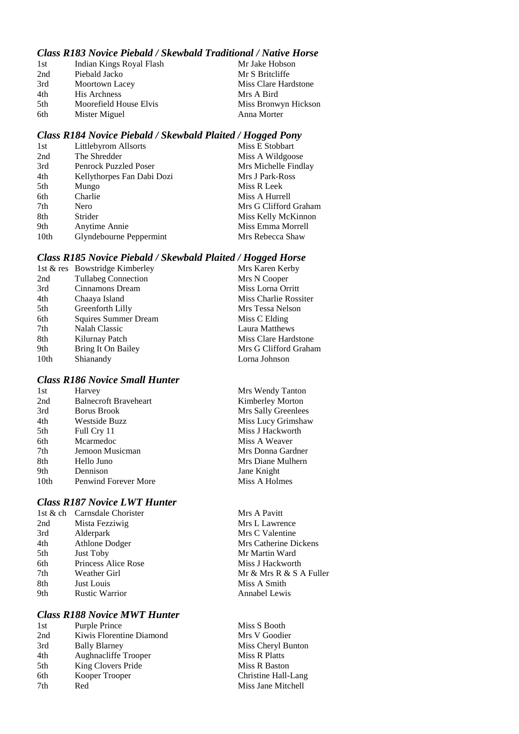## *Class R183 Novice Piebald / Skewbald Traditional / Native Horse*

| 1st | Indian Kings Royal Flash | Mr Jake Hobson       |
|-----|--------------------------|----------------------|
| 2nd | Piebald Jacko            | Mr S Britcliffe      |
| 3rd | Moortown Lacey           | Miss Clare Hardstone |
| 4th | <b>His Archness</b>      | Mrs A Bird           |
| 5th | Moorefield House Elvis   | Miss Bronwyn Hickson |
| 6th | Mister Miguel            | Anna Morter          |

### *Class R184 Novice Piebald / Skewbald Plaited / Hogged Pony*

| 1st  | Littlebyrom Allsorts         | Miss E Stobbart       |
|------|------------------------------|-----------------------|
| 2nd  | The Shredder                 | Miss A Wildgoose      |
| 3rd  | <b>Penrock Puzzled Poser</b> | Mrs Michelle Findlay  |
| 4th  | Kellythorpes Fan Dabi Dozi   | Mrs J Park-Ross       |
| 5th  | Mungo                        | Miss R Leek           |
| 6th  | Charlie                      | Miss A Hurrell        |
| 7th  | Nero                         | Mrs G Clifford Graham |
| 8th  | Strider                      | Miss Kelly McKinnon   |
| 9th  | Anytime Annie                | Miss Emma Morrell     |
| 10th | Glyndebourne Peppermint      | Mrs Rebecca Shaw      |

### *Class R185 Novice Piebald / Skewbald Plaited / Hogged Horse*

|      | 1st & res Bowstridge Kimberley | Mrs Karen Kerby       |
|------|--------------------------------|-----------------------|
| 2nd  | <b>Tullabeg Connection</b>     | Mrs N Cooper          |
| 3rd  | Cinnamons Dream                | Miss Lorna Orritt     |
| 4th  | Chaaya Island                  | Miss Charlie Rossiter |
| 5th  | Greenforth Lilly               | Mrs Tessa Nelson      |
| 6th  | <b>Squires Summer Dream</b>    | Miss C Elding         |
| 7th  | Nalah Classic                  | Laura Matthews        |
| 8th  | Kilurnay Patch                 | Miss Clare Hardstone  |
| 9th  | Bring It On Bailey             | Mrs G Clifford Graham |
| 10th | Shianandy                      | Lorna Johnson         |

# *Class R186 Novice Small Hunter*

| 1st  | Harvey                       | Mrs Wendy Tanton    |
|------|------------------------------|---------------------|
| 2nd  | <b>Balnecroft Braveheart</b> | Kimberley Morton    |
| 3rd  | Borus Brook                  | Mrs Sally Greenlees |
| 4th  | <b>Westside Buzz</b>         | Miss Lucy Grimshaw  |
| 5th  | Full Cry 11                  | Miss J Hackworth    |
| 6th  | Mcarmedoc                    | Miss A Weaver       |
| 7th  | Jemoon Musicman              | Mrs Donna Gardner   |
| 8th  | Hello Juno                   | Mrs Diane Mulhern   |
| 9th  | Dennison                     | Jane Knight         |
| 10th | <b>Penwind Forever More</b>  | Miss A Holmes       |
|      |                              |                     |

## *Class R187 Novice LWT Hunter*

| 1st $&$ ch | Carnsdale Chorister        |
|------------|----------------------------|
| 2nd        | Mista Fezziwig             |
| 3rd        | Alderpark                  |
| 4th        | Athlone Dodger             |
| 5th        | <b>Just Toby</b>           |
| 6th        | <b>Princess Alice Rose</b> |
| 7th        | Weather Girl               |
| 8th        | Just Louis                 |
| 9th        | <b>Rustic Warrior</b>      |
|            |                            |

### *Class R188 Novice MWT Hunter*

| 1st | Purple Prince            |
|-----|--------------------------|
| 2nd | Kiwis Florentine Diamond |
| 3rd | <b>Bally Blarney</b>     |
| 4th | Aughnacliffe Trooper     |
| 5th | King Clovers Pride       |
| 6th | Kooper Trooper           |
| 7th | Red                      |
|     |                          |

Mrs A Pavitt Mrs L Lawrence Mrs C Valentine Mrs Catherine Dickens Mr Martin Ward Miss J Hackworth Mr & Mrs R & S A Fuller Miss A Smith Annabel Lewis

Miss S Booth Mrs V Goodier Miss Cheryl Bunton **Miss R Platts** Miss R Baston Christine Hall-Lang Miss Jane Mitchell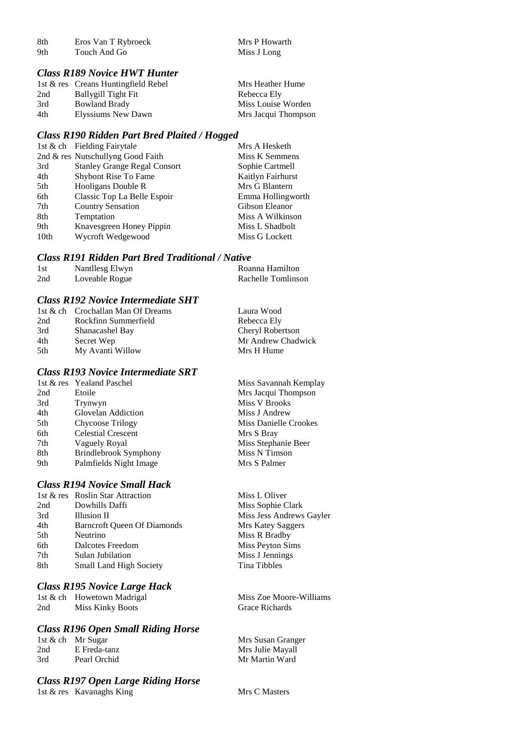| 8th | Eros Van T Rybroeck | Mrs P Howarth |
|-----|---------------------|---------------|
| 9th | Touch And Go        | Miss J Long   |

#### *Class R189 Novice HWT Hunter*

|     | 1st & res Creans Huntingfield Rebel | Mrs Heather Hume    |
|-----|-------------------------------------|---------------------|
| 2nd | Ballygill Tight Fit                 | Rebecca Ely         |
| 3rd | <b>Bowland Brady</b>                | Miss Louise Worden  |
| 4th | Elyssiums New Dawn                  | Mrs Jacqui Thompson |

#### *Class R190 Ridden Part Bred Plaited / Hogged*

|                  | 1st & ch Fielding Fairytale         | Mrs A Hesketh     |
|------------------|-------------------------------------|-------------------|
|                  | 2nd & res Nutschullyng Good Faith   | Miss K Semmens    |
| 3rd              | <b>Stanley Grange Regal Consort</b> | Sophie Cartmell   |
| 4th              | Shybont Rise To Fame                | Kaitlyn Fairhurst |
| 5th              | Hooligans Double R                  | Mrs G Blantern    |
| 6th              | Classic Top La Belle Espoir         | Emma Hollingworth |
| 7th              | <b>Country Sensation</b>            | Gibson Eleanor    |
| 8th              | Temptation                          | Miss A Wilkinson  |
| 9th              | Knavesgreen Honey Pippin            | Miss L Shadbolt   |
| 10 <sub>th</sub> | Wycroft Wedgewood                   | Miss G Lockett    |

#### *Class R191 Ridden Part Bred Traditional / Native*

| 1st | Nantllesg Elwyn | Roanna Hamilton    |
|-----|-----------------|--------------------|
| 2nd | Loveable Rogue  | Rachelle Tomlinson |

#### *Class R192 Novice Intermediate SHT*

|      | 1st & ch Crochallan Man Of Dreams | Laura Wood         |
|------|-----------------------------------|--------------------|
| 2nd  | Rockfinn Summerfield              | Rebecca Ely        |
| 3rd  | Shanacashel Bay                   | Cheryl Robertson   |
| 4th  | Secret Wep                        | Mr Andrew Chadwick |
| .5th | My Avanti Willow                  | Mrs H Hume         |

#### *Class R193 Novice Intermediate SRT*

|     | 1st & res Yealand Paschel    | Miss Savannah Kemplay |
|-----|------------------------------|-----------------------|
| 2nd | Etoile                       | Mrs Jacqui Thompson   |
| 3rd | Trynwyn                      | Miss V Brooks         |
| 4th | Glovelan Addiction           | Miss J Andrew         |
| 5th | Chycoose Trilogy             | Miss Danielle Crookes |
| 6th | <b>Celestial Crescent</b>    | Mrs S Bray            |
| 7th | Vaguely Royal                | Miss Stephanie Beer   |
| 8th | <b>Brindlebrook Symphony</b> | Miss N Timson         |
| 9th | Palmfields Night Image       | Mrs S Palmer          |
|     |                              |                       |

## *Class R194 Novice Small Hack*

|     | 1st & res Roslin Star Attraction   |
|-----|------------------------------------|
| 2nd | Dowhills Daffi                     |
| 3rd | <b>Illusion II</b>                 |
| 4th | <b>Barncroft Oueen Of Diamonds</b> |
| 5th | Neutrino                           |
| 6th | Dalcotes Freedom                   |
| 7th | Sulan Jubilation                   |
| 8th | Small Land High Society            |
|     |                                    |

#### *Class R195 Novice Large Hack*

1st & ch Howetown Madrigal Miss Zoe Moore-Williams<br>
2nd Miss Kinky Boots Grace Richards Miss Kinky Boots

#### *Class R196 Open Small Riding Horse*

|     | 1st & ch Mr Sugar |
|-----|-------------------|
| 2nd | E Freda-tanz      |
| 3rd | Pearl Orchid      |

# *Class R197 Open Large Riding Horse*

1st & res Kavanaghs King Mrs C Masters

Miss L Oliver Miss Sophie Clark Miss Jess Andrews Gayler Mrs Katey Saggers Miss R Bradby Miss Peyton Sims Miss J Jennings Tina Tibbles

Mrs Susan Granger Mrs Julie Mayall Mr Martin Ward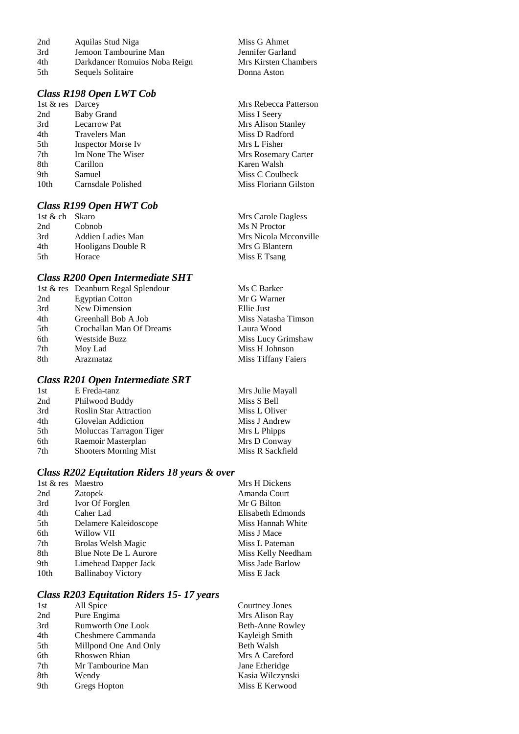| 2nd | Aquilas Stud Niga             | Miss G Ahmet         |
|-----|-------------------------------|----------------------|
| 3rd | Jemoon Tambourine Man         | Jennifer Garland     |
| 4th | Darkdancer Romuios Noba Reign | Mrs Kirsten Chambers |
| 5th | Sequels Solitaire             | Donna Aston          |

# *Class R198 Open LWT Cob*

| 1st & res Darcey |                     | Mrs Rebecca Patterson |
|------------------|---------------------|-----------------------|
| 2nd              | <b>Baby Grand</b>   | Miss I Seery          |
| 3rd              | <b>Lecarrow Pat</b> | Mrs Alison Stanley    |
| 4th              | Travelers Man       | Miss D Radford        |
| 5th              | Inspector Morse Iv  | Mrs L Fisher          |
| 7th              | Im None The Wiser   | Mrs Rosemary Carter   |
| 8th              | Carillon            | Karen Walsh           |
| 9th              | Samuel              | Miss C Coulbeck       |
| 10 <sub>th</sub> | Carnsdale Polished  | Miss Floriann Gilston |

## *Class R199 Open HWT Cob*

| 1st & ch Skaro |                    | Mrs Carole Dagless    |
|----------------|--------------------|-----------------------|
| 2nd            | Cobnob             | Ms N Proctor          |
| 3rd            | Addien Ladies Man  | Mrs Nicola Mcconville |
| 4th            | Hooligans Double R | Mrs G Blantern        |
| .5th           | Horace             | Miss E Tsang          |

# *Class R200 Open Intermediate SHT*

|     | 1st & res Deanburn Regal Splendour | Ms C Barker         |
|-----|------------------------------------|---------------------|
| 2nd | <b>Egyptian Cotton</b>             | Mr G Warner         |
| 3rd | New Dimension                      | Ellie Just          |
| 4th | Greenhall Bob A Job                | Miss Natasha Timson |
| 5th | Crochallan Man Of Dreams           | Laura Wood          |
| 6th | Westside Buzz                      | Miss Lucy Grimshaw  |
| 7th | Moy Lad                            | Miss H Johnson      |
| 8th | Arazmataz                          | Miss Tiffany Faiers |
|     |                                    |                     |

### *Class R201 Open Intermediate SRT*

| E Freda-tanz                  | Mrs Julie Mayall |
|-------------------------------|------------------|
| Philwood Buddy                | Miss S Bell      |
| <b>Roslin Star Attraction</b> | Miss L Oliver    |
| Glovelan Addiction            | Miss J Andrew    |
| Moluccas Tarragon Tiger       | Mrs L Phipps     |
| Raemoir Masterplan            | Mrs D Conway     |
| <b>Shooters Morning Mist</b>  | Miss R Sackfield |
|                               |                  |

## *Class R202 Equitation Riders 18 years & over*

| 1st & res Maestro |                           | Mrs H Dickens      |
|-------------------|---------------------------|--------------------|
| 2nd               | <b>Zatopek</b>            | Amanda Court       |
| 3rd               | Ivor Of Forglen           | Mr G Bilton        |
| 4th               | Caher Lad                 | Elisabeth Edmonds  |
| 5th               | Delamere Kaleidoscope     | Miss Hannah White  |
| 6th               | Willow VII                | Miss J Mace        |
| 7th               | <b>Brolas Welsh Magic</b> | Miss L Pateman     |
| 8th               | Blue Note De L Aurore     | Miss Kelly Needham |
| 9th               | Limehead Dapper Jack      | Miss Jade Barlow   |
| 10th              | <b>Ballinaboy Victory</b> | Miss E Jack        |
|                   |                           |                    |

## *Class R203 Equitation Riders 15- 17 years*

| 1st | All Spice                | Courtney Jones    |
|-----|--------------------------|-------------------|
| 2nd | Pure Engima              | Mrs Alison Ray    |
| 3rd | <b>Rumworth One Look</b> | Beth-Anne Rowley  |
| 4th | Cheshmere Cammanda       | Kayleigh Smith    |
| 5th | Millpond One And Only    | <b>Beth Walsh</b> |
| 6th | Rhoswen Rhian            | Mrs A Careford    |
| 7th | Mr Tambourine Man        | Jane Etheridge    |
| 8th | Wendy                    | Kasia Wilczynski  |
| 9th | Gregs Hopton             | Miss E Kerwood    |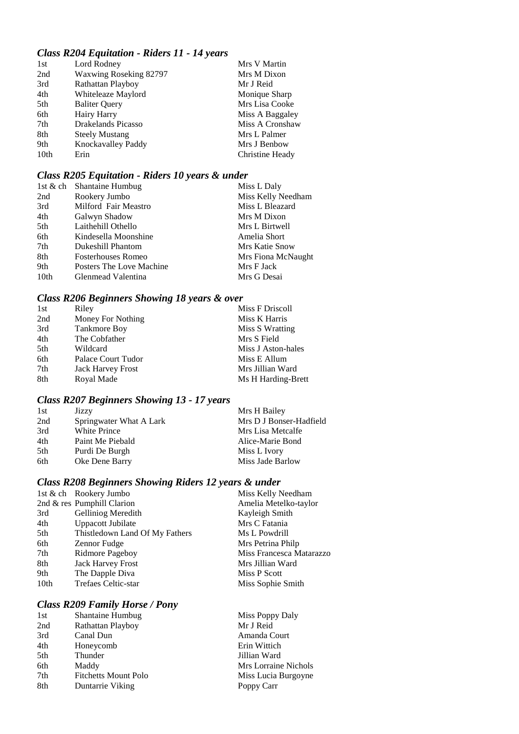# *Class R204 Equitation - Riders 11 - 14 years*

| Lord Rodney            | Mrs V Martin    |
|------------------------|-----------------|
| Waxwing Roseking 82797 | Mrs M Dixon     |
| Rathattan Playboy      | Mr J Reid       |
| Whiteleaze Maylord     | Monique Sharp   |
| <b>Baliter Query</b>   | Mrs Lisa Cooke  |
| Hairy Harry            | Miss A Baggaley |
| Drakelands Picasso     | Miss A Cronshaw |
| <b>Steely Mustang</b>  | Mrs L Palmer    |
| Knockavalley Paddy     | Mrs J Benbow    |
| Erin                   | Christine Heady |
|                        |                 |

## *Class R205 Equitation - Riders 10 years & under*

|                  | 1st & ch Shantaine Humbug | Miss L Daly        |
|------------------|---------------------------|--------------------|
| 2nd              | Rookery Jumbo             | Miss Kelly Needham |
| 3rd              | Milford Fair Meastro      | Miss L Bleazard    |
| 4th              | Galwyn Shadow             | Mrs M Dixon        |
| 5th              | Laithehill Othello        | Mrs L Birtwell     |
| 6th              | Kindesella Moonshine      | Amelia Short       |
| 7th              | Dukeshill Phantom         | Mrs Katie Snow     |
| 8th              | <b>Fosterhouses Romeo</b> | Mrs Fiona McNaught |
| 9th              | Posters The Love Machine  | Mrs F Jack         |
| 10 <sub>th</sub> | Glenmead Valentina        | Mrs G Desai        |
|                  |                           |                    |

# *Class R206 Beginners Showing 18 years & over*

| 1st | Riley                    | Miss F Driscoll    |
|-----|--------------------------|--------------------|
| 2nd | Money For Nothing        | Miss K Harris      |
| 3rd | Tankmore Boy             | Miss S Wratting    |
| 4th | The Cobfather            | Mrs S Field        |
| 5th | Wildcard                 | Miss J Aston-hales |
| 6th | Palace Court Tudor       | Miss E Allum       |
| 7th | <b>Jack Harvey Frost</b> | Mrs Jillian Ward   |
| 8th | Royal Made               | Ms H Harding-Brett |
|     |                          |                    |

# *Class R207 Beginners Showing 13 - 17 years*

| 1st | Jizzy                   | Mrs H Bailey            |
|-----|-------------------------|-------------------------|
| 2nd | Springwater What A Lark | Mrs D J Bonser-Hadfield |
| 3rd | <b>White Prince</b>     | Mrs Lisa Metcalfe       |
| 4th | Paint Me Piebald        | Alice-Marie Bond        |
| 5th | Purdi De Burgh          | Miss L Ivory            |
| 6th | Oke Dene Barry          | Miss Jade Barlow        |

## *Class R208 Beginners Showing Riders 12 years & under*

|      | 1st & ch Rookery Jumbo         | Miss Kelly Needham       |
|------|--------------------------------|--------------------------|
|      | 2nd & res Pumphill Clarion     | Amelia Metelko-taylor    |
| 3rd  | Gelliniog Meredith             | Kayleigh Smith           |
| 4th  | Uppacott Jubilate              | Mrs C Fatania            |
| 5th  | Thistledown Land Of My Fathers | Ms L Powdrill            |
| 6th  | Zennor Fudge                   | Mrs Petrina Philp        |
| 7th  | Ridmore Pageboy                | Miss Francesca Matarazzo |
| 8th  | <b>Jack Harvey Frost</b>       | Mrs Jillian Ward         |
| 9th  | The Dapple Diva                | Miss P Scott             |
| 10th | Trefaes Celtic-star            | Miss Sophie Smith        |
|      |                                |                          |

# *Class R209 Family Horse / Pony*

| 1st | <b>Shantaine Humbug</b>     | Miss Poppy Daly      |
|-----|-----------------------------|----------------------|
| 2nd | Rathattan Playboy           | Mr J Reid            |
| 3rd | Canal Dun                   | Amanda Court         |
| 4th | Honeycomb                   | Erin Wittich         |
| 5th | Thunder                     | Jillian Ward         |
| 6th | Maddy                       | Mrs Lorraine Nichols |
| 7th | <b>Fitchetts Mount Polo</b> | Miss Lucia Burgoyne  |
| 8th | Duntarrie Viking            | Poppy Carr           |
|     |                             |                      |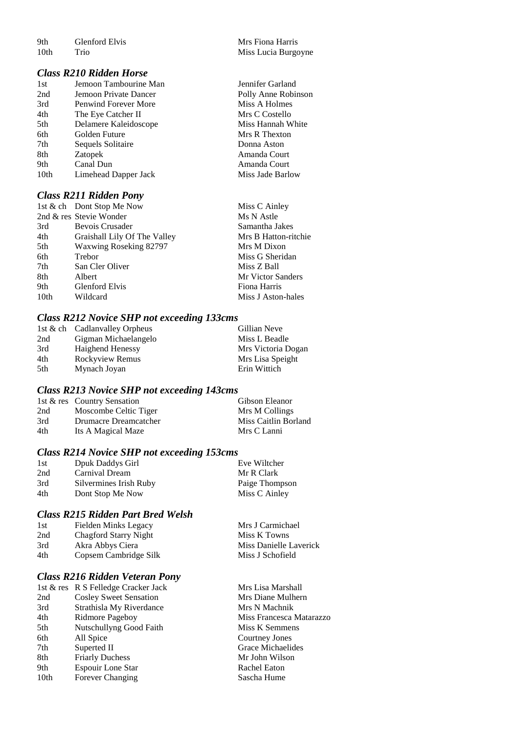| 9th  | Glenford Elvis |
|------|----------------|
| 10th | Trio           |

#### *Class R210 Ridden Horse*

| 1st  | Jemoon Tambourine Man       | Jennifer Garland    |
|------|-----------------------------|---------------------|
| 2nd  | Jemoon Private Dancer       | Polly Anne Robinson |
| 3rd  | <b>Penwind Forever More</b> | Miss A Holmes       |
| 4th  | The Eye Catcher II          | Mrs C Costello      |
| 5th  | Delamere Kaleidoscope       | Miss Hannah White   |
| 6th  | Golden Future               | Mrs R Thexton       |
| 7th  | Sequels Solitaire           | Donna Aston         |
| 8th  | Zatopek                     | Amanda Court        |
| 9th  | Canal Dun                   | Amanda Court        |
| 10th | Limehead Dapper Jack        | Miss Jade Barlow    |
|      |                             |                     |

### *Class R211 Ridden Pony*

|                  | 1st & ch Dont Stop Me Now    | Miss C Ainley        |
|------------------|------------------------------|----------------------|
|                  | 2nd & res Stevie Wonder      | Ms N Astle           |
| 3rd              | Bevois Crusader              | Samantha Jakes       |
| 4th              | Graishall Lily Of The Valley | Mrs B Hatton-ritchie |
| 5th              | Waxwing Roseking 82797       | Mrs M Dixon          |
| 6th              | Trebor                       | Miss G Sheridan      |
| 7th              | San Cler Oliver              | Miss Z Ball          |
| 8th              | Albert                       | Mr Victor Sanders    |
| 9th              | <b>Glenford Elvis</b>        | Fiona Harris         |
| 10 <sub>th</sub> | Wildcard                     | Miss J Aston-hales   |

## *Class R212 Novice SHP not exceeding 133cms*

|     | 1st & ch Cadlanvalley Orpheus | Gillian Neve       |
|-----|-------------------------------|--------------------|
| 2nd | Gigman Michaelangelo          | Miss L Beadle      |
| 3rd | <b>Haighend Henessy</b>       | Mrs Victoria Dogan |
| 4th | Rockyview Remus               | Mrs Lisa Speight   |
| 5th | Mynach Joyan                  | Erin Wittich       |

### *Class R213 Novice SHP not exceeding 143cms*

|     | 1st & res Country Sensation | Gibson Eleanor       |
|-----|-----------------------------|----------------------|
| 2nd | Moscombe Celtic Tiger       | Mrs M Collings       |
| 3rd | Drumacre Dreamcatcher       | Miss Caitlin Borland |
| 4th | Its A Magical Maze          | Mrs C Lanni          |

# *Class R214 Novice SHP not exceeding 153cms*

| 1st | Dpuk Daddys Girl       | Eve Wiltcher   |
|-----|------------------------|----------------|
| 2nd | Carnival Dream         | Mr R Clark     |
| 3rd | Silvermines Irish Ruby | Paige Thompson |
| 4th | Dont Stop Me Now       | Miss C Ainley  |

# *Class R215 Ridden Part Bred Welsh*

| 1st | Fielden Minks Legacy  | Mrs J Carmichael       |
|-----|-----------------------|------------------------|
| 2nd | Chagford Starry Night | Miss K Towns           |
| 3rd | Akra Abbys Ciera      | Miss Danielle Laverick |
| 4th | Copsem Cambridge Silk | Miss J Schofield       |

#### *Class R216 Ridden Veteran Pony*

|                  | 1st & res R S Felledge Cracker Jack | Mrs Lisa Marshall        |
|------------------|-------------------------------------|--------------------------|
| 2nd              | <b>Cosley Sweet Sensation</b>       | Mrs Diane Mulhern        |
| 3rd              | Strathisla My Riverdance            | Mrs N Machnik            |
| 4th              | Ridmore Pageboy                     | Miss Francesca Matarazzo |
| 5th              | Nutschullyng Good Faith             | Miss K Semmens           |
| 6th              | All Spice                           | Courtney Jones           |
| 7th              | Superted II                         | Grace Michaelides        |
| 8th              | <b>Friarly Duchess</b>              | Mr John Wilson           |
| 9th              | Espouir Lone Star                   | Rachel Eaton             |
| 10 <sub>th</sub> | <b>Forever Changing</b>             | Sascha Hume              |

Mrs Fiona Harris Miss Lucia Burgoyne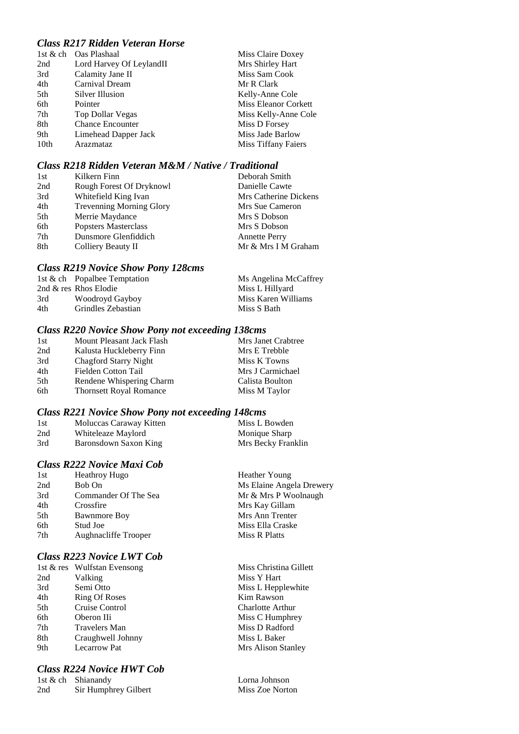## *Class R217 Ridden Veteran Horse*

|      | 1st & ch Oas Plashaal    | Miss Claire Doxey           |
|------|--------------------------|-----------------------------|
| 2nd  | Lord Harvey Of LeylandII | Mrs Shirley Hart            |
| 3rd  | Calamity Jane II         | Miss Sam Cook               |
| 4th  | Carnival Dream           | Mr R Clark                  |
| 5th  | Silver Illusion          | Kelly-Anne Cole             |
| 6th  | Pointer                  | <b>Miss Eleanor Corkett</b> |
| 7th  | Top Dollar Vegas         | Miss Kelly-Anne Cole        |
| 8th  | <b>Chance Encounter</b>  | Miss D Forsey               |
| 9th  | Limehead Dapper Jack     | Miss Jade Barlow            |
| 10th | Arazmataz                | Miss Tiffany Faiers         |

## *Class R218 Ridden Veteran M&M / Native / Traditional*

| 1st | Kilkern Finn                    | Deborah Smith         |
|-----|---------------------------------|-----------------------|
| 2nd | Rough Forest Of Dryknowl        | Danielle Cawte        |
| 3rd | Whitefield King Ivan            | Mrs Catherine Dickens |
| 4th | <b>Trevenning Morning Glory</b> | Mrs Sue Cameron       |
| 5th | Merrie Maydance                 | Mrs S Dobson          |
| 6th | <b>Popsters Masterclass</b>     | Mrs S Dobson          |
| 7th | Dunsmore Glenfiddich            | <b>Annette Perry</b>  |
| 8th | Colliery Beauty II              | Mr & Mrs I M Graham   |

### *Class R219 Novice Show Pony 128cms*

|     | 1st & ch Popalbee Temptation | Ms Angelina McCaffrey |
|-----|------------------------------|-----------------------|
|     | 2nd & res Rhos Elodie        | Miss L Hillyard       |
| 3rd | Woodroyd Gayboy              | Miss Karen Williams   |
| 4th | Grindles Zebastian           | Miss S Bath           |

# *Class R220 Novice Show Pony not exceeding 138cms*

| 1st | Mount Pleasant Jack Flash      | Mrs Janet Crabtree |
|-----|--------------------------------|--------------------|
| 2nd | Kalusta Huckleberry Finn       | Mrs E Trebble      |
| 3rd | <b>Chagford Starry Night</b>   | Miss K Towns       |
| 4th | Fielden Cotton Tail            | Mrs J Carmichael   |
| 5th | Rendene Whispering Charm       | Calista Boulton    |
| 6th | <b>Thornsett Royal Romance</b> | Miss M Taylor      |
|     |                                |                    |

### *Class R221 Novice Show Pony not exceeding 148cms*

| 1st | Moluccas Caraway Kitten | Miss L Bowden      |
|-----|-------------------------|--------------------|
| 2nd | Whiteleaze Maylord      | Monique Sharp      |
| 3rd | Baronsdown Saxon King   | Mrs Becky Franklin |

## *Class R222 Novice Maxi Cob*

| 1st | <b>Heathroy Hugo</b> | Heather Young            |
|-----|----------------------|--------------------------|
| 2nd | Bob On               | Ms Elaine Angela Drewery |
| 3rd | Commander Of The Sea | Mr & Mrs P Woolnaugh     |
| 4th | Crossfire            | Mrs Kay Gillam           |
| 5th | <b>Bawnmore Boy</b>  | Mrs Ann Trenter          |
| 6th | Stud Joe             | Miss Ella Craske         |
| 7th | Aughnacliffe Trooper | Miss R Platts            |
|     |                      |                          |

## *Class R223 Novice LWT Cob*

| 1st & res Wulfstan Evensong |
|-----------------------------|
| Valking                     |
| Semi Otto                   |
| <b>Ring Of Roses</b>        |
| Cruise Control              |
| Oberon IIi                  |
| <b>Travelers Man</b>        |
| Craughwell Johnny           |
| Lecarrow Pat                |
|                             |

# *Class R224 Novice HWT Cob*

|     | 1st $\&$ ch Shianandy |
|-----|-----------------------|
| 2nd | Sir Humphrey Gilbert  |

Miss Christina Gillett Miss Y Hart Miss L Hepplewhite Kim Rawson Charlotte Arthur Miss C Humphrey Miss D Radford Miss L Baker Mrs Alison Stanley

Lorna Johnson Miss Zoe Norton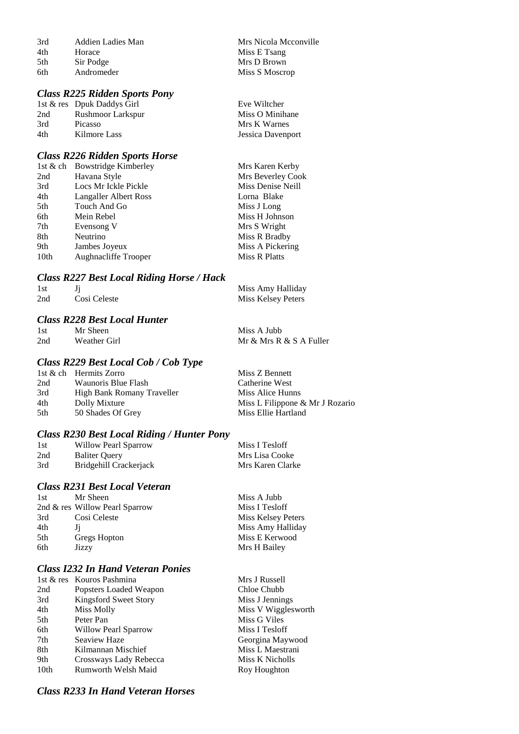| 3rd | Addien Ladies Man | Mrs Nicola Mcconville |
|-----|-------------------|-----------------------|
| 4th | Horace            | Miss E Tsang          |
| 5th | Sir Podge         | Mrs D Brown           |
| 6th | Andromeder        | Miss S Moscrop        |

#### *Class R225 Ridden Sports Pony*

|     | 1st & res Dpuk Daddys Girl | Eve Wiltcher      |
|-----|----------------------------|-------------------|
| 2nd | Rushmoor Larkspur          | Miss O Minihane   |
| 3rd | <b>Picasso</b>             | Mrs K Warnes      |
| 4th | Kilmore Lass               | Jessica Davenport |

#### *Class R226 Ridden Sports Horse*

| <b>Bowstridge Kimberley</b><br>1st & ch | Mrs Karen Kerby   |
|-----------------------------------------|-------------------|
| Havana Style                            | Mrs Beverley Cook |
| Locs Mr Ickle Pickle                    | Miss Denise Neill |
| Langaller Albert Ross                   | Lorna Blake       |
| Touch And Go                            | Miss J Long       |
| Mein Rebel                              | Miss H Johnson    |
| Evensong V                              | Mrs S Wright      |
| Neutrino                                | Miss R Bradby     |
| Jambes Joyeux                           | Miss A Pickering  |
| Aughnacliffe Trooper                    | Miss R Platts     |
|                                         |                   |

#### *Class R227 Best Local Riding Horse / Hack*

| 1st |              | Miss Amy Halliday  |
|-----|--------------|--------------------|
| 2nd | Cosi Celeste | Miss Kelsey Peters |

#### *Class R228 Best Local Hunter*

| 1st | Mr Sheen     | Miss A Jubb             |
|-----|--------------|-------------------------|
| 2nd | Weather Girl | Mr & Mrs R & S A Fuller |

# *Class R229 Best Local Cob / Cob Type*

|     | 1st & ch Hermits Zorro     | Miss Z Bennett                  |
|-----|----------------------------|---------------------------------|
| 2nd | Waunoris Blue Flash        | Catherine West                  |
| 3rd | High Bank Romany Traveller | Miss Alice Hunns                |
| 4th | Dolly Mixture              | Miss L Filippone & Mr J Rozario |
| 5th | 50 Shades Of Grey          | Miss Ellie Hartland             |

## *Class R230 Best Local Riding / Hunter Pony*

| 1st | Willow Pearl Sparrow   | Miss I Tesloff   |
|-----|------------------------|------------------|
| 2nd | <b>Baliter Ouery</b>   | Mrs Lisa Cooke   |
| 3rd | Bridgehill Crackerjack | Mrs Karen Clarke |

## *Class R231 Best Local Veteran*

| 1st | Mr Sheen                       | Miss A Jubb        |
|-----|--------------------------------|--------------------|
|     | 2nd & res Willow Pearl Sparrow | Miss I Tesloff     |
| 3rd | Cosi Celeste                   | Miss Kelsey Peters |
| 4th |                                | Miss Amy Halliday  |
| 5th | Gregs Hopton                   | Miss E Kerwood     |
| 6th | Jizzy                          | Mrs H Bailey       |
|     |                                |                    |

## *Class I232 In Hand Veteran Ponies*

|      | 1st & res Kouros Pashmina   | Mrs J Russell       |
|------|-----------------------------|---------------------|
| 2nd  | Popsters Loaded Weapon      | Chloe Chubb         |
| 3rd  | Kingsford Sweet Story       | Miss J Jennings     |
| 4th  | Miss Molly                  | Miss V Wigglesworth |
| 5th  | Peter Pan                   | Miss G Viles        |
| 6th  | <b>Willow Pearl Sparrow</b> | Miss I Tesloff      |
| 7th  | Seaview Haze                | Georgina Maywood    |
| 8th  | Kilmannan Mischief          | Miss L Maestrani    |
| 9th  | Crossways Lady Rebecca      | Miss K Nicholls     |
| 10th | Rumworth Welsh Maid         | Roy Houghton        |
|      |                             |                     |

#### *Class R233 In Hand Veteran Horses*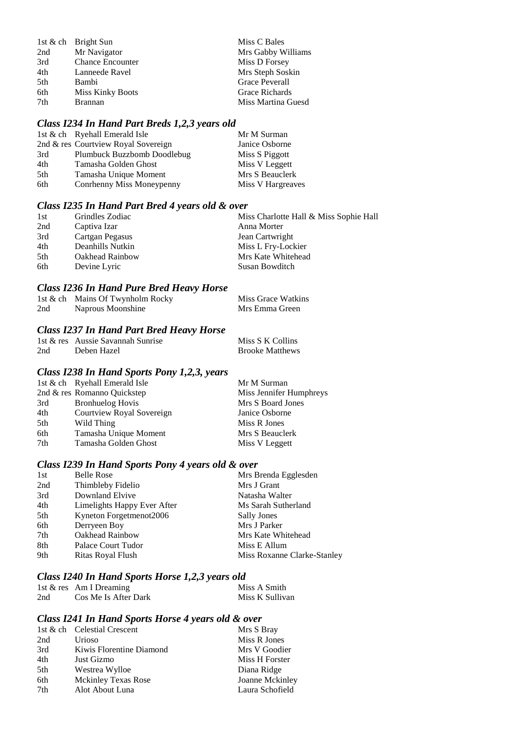|     | 1st & ch Bright Sun     | Miss C Bales       |
|-----|-------------------------|--------------------|
| 2nd | Mr Navigator            | Mrs Gabby Williams |
| 3rd | <b>Chance Encounter</b> | Miss D Forsey      |
| 4th | Lanneede Ravel          | Mrs Steph Soskin   |
| 5th | Bambi                   | Grace Peverall     |
| 6th | <b>Miss Kinky Boots</b> | Grace Richards     |
| 7th | <b>Brannan</b>          | Miss Martina Guesd |

# *Class I234 In Hand Part Breds 1,2,3 years old*

|     | 1st & ch Ryehall Emerald Isle       | Mr M Surman       |
|-----|-------------------------------------|-------------------|
|     | 2nd & res Courtview Royal Sovereign | Janice Osborne    |
| 3rd | Plumbuck Buzzbomb Doodlebug         | Miss S Piggott    |
| 4th | Tamasha Golden Ghost                | Miss V Leggett    |
| 5th | Tamasha Unique Moment               | Mrs S Beauclerk   |
| 6th | Conrhenny Miss Moneypenny           | Miss V Hargreaves |

## *Class I235 In Hand Part Bred 4 years old & over*

| Grindles Zodiac  | Miss Charlotte Hall & Miss Sophie Hall |
|------------------|----------------------------------------|
| Captiva Izar     | Anna Morter                            |
| Cartgan Pegasus  | Jean Cartwright                        |
| Deanhills Nutkin | Miss L Fry-Lockier                     |
| Oakhead Rainbow  | Mrs Kate Whitehead                     |
| Devine Lyric     | Susan Bowditch                         |
|                  |                                        |

#### *Class I236 In Hand Pure Bred Heavy Horse*

|     | 1st & ch Mains Of Twynholm Rocky | Miss Grace Watkins |
|-----|----------------------------------|--------------------|
| 2nd | Naprous Moonshine                | Mrs Emma Green     |

# *Class I237 In Hand Part Bred Heavy Horse*

|     | 1st & res Aussie Savannah Sunrise | Miss S K Collins       |
|-----|-----------------------------------|------------------------|
| 2nd | Deben Hazel                       | <b>Brooke Matthews</b> |

#### *Class I238 In Hand Sports Pony 1,2,3, years*

|     | 1st & ch Ryehall Emerald Isle | Mr M Surman             |
|-----|-------------------------------|-------------------------|
|     | 2nd & res Romanno Quickstep   | Miss Jennifer Humphreys |
| 3rd | <b>Bronhuelog Hovis</b>       | Mrs S Board Jones       |
| 4th | Courtview Royal Sovereign     | Janice Osborne          |
| 5th | Wild Thing                    | Miss R Jones            |
| 6th | Tamasha Unique Moment         | Mrs S Beauclerk         |
| 7th | Tamasha Golden Ghost          | Miss V Leggett          |

# *Class I239 In Hand Sports Pony 4 years old & over*

| 1st | <b>Belle Rose</b>           | Mrs Brenda Egglesden        |
|-----|-----------------------------|-----------------------------|
| 2nd | Thimbleby Fidelio           | Mrs J Grant                 |
| 3rd | Downland Elvive             | Natasha Walter              |
| 4th | Limelights Happy Ever After | Ms Sarah Sutherland         |
| 5th | Kyneton Forgetmenot2006     | Sally Jones                 |
| 6th | Derryeen Boy                | Mrs J Parker                |
| 7th | Oakhead Rainbow             | Mrs Kate Whitehead          |
| 8th | Palace Court Tudor          | Miss E Allum                |
| 9th | Ritas Royal Flush           | Miss Roxanne Clarke-Stanley |

#### *Class I240 In Hand Sports Horse 1,2,3 years old*

|     | 1st & res Am I Dreaming | Miss A Smith    |
|-----|-------------------------|-----------------|
| 2nd | Cos Me Is After Dark    | Miss K Sullivan |

# *Class I241 In Hand Sports Horse 4 years old & over*

|     | 1st & ch Celestial Crescent | Mrs S Bray      |
|-----|-----------------------------|-----------------|
| 2nd | Urioso                      | Miss R Jones    |
| 3rd | Kiwis Florentine Diamond    | Mrs V Goodier   |
| 4th | Just Gizmo                  | Miss H Forster  |
| 5th | Westrea Wylloe              | Diana Ridge     |
| 6th | <b>Mckinley Texas Rose</b>  | Joanne Mckinley |
| 7th | Alot About Luna             | Laura Schofield |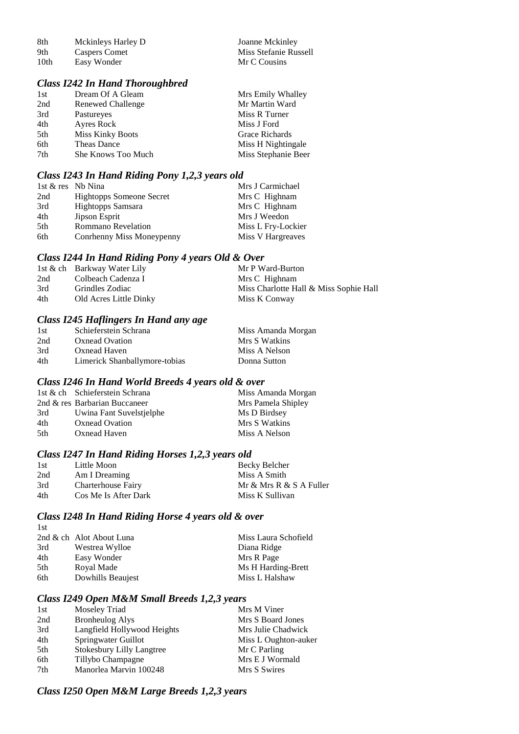| -8th | Mckinleys Harley D   | Joanne Mckinley       |
|------|----------------------|-----------------------|
| -9th | <b>Caspers Comet</b> | Miss Stefanie Russell |
| 10th | Easy Wonder          | Mr C Cousins          |

#### *Class I242 In Hand Thoroughbred*

| 1st | Dream Of A Gleam        | Mrs Emily Whalley   |
|-----|-------------------------|---------------------|
| 2nd | Renewed Challenge       | Mr Martin Ward      |
| 3rd | Pastureyes              | Miss R Turner       |
| 4th | Ayres Rock              | Miss J Ford         |
| 5th | <b>Miss Kinky Boots</b> | Grace Richards      |
| 6th | Theas Dance             | Miss H Nightingale  |
| 7th | She Knows Too Much      | Miss Stephanie Beer |

#### *Class I243 In Hand Riding Pony 1,2,3 years old*

| 1st & res Nb Nina |                                 | Mrs J Carmichael   |
|-------------------|---------------------------------|--------------------|
| 2nd               | <b>Hightopps Someone Secret</b> | Mrs C Highnam      |
| 3rd               | Hightopps Samsara               | Mrs C Highnam      |
| 4th               | Jipson Esprit                   | Mrs J Weedon       |
| 5th               | <b>Rommano Revelation</b>       | Miss L Fry-Lockier |
| 6th               | Conrhenny Miss Moneypenny       | Miss V Hargreaves  |

#### *Class I244 In Hand Riding Pony 4 years Old & Over*

|     | 1st & ch Barkway Water Lily | Mr P Ward-Burton                       |
|-----|-----------------------------|----------------------------------------|
| 2nd | Colbeach Cadenza I          | Mrs C Highnam                          |
| 3rd | Grindles Zodiac             | Miss Charlotte Hall & Miss Sophie Hall |
| 4th | Old Acres Little Dinky      | Miss K Conway                          |

#### *Class I245 Haflingers In Hand any age*

| 1st | Schieferstein Schrana         | Miss Amanda Morgan |
|-----|-------------------------------|--------------------|
| 2nd | <b>Oxnead Ovation</b>         | Mrs S Watkins      |
| 3rd | Oxnead Haven                  | Miss A Nelson      |
| 4th | Limerick Shanballymore-tobias | Donna Sutton       |

#### *Class I246 In Hand World Breeds 4 years old & over*

|     | 1st & ch Schieferstein Schrana | Miss Amanda Morgan |
|-----|--------------------------------|--------------------|
|     | 2nd & res Barbarian Buccaneer  | Mrs Pamela Shipley |
| 3rd | Uwina Fant Suvelstjelphe       | Ms D Birdsey       |
| 4th | Oxnead Ovation                 | Mrs S Watkins      |
| 5th | Oxnead Haven                   | Miss A Nelson      |

## *Class I247 In Hand Riding Horses 1,2,3 years old*

| 1st | Little Moon          | Becky Belcher           |
|-----|----------------------|-------------------------|
| 2nd | Am I Dreaming        | Miss A Smith            |
| 3rd | Charterhouse Fairy   | Mr & Mrs R & S A Fuller |
| 4th | Cos Me Is After Dark | Miss K Sullivan         |

#### *Class I248 In Hand Riding Horse 4 years old & over* 1st

| .   |                          |                      |
|-----|--------------------------|----------------------|
|     | 2nd & ch Alot About Luna | Miss Laura Schofield |
| 3rd | Westrea Wylloe           | Diana Ridge          |
| 4th | Easy Wonder              | Mrs R Page           |
| 5th | Royal Made               | Ms H Harding-Brett   |
| 6th | Dowhills Beaujest        | Miss L Halshaw       |
|     |                          |                      |

# *Class I249 Open M&M Small Breeds 1,2,3 years*

| Moseley Triad                    | Mrs M Viner          |
|----------------------------------|----------------------|
| <b>Bronheulog Alys</b>           | Mrs S Board Jones    |
| Langfield Hollywood Heights      | Mrs Julie Chadwick   |
| Springwater Guillot              | Miss L Oughton-auker |
| <b>Stokesbury Lilly Langtree</b> | Mr C Parling         |
| Tillybo Champagne                | Mrs E J Wormald      |
| Manorlea Marvin 100248           | Mrs S Swires         |
|                                  |                      |

## *Class I250 Open M&M Large Breeds 1,2,3 years*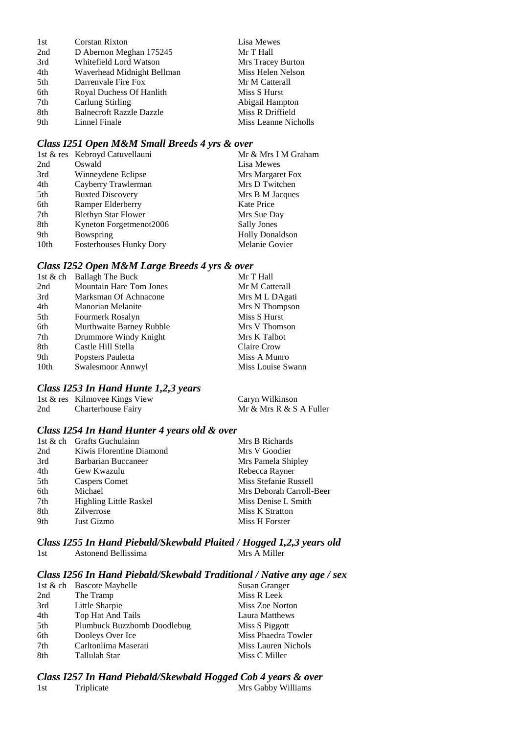| 1st | <b>Corstan Rixton</b>           | Lisa Mewes           |
|-----|---------------------------------|----------------------|
| 2nd | D Abernon Meghan 175245         | Mr T Hall            |
| 3rd | Whitefield Lord Watson          | Mrs Tracey Burton    |
| 4th | Waverhead Midnight Bellman      | Miss Helen Nelson    |
| 5th | Darrenvale Fire Fox             | Mr M Catterall       |
| 6th | Royal Duchess Of Hanlith        | Miss S Hurst         |
| 7th | Carlung Stirling                | Abigail Hampton      |
| 8th | <b>Balnecroft Razzle Dazzle</b> | Miss R Driffield     |
| 9th | Linnel Finale                   | Miss Leanne Nicholls |

#### *Class I251 Open M&M Small Breeds 4 yrs & over*

|                  | 1st & res Kebroyd Catuvellauni | Mr & Mrs I M Graham    |
|------------------|--------------------------------|------------------------|
| 2nd              | Oswald                         | Lisa Mewes             |
| 3rd              | Winneydene Eclipse             | Mrs Margaret Fox       |
| 4th              | Cayberry Trawlerman            | Mrs D Twitchen         |
| 5th              | <b>Buxted Discovery</b>        | Mrs B M Jacques        |
| 6th              | Ramper Elderberry              | Kate Price             |
| 7th              | <b>Blethyn Star Flower</b>     | Mrs Sue Day            |
| 8th              | Kyneton Forgetmenot2006        | <b>Sally Jones</b>     |
| 9th              | Bowspring                      | <b>Holly Donaldson</b> |
| 10 <sub>th</sub> | <b>Fosterhouses Hunky Dory</b> | Melanie Govier         |

# *Class I252 Open M&M Large Breeds 4 yrs & over*

| 1st & ch         | <b>Ballagh The Buck</b>  | Mr T Hall         |
|------------------|--------------------------|-------------------|
| 2nd              | Mountain Hare Tom Jones  | Mr M Catterall    |
| 3rd              | Marksman Of Achnacone    | Mrs M L DAgati    |
| 4th              | Manorian Melanite        | Mrs N Thompson    |
| 5th              | Fourmerk Rosalyn         | Miss S Hurst      |
| 6th              | Murthwaite Barney Rubble | Mrs V Thomson     |
| 7th              | Drummore Windy Knight    | Mrs K Talbot      |
| 8th              | Castle Hill Stella       | Claire Crow       |
| 9th              | Popsters Pauletta        | Miss A Munro      |
| 10 <sub>th</sub> | Swalesmoor Annwyl        | Miss Louise Swann |

### *Class I253 In Hand Hunte 1,2,3 years*

|     | 1st & res Kilmovee Kings View | Caryn Wilkinson         |
|-----|-------------------------------|-------------------------|
| 2nd | Charterhouse Fairy            | Mr & Mrs R & S A Fuller |

#### *Class I254 In Hand Hunter 4 years old & over*

| 1st & ch Grafts Guchulainn    | Mrs B Richards           |
|-------------------------------|--------------------------|
| Kiwis Florentine Diamond      | Mrs V Goodier            |
| Barbarian Buccaneer           | Mrs Pamela Shipley       |
| Gew Kwazulu                   | Rebecca Rayner           |
| Caspers Comet                 | Miss Stefanie Russell    |
| Michael                       | Mrs Deborah Carroll-Beer |
| <b>Highling Little Raskel</b> | Miss Denise L Smith      |
| <b>Zilverrose</b>             | Miss K Stratton          |
| Just Gizmo                    | Miss H Forster           |
|                               |                          |

#### *Class I255 In Hand Piebald/Skewbald Plaited / Hogged 1,2,3 years old* 1st Astonend Bellissima

#### *Class I256 In Hand Piebald/Skewbald Traditional / Native any age / sex*

|     | 1st & ch Bascote Maybelle   | Susan Granger       |
|-----|-----------------------------|---------------------|
| 2nd | The Tramp                   | Miss R Leek         |
| 3rd | Little Sharpie              | Miss Zoe Norton     |
| 4th | Top Hat And Tails           | Laura Matthews      |
| 5th | Plumbuck Buzzbomb Doodlebug | Miss S Piggott      |
| 6th | Dooleys Over Ice            | Miss Phaedra Towler |
| 7th | Carltonlima Maserati        | Miss Lauren Nichols |
| 8th | Tallulah Star               | Miss C Miller       |

#### *Class I257 In Hand Piebald/Skewbald Hogged Cob 4 years & over* Mrs Gabby Williams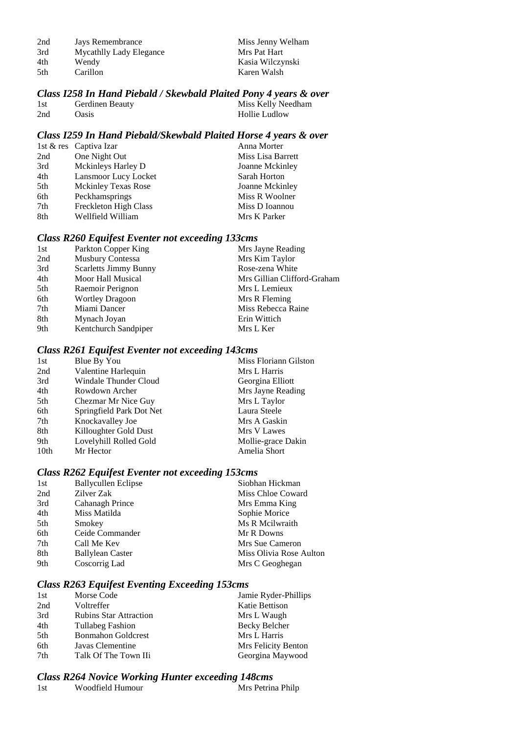| 2nd  | Jays Remembrance        | Miss Jenny Welham |
|------|-------------------------|-------------------|
| 3rd  | Mycathlly Lady Elegance | Mrs Pat Hart      |
| 4th  | Wendy                   | Kasia Wilczynski  |
| .5th | Carillon                | Karen Walsh       |

#### *Class I258 In Hand Piebald / Skewbald Plaited Pony 4 years & over*

| 1st | Gerdinen Beauty | Miss Kelly Needham |
|-----|-----------------|--------------------|
| 2nd | <b>Oasis</b>    | Hollie Ludlow      |

## *Class I259 In Hand Piebald/Skewbald Plaited Horse 4 years & over*

|     | 1st & res Captiva Izar     | Anna Morter       |
|-----|----------------------------|-------------------|
| 2nd | One Night Out              | Miss Lisa Barrett |
| 3rd | Mckinleys Harley D         | Joanne Mckinley   |
| 4th | Lansmoor Lucy Locket       | Sarah Horton      |
| 5th | <b>Mckinley Texas Rose</b> | Joanne Mckinley   |
| 6th | Peckhamsprings             | Miss R Woolner    |
| 7th | Freckleton High Class      | Miss D Ioannou    |
| 8th | Wellfield William          | Mrs K Parker      |

## *Class R260 Equifest Eventer not exceeding 133cms*

| 1st | Parkton Copper King          | Mrs Jayne Reading           |
|-----|------------------------------|-----------------------------|
| 2nd | <b>Musbury Contessa</b>      | Mrs Kim Taylor              |
| 3rd | <b>Scarletts Jimmy Bunny</b> | Rose-zena White             |
| 4th | Moor Hall Musical            | Mrs Gillian Clifford-Graham |
| 5th | Raemoir Perignon             | Mrs L Lemieux               |
| 6th | <b>Wortley Dragoon</b>       | Mrs R Fleming               |
| 7th | Miami Dancer                 | Miss Rebecca Raine          |
| 8th | Mynach Joyan                 | Erin Wittich                |
| 9th | Kentchurch Sandpiper         | Mrs L Ker                   |
|     |                              |                             |

# *Class R261 Equifest Eventer not exceeding 143cms*

| Blue By You              | Miss Floriann Gilston |
|--------------------------|-----------------------|
| Valentine Harlequin      | Mrs L Harris          |
| Windale Thunder Cloud    | Georgina Elliott      |
| Rowdown Archer           | Mrs Jayne Reading     |
| Chezmar Mr Nice Guy      | Mrs L Taylor          |
| Springfield Park Dot Net | Laura Steele          |
| Knockavalley Joe         | Mrs A Gaskin          |
| Killoughter Gold Dust    | Mrs V Lawes           |
| Lovelyhill Rolled Gold   | Mollie-grace Dakin    |
| Mr Hector                | Amelia Short          |
|                          |                       |

# *Class R262 Equifest Eventer not exceeding 153cms*

| 1st | <b>Ballycullen Eclipse</b> | Siobhan Hickman         |
|-----|----------------------------|-------------------------|
| 2nd | Zilver Zak                 | Miss Chloe Coward       |
| 3rd | Cahanagh Prince            | Mrs Emma King           |
| 4th | Miss Matilda               | Sophie Morice           |
| 5th | Smokey                     | Ms R Meilwraith         |
| 6th | Ceide Commander            | Mr R Downs              |
| 7th | Call Me Kev                | Mrs Sue Cameron         |
| 8th | <b>Ballylean Caster</b>    | Miss Olivia Rose Aulton |
| 9th | Coscorrig Lad              | Mrs C Geoghegan         |
|     |                            |                         |

# *Class R263 Equifest Eventing Exceeding 153cms*

| 1st | Morse Code                    | Jamie Ryder-Phillips |
|-----|-------------------------------|----------------------|
| 2nd | Voltreffer                    | Katie Bettison       |
| 3rd | <b>Rubins Star Attraction</b> | Mrs L Waugh          |
| 4th | Tullabeg Fashion              | Becky Belcher        |
| 5th | <b>Bonmahon Goldcrest</b>     | Mrs L Harris         |
| 6th | Javas Clementine              | Mrs Felicity Benton  |
| 7th | Talk Of The Town IIi          | Georgina Maywood     |

# *Class R264 Novice Working Hunter exceeding 148cms*

| 1st | Woodfield Humour | Mrs Petrina Philp |  |
|-----|------------------|-------------------|--|
|-----|------------------|-------------------|--|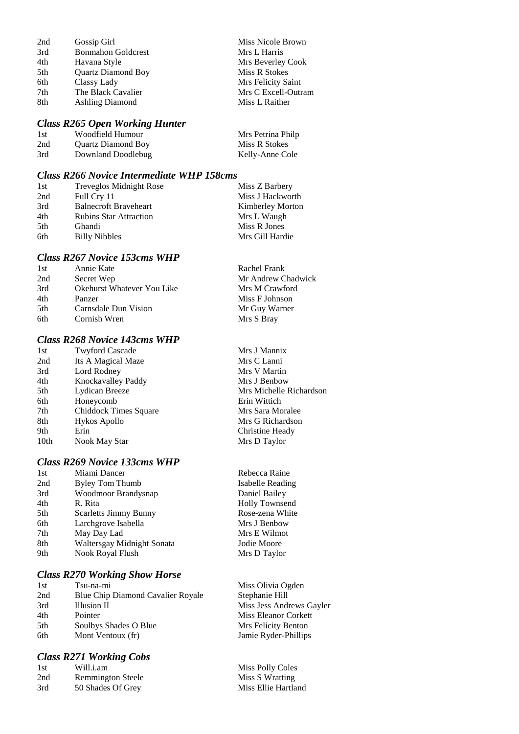| 2nd | Gossip Girl               | Miss Nicole Brown   |
|-----|---------------------------|---------------------|
| 3rd | <b>Bonmahon Goldcrest</b> | Mrs L Harris        |
| 4th | Havana Style              | Mrs Beverley Cook   |
| 5th | <b>Quartz Diamond Boy</b> | Miss R Stokes       |
| 6th | Classy Lady               | Mrs Felicity Saint  |
| 7th | The Black Cavalier        | Mrs C Excell-Outram |
| 8th | <b>Ashling Diamond</b>    | Miss L Raither      |
|     |                           |                     |

#### *Class R265 Open Working Hunter*

| -1 st | Woodfield Humour          | Mrs Petrina Philp |
|-------|---------------------------|-------------------|
| 2nd   | <b>Quartz Diamond Boy</b> | Miss R Stokes     |
| 3rd   | Downland Doodlebug        | Kelly-Anne Cole   |

#### *Class R266 Novice Intermediate WHP 158cms*

| 1st  | Treveglos Midnight Rose       | Miss Z Barbery          |
|------|-------------------------------|-------------------------|
| 2nd  | Full Cry 11                   | Miss J Hackworth        |
| 3rd  | <b>Balnecroft Braveheart</b>  | <b>Kimberley Morton</b> |
| 4th  | <b>Rubins Star Attraction</b> | Mrs L Waugh             |
| .5th | <b>Ghandi</b>                 | Miss R Jones            |
| 6th  | <b>Billy Nibbles</b>          | Mrs Gill Hardie         |

#### *Class R267 Novice 153cms WHP*

| 1st  | Annie Kate                        | Rachel Frank       |
|------|-----------------------------------|--------------------|
| 2nd  | Secret Wep                        | Mr Andrew Chadwick |
| 3rd  | <b>Okehurst Whatever You Like</b> | Mrs M Crawford     |
| 4th  | Panzer                            | Miss F Johnson     |
| .5th | Carnsdale Dun Vision              | Mr Guy Warner      |
| 6th  | Cornish Wren                      | Mrs S Bray         |
|      |                                   |                    |

# *Class R268 Novice 143cms WHP*

| 1st              | <b>Twyford Cascade</b> |
|------------------|------------------------|
| 2nd              | Its A Magical Maze     |
| 3rd              | Lord Rodney            |
| 4th              | Knockavalley Paddy     |
| 5th              | Lydican Breeze         |
| 6th              | Honeycomb              |
| 7th              | Chiddock Times Square  |
| 8th              | Hykos Apollo           |
| 9th              | Erin                   |
| 10 <sub>th</sub> | Nook May Star          |
|                  |                        |

#### *Class R269 Novice 133cms WHP*

| 1st | Miami Dancer                 |
|-----|------------------------------|
| 2nd | Byley Tom Thumb              |
| 3rd | Woodmoor Brandysnap          |
| 4th | R. Rita                      |
| 5th | <b>Scarletts Jimmy Bunny</b> |
| 6th | Larchgrove Isabella          |
| 7th | May Day Lad                  |
| 8th | Waltersgay Midnight Sonata   |
| 9th | Nook Royal Flush             |
|     |                              |

#### *Class R270 Working Show Horse*

| 1st | Tsu-na-mi                                | Miss Olivia O  |
|-----|------------------------------------------|----------------|
| 2nd | <b>Blue Chip Diamond Cavalier Royale</b> | Stephanie Hill |
| 3rd | Illusion II                              | Miss Jess And  |
| 4th | Pointer                                  | Miss Eleanor   |
| 5th | Soulbys Shades O Blue                    | Mrs Felicity B |
| 6th | Mont Ventoux (fr)                        | Jamie Ryder-F  |
|     |                                          |                |

## *Class R271 Working Cobs*

| 1st | Will.i.am                |
|-----|--------------------------|
| 2nd | <b>Remmington Steele</b> |
| 3rd | 50 Shades Of Grey        |

Mrs J Mannix Mrs C Lanni Mrs V Martin Mrs J Benbow Mrs Michelle Richardson Erin Wittich Mrs Sara Moralee Mrs G Richardson Christine Heady Mrs D Taylor

Rebecca Raine Isabelle Reading Daniel Bailey Holly Townsend Rose-zena White Mrs J Benbow Mrs E Wilmot Jodie Moore Mrs D Taylor

via Ogden s Andrews Gayler anor Corkett city Benton der-Phillips

Miss Polly Coles Miss S Wratting Miss Ellie Hartland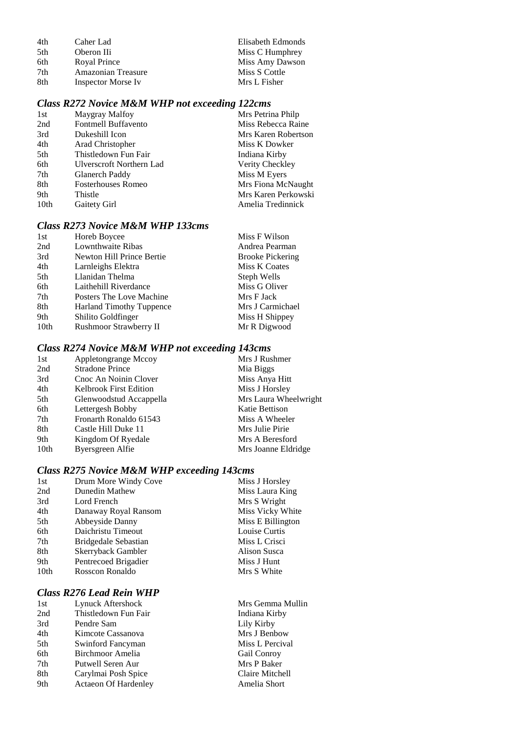| 4th | Caher Lad                 | Elisabeth Edmonds |
|-----|---------------------------|-------------------|
| 5th | Oberon IIi                | Miss C Humphrey   |
| 6th | Royal Prince              | Miss Amy Dawson   |
| 7th | <b>Amazonian Treasure</b> | Miss S Cottle     |
| 8th | Inspector Morse Iv        | Mrs L Fisher      |

# *Class R272 Novice M&M WHP not exceeding 122cms*

| 1st  | Maygray Malfoy            | Mrs Petrina Philp   |
|------|---------------------------|---------------------|
| 2nd  | Fontmell Buffavento       | Miss Rebecca Raine  |
| 3rd  | Dukeshill Icon            | Mrs Karen Robertson |
| 4th  | Arad Christopher          | Miss K Dowker       |
| 5th  | Thistledown Fun Fair      | Indiana Kirby       |
| 6th  | Ulverscroft Northern Lad  | Verity Checkley     |
| 7th  | Glanerch Paddy            | Miss M Eyers        |
| 8th  | <b>Fosterhouses Romeo</b> | Mrs Fiona McNaught  |
| 9th  | Thistle                   | Mrs Karen Perkowski |
| 10th | Gaitety Girl              | Amelia Tredinnick   |

## *Class R273 Novice M&M WHP 133cms*

| 1st  | Horeb Boycee                    | Miss F Wilson           |
|------|---------------------------------|-------------------------|
| 2nd  | Lownthwaite Ribas               | Andrea Pearman          |
| 3rd  | Newton Hill Prince Bertie       | <b>Brooke Pickering</b> |
| 4th  | Larnleighs Elektra              | Miss K Coates           |
| 5th  | Llanidan Thelma                 | Steph Wells             |
| 6th  | Laithehill Riverdance           | Miss G Oliver           |
| 7th  | Posters The Love Machine        | Mrs F Jack              |
| 8th  | <b>Harland Timothy Tuppence</b> | Mrs J Carmichael        |
| 9th  | Shilito Goldfinger              | Miss H Shippey          |
| 10th | Rushmoor Strawberry II          | Mr R Digwood            |

# *Class R274 Novice M&M WHP not exceeding 143cms*

| 1st  | Appletongrange Mccoy    | Mrs J Rushmer         |
|------|-------------------------|-----------------------|
| 2nd  | <b>Stradone Prince</b>  | Mia Biggs             |
| 3rd  | Cnoc An Noinin Clover   | Miss Anya Hitt        |
| 4th  | Kelbrook First Edition  | Miss J Horsley        |
| 5th  | Glenwoodstud Accappella | Mrs Laura Wheelwright |
| 6th  | Lettergesh Bobby        | Katie Bettison        |
| 7th  | Fronarth Ronaldo 61543  | Miss A Wheeler        |
| 8th  | Castle Hill Duke 11     | Mrs Julie Pirie       |
| 9th  | Kingdom Of Ryedale      | Mrs A Beresford       |
| 10th | Byersgreen Alfie        | Mrs Joanne Eldridge   |

## *Class R275 Novice M&M WHP exceeding 143cms*

| 1st              | Drum More Windy Cove | Miss J Horsley    |
|------------------|----------------------|-------------------|
| 2nd              | Dunedin Mathew       | Miss Laura King   |
| 3rd              | Lord French          | Mrs S Wright      |
| 4th              | Danaway Royal Ransom | Miss Vicky White  |
| 5th              | Abbeyside Danny      | Miss E Billington |
| 6th              | Daichristu Timeout   | Louise Curtis     |
| 7th              | Bridgedale Sebastian | Miss L Crisci     |
| 8th              | Skerryback Gambler   | Alison Susca      |
| 9th              | Pentrecoed Brigadier | Miss J Hunt       |
| 10 <sub>th</sub> | Rosscon Ronaldo      | Mrs S White       |
|                  |                      |                   |

# *Class R276 Lead Rein WHP*

| 1st | Lynuck Aftershock           |
|-----|-----------------------------|
| 2nd | Thistledown Fun Fair        |
| 3rd | Pendre Sam                  |
| 4th | Kimcote Cassanova           |
| 5th | Swinford Fancyman           |
| 6th | <b>Birchmoor Amelia</b>     |
| 7th | Putwell Seren Aur           |
| 8th | Carylmai Posh Spice         |
| 9th | <b>Actaeon Of Hardenley</b> |

Mrs Gemma Mullin Indiana Kirby Lily Kirby Mrs J Benbow Miss L Percival Gail Conroy Mrs P Baker Claire Mitchell Amelia Short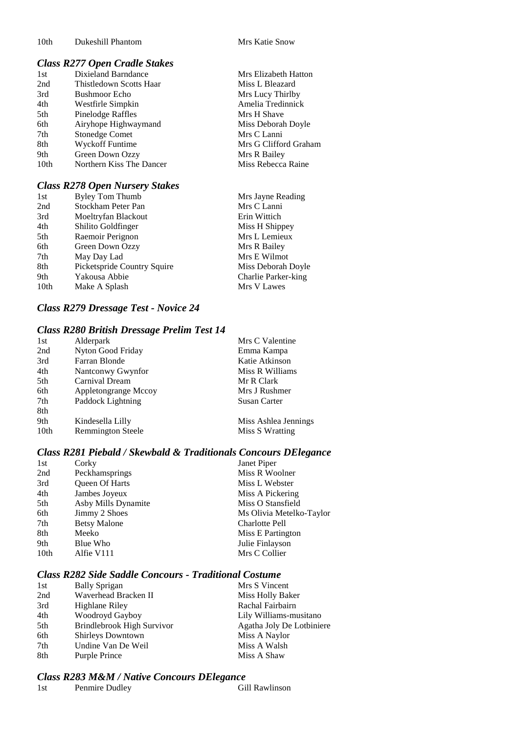Mrs Elizabeth Hatton Miss L Bleazard Mrs Lucy Thirlby Amelia Tredinnick Mrs H Shave Miss Deborah Doyle Mrs C Lanni

Mrs G Clifford Graham

Mrs R Bailey Miss Rebecca Raine

## *Class R277 Open Cradle Stakes*

| 1st  | Dixieland Barndance      |
|------|--------------------------|
| 2nd  | Thistledown Scotts Haar  |
| 3rd  | <b>Bushmoor Echo</b>     |
| 4th  | Westfirle Simpkin        |
| 5th  | Pinelodge Raffles        |
| 6th  | Airyhope Highwaymand     |
| 7th  | <b>Stonedge Comet</b>    |
| 8th  | Wyckoff Funtime          |
| 9th  | Green Down Ozzy          |
| 10th | Northern Kiss The Dancer |
|      |                          |

#### *Class R278 Open Nursery Stakes*

| 1st              | <b>Byley Tom Thumb</b>      | Mrs Jayne Reading   |
|------------------|-----------------------------|---------------------|
| 2nd              | Stockham Peter Pan          | Mrs C Lanni         |
| 3rd              | Moeltryfan Blackout         | Erin Wittich        |
| 4th              | Shilito Goldfinger          | Miss H Shippey      |
| 5th              | Raemoir Perignon            | Mrs L Lemieux       |
| 6th              | Green Down Ozzy             | Mrs R Bailey        |
| 7th              | May Day Lad                 | Mrs E Wilmot        |
| 8th              | Picketspride Country Squire | Miss Deborah Doyle  |
| 9th              | Yakousa Abbie               | Charlie Parker-king |
| 10 <sub>th</sub> | Make A Splash               | Mrs V Lawes         |
|                  |                             |                     |

## *Class R279 Dressage Test - Novice 24*

#### *Class R280 British Dressage Prelim Test 14*

| 1st              | Alderpark                | Mrs C Valentine      |
|------------------|--------------------------|----------------------|
| 2nd              | Nyton Good Friday        | Emma Kampa           |
| 3rd              | Farran Blonde            | Katie Atkinson       |
| 4th              | Nantconwy Gwynfor        | Miss R Williams      |
| 5th              | Carnival Dream           | Mr R Clark           |
| 6th              | Appletongrange Mccoy     | Mrs J Rushmer        |
| 7th              | Paddock Lightning        | Susan Carter         |
| 8th              |                          |                      |
| 9th              | Kindesella Lilly         | Miss Ashlea Jennings |
| 10 <sub>th</sub> | <b>Remmington Steele</b> | Miss S Wratting      |

# *Class R281 Piebald / Skewbald & Traditionals Concours DElegance*

| 1st  | Corky               | Janet Piper              |
|------|---------------------|--------------------------|
| 2nd  | Peckhamsprings      | Miss R Woolner           |
| 3rd  | Queen Of Harts      | Miss L Webster           |
| 4th  | Jambes Joyeux       | Miss A Pickering         |
| 5th  | Asby Mills Dynamite | Miss O Stansfield        |
| 6th  | Jimmy 2 Shoes       | Ms Olivia Metelko-Taylor |
| 7th  | <b>Betsy Malone</b> | Charlotte Pell           |
| 8th  | Meeko               | Miss E Partington        |
| 9th  | Blue Who            | Julie Finlayson          |
| 10th | Alfie V111          | Mrs C Collier            |
|      |                     |                          |

# *Class R282 Side Saddle Concours - Traditional Costume*

| 1st | <b>Bally Sprigan</b>       | Mrs S Vincent             |
|-----|----------------------------|---------------------------|
| 2nd | Waverhead Bracken II       | Miss Holly Baker          |
| 3rd | Highlane Riley             | Rachal Fairbairn          |
| 4th | Woodroyd Gayboy            | Lily Williams-musitano    |
| 5th | Brindlebrook High Survivor | Agatha Joly De Lotbiniere |
| 6th | <b>Shirleys Downtown</b>   | Miss A Naylor             |
| 7th | Undine Van De Weil         | Miss A Walsh              |
| 8th | Purple Prince              | Miss A Shaw               |

#### *Class R283 M&M / Native Concours DElegance*

| 1st<br>Penmire Dudley | Gill Rawlinson |
|-----------------------|----------------|
|-----------------------|----------------|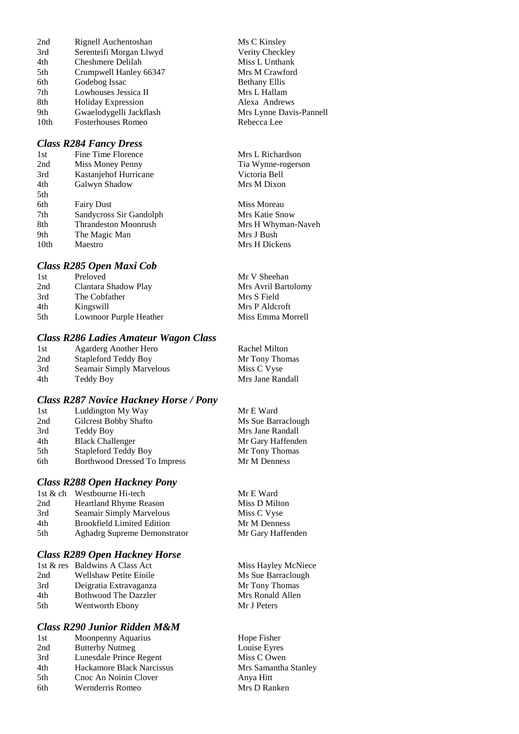2nd Rignell Auchentoshan Ms C Kinsley<br>
3rd Serenteifi Morgan Llwyd Verity Checkley 3rd Serenteifi Morgan Llwyd Verity Checkley<br>
4th Cheshmere Delilah Miss L Unthank 4th Cheshmere Delilah Miss L Unthank<br>5th Crumpwell Hanley 66347 Mrs M Crawford 5th Crumpwell Hanley 66347 Mrs M Crawf<br>6th Godebog Issac Bethany Ellis Godebog Issac 7th Lowhouses Jessica II Mrs L Hallam 8th Holiday Expression Alexa Andrews 9th Gwaelodygelli Jackflash Mrs Lynne Davis-Pannell 10th Fosterhouses Romeo Rebecca Lee

#### *Class R284 Fancy Dress*

| 1st  | Fine Time Florence          | Mrs L Richards |
|------|-----------------------------|----------------|
| 2nd  | Miss Money Penny            | Tia Wynne-rog  |
| 3rd  | Kastanjehof Hurricane       | Victoria Bell  |
| 4th  | Galwyn Shadow               | Mrs M Dixon    |
| 5th  |                             |                |
| 6th  | <b>Fairy Dust</b>           | Miss Moreau    |
| 7th  | Sandycross Sir Gandolph     | Mrs Katie Snov |
| 8th  | <b>Thrandeston Moonrush</b> | Mrs H Whyma    |
| 9th  | The Magic Man               | Mrs J Bush     |
| 10th | Maestro                     | Mrs H Dickens  |
|      |                             |                |

#### *Class R285 Open Maxi Cob*

| Preloved               | Mr V Sheehan        |
|------------------------|---------------------|
| Clantara Shadow Play   | Mrs Avril Bartolomy |
| The Cobfather          | Mrs S Field         |
| Kingswill              | Mrs P Aldcroft      |
| Lowmoor Purple Heather | Miss Emma Morrell   |
|                        |                     |

## *Class R286 Ladies Amateur Wagon Class*

| 1st | Agarderg Another Hero       | Rachel Milton    |
|-----|-----------------------------|------------------|
| 2nd | <b>Stapleford Teddy Boy</b> | Mr Tony Thomas   |
| 3rd | Seamair Simply Marvelous    | Miss C Vyse      |
| 4th | Teddy Boy                   | Mrs Jane Randall |

#### *Class R287 Novice Hackney Horse / Pony*

| 1st | Luddington My Way                   | Mr E Ward          |  |
|-----|-------------------------------------|--------------------|--|
| 2nd | Gilcrest Bobby Shafto               | Ms Sue Barraclough |  |
| 3rd | Teddy Boy                           | Mrs Jane Randall   |  |
| 4th | <b>Black Challenger</b>             | Mr Gary Haffenden  |  |
| 5th | <b>Stapleford Teddy Boy</b>         | Mr Tony Thomas     |  |
| 6th | <b>Borthwood Dressed To Impress</b> | Mr M Denness       |  |
|     |                                     |                    |  |

## *Class R288 Open Hackney Pony*

|     | 1st & ch Westbourne Hi-tech         | Mr E Ward     |
|-----|-------------------------------------|---------------|
| 2nd | <b>Heartland Rhyme Reason</b>       | Miss D Milton |
| 3rd | Seamair Simply Marvelous            | Miss C Vyse   |
| 4th | <b>Brookfield Limited Edition</b>   | Mr M Denness  |
| 5th | <b>Aghadrg Supreme Demonstrator</b> | Mr Gary Haffe |
|     |                                     |               |

#### *Class R289 Open Hackney Horse*

|     | 1st & res Baldwins A Class Act |
|-----|--------------------------------|
| 2nd | <b>Wellshaw Petite Eioile</b>  |
| 3rd | Deigratia Extravaganza         |
| 4th | <b>Bothwood The Dazzler</b>    |
| 5th | Wentworth Ebony                |

#### *Class R290 Junior Ridden M&M*

| 1st | Moonpenny Aquarius        |
|-----|---------------------------|
| 2nd | <b>Butterby Nutmeg</b>    |
| 3rd | Lunesdale Prince Regent   |
| 4th | Hackamore Black Narcissus |
| 5th | Cnoc An Noinin Clover     |
| 6th | Wernderris Romeo          |

**Richardson** nne-rogerson

ie Snow Whyman-Naveh

# Haffenden

Miss Hayley McNiece Ms Sue Barraclough Mr Tony Thomas Mrs Ronald Allen Mr J Peters

Hope Fisher Louise Eyres Miss C Owen Mrs Samantha Stanley Anva Hitt Mrs D Ranken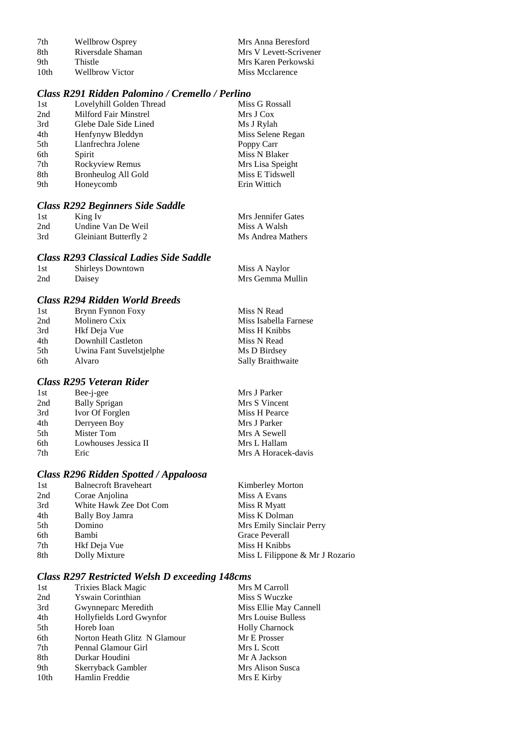| 7th  | <b>Wellbrow Osprey</b> | Mrs Anna Beresford     |
|------|------------------------|------------------------|
| 8th  | Riversdale Shaman      | Mrs V Levett-Scrivener |
| 9th  | Thistle                | Mrs Karen Perkowski    |
| 10th | Wellbrow Victor        | Miss Mcclarence        |

# *Class R291 Ridden Palomino / Cremello / Perlino*

| 1st | Lovelyhill Golden Thread     | Miss G Rossall    |
|-----|------------------------------|-------------------|
| 2nd | <b>Milford Fair Minstrel</b> | Mrs J Cox         |
| 3rd | Glebe Dale Side Lined        | Ms J Rylah        |
| 4th | Henfynyw Bleddyn             | Miss Selene Regan |
| 5th | Llanfrechra Jolene           | Poppy Carr        |
| 6th | Spirit                       | Miss N Blaker     |
| 7th | Rockyview Remus              | Mrs Lisa Speight  |
| 8th | Bronheulog All Gold          | Miss E Tidswell   |
| 9th | Honeycomb                    | Erin Wittich      |
|     |                              |                   |

# *Class R292 Beginners Side Saddle*

| 1st | King Iv               | Mrs Jennifer Gates |
|-----|-----------------------|--------------------|
| 2nd | Undine Van De Weil    | Miss A Walsh       |
| 3rd | Gleiniant Butterfly 2 | Ms Andrea Mathers  |

## *Class R293 Classical Ladies Side Saddle*

| 1st | Shirleys Downtown | Miss A Naylor    |
|-----|-------------------|------------------|
| 2nd | Daisey            | Mrs Gemma Mullin |

## *Class R294 Ridden World Breeds*

| 1st | Brynn Fynnon Foxy        | Miss N Read           |
|-----|--------------------------|-----------------------|
| 2nd | Molinero Cxix            | Miss Isabella Farnese |
| 3rd | Hkf Deja Vue             | Miss H Knibbs         |
| 4th | Downhill Castleton       | Miss N Read           |
| 5th | Uwina Fant Suvelstjelphe | Ms D Birdsey          |
| 6th | Alvaro                   | Sally Braithwaite     |
|     |                          |                       |

# *Class R295 Veteran Rider*

| 1st | Bee-j-gee            | Mrs J Parker        |
|-----|----------------------|---------------------|
| 2nd | <b>Bally Sprigan</b> | Mrs S Vincent       |
| 3rd | Ivor Of Forglen      | Miss H Pearce       |
| 4th | Derryeen Boy         | Mrs J Parker        |
| 5th | Mister Tom           | Mrs A Sewell        |
| 6th | Lowhouses Jessica II | Mrs L Hallam        |
| 7th | Eric                 | Mrs A Horacek-davis |
|     |                      |                     |

# *Class R296 Ridden Spotted / Appaloosa*

| 1st | <b>Balnecroft Braveheart</b> | <b>Kimberley Morton</b>         |
|-----|------------------------------|---------------------------------|
| 2nd | Corae Anjolina               | Miss A Evans                    |
| 3rd | White Hawk Zee Dot Com       | Miss R Myatt                    |
| 4th | Bally Boy Jamra              | Miss K Dolman                   |
| 5th | Domino                       | Mrs Emily Sinclair Perry        |
| 6th | Bambi                        | Grace Peverall                  |
| 7th | Hkf Deja Vue                 | Miss H Knibbs                   |
| 8th | Dolly Mixture                | Miss L Filippone & Mr J Rozario |
|     |                              |                                 |

# *Class R297 Restricted Welsh D exceeding 148cms*

| 1st  | <b>Trixies Black Magic</b>   | Mrs M Carroll          |
|------|------------------------------|------------------------|
| 2nd  | Yswain Corinthian            | Miss S Wuczke          |
| 3rd  | Gwynneparc Meredith          | Miss Ellie May Cannell |
| 4th  | Hollyfields Lord Gwynfor     | Mrs Louise Bulless     |
| 5th  | Horeb Ioan                   | <b>Holly Charnock</b>  |
| 6th  | Norton Heath Glitz N Glamour | Mr E Prosser           |
| 7th  | Pennal Glamour Girl          | Mrs L Scott            |
| 8th  | Durkar Houdini               | Mr A Jackson           |
| 9th  | Skerryback Gambler           | Mrs Alison Susca       |
| 10th | Hamlin Freddie               | Mrs E Kirby            |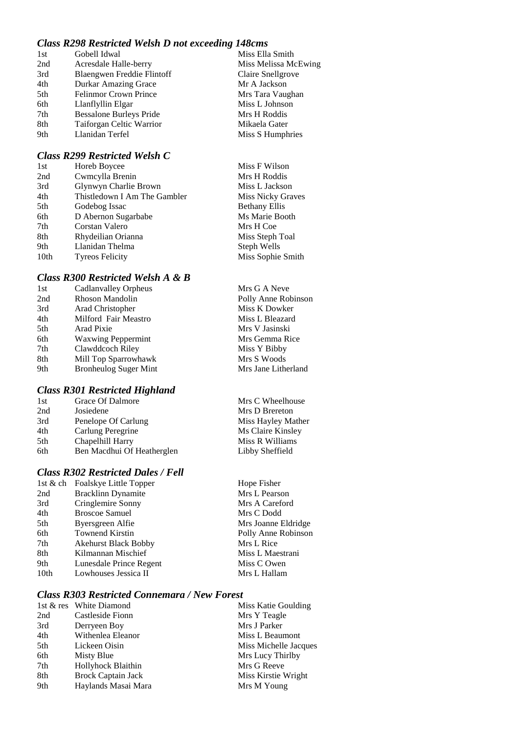# *Class R298 Restricted Welsh D not exceeding 148cms*

| Gobell Idwal                   | Miss Ella Smith      |
|--------------------------------|----------------------|
| Acresdale Halle-berry          | Miss Melissa McEwing |
| Blaengwen Freddie Flintoff     | Claire Snellgrove    |
| Durkar Amazing Grace           | Mr A Jackson         |
| <b>Felinmor Crown Prince</b>   | Mrs Tara Vaughan     |
| Llanflyllin Elgar              | Miss L Johnson       |
| <b>Bessalone Burleys Pride</b> | Mrs H Roddis         |
| Taiforgan Celtic Warrior       | Mikaela Gater        |
| Llanidan Terfel                | Miss S Humphries     |
|                                |                      |

#### *Class R299 Restricted Welsh C*

| 1st  | Horeb Boycee                 | Miss F Wilson        |
|------|------------------------------|----------------------|
| 2nd  | Cwmcylla Brenin              | Mrs H Roddis         |
| 3rd  | Glynwyn Charlie Brown        | Miss L Jackson       |
| 4th  | Thistledown I Am The Gambler | Miss Nicky Graves    |
| 5th  | Godebog Issac                | <b>Bethany Ellis</b> |
| 6th  | D Abernon Sugarbabe          | Ms Marie Booth       |
| 7th  | Corstan Valero               | Mrs H Coe            |
| 8th  | Rhydeilian Orianna           | Miss Steph Toal      |
| 9th  | Llanidan Thelma              | Steph Wells          |
| 10th | <b>Tyreos Felicity</b>       | Miss Sophie Smith    |
|      |                              |                      |

## *Class R300 Restricted Welsh A & B*

| 1st | Cadlanvalley Orpheus         | Mrs G A Neve        |
|-----|------------------------------|---------------------|
| 2nd | <b>Rhoson Mandolin</b>       | Polly Anne Robinson |
| 3rd | Arad Christopher             | Miss K Dowker       |
| 4th | Milford Fair Meastro         | Miss L Bleazard     |
| 5th | Arad Pixie                   | Mrs V Jasinski      |
| 6th | <b>Waxwing Peppermint</b>    | Mrs Gemma Rice      |
| 7th | Clawddcoch Riley             | Miss Y Bibby        |
| 8th | Mill Top Sparrowhawk         | Mrs S Woods         |
| 9th | <b>Bronheulog Suger Mint</b> | Mrs Jane Litherland |
|     |                              |                     |

Mrs C Wheelhouse Mrs D Brereton Miss Hayley Mather Ms Claire Kinsley Miss R Williams Libby Sheffield

Hope Fisher Mrs L Pearson Mrs A Careford Mrs C Dodd Mrs Joanne Eldridge Polly Anne Robinson

Mrs L Rice Miss L Maestrani Miss C Owen Mrs L Hallam

## *Class R301 Restricted Highland*

| 1st | Grace Of Dalmore           |
|-----|----------------------------|
| 2nd | Josiedene                  |
| 3rd | Penelope Of Carlung        |
| 4th | Carlung Peregrine          |
| 5th | Chapelhill Harry           |
| 6th | Ben Macdhui Of Heatherglen |

## *Class R302 Restricted Dales / Fell*

| 1st & ch | Foalskye Little Topper      |
|----------|-----------------------------|
| 2nd      | <b>Bracklinn Dynamite</b>   |
| 3rd      | Cringlemire Sonny           |
| 4th      | <b>Broscoe Samuel</b>       |
| 5th      | Byersgreen Alfie            |
| 6th      | <b>Townend Kirstin</b>      |
| 7th      | <b>Akehurst Black Bobby</b> |
| 8th      | Kilmannan Mischief          |
| 9th      | Lunesdale Prince Regent     |
| 10th     | Lowhouses Jessica II        |
|          |                             |

## *Class R303 Restricted Connemara / New Forest*

|     | 1st & res White Diamond   | Miss Katie Goulding   |
|-----|---------------------------|-----------------------|
| 2nd | Castleside Fionn          | Mrs Y Teagle          |
| 3rd | Derryeen Boy              | Mrs J Parker          |
| 4th | Withenlea Eleanor         | Miss L Beaumont       |
| 5th | Lickeen Oisin             | Miss Michelle Jacques |
| 6th | Misty Blue                | Mrs Lucy Thirlby      |
| 7th | Hollyhock Blaithin        | Mrs G Reeve           |
| 8th | <b>Brock Captain Jack</b> | Miss Kirstie Wright   |
| 9th | Haylands Masai Mara       | Mrs M Young           |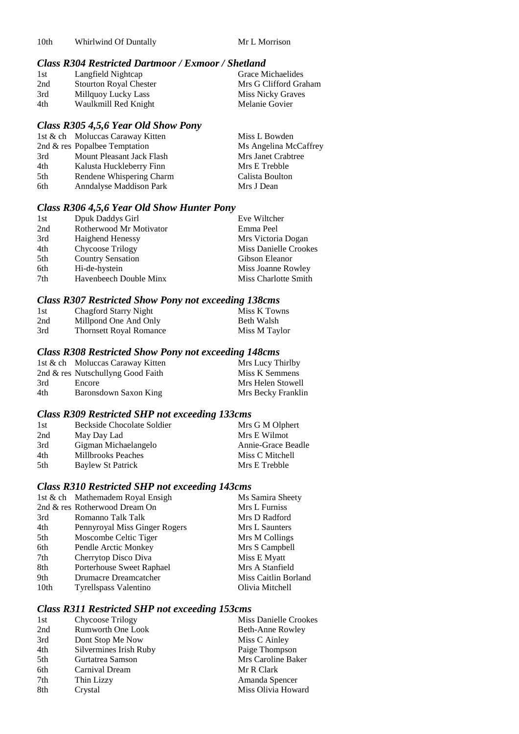# *Class R304 Restricted Dartmoor / Exmoor / Shetland*

| 1st | Langfield Nightcap            | Grace Michaelides        |
|-----|-------------------------------|--------------------------|
| 2nd | <b>Stourton Royal Chester</b> | Mrs G Clifford Graham    |
| 3rd | Millquoy Lucky Lass           | <b>Miss Nicky Graves</b> |
| 4th | Waulkmill Red Knight          | Melanie Govier           |

# *Class R305 4,5,6 Year Old Show Pony*

|     | 1st & ch Moluccas Caraway Kitten | Miss L Bowden         |
|-----|----------------------------------|-----------------------|
|     | 2nd & res Popalbee Temptation    | Ms Angelina McCaffrey |
| 3rd | Mount Pleasant Jack Flash        | Mrs Janet Crabtree    |
| 4th | Kalusta Huckleberry Finn         | Mrs E Trebble         |
| 5th | Rendene Whispering Charm         | Calista Boulton       |
| 6th | <b>Anndalyse Maddison Park</b>   | Mrs J Dean            |
|     |                                  |                       |

# *Class R306 4,5,6 Year Old Show Hunter Pony*

|                          | Eve Wiltcher                 |
|--------------------------|------------------------------|
| Rotherwood Mr Motivator  | Emma Peel                    |
| <b>Haighend Henessy</b>  | Mrs Victoria Dogan           |
| Chycoose Trilogy         | <b>Miss Danielle Crookes</b> |
| <b>Country Sensation</b> | Gibson Eleanor               |
| Hi-de-hystein            | Miss Joanne Rowley           |
| Havenbeech Double Minx   | Miss Charlotte Smith         |
|                          | Dpuk Daddys Girl             |

# *Class R307 Restricted Show Pony not exceeding 138cms*

| 1st | Chagford Starry Night          | Miss K Towns  |
|-----|--------------------------------|---------------|
| 2nd | Millpond One And Only          | Beth Walsh    |
| 3rd | <b>Thornsett Royal Romance</b> | Miss M Taylor |

# *Class R308 Restricted Show Pony not exceeding 148cms*

|     | 1st & ch Moluccas Caraway Kitten  | Mrs Lucy Thirlby   |
|-----|-----------------------------------|--------------------|
|     | 2nd & res Nutschullyng Good Faith | Miss K Semmens     |
| 3rd | Encore                            | Mrs Helen Stowell  |
| 4th | Baronsdown Saxon King             | Mrs Becky Franklin |

# *Class R309 Restricted SHP not exceeding 133cms*

| 1st | Beckside Chocolate Soldier | Mrs G M Olphert    |
|-----|----------------------------|--------------------|
| 2nd | May Day Lad                | Mrs E Wilmot       |
| 3rd | Gigman Michaelangelo       | Annie-Grace Beadle |
| 4th | <b>Millbrooks Peaches</b>  | Miss C Mitchell    |
| 5th | <b>Baylew St Patrick</b>   | Mrs E Trebble      |
|     |                            |                    |

# *Class R310 Restricted SHP not exceeding 143cms*

|      | 1st & ch Mathemadem Royal Ensigh | Ms Samira Sheety     |
|------|----------------------------------|----------------------|
|      | 2nd & res Rotherwood Dream On    | Mrs L Furniss        |
| 3rd  | Romanno Talk Talk                | Mrs D Radford        |
| 4th  | Pennyroyal Miss Ginger Rogers    | Mrs L Saunters       |
| 5th  | Moscombe Celtic Tiger            | Mrs M Collings       |
| 6th  | Pendle Arctic Monkey             | Mrs S Campbell       |
| 7th  | Cherrytop Disco Diva             | Miss E Myatt         |
| 8th  | Porterhouse Sweet Raphael        | Mrs A Stanfield      |
| 9th  | Drumacre Dreamcatcher            | Miss Caitlin Borland |
| 10th | Tyrellspass Valentino            | Olivia Mitchell      |

# *Class R311 Restricted SHP not exceeding 153cms*

| Chycoose Trilogy         | Miss Danielle Crookes |
|--------------------------|-----------------------|
| <b>Rumworth One Look</b> | Beth-Anne Rowley      |
| Dont Stop Me Now         | Miss C Ainley         |
| Silvermines Irish Ruby   | Paige Thompson        |
| Gurtatrea Samson         | Mrs Caroline Baker    |
| Carnival Dream           | Mr R Clark            |
| Thin Lizzy               | Amanda Spencer        |
| Crystal                  | Miss Olivia Howard    |
|                          |                       |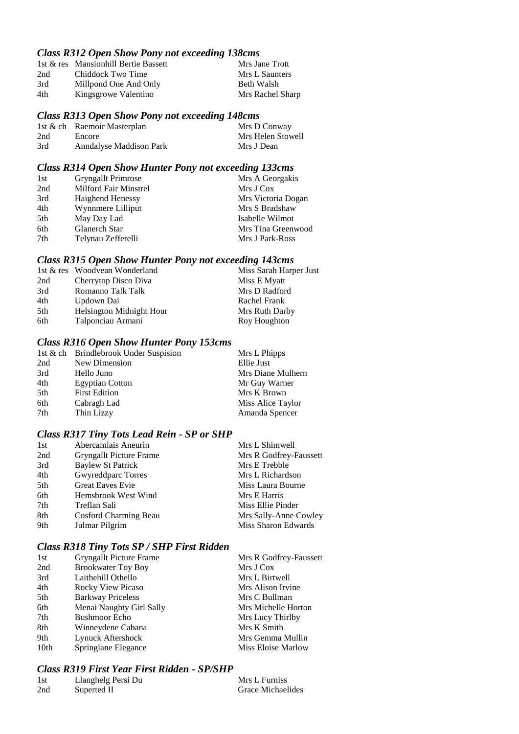#### *Class R312 Open Show Pony not exceeding 138cms*

|                       | Mrs Jane Trott                       |
|-----------------------|--------------------------------------|
| Chiddock Two Time     | Mrs L Saunters                       |
| Millpond One And Only | Beth Walsh                           |
| Kingsgrowe Valentino  | Mrs Rachel Sharp                     |
|                       | 1st & res Mansionhill Bertie Bassett |

#### *Class R313 Open Show Pony not exceeding 148cms*

|     | 1st & ch Raemoir Masterplan | Mrs D Conway      |
|-----|-----------------------------|-------------------|
| 2nd | Encore                      | Mrs Helen Stowell |
| 3rd | Anndalyse Maddison Park     | Mrs J Dean        |

## *Class R314 Open Show Hunter Pony not exceeding 133cms*

| 1st | <b>Gryngallt Primrose</b> | Mrs A Georgakis    |
|-----|---------------------------|--------------------|
| 2nd | Milford Fair Minstrel     | Mrs J Cox          |
| 3rd | <b>Haighend Henessy</b>   | Mrs Victoria Dogan |
| 4th | Wynnmere Lilliput         | Mrs S Bradshaw     |
| 5th | May Day Lad               | Isabelle Wilmot    |
| 6th | Glanerch Star             | Mrs Tina Greenwood |
| 7th | Telynau Zefferelli        | Mrs J Park-Ross    |

#### *Class R315 Open Show Hunter Pony not exceeding 143cms*

|     | 1st & res Woodvean Wonderland | Miss Sarah Harper Just |
|-----|-------------------------------|------------------------|
| 2nd | Cherrytop Disco Diva          | Miss E Myatt           |
| 3rd | Romanno Talk Talk             | Mrs D Radford          |
| 4th | Updown Dai                    | Rachel Frank           |
| 5th | Helsington Midnight Hour      | Mrs Ruth Darby         |
| 6th | Talponciau Armani             | Roy Houghton           |

## *Class R316 Open Show Hunter Pony 153cms*

|     | 1st & ch Brindlebrook Under Suspision | Mrs L Phipps      |
|-----|---------------------------------------|-------------------|
| 2nd | New Dimension                         | Ellie Just        |
| 3rd | Hello Juno                            | Mrs Diane Mulhern |
| 4th | <b>Egyptian Cotton</b>                | Mr Guy Warner     |
| 5th | <b>First Edition</b>                  | Mrs K Brown       |
| 6th | Cabragh Lad                           | Miss Alice Taylor |
| 7th | Thin Lizzy                            | Amanda Spencer    |

## *Class R317 Tiny Tots Lead Rein - SP or SHP*

| Abercamlais Aneurin            | Mrs L Shimwell         |
|--------------------------------|------------------------|
| <b>Gryngallt Picture Frame</b> | Mrs R Godfrey-Faussett |
| <b>Baylew St Patrick</b>       | Mrs E Trebble          |
| Gwyreddparc Torres             | Mrs L Richardson       |
| <b>Great Eaves Evie</b>        | Miss Laura Bourne      |
| Hemsbrook West Wind            | Mrs E Harris           |
| Treflan Sali                   | Miss Ellie Pinder      |
| Cosford Charming Beau          | Mrs Sally-Anne Cowley  |
| Julmar Pilgrim                 | Miss Sharon Edwards    |
|                                |                        |

## *Class R318 Tiny Tots SP / SHP First Ridden*

| 1st              | <b>Gryngallt Picture Frame</b> | Mrs R Godfrey-Faussett |
|------------------|--------------------------------|------------------------|
| 2nd              | <b>Brookwater Toy Boy</b>      | Mrs J Cox              |
| 3rd              | Laithehill Othello             | Mrs L Birtwell         |
| 4th              | Rocky View Picaso              | Mrs Alison Irvine      |
| 5th              | <b>Barkway Priceless</b>       | Mrs C Bullman          |
| 6th              | Menai Naughty Girl Sally       | Mrs Michelle Horton    |
| 7th              | <b>Bushmoor</b> Echo           | Mrs Lucy Thirlby       |
| 8th              | Winneydene Cabana              | Mrs K Smith            |
| 9th              | Lynuck Aftershock              | Mrs Gemma Mullin       |
| 10 <sub>th</sub> | Springlane Elegance            | Miss Eloise Marlow     |

## *Class R319 First Year First Ridden - SP/SHP*

| - 1st | Llanghelg Persi Du | Mrs L Furniss     |
|-------|--------------------|-------------------|
| 2nd   | Superted II        | Grace Michaelides |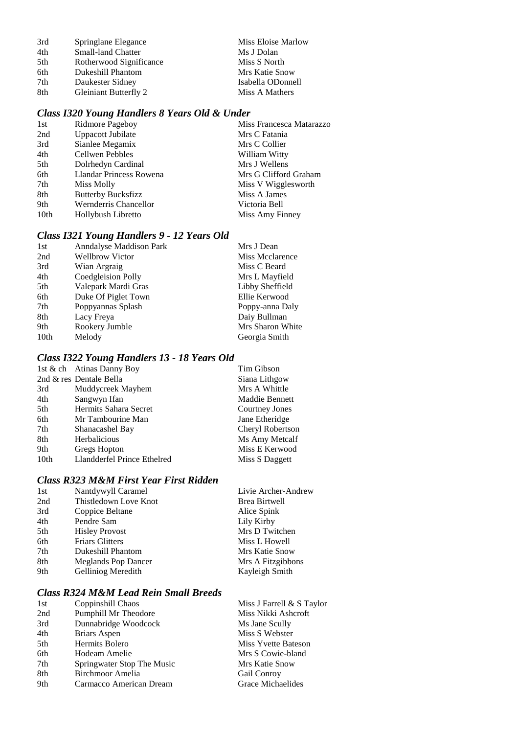| 3rd | Springlane Elegance       | Miss Eloise Marlow |
|-----|---------------------------|--------------------|
| 4th | <b>Small-land Chatter</b> | Ms J Dolan         |
| 5th | Rotherwood Significance   | Miss S North       |
| 6th | Dukeshill Phantom         | Mrs Katie Snow     |
| 7th | Daukester Sidney          | Isabella ODonnell  |
| 8th | Gleiniant Butterfly 2     | Miss A Mathers     |

# *Class I320 Young Handlers 8 Years Old & Under*

| 1st  | Ridmore Pageboy           | Miss Francesca Matarazzo |
|------|---------------------------|--------------------------|
| 2nd  | Uppacott Jubilate         | Mrs C Fatania            |
| 3rd  | Sianlee Megamix           | Mrs C Collier            |
| 4th  | Cellwen Pebbles           | William Witty            |
| 5th  | Dolrhedyn Cardinal        | Mrs J Wellens            |
| 6th  | Llandar Princess Rowena   | Mrs G Clifford Graham    |
| 7th  | Miss Molly                | Miss V Wigglesworth      |
| 8th  | <b>Butterby Bucksfizz</b> | Miss A James             |
| 9th  | Wernderris Chancellor     | Victoria Bell            |
| 10th | Hollybush Libretto        | Miss Amy Finney          |
|      |                           |                          |

# *Class I321 Young Handlers 9 - 12 Years Old*

| 1st  | Anndalyse Maddison Park | Mrs J Dean       |
|------|-------------------------|------------------|
| 2nd  | <b>Wellbrow Victor</b>  | Miss Mcclarence  |
| 3rd  | Wian Argraig            | Miss C Beard     |
| 4th  | Coedgleision Polly      | Mrs L Mayfield   |
| 5th  | Valepark Mardi Gras     | Libby Sheffield  |
| 6th  | Duke Of Piglet Town     | Ellie Kerwood    |
| 7th  | Poppyannas Splash       | Poppy-anna Daly  |
| 8th  | Lacy Freya              | Daiy Bullman     |
| 9th  | Rookery Jumble          | Mrs Sharon White |
| 10th | Melody                  | Georgia Smith    |
|      |                         |                  |

# *Class I322 Young Handlers 13 - 18 Years Old*

|                  | 1st & ch Atinas Danny Boy   | Tim Gibson            |
|------------------|-----------------------------|-----------------------|
|                  | 2nd & res Dentale Bella     | Siana Lithgow         |
| 3rd              | Muddycreek Mayhem           | Mrs A Whittle         |
| 4th              | Sangwyn Ifan                | <b>Maddie Bennett</b> |
| 5th              | Hermits Sahara Secret       | Courtney Jones        |
| 6th              | Mr Tambourine Man           | Jane Etheridge        |
| 7th              | Shanacashel Bay             | Cheryl Robertson      |
| 8th              | Herbalicious                | Ms Amy Metcalf        |
| 9th              | Gregs Hopton                | Miss E Kerwood        |
| 10 <sub>th</sub> | Llandderfel Prince Ethelred | Miss S Daggett        |

# *Class R323 M&M First Year First Ridden*

| 1st | Nantdywyll Caramel         | Livie Archer-Andrew  |
|-----|----------------------------|----------------------|
| 2nd | Thistledown Love Knot      | <b>Brea Birtwell</b> |
| 3rd | Coppice Beltane            | Alice Spink          |
| 4th | Pendre Sam                 | Lily Kirby           |
| 5th | <b>Hisley Provost</b>      | Mrs D Twitchen       |
| 6th | <b>Friars Glitters</b>     | Miss L Howell        |
| 7th | Dukeshill Phantom          | Mrs Katie Snow       |
| 8th | <b>Meglands Pop Dancer</b> | Mrs A Fitzgibbons    |
| 9th | Gelliniog Meredith         | Kayleigh Smith       |
|     |                            |                      |

# *Class R324 M&M Lead Rein Small Breeds*

| 1st | Coppinshill Chaos          | Miss J Farrell & S Taylor |
|-----|----------------------------|---------------------------|
| 2nd | Pumphill Mr Theodore       | Miss Nikki Ashcroft       |
| 3rd | Dunnabridge Woodcock       | Ms Jane Scully            |
| 4th | Briars Aspen               | Miss S Webster            |
| 5th | Hermits Bolero             | Miss Yvette Bateson       |
| 6th | Hodeam Amelie              | Mrs S Cowie-bland         |
| 7th | Springwater Stop The Music | Mrs Katie Snow            |
| 8th | Birchmoor Amelia           | Gail Conroy               |
| 9th | Carmacco American Dream    | <b>Grace Michaelides</b>  |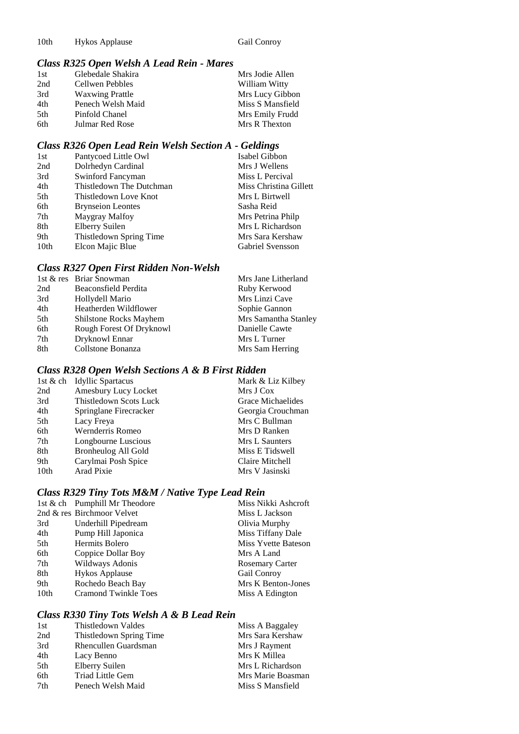# *Class R325 Open Welsh A Lead Rein - Mares*

|                        | Mrs Jodie Allen   |
|------------------------|-------------------|
| Cellwen Pebbles        | William Witty     |
| <b>Waxwing Prattle</b> | Mrs Lucy Gibbon   |
| Penech Welsh Maid      | Miss S Mansfield  |
| Pinfold Chanel         | Mrs Emily Frudd   |
| Julmar Red Rose        | Mrs R Thexton     |
|                        | Glebedale Shakira |

# *Class R326 Open Lead Rein Welsh Section A - Geldings*

| 1st              | Pantycoed Little Owl     | Isabel Gibbon          |
|------------------|--------------------------|------------------------|
| 2nd              | Dolrhedyn Cardinal       | Mrs J Wellens          |
| 3rd              | Swinford Fancyman        | Miss L Percival        |
| 4th              | Thistledown The Dutchman | Miss Christina Gillett |
| 5th              | Thistledown Love Knot    | Mrs L Birtwell         |
| 6th              | <b>Brynseion Leontes</b> | Sasha Reid             |
| 7th              | Maygray Malfoy           | Mrs Petrina Philp      |
| 8th              | Elberry Suilen           | Mrs L Richardson       |
| 9th              | Thistledown Spring Time  | Mrs Sara Kershaw       |
| 10 <sub>th</sub> | Elcon Majic Blue         | Gabriel Svensson       |

#### *Class R327 Open First Ridden Non-Welsh*

|     | 1st & res Briar Snowman  | Mrs Jane Litherland  |
|-----|--------------------------|----------------------|
| 2nd | Beaconsfield Perdita     | Ruby Kerwood         |
| 3rd | Hollydell Mario          | Mrs Linzi Cave       |
| 4th | Heatherden Wildflower    | Sophie Gannon        |
| 5th | Shilstone Rocks Mayhem   | Mrs Samantha Stanley |
| 6th | Rough Forest Of Dryknowl | Danielle Cawte       |
| 7th | Dryknowl Ennar           | Mrs L Turner         |
| 8th | Collstone Bonanza        | Mrs Sam Herring      |

# *Class R328 Open Welsh Sections A & B First Ridden*

| 1st & ch         | <b>Idyllic Spartacus</b> | Mark & Liz Kilbey |
|------------------|--------------------------|-------------------|
| 2nd              | Amesbury Lucy Locket     | Mrs J Cox         |
| 3rd              | Thistledown Scots Luck   | Grace Michaelides |
| 4th              | Springlane Firecracker   | Georgia Crouchman |
| 5th              | Lacy Freya               | Mrs C Bullman     |
| 6th              | Wernderris Romeo         | Mrs D Ranken      |
| 7th              | Longbourne Luscious      | Mrs L Saunters    |
| 8th              | Bronheulog All Gold      | Miss E Tidswell   |
| 9th              | Carylmai Posh Spice      | Claire Mitchell   |
| 10 <sub>th</sub> | Arad Pixie               | Mrs V Jasinski    |

# *Class R329 Tiny Tots M&M / Native Type Lead Rein*

|                  | 1st & ch Pumphill Mr Theodore | Miss Nikki Ashcroft    |
|------------------|-------------------------------|------------------------|
|                  | 2nd & res Birchmoor Velvet    | Miss L Jackson         |
| 3rd              | Underhill Pipedream           | Olivia Murphy          |
| 4th              | Pump Hill Japonica            | Miss Tiffany Dale      |
| 5th              | Hermits Bolero                | Miss Yvette Bateson    |
| 6th              | Coppice Dollar Boy            | Mrs A Land             |
| 7th              | Wildways Adonis               | <b>Rosemary Carter</b> |
| 8th              | <b>Hykos Applause</b>         | Gail Conroy            |
| 9th              | Rochedo Beach Bay             | Mrs K Benton-Jones     |
| 10 <sub>th</sub> | <b>Cramond Twinkle Toes</b>   | Miss A Edington        |

## *Class R330 Tiny Tots Welsh A & B Lead Rein*

| 1st | Thistledown Valdes      | Miss A Baggaley   |
|-----|-------------------------|-------------------|
| 2nd | Thistledown Spring Time | Mrs Sara Kershaw  |
| 3rd | Rhencullen Guardsman    | Mrs J Rayment     |
| 4th | Lacy Benno              | Mrs K Millea      |
| 5th | Elberry Suilen          | Mrs L Richardson  |
| 6th | Triad Little Gem        | Mrs Marie Boasman |
| 7th | Penech Welsh Maid       | Miss S Mansfield  |
|     |                         |                   |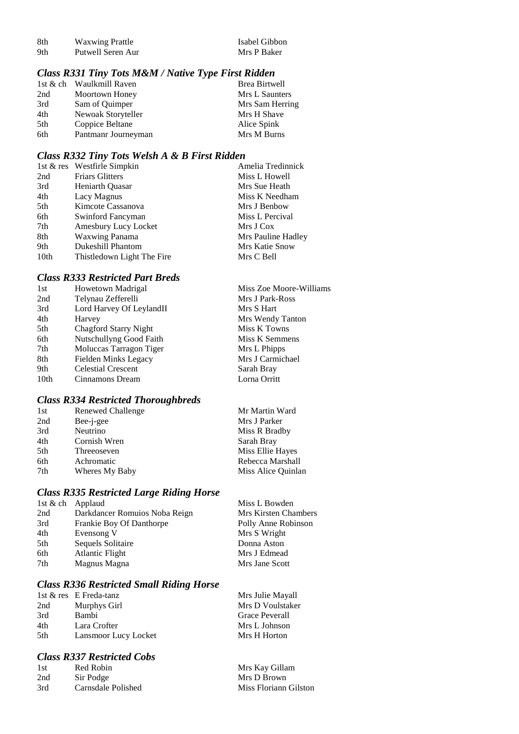| -8th | <b>Waxwing Prattle</b> | Isabel Gibbol |
|------|------------------------|---------------|
| 9th  | Putwell Seren Aur      | Mrs P Baker   |

Isabel Gibbon

## *Class R331 Tiny Tots M&M / Native Type First Ridden*

|     | 1st & ch Waulkmill Raven | Brea Birtwell   |
|-----|--------------------------|-----------------|
| 2nd | Moortown Honey           | Mrs L Saunters  |
| 3rd | Sam of Quimper           | Mrs Sam Herring |
| 4th | Newoak Storyteller       | Mrs H Shave     |
| 5th | Coppice Beltane          | Alice Spink     |
| 6th | Pantmanr Journeyman      | Mrs M Burns     |

#### *Class R332 Tiny Tots Welsh A & B First Ridden*

|                  | 1st & res Westfirle Simpkin | Amelia Tredinnick  |
|------------------|-----------------------------|--------------------|
| 2nd              | <b>Friars Glitters</b>      | Miss L Howell      |
| 3rd              | Heniarth Quasar             | Mrs Sue Heath      |
| 4th              | Lacy Magnus                 | Miss K Needham     |
| 5th              | Kimcote Cassanova           | Mrs J Benbow       |
| 6th              | Swinford Fancyman           | Miss L Percival    |
| 7th              | Amesbury Lucy Locket        | Mrs J Cox          |
| 8th              | <b>Waxwing Panama</b>       | Mrs Pauline Hadley |
| 9th              | <b>Dukeshill Phantom</b>    | Mrs Katie Snow     |
| 10 <sub>th</sub> | Thistledown Light The Fire  | Mrs C Bell         |

## *Class R333 Restricted Part Breds*

| 1st  | Howetown Madrigal            | Miss Zoe Moore-Williams |
|------|------------------------------|-------------------------|
| 2nd  | Telynau Zefferelli           | Mrs J Park-Ross         |
| 3rd  | Lord Harvey Of LeylandII     | Mrs S Hart              |
| 4th  | Harvey                       | Mrs Wendy Tanton        |
| 5th  | <b>Chagford Starry Night</b> | Miss K Towns            |
| 6th  | Nutschullyng Good Faith      | Miss K Semmens          |
| 7th  | Moluccas Tarragon Tiger      | Mrs L Phipps            |
| 8th  | Fielden Minks Legacy         | Mrs J Carmichael        |
| 9th  | <b>Celestial Crescent</b>    | Sarah Bray              |
| 10th | Cinnamons Dream              | Lorna Orritt            |
|      |                              |                         |

# *Class R334 Restricted Thoroughbreds*

| 1st             | Renewed Challenge | Mr Martin Ward     |
|-----------------|-------------------|--------------------|
| 2nd             | Bee-j-gee         | Mrs J Parker       |
| 3rd             | Neutrino          | Miss R Bradby      |
| 4th             | Cornish Wren      | Sarah Bray         |
| 5 <sup>th</sup> | Threeoseven       | Miss Ellie Hayes   |
| 6th             | Achromatic        | Rebecca Marshall   |
| 7th             | Wheres My Baby    | Miss Alice Quinlan |

# *Class R335 Restricted Large Riding Horse*

| 1st & ch | Applaud                       | Miss L Bowden        |
|----------|-------------------------------|----------------------|
| 2nd      | Darkdancer Romuios Noba Reign | Mrs Kirsten Chambers |
| 3rd      | Frankie Boy Of Danthorpe      | Polly Anne Robinson  |
| 4th      | Evensong V                    | Mrs S Wright         |
| 5th      | Sequels Solitaire             | Donna Aston          |
| 6th      | <b>Atlantic Flight</b>        | Mrs J Edmead         |
| 7th      | Magnus Magna                  | Mrs Jane Scott       |
|          |                               |                      |

#### *Class R336 Restricted Small Riding Horse*

|     | 1st & res E Freda-tanz | Mrs Julie Mayall |
|-----|------------------------|------------------|
| 2nd | Murphys Girl           | Mrs D Voulstaker |
| 3rd | <b>Bambi</b>           | Grace Peverall   |
| 4th | Lara Crofter           | Mrs L Johnson    |
| 5th | Lansmoor Lucy Locket   | Mrs H Horton     |

## *Class R337 Restricted Cobs*

| 1st | Red Robin          | Mrs Kay Gillam        |
|-----|--------------------|-----------------------|
| 2nd | Sir Podge          | Mrs D Brown           |
| 3rd | Carnsdale Polished | Miss Floriann Gilston |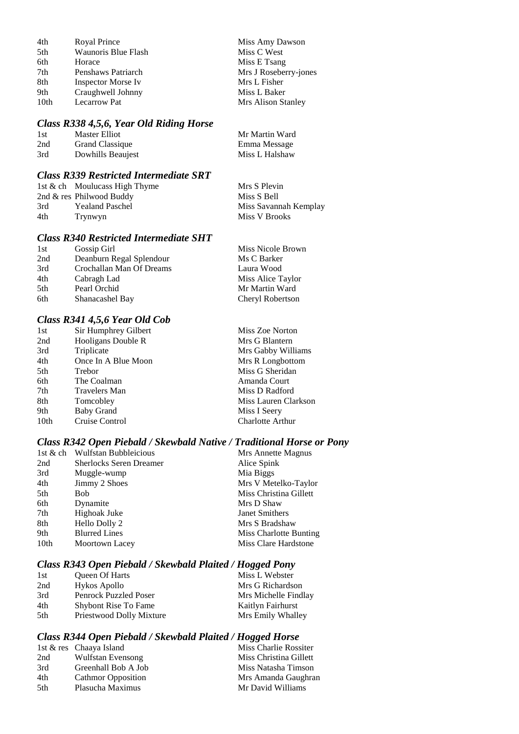| 4th  | Royal Prince              | Miss Amy Dawson       |
|------|---------------------------|-----------------------|
| 5th  | Waunoris Blue Flash       | Miss C West           |
| 6th  | Horace                    | Miss E Tsang          |
| 7th  | Penshaws Patriarch        | Mrs J Roseberry-jones |
| 8th  | <b>Inspector Morse Iv</b> | Mrs L Fisher          |
| 9th  | Craughwell Johnny         | Miss L Baker          |
| 10th | Lecarrow Pat              | Mrs Alison Stanley    |

# *Class R338 4,5,6, Year Old Riding Horse*

| -1st | Master Elliot          | Mr Martin Ward |
|------|------------------------|----------------|
| 2nd  | <b>Grand Classique</b> | Emma Message   |
| 3rd  | Dowhills Beaujest      | Miss L Halshaw |

## *Class R339 Restricted Intermediate SRT*

|     | 1st & ch Moulucass High Thyme | Mrs S Plevin          |
|-----|-------------------------------|-----------------------|
|     | 2nd & res Philwood Buddy      | Miss S Bell           |
| 3rd | <b>Yealand Paschel</b>        | Miss Savannah Kemplay |
| 4th | Trynwyn                       | Miss V Brooks         |
|     |                               |                       |

# *Class R340 Restricted Intermediate SHT*

| 1st | Gossip Girl              | Miss Nicole Brown |
|-----|--------------------------|-------------------|
| 2nd | Deanburn Regal Splendour | Ms C Barker       |
| 3rd | Crochallan Man Of Dreams | Laura Wood        |
| 4th | Cabragh Lad              | Miss Alice Taylor |
| 5th | Pearl Orchid             | Mr Martin Ward    |
| 6th | Shanacashel Bay          | Cheryl Robertson  |

# *Class R341 4,5,6 Year Old Cob*

| 1st              | Sir Humphrey Gilbert | Miss Zoe Norton      |
|------------------|----------------------|----------------------|
| 2nd              | Hooligans Double R   | Mrs G Blantern       |
| 3rd              | Triplicate           | Mrs Gabby Williams   |
| 4th              | Once In A Blue Moon  | Mrs R Longbottom     |
| 5th              | Trebor               | Miss G Sheridan      |
| 6th              | The Coalman          | Amanda Court         |
| 7th              | <b>Travelers Man</b> | Miss D Radford       |
| 8th              | Tomcobley            | Miss Lauren Clarkson |
| 9th              | <b>Baby Grand</b>    | Miss I Seery         |
| 10 <sub>th</sub> | Cruise Control       | Charlotte Arthur     |

# *Class R342 Open Piebald / Skewbald Native / Traditional Horse or Pony*

|      | 1st & ch Wulfstan Bubbleicious | Mrs Annette Magnus     |
|------|--------------------------------|------------------------|
| 2nd  | <b>Sherlocks Seren Dreamer</b> | Alice Spink            |
| 3rd  | Muggle-wump                    | Mia Biggs              |
| 4th  | Jimmy 2 Shoes                  | Mrs V Metelko-Taylor   |
| 5th  | Bob                            | Miss Christina Gillett |
| 6th  | Dynamite                       | Mrs D Shaw             |
| 7th  | Highoak Juke                   | Janet Smithers         |
| 8th  | Hello Dolly 2                  | Mrs S Bradshaw         |
| 9th  | <b>Blurred Lines</b>           | Miss Charlotte Bunting |
| 10th | Moortown Lacey                 | Miss Clare Hardstone   |

## *Class R343 Open Piebald / Skewbald Plaited / Hogged Pony*

| 1st | <b>Oueen Of Harts</b>        | Miss L Webster       |
|-----|------------------------------|----------------------|
| 2nd | Hykos Apollo                 | Mrs G Richardson     |
| 3rd | <b>Penrock Puzzled Poser</b> | Mrs Michelle Findlay |
| 4th | <b>Shybont Rise To Fame</b>  | Kaitlyn Fairhurst    |
| 5th | Priestwood Dolly Mixture     | Mrs Emily Whalley    |

# *Class R344 Open Piebald / Skewbald Plaited / Hogged Horse*

|      | 1st & res Chaaya Island   | Miss Charlie Rossiter  |
|------|---------------------------|------------------------|
| 2nd  | Wulfstan Evensong         | Miss Christina Gillett |
| 3rd  | Greenhall Bob A Job       | Miss Natasha Timson    |
| 4th  | <b>Cathmor Opposition</b> | Mrs Amanda Gaughran    |
| .5th | Plasucha Maximus          | Mr David Williams      |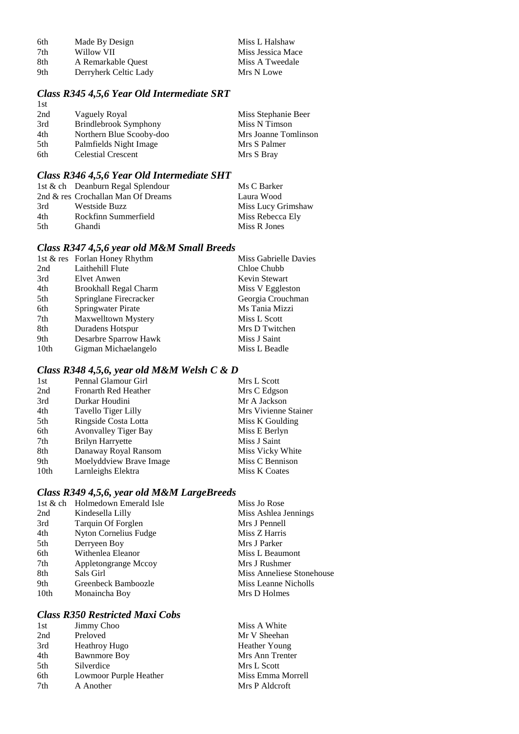| 6th | Made By Design        | Miss L Halshaw    |
|-----|-----------------------|-------------------|
| 7th | Willow VII            | Miss Jessica Mace |
| 8th | A Remarkable Quest    | Miss A Tweedale   |
| 9th | Derryherk Celtic Lady | Mrs N Lowe        |

#### *Class R345 4,5,6 Year Old Intermediate SRT* 1st

| 2nd | Vaguely Royal             | Miss Stephanie Beer  |
|-----|---------------------------|----------------------|
| 3rd | Brindlebrook Symphony     | Miss N Timson        |
| 4th | Northern Blue Scooby-doo  | Mrs Joanne Tomlinson |
| 5th | Palmfields Night Image    | Mrs S Palmer         |
| 6th | <b>Celestial Crescent</b> | Mrs S Bray           |
|     |                           |                      |

# *Class R346 4,5,6 Year Old Intermediate SHT*

|      | 1st & ch Deanburn Regal Splendour  | Ms C Barker        |
|------|------------------------------------|--------------------|
|      | 2nd & res Crochallan Man Of Dreams | Laura Wood         |
| 3rd  | Westside Buzz                      | Miss Lucy Grimshaw |
| 4th  | Rockfinn Summerfield               | Miss Rebecca Ely   |
| .5th | <b>Ghandi</b>                      | Miss R Jones       |

# *Class R347 4,5,6 year old M&M Small Breeds*

| 1st & res Forlan Honey Rhythm | Miss Gabrielle Davies |
|-------------------------------|-----------------------|
| Laithehill Flute              | Chloe Chubb           |
| Elvet Anwen                   | Kevin Stewart         |
| <b>Brookhall Regal Charm</b>  | Miss V Eggleston      |
| Springlane Firecracker        | Georgia Crouchman     |
| Springwater Pirate            | Ms Tania Mizzi        |
| Maxwelltown Mystery           | Miss L Scott          |
| Duradens Hotspur              | Mrs D Twitchen        |
| Desarbre Sparrow Hawk         | Miss J Saint          |
| Gigman Michaelangelo          | Miss L Beadle         |
|                               |                       |

# *Class R348 4,5,6, year old M&M Welsh C & D*

| 1st              | Pennal Glamour Girl         | Mrs L Scott          |
|------------------|-----------------------------|----------------------|
| 2nd              | Fronarth Red Heather        | Mrs C Edgson         |
| 3rd              | Durkar Houdini              | Mr A Jackson         |
| 4th              | Tavello Tiger Lilly         | Mrs Vivienne Stainer |
| 5th              | Ringside Costa Lotta        | Miss K Goulding      |
| 6th              | <b>Avonvalley Tiger Bay</b> | Miss E Berlyn        |
| 7th              | <b>Brilyn Harryette</b>     | Miss J Saint         |
| 8th              | Danaway Royal Ransom        | Miss Vicky White     |
| 9th              | Moelyddview Brave Image     | Miss C Bennison      |
| 10 <sub>th</sub> | Larnleighs Elektra          | Miss K Coates        |

# *Class R349 4,5,6, year old M&M LargeBreeds*

|      | 1st & ch Holmedown Emerald Isle | Miss Jo Rose              |
|------|---------------------------------|---------------------------|
| 2nd  | Kindesella Lilly                | Miss Ashlea Jennings      |
| 3rd  | Tarquin Of Forglen              | Mrs J Pennell             |
| 4th  | Nyton Cornelius Fudge           | Miss Z Harris             |
| 5th  | Derryeen Boy                    | Mrs J Parker              |
| 6th  | Withenlea Eleanor               | Miss L Beaumont           |
| 7th  | Appletongrange Mccoy            | Mrs J Rushmer             |
| 8th  | Sals Girl                       | Miss Anneliese Stonehouse |
| 9th  | Greenbeck Bamboozle             | Miss Leanne Nicholls      |
| 10th | Monaincha Boy                   | Mrs D Holmes              |
|      |                                 |                           |

## *Class R350 Restricted Maxi Cobs*

| Miss A White      |
|-------------------|
| Mr V Sheehan      |
| Heather Young     |
| Mrs Ann Trenter   |
| Mrs L Scott       |
| Miss Emma Morrell |
| Mrs P Aldcroft    |
|                   |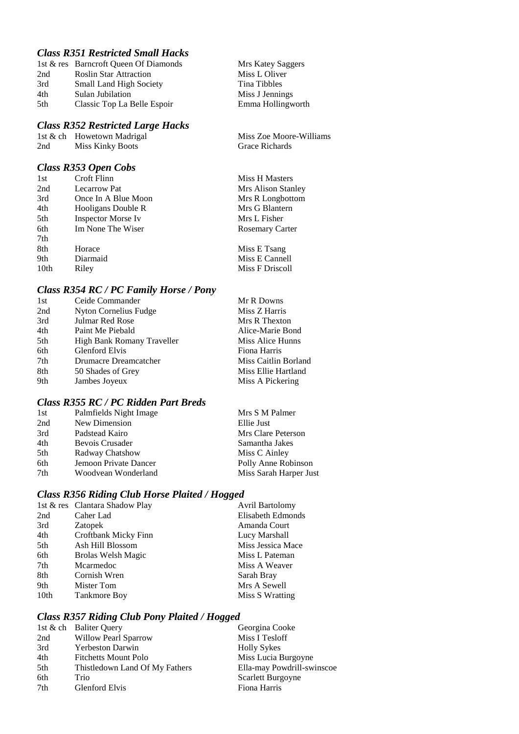# *Class R351 Restricted Small Hacks*

|     | 1st & res Barncroft Queen Of Diamonds |
|-----|---------------------------------------|
| 2nd | <b>Roslin Star Attraction</b>         |
| 3rd | <b>Small Land High Society</b>        |
| 4th | Sulan Jubilation                      |
| 5th | Classic Top La Belle Espoir           |

### *Class R352 Restricted Large Hacks*

|     | 1st & ch Howetown Madrigal |
|-----|----------------------------|
| 2nd | <b>Miss Kinky Boots</b>    |

# *Class R353 Open Cobs*

| 1st  | Croft Flinn               | <b>Miss H Masters</b>  |
|------|---------------------------|------------------------|
| 2nd  | <b>Lecarrow Pat</b>       | Mrs Alison Stanley     |
| 3rd  | Once In A Blue Moon       | Mrs R Longbottom       |
| 4th  | Hooligans Double R        | Mrs G Blantern         |
| 5th  | <b>Inspector Morse Iv</b> | Mrs L Fisher           |
| 6th  | Im None The Wiser         | <b>Rosemary Carter</b> |
| 7th  |                           |                        |
| 8th  | Horace                    | Miss E Tsang           |
| 9th  | Diarmaid                  | Miss E Cannell         |
| 10th | Riley                     | Miss F Driscoll        |

Mrs Katey Saggers Miss L Oliver Tina Tibbles Miss J Jennings Emma Hollingworth

Miss Zoe Moore-Williams

Grace Richards

## *Class R354 RC / PC Family Horse / Pony*

| 1st | Ceide Commander            | Mr R Downs           |
|-----|----------------------------|----------------------|
| 2nd | Nyton Cornelius Fudge      | Miss Z Harris        |
| 3rd | Julmar Red Rose            | Mrs R Thexton        |
| 4th | Paint Me Piebald           | Alice-Marie Bond     |
| 5th | High Bank Romany Traveller | Miss Alice Hunns     |
| 6th | <b>Glenford Elvis</b>      | Fiona Harris         |
| 7th | Drumacre Dreamcatcher      | Miss Caitlin Borland |
| 8th | 50 Shades of Grey          | Miss Ellie Hartland  |
| 9th | Jambes Joyeux              | Miss A Pickering     |
|     |                            |                      |

## *Class R355 RC / PC Ridden Part Breds*

| 1st | Palmfields Night Image | Mrs S M Palmer         |
|-----|------------------------|------------------------|
| 2nd | New Dimension          | Ellie Just             |
| 3rd | Padstead Kairo         | Mrs Clare Peterson     |
| 4th | Bevois Crusader        | Samantha Jakes         |
| 5th | Radway Chatshow        | Miss C Ainley          |
| 6th | Jemoon Private Dancer  | Polly Anne Robinson    |
| 7th | Woodvean Wonderland    | Miss Sarah Harper Just |
|     |                        |                        |

## *Class R356 Riding Club Horse Plaited / Hogged*

|                      | <b>Avril Bartolomy</b>         |
|----------------------|--------------------------------|
| Caher Lad            | Elisabeth Edmonds              |
| <b>Zatopek</b>       | Amanda Court                   |
| Croftbank Micky Finn | Lucy Marshall                  |
| Ash Hill Blossom     | Miss Jessica Mace              |
| Brolas Welsh Magic   | Miss L Pateman                 |
| Mcarmedoc            | Miss A Weaver                  |
| Cornish Wren         | Sarah Bray                     |
| Mister Tom           | Mrs A Sewell                   |
| <b>Tankmore Boy</b>  | Miss S Wratting                |
|                      | 1st & res Clantara Shadow Play |

## *Class R357 Riding Club Pony Plaited / Hogged*

|     | 1st $\&$ ch Baliter Query      | Georgina Cooke             |
|-----|--------------------------------|----------------------------|
| 2nd | <b>Willow Pearl Sparrow</b>    | Miss I Tesloff             |
| 3rd | <b>Yerbeston Darwin</b>        | <b>Holly Sykes</b>         |
| 4th | <b>Fitchetts Mount Polo</b>    | Miss Lucia Burgoyne        |
| 5th | Thistledown Land Of My Fathers | Ella-may Powdrill-swinscoe |
| 6th | <b>Trio</b>                    | Scarlett Burgoyne          |
| 7th | Glenford Elvis                 | Fiona Harris               |
|     |                                |                            |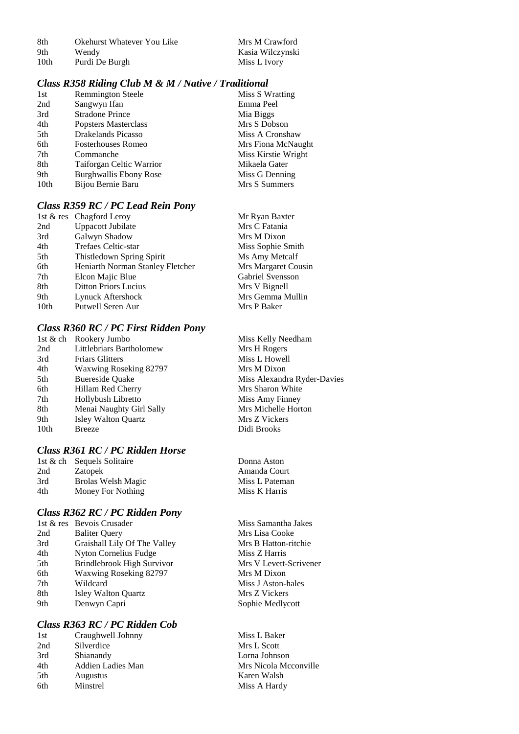8th Okehurst Whatever You Like Mrs M Crawford<br>9th Wendy Kasia Wilczynski 9th Wendy Kasia Wilczynski<br>10th Purdi De Burgh Miss L Ivory Purdi De Burgh

# *Class R358 Riding Club M & M / Native / Traditional*

| 1st              | <b>Remmington Steele</b> | Miss S Wratting     |
|------------------|--------------------------|---------------------|
| 2nd              | Sangwyn Ifan             | Emma Peel           |
| 3rd              | <b>Stradone Prince</b>   | Mia Biggs           |
| 4th              | Popsters Masterclass     | Mrs S Dobson        |
| 5th              | Drakelands Picasso       | Miss A Cronshaw     |
| 6th              | Fosterhouses Romeo       | Mrs Fiona McNaught  |
| 7th              | Commanche                | Miss Kirstie Wright |
| 8th              | Taiforgan Celtic Warrior | Mikaela Gater       |
| 9th              | Burghwallis Ebony Rose   | Miss G Denning      |
| 10 <sub>th</sub> | Bijou Bernie Baru        | Mrs S Summers       |
|                  |                          |                     |

# *Class R359 RC / PC Lead Rein Pony*

|                  | 1st & res Chagford Leroy         | Mr Ryan Baxter      |
|------------------|----------------------------------|---------------------|
| 2nd              | <b>Uppacott Jubilate</b>         | Mrs C Fatania       |
| 3rd              | Galwyn Shadow                    | Mrs M Dixon         |
| 4th              | Trefaes Celtic-star              | Miss Sophie Smith   |
| 5th              | Thistledown Spring Spirit        | Ms Amy Metcalf      |
| 6th              | Heniarth Norman Stanley Fletcher | Mrs Margaret Cousin |
| 7th              | Elcon Majic Blue                 | Gabriel Svensson    |
| 8th              | <b>Ditton Priors Lucius</b>      | Mrs V Bignell       |
| 9th              | Lynuck Aftershock                | Mrs Gemma Mullin    |
| 10 <sub>th</sub> | Putwell Seren Aur                | Mrs P Baker         |

## *Class R360 RC / PC First Ridden Pony*

|      | 1st & ch Rookery Jumbo   | Miss Kelly Needham          |
|------|--------------------------|-----------------------------|
| 2nd  | Littlebriars Bartholomew | Mrs H Rogers                |
| 3rd  | <b>Friars Glitters</b>   | Miss L Howell               |
| 4th  | Waxwing Roseking 82797   | Mrs M Dixon                 |
| 5th  | Buereside Quake          | Miss Alexandra Ryder-Davies |
| 6th  | Hillam Red Cherry        | Mrs Sharon White            |
| 7th  | Hollybush Libretto       | Miss Amy Finney             |
| 8th  | Menai Naughty Girl Sally | Mrs Michelle Horton         |
| 9th  | Isley Walton Quartz      | Mrs Z Vickers               |
| 10th | <b>Breeze</b>            | Didi Brooks                 |
|      |                          |                             |

## *Class R361 RC / PC Ridden Horse*

|     | 1st & ch Sequels Solitaire |
|-----|----------------------------|
| 2nd | Zatopek                    |
| 3rd | <b>Brolas Welsh Magic</b>  |
| 4th | Money For Nothing          |

## *Class R362 RC / PC Ridden Pony*

|     | 1st & res Bevois Crusader    | Miss Samantha Jal  |
|-----|------------------------------|--------------------|
| 2nd | <b>Baliter Ouery</b>         | Mrs Lisa Cooke     |
| 3rd | Graishall Lily Of The Valley | Mrs B Hatton-ritel |
| 4th | Nyton Cornelius Fudge        | Miss Z Harris      |
| 5th | Brindlebrook High Survivor   | Mrs V Levett-Scri  |
| 6th | Waxwing Roseking 82797       | Mrs M Dixon        |
| 7th | Wildcard                     | Miss J Aston-hales |
| 8th | <b>Isley Walton Quartz</b>   | Mrs Z Vickers      |
| 9th | Denwyn Capri                 | Sophie Medlycott   |
|     |                              |                    |

# *Class R363 RC / PC Ridden Cob*

| 1st | Craughwell Johnny |
|-----|-------------------|
| 2nd | Silverdice        |
| 3rd | Shianandy         |
| 4th | Addien Ladies Man |
| 5th | <b>Augustus</b>   |
| 6th | Minstrel          |
|     |                   |

Donna Aston Amanda Court Miss L Pateman Miss K Harris

Miss Samantha Jakes Mrs Lisa Cooke Mrs B Hatton-ritchie Miss Z Harris Mrs V Levett-Scrivener Mrs M Dixon Miss J Aston-hales Mrs Z Vickers

Miss L Baker Mrs L Scott Lorna Johnson Mrs Nicola Mcconville Karen Walsh Miss A Hardy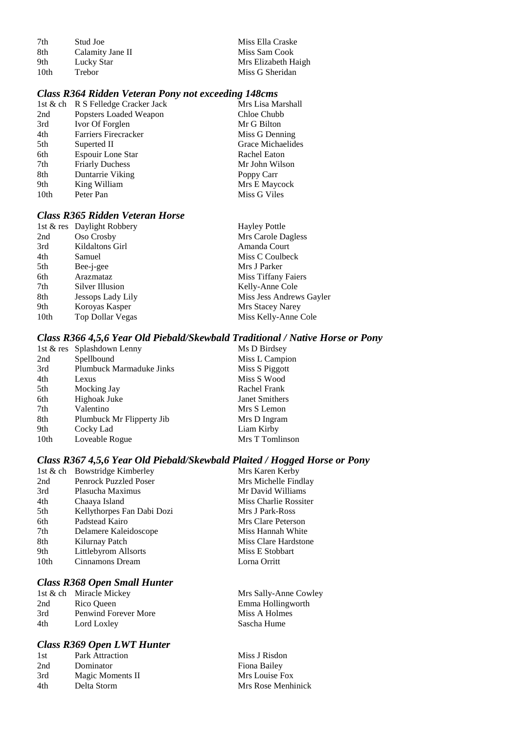| 7th  | Stud Joe         | Miss Ella Craske    |
|------|------------------|---------------------|
| 8th  | Calamity Jane II | Miss Sam Cook       |
| 9th  | Lucky Star       | Mrs Elizabeth Haigh |
| 10th | Trebor           | Miss G Sheridan     |

#### *Class R364 Ridden Veteran Pony not exceeding 148cms*

|      | 1st & ch R S Felledge Cracker Jack | Mrs Lisa Marshall |
|------|------------------------------------|-------------------|
| 2nd  | Popsters Loaded Weapon             | Chloe Chubb       |
| 3rd  | Ivor Of Forglen                    | Mr G Bilton       |
| 4th  | <b>Farriers Firecracker</b>        | Miss G Denning    |
| 5th  | Superted II                        | Grace Michaelides |
| 6th  | Espouir Lone Star                  | Rachel Eaton      |
| 7th  | <b>Friarly Duchess</b>             | Mr John Wilson    |
| 8th  | Duntarrie Viking                   | Poppy Carr        |
| 9th  | King William                       | Mrs E Maycock     |
| 10th | Peter Pan                          | Miss G Viles      |

# *Class R365 Ridden Veteran Horse*

| 1st & res Daylight Robbery | <b>Hayley Pottle</b>     |
|----------------------------|--------------------------|
| Oso Crosby                 | Mrs Carole Dagless       |
| Kildaltons Girl            | Amanda Court             |
| Samuel                     | Miss C Coulbeck          |
| Bee-j-gee                  | Mrs J Parker             |
| Arazmataz                  | Miss Tiffany Faiers      |
| Silver Illusion            | Kelly-Anne Cole          |
| Jessops Lady Lily          | Miss Jess Andrews Gayler |
| Koroyas Kasper             | Mrs Stacey Narey         |
| <b>Top Dollar Vegas</b>    | Miss Kelly-Anne Cole     |
|                            |                          |

## *Class R366 4,5,6 Year Old Piebald/Skewbald Traditional / Native Horse or Pony*

| 1st & res Splashdown Lenny | Ms D Birdsey    |
|----------------------------|-----------------|
| Spellbound                 | Miss L Campion  |
| Plumbuck Marmaduke Jinks   | Miss S Piggott  |
| Lexus                      | Miss S Wood     |
| Mocking Jay                | Rachel Frank    |
| Highoak Juke               | Janet Smithers  |
| Valentino                  | Mrs S Lemon     |
| Plumbuck Mr Flipperty Jib  | Mrs D Ingram    |
| Cocky Lad                  | Liam Kirby      |
| Loveable Rogue             | Mrs T Tomlinson |
|                            |                 |

#### *Class R367 4,5,6 Year Old Piebald/Skewbald Plaited / Hogged Horse or Pony*

Mrs Sally-Anne Cowley Emma Hollingworth Miss A Holmes Sascha Hume

|      | 1st & ch Bowstridge Kimberley | Mrs Karen Kerby       |
|------|-------------------------------|-----------------------|
| 2nd  | Penrock Puzzled Poser         | Mrs Michelle Findlay  |
| 3rd  | Plasucha Maximus              | Mr David Williams     |
| 4th  | Chaaya Island                 | Miss Charlie Rossiter |
| 5th  | Kellythorpes Fan Dabi Dozi    | Mrs J Park-Ross       |
| 6th  | Padstead Kairo                | Mrs Clare Peterson    |
| 7th  | Delamere Kaleidoscope         | Miss Hannah White     |
| 8th  | Kilurnay Patch                | Miss Clare Hardstone  |
| 9th  | Littlebyrom Allsorts          | Miss E Stobbart       |
| 10th | Cinnamons Dream               | Lorna Orritt          |
|      |                               |                       |

# *Class R368 Open Small Hunter*

|     | 1st & ch Miracle Mickey |
|-----|-------------------------|
| 2nd | Rico Queen              |
| 3rd | Penwind Forever More    |
| 4th | Lord Loxley             |

## *Class R369 Open LWT Hunter*

| 1st | Park Attraction  | Miss J Risdon      |
|-----|------------------|--------------------|
| 2nd | Dominator        | Fiona Bailey       |
| 3rd | Magic Moments II | Mrs Louise Fox     |
| 4th | Delta Storm      | Mrs Rose Menhinick |
|     |                  |                    |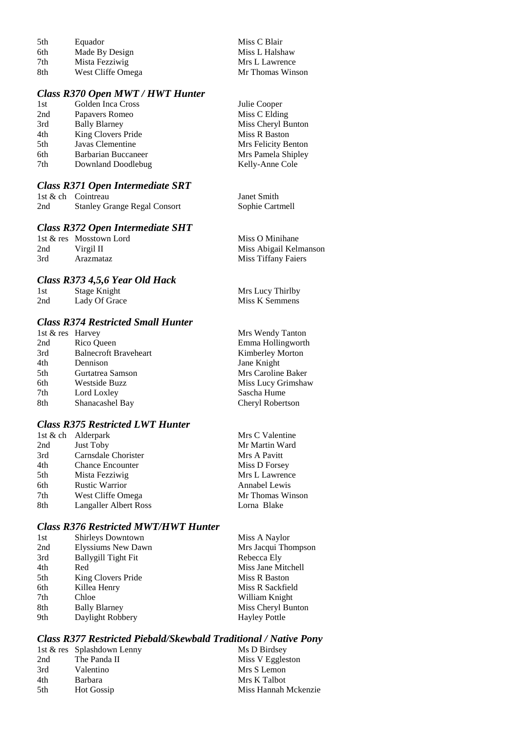| 5th  | Equador           | Miss C Blair     |
|------|-------------------|------------------|
| 6th  | Made By Design    | Miss L Halshaw   |
| 7th  | Mista Fezziwig    | Mrs L Lawrence   |
| -8th | West Cliffe Omega | Mr Thomas Winson |

# *Class R370 Open MWT / HWT Hunter*

| Golden Inca Cross    | Julie Cooper        |
|----------------------|---------------------|
| Papavers Romeo       | Miss C Elding       |
| <b>Bally Blarney</b> | Miss Cheryl Bunton  |
| King Clovers Pride   | Miss R Baston       |
| Javas Clementine     | Mrs Felicity Benton |
| Barbarian Buccaneer  | Mrs Pamela Shipley  |
| Downland Doodlebug   | Kelly-Anne Cole     |
|                      |                     |

# *Class R371 Open Intermediate SRT*

|     | 1st & ch Cointreau                  | Janet Smith     |
|-----|-------------------------------------|-----------------|
| 2nd | <b>Stanley Grange Regal Consort</b> | Sophie Cartmell |

## *Class R372 Open Intermediate SHT*

|     | 1st & res Mosstown Lord | Miss O Minihane        |
|-----|-------------------------|------------------------|
| 2nd | Virgil II               | Miss Abigail Kelmanson |
| 3rd | Arazmataz               | Miss Tiffany Faiers    |

## *Class R373 4,5,6 Year Old Hack*

| 1st | Stage Knight  | Mrs Lucy Thirlby |
|-----|---------------|------------------|
| 2nd | Lady Of Grace | Miss K Semmens   |

# *Class R374 Restricted Small Hunter*

| 1st & res Harvey |                              | Mrs Wendy Tanton   |
|------------------|------------------------------|--------------------|
| 2nd              | Rico Queen                   | Emma Hollingworth  |
| 3rd              | <b>Balnecroft Braveheart</b> | Kimberley Morton   |
| 4th              | Dennison                     | Jane Knight        |
| 5th              | Gurtatrea Samson             | Mrs Caroline Baker |
| 6th              | Westside Buzz                | Miss Lucy Grimshaw |
| 7th              | Lord Loxley                  | Sascha Hume        |
| 8th              | Shanacashel Bay              | Cheryl Robertson   |

# *Class R375 Restricted LWT Hunter*

|     | 1st $\&$ ch Alderpark        | Mrs C Valentine  |
|-----|------------------------------|------------------|
| 2nd | Just Toby                    | Mr Martin Ward   |
| 3rd | Carnsdale Chorister          | Mrs A Pavitt     |
| 4th | <b>Chance Encounter</b>      | Miss D Forsey    |
| 5th | Mista Fezziwig               | Mrs L Lawrence   |
| 6th | <b>Rustic Warrior</b>        | Annabel Lewis    |
| 7th | West Cliffe Omega            | Mr Thomas Winson |
| 8th | <b>Langaller Albert Ross</b> | Lorna Blake      |

## *Class R376 Restricted MWT/HWT Hunter*

| 1st | Shirleys Downtown    | Miss A Naylor        |
|-----|----------------------|----------------------|
| 2nd | Elyssiums New Dawn   | Mrs Jacqui Thompson  |
| 3rd | Ballygill Tight Fit  | Rebecca Ely          |
| 4th | Red                  | Miss Jane Mitchell   |
| 5th | King Clovers Pride   | Miss R Baston        |
| 6th | Killea Henry         | Miss R Sackfield     |
| 7th | Chloe                | William Knight       |
| 8th | <b>Bally Blarney</b> | Miss Cheryl Bunton   |
| 9th | Daylight Robbery     | <b>Hayley Pottle</b> |

## *Class R377 Restricted Piebald/Skewbald Traditional / Native Pony*

|     | 1st & res Splashdown Lenny | Ms D Birdsey         |
|-----|----------------------------|----------------------|
| 2nd | The Panda II               | Miss V Eggleston     |
| 3rd | Valentino                  | Mrs S Lemon          |
| 4th | <b>Barbara</b>             | Mrs K Talbot         |
| 5th | Hot Gossip                 | Miss Hannah Mckenzie |
|     |                            |                      |

| Janet Smith     |
|-----------------|
| Sophie Cartmell |

| Mrs Wendy Tanton        |
|-------------------------|
| Emma Hollingworth       |
| <b>Kimberley Morton</b> |
| Jane Knight             |
| Mrs Caroline Baker      |
| Miss Lucy Grimshaw      |
| Sascha Hume             |
| Cheryl Robertson        |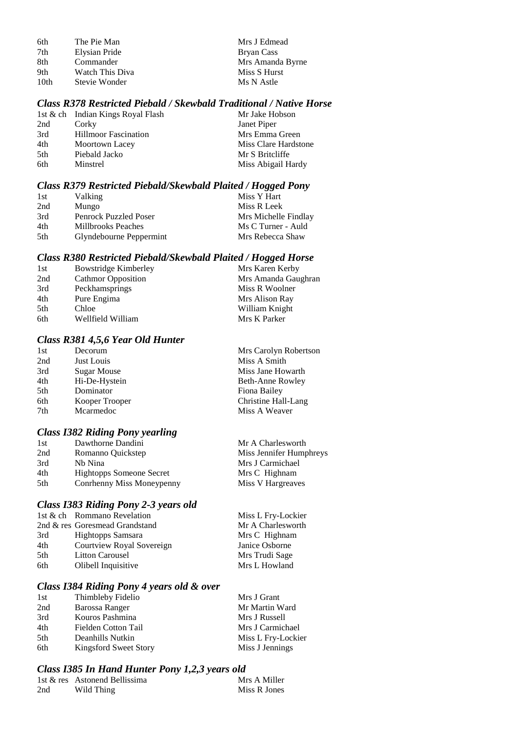| 6th              | The Pie Man     | Mrs J Edmead     |
|------------------|-----------------|------------------|
| 7th              | Elysian Pride   | Bryan Cass       |
| -8th             | Commander       | Mrs Amanda Byrne |
| 9th              | Watch This Diva | Miss S Hurst     |
| 10 <sub>th</sub> | Stevie Wonder   | Ms N Astle       |

## *Class R378 Restricted Piebald / Skewbald Traditional / Native Horse*

|     | 1st & ch Indian Kings Royal Flash | Mr Jake Hobson       |
|-----|-----------------------------------|----------------------|
| 2nd | Corky                             | Janet Piper          |
| 3rd | <b>Hillmoor Fascination</b>       | Mrs Emma Green       |
| 4th | Moortown Lacey                    | Miss Clare Hardstone |
| 5th | Piebald Jacko                     | Mr S Britcliffe      |
| 6th | Minstrel                          | Miss Abigail Hardy   |

## *Class R379 Restricted Piebald/Skewbald Plaited / Hogged Pony*

| 1st | <b>Valking</b>               | Miss Y Hart          |
|-----|------------------------------|----------------------|
| 2nd | Mungo                        | Miss R Leek          |
| 3rd | <b>Penrock Puzzled Poser</b> | Mrs Michelle Findlay |
| 4th | <b>Millbrooks Peaches</b>    | Ms C Turner - Auld   |
| 5th | Glyndebourne Peppermint      | Mrs Rebecca Shaw     |

#### *Class R380 Restricted Piebald/Skewbald Plaited / Hogged Horse*

| 1st | Bowstridge Kimberley      | Mrs Karen Kerby     |
|-----|---------------------------|---------------------|
| 2nd | <b>Cathmor Opposition</b> | Mrs Amanda Gaughran |
| 3rd | Peckhamsprings            | Miss R Woolner      |
| 4th | Pure Engima               | Mrs Alison Ray      |
| 5th | Chloe                     | William Knight      |
| 6th | Wellfield William         | Mrs K Parker        |

## *Class R381 4,5,6 Year Old Hunter*

| Decorum            | Mrs Carolyn Robertson |
|--------------------|-----------------------|
| Just Louis         | Miss A Smith          |
| <b>Sugar Mouse</b> | Miss Jane Howarth     |
| Hi-De-Hystein      | Beth-Anne Rowley      |
| Dominator          | Fiona Bailey          |
| Kooper Trooper     | Christine Hall-Lang   |
| Mcarmedoc          | Miss A Weaver         |
|                    |                       |

# *Class I382 Riding Pony yearling*

| 1st | Dawthorne Dandini         | Mr A Charlesworth       |
|-----|---------------------------|-------------------------|
| 2nd | Romanno Quickstep         | Miss Jennifer Humphreys |
| 3rd | Nh Nina                   | Mrs J Carmichael        |
| 4th | Hightopps Someone Secret  | Mrs C Highnam           |
| 5th | Conrhenny Miss Moneypenny | Miss V Hargreaves       |
|     |                           |                         |

#### *Class I383 Riding Pony 2-3 years old*

|      | 1st & ch Rommano Revelation    | Miss L Fry-Lockier |
|------|--------------------------------|--------------------|
|      | 2nd & res Goresmead Grandstand | Mr A Charlesworth  |
| 3rd  | Hightopps Samsara              | Mrs C Highnam      |
| 4th  | Courtview Royal Sovereign      | Janice Osborne     |
| .5th | <b>Litton Carousel</b>         | Mrs Trudi Sage     |
| 6th  | Olibell Inquisitive            | Mrs L Howland      |
|      |                                |                    |

# *Class I384 Riding Pony 4 years old & over*

| 1st | Thimbleby Fidelio     | Mrs J Grant        |
|-----|-----------------------|--------------------|
| 2nd | Barossa Ranger        | Mr Martin Ward     |
| 3rd | Kouros Pashmina       | Mrs J Russell      |
| 4th | Fielden Cotton Tail   | Mrs J Carmichael   |
| 5th | Deanhills Nutkin      | Miss L Fry-Lockier |
| 6th | Kingsford Sweet Story | Miss J Jennings    |

#### *Class I385 In Hand Hunter Pony 1,2,3 years old*

|     | 1st & res Astonend Bellissima | Mrs A Miller |
|-----|-------------------------------|--------------|
| 2nd | Wild Thing                    | Miss R Jones |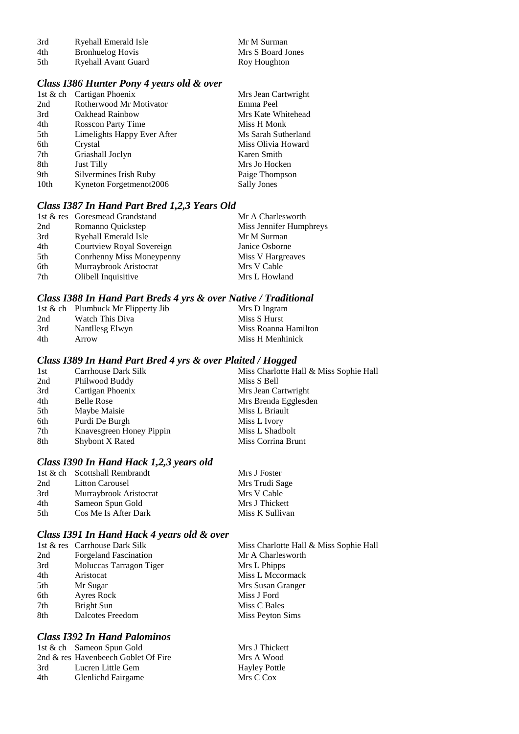| 3rd | Ryehall Emerald Isle    | Mr M Surman       |
|-----|-------------------------|-------------------|
| 4th | <b>Bronhuelog Hovis</b> | Mrs S Board Jones |
| 5th | Ryehall Avant Guard     | Roy Houghton      |

## *Class I386 Hunter Pony 4 years old & over*

| 1st & ch Cartigan Phoenix   | Mrs Jean Cartwright |
|-----------------------------|---------------------|
| Rotherwood Mr Motivator     | Emma Peel           |
| Oakhead Rainbow             | Mrs Kate Whitehead  |
| <b>Rosscon Party Time</b>   | Miss H Monk         |
| Limelights Happy Ever After | Ms Sarah Sutherland |
| Crystal                     | Miss Olivia Howard  |
| Griashall Joclyn            | Karen Smith         |
| <b>Just Tilly</b>           | Mrs Jo Hocken       |
| Silvermines Irish Ruby      | Paige Thompson      |
| Kyneton Forgetmenot2006     | <b>Sally Jones</b>  |
|                             |                     |

## *Class I387 In Hand Part Bred 1,2,3 Years Old*

|     | 1st & res Goresmead Grandstand | Mr A Charlesworth       |
|-----|--------------------------------|-------------------------|
| 2nd | Romanno Quickstep              | Miss Jennifer Humphreys |
| 3rd | <b>Ryehall Emerald Isle</b>    | Mr M Surman             |
| 4th | Courtview Royal Sovereign      | Janice Osborne          |
| 5th | Conrhenny Miss Moneypenny      | Miss V Hargreaves       |
| 6th | Murraybrook Aristocrat         | Mrs V Cable             |
| 7th | Olibell Inquisitive            | Mrs L Howland           |

## *Class I388 In Hand Part Breds 4 yrs & over Native / Traditional*

|     | 1st & ch Plumbuck Mr Flipperty Jib | Mrs D Ingram         |
|-----|------------------------------------|----------------------|
| 2nd | Watch This Diva                    | Miss S Hurst         |
| 3rd | Nantllesg Elwyn                    | Miss Roanna Hamilton |
| 4th | Arrow                              | Miss H Menhinick     |

#### *Class I389 In Hand Part Bred 4 yrs & over Plaited / Hogged*

| 1st | Carrhouse Dark Silk      | Miss Charlotte Hall & Miss Sophie Hall |
|-----|--------------------------|----------------------------------------|
| 2nd | Philwood Buddy           | Miss S Bell                            |
| 3rd | Cartigan Phoenix         | Mrs Jean Cartwright                    |
| 4th | <b>Belle Rose</b>        | Mrs Brenda Egglesden                   |
| 5th | Maybe Maisie             | Miss L Briault                         |
| 6th | Purdi De Burgh           | Miss L Ivory                           |
| 7th | Knavesgreen Honey Pippin | Miss L Shadbolt                        |
| 8th | Shybont X Rated          | Miss Corrina Brunt                     |
|     |                          |                                        |

# *Class I390 In Hand Hack 1,2,3 years old*

|      | 1st & ch Scottshall Rembrandt | Mrs J Foster    |
|------|-------------------------------|-----------------|
| 2nd  | <b>Litton Carousel</b>        | Mrs Trudi Sage  |
| 3rd  | Murraybrook Aristocrat        | Mrs V Cable     |
| 4th  | Sameon Spun Gold              | Mrs J Thickett  |
| .5th | Cos Me Is After Dark          | Miss K Sullivan |

#### *Class I391 In Hand Hack 4 years old & over*

|     | 1st & res Carrhouse Dark Silk | Miss Charlotte Hall & Miss Sophie Hall |
|-----|-------------------------------|----------------------------------------|
| 2nd | <b>Forgeland Fascination</b>  | Mr A Charlesworth                      |
| 3rd | Moluccas Tarragon Tiger       | Mrs L Phipps                           |
| 4th | Aristocat                     | Miss L Mccormack                       |
| 5th | Mr Sugar                      | Mrs Susan Granger                      |
| 6th | Ayres Rock                    | Miss J Ford                            |
| 7th | Bright Sun                    | Miss C Bales                           |
| 8th | Dalcotes Freedom              | Miss Peyton Sims                       |

# *Class I392 In Hand Palominos*

|     | 1st & ch Sameon Spun Gold           |
|-----|-------------------------------------|
|     | 2nd & res Havenbeech Goblet Of Fire |
| 3rd | Lucren Little Gem                   |
| 4th | <b>Glenlichd Fairgame</b>           |

Mrs J Thickett Mrs A Wood Hayley Pottle Mrs C Cox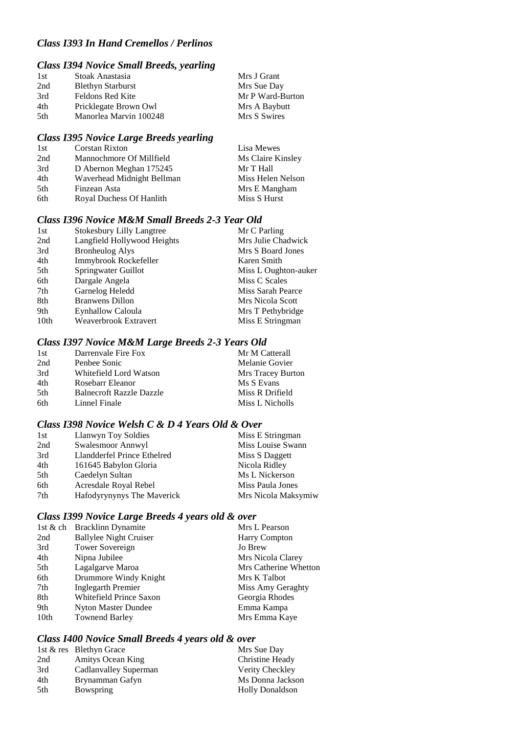## *Class I393 In Hand Cremellos / Perlinos*

# *Class I394 Novice Small Breeds, yearling*

| 1st  | Stoak Anastasia          | Mrs J Grant      |
|------|--------------------------|------------------|
| 2nd  | <b>Blethyn Starburst</b> | Mrs Sue Day      |
| 3rd  | <b>Feldons Red Kite</b>  | Mr P Ward-Burton |
| 4th  | Pricklegate Brown Owl    | Mrs A Baybutt    |
| .5th | Manorlea Marvin 100248   | Mrs S Swires     |

# *Class I395 Novice Large Breeds yearling*

| 1st | <b>Corstan Rixton</b>      | Lisa Mewes        |
|-----|----------------------------|-------------------|
| 2nd | Mannochmore Of Millfield   | Ms Claire Kinsley |
| 3rd | D Abernon Meghan 175245    | Mr T Hall         |
| 4th | Waverhead Midnight Bellman | Miss Helen Nelson |
| 5th | Finzean Asta               | Mrs E Mangham     |
| 6th | Royal Duchess Of Hanlith   | Miss S Hurst      |

#### *Class I396 Novice M&M Small Breeds 2-3 Year Old*

| 1st              | <b>Stokesbury Lilly Langtree</b> | Mr C Parling         |
|------------------|----------------------------------|----------------------|
| 2nd              | Langfield Hollywood Heights      | Mrs Julie Chadwick   |
| 3rd              | <b>Bronheulog Alys</b>           | Mrs S Board Jones    |
| 4th              | Immybrook Rockefeller            | Karen Smith          |
| 5th              | Springwater Guillot              | Miss L Oughton-auker |
| 6th              | Dargale Angela                   | Miss C Scales        |
| 7th              | Garnelog Heledd                  | Miss Sarah Pearce    |
| 8th              | <b>Branwens Dillon</b>           | Mrs Nicola Scott     |
| 9th              | Eynhallow Caloula                | Mrs T Pethybridge    |
| 10 <sub>th</sub> | Weaverbrook Extravert            | Miss E Stringman     |

# *Class I397 Novice M&M Large Breeds 2-3 Years Old*

| Darrenvale Fire Fox             | Mr M Catterall    |
|---------------------------------|-------------------|
| Penbee Sonic                    | Melanie Govier    |
| Whitefield Lord Watson          | Mrs Tracey Burton |
| Rosebarr Eleanor                | Ms S Evans        |
| <b>Balnecroft Razzle Dazzle</b> | Miss R Drifield   |
| Linnel Finale                   | Miss L Nicholls   |
|                                 |                   |

#### *Class I398 Novice Welsh C & D 4 Years Old & Over*

| 1st | Llanwyn Toy Soldies         | Miss E Stringman    |
|-----|-----------------------------|---------------------|
| 2nd | Swalesmoor Annwyl           | Miss Louise Swann   |
| 3rd | Llandderfel Prince Ethelred | Miss S Daggett      |
| 4th | 161645 Babylon Gloria       | Nicola Ridley       |
| 5th | Caedelyn Sultan             | Ms L Nickerson      |
| 6th | Acresdale Royal Rebel       | Miss Paula Jones    |
| 7th | Hafodyrynynys The Maverick  | Mrs Nicola Maksymiw |

#### *Class I399 Novice Large Breeds 4 years old & over*

|      | 1st & ch Bracklinn Dynamite   | Mrs L Pearson         |
|------|-------------------------------|-----------------------|
| 2nd  | <b>Ballylee Night Cruiser</b> | <b>Harry Compton</b>  |
| 3rd  | Tower Sovereign               | Jo Brew               |
| 4th  | Nipna Jubilee                 | Mrs Nicola Clarey     |
| 5th  | Lagalgarve Maroa              | Mrs Catherine Whetton |
| 6th  | Drummore Windy Knight         | Mrs K Talbot          |
| 7th  | Inglegarth Premier            | Miss Amy Geraghty     |
| 8th  | Whitefield Prince Saxon       | Georgia Rhodes        |
| 9th  | Nyton Master Dundee           | Emma Kampa            |
| 10th | <b>Townend Barley</b>         | Mrs Emma Kaye         |

## *Class I400 Novice Small Breeds 4 years old & over*

|     | 1st & res Blethyn Grace | Mrs Sue Day            |
|-----|-------------------------|------------------------|
| 2nd | Amitys Ocean King       | Christine Heady        |
| 3rd | Cadlanvalley Superman   | Verity Checkley        |
| 4th | Brynamman Gafyn         | Ms Donna Jackson       |
| 5th | Bowspring               | <b>Holly Donaldson</b> |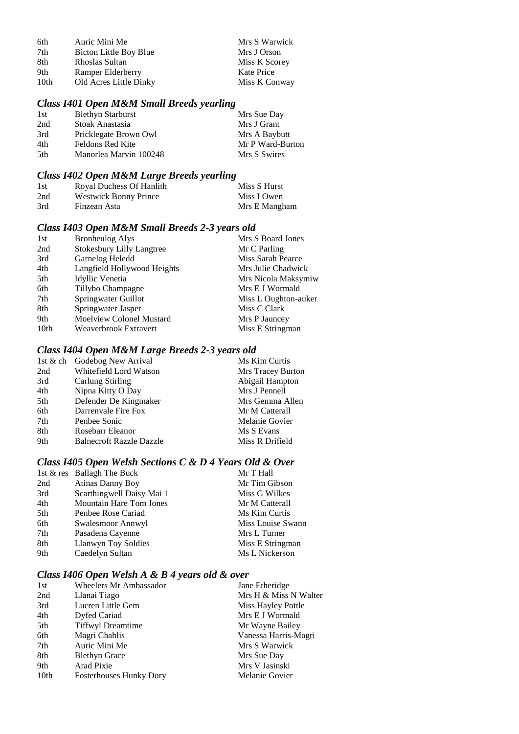| 6th  | Auric Mini Me          | Mrs S Warwick |
|------|------------------------|---------------|
| 7th  | Bicton Little Boy Blue | Mrs J Orson   |
| 8th  | Rhoslas Sultan         | Miss K Scorey |
| 9th  | Ramper Elderberry      | Kate Price    |
| 10th | Old Acres Little Dinky | Miss K Conway |

# *Class I401 Open M&M Small Breeds yearling*

| 1st  | <b>Blethyn Starburst</b> | Mrs Sue Day      |
|------|--------------------------|------------------|
| 2nd  | Stoak Anastasia          | Mrs J Grant      |
| 3rd  | Pricklegate Brown Owl    | Mrs A Baybutt    |
| 4th  | <b>Feldons Red Kite</b>  | Mr P Ward-Burton |
| .5th | Manorlea Marvin 100248   | Mrs S Swires     |

## *Class I402 Open M&M Large Breeds yearling*

| 1st | Royal Duchess Of Hanlith     | Miss S Hurst  |
|-----|------------------------------|---------------|
| 2nd | <b>Westwick Bonny Prince</b> | Miss I Owen   |
| 3rd | Finzean Asta                 | Mrs E Mangham |

# *Class I403 Open M&M Small Breeds 2-3 years old*

| <b>Bronheulog Alys</b>           | Mrs S Board Jones        |
|----------------------------------|--------------------------|
| <b>Stokesbury Lilly Langtree</b> | Mr C Parling             |
| Garnelog Heledd                  | <b>Miss Sarah Pearce</b> |
| Langfield Hollywood Heights      | Mrs Julie Chadwick       |
| Idyllic Venetia                  | Mrs Nicola Maksymiw      |
| Tillybo Champagne                | Mrs E J Wormald          |
| Springwater Guillot              | Miss L Oughton-auker     |
| Springwater Jasper               | Miss C Clark             |
| Moelview Colonel Mustard         | Mrs P Jauncey            |
| Weaverbrook Extravert            | Miss E Stringman         |
|                                  |                          |

# *Class I404 Open M&M Large Breeds 2-3 years old*

|     | 1st & ch Godebog New Arrival    | Ms Kim Curtis     |
|-----|---------------------------------|-------------------|
| 2nd | Whitefield Lord Watson          | Mrs Tracey Burton |
| 3rd | Carlung Stirling                | Abigail Hampton   |
| 4th | Nipna Kitty O Day               | Mrs J Pennell     |
| 5th | Defender De Kingmaker           | Mrs Gemma Allen   |
| 6th | Darrenvale Fire Fox             | Mr M Catterall    |
| 7th | Penbee Sonic                    | Melanie Govier    |
| 8th | Rosebarr Eleanor                | Ms S Evans        |
| 9th | <b>Balnecroft Razzle Dazzle</b> | Miss R Drifield   |
|     |                                 |                   |

## *Class I405 Open Welsh Sections C & D 4 Years Old & Over*

|     | 1st & res Ballagh The Buck     | Mr T Hall         |
|-----|--------------------------------|-------------------|
| 2nd | <b>Atinas Danny Boy</b>        | Mr Tim Gibson     |
| 3rd | Scarthingwell Daisy Mai 1      | Miss G Wilkes     |
| 4th | <b>Mountain Hare Tom Jones</b> | Mr M Catterall    |
| 5th | Penbee Rose Cariad             | Ms Kim Curtis     |
| 6th | Swalesmoor Annwyl              | Miss Louise Swann |
| 7th | Pasadena Cayenne               | Mrs L Turner      |
| 8th | <b>Llanwyn Toy Soldies</b>     | Miss E Stringman  |
| 9th | Caedelyn Sultan                | Ms L Nickerson    |

# *Class I406 Open Welsh A & B 4 years old & over*

| 1st              | <b>Wheelers Mr Ambassador</b>  | Jane Etheridge        |
|------------------|--------------------------------|-----------------------|
| 2nd              | Llanai Tiago                   | Mrs H & Miss N Walter |
| 3rd              | Lucren Little Gem              | Miss Hayley Pottle    |
| 4th              | Dyfed Cariad                   | Mrs E J Wormald       |
| 5th              | <b>Tiffwyl Dreamtime</b>       | Mr Wayne Bailey       |
| 6th              | Magri Chablis                  | Vanessa Harris-Magri  |
| 7th              | Auric Mini Me                  | Mrs S Warwick         |
| 8th              | <b>Blethyn Grace</b>           | Mrs Sue Day           |
| 9th              | Arad Pixie                     | Mrs V Jasinski        |
| 10 <sub>th</sub> | <b>Fosterhouses Hunky Dory</b> | Melanie Govier        |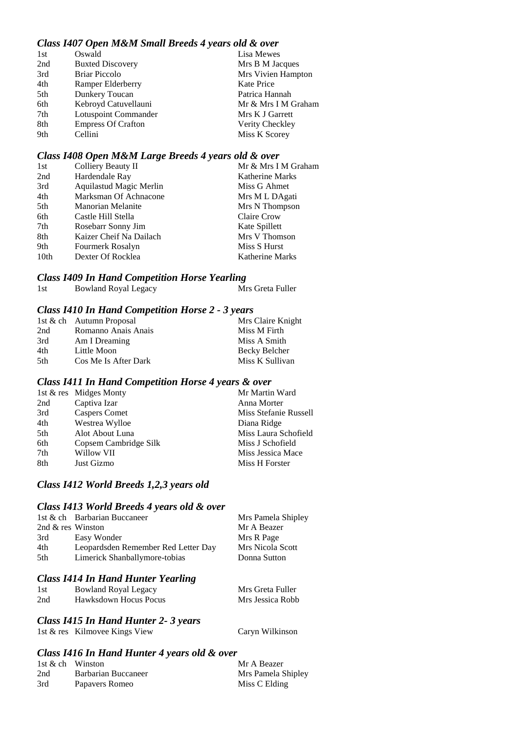# *Class I407 Open M&M Small Breeds 4 years old & over*

| 1st | Oswald                    | Lisa Mewes          |
|-----|---------------------------|---------------------|
| 2nd | <b>Buxted Discovery</b>   | Mrs B M Jacques     |
| 3rd | <b>Briar Piccolo</b>      | Mrs Vivien Hampton  |
| 4th | Ramper Elderberry         | Kate Price          |
| 5th | Dunkery Toucan            | Patrica Hannah      |
| 6th | Kebroyd Catuvellauni      | Mr & Mrs I M Graham |
| 7th | Lotuspoint Commander      | Mrs K J Garrett     |
| 8th | <b>Empress Of Crafton</b> | Verity Checkley     |
| 9th | Cellini                   | Miss K Scorey       |

#### *Class I408 Open M&M Large Breeds 4 years old & over*

| Colliery Beauty II       | Mr & Mrs I M Graham    |
|--------------------------|------------------------|
| Hardendale Ray           | <b>Katherine Marks</b> |
| Aquilastud Magic Merlin  | Miss G Ahmet           |
| Marksman Of Achnacone    | Mrs M L DAgati         |
| <b>Manorian Melanite</b> | Mrs N Thompson         |
| Castle Hill Stella       | Claire Crow            |
| Rosebarr Sonny Jim       | Kate Spillett          |
| Kaizer Cheif Na Dailach  | Mrs V Thomson          |
| Fourmerk Rosalyn         | Miss S Hurst           |
| Dexter Of Rocklea        | <b>Katherine Marks</b> |
|                          |                        |

#### *Class I409 In Hand Competition Horse Yearling*

| 1st<br><b>Bowland Royal Legacy</b> | Mrs Greta Fuller |
|------------------------------------|------------------|

#### *Class I410 In Hand Competition Horse 2 - 3 years*

|      | 1st & ch Autumn Proposal | Mrs Claire Knight |
|------|--------------------------|-------------------|
| 2nd  | Romanno Anais Anais      | Miss M Firth      |
| 3rd  | Am I Dreaming            | Miss A Smith      |
| 4th  | Little Moon              | Becky Belcher     |
| .5th | Cos Me Is After Dark     | Miss K Sullivan   |

#### *Class I411 In Hand Competition Horse 4 years & over*

|     | 1st & res Midges Monty | Mr Martin Ward        |
|-----|------------------------|-----------------------|
| 2nd | Captiva Izar           | Anna Morter           |
| 3rd | <b>Caspers Comet</b>   | Miss Stefanie Russell |
| 4th | Westrea Wylloe         | Diana Ridge           |
| 5th | Alot About Luna        | Miss Laura Schofield  |
| 6th | Copsem Cambridge Silk  | Miss J Schofield      |
| 7th | Willow VII             | Miss Jessica Mace     |
| 8th | Just Gizmo             | Miss H Forster        |

#### *Class I412 World Breeds 1,2,3 years old*

#### *Class I413 World Breeds 4 years old & over*

|                   | 1st & ch Barbarian Buccaneer        | Mrs Pamela Shipley |
|-------------------|-------------------------------------|--------------------|
| 2nd & res Winston |                                     | Mr A Beazer        |
| 3rd               | Easy Wonder                         | Mrs R Page         |
| 4th               | Leopardsden Remember Red Letter Day | Mrs Nicola Scott   |
| 5th               | Limerick Shanballymore-tobias       | Donna Sutton       |
|                   |                                     |                    |

#### *Class I414 In Hand Hunter Yearling*

| 1st | <b>Bowland Royal Legacy</b> | Mrs Greta Fuller |
|-----|-----------------------------|------------------|
| 2nd | Hawksdown Hocus Pocus       | Mrs Jessica Robb |

#### *Class I415 In Hand Hunter 2- 3 years*

1st & res Kilmovee Kings View Caryn Wilkinson

## *Class I416 In Hand Hunter 4 years old & over*

| 1st & ch Winston |                     | Mr A Beazer        |
|------------------|---------------------|--------------------|
| 2nd              | Barbarian Buccaneer | Mrs Pamela Shipley |
| 3rd              | Papavers Romeo      | Miss C Elding      |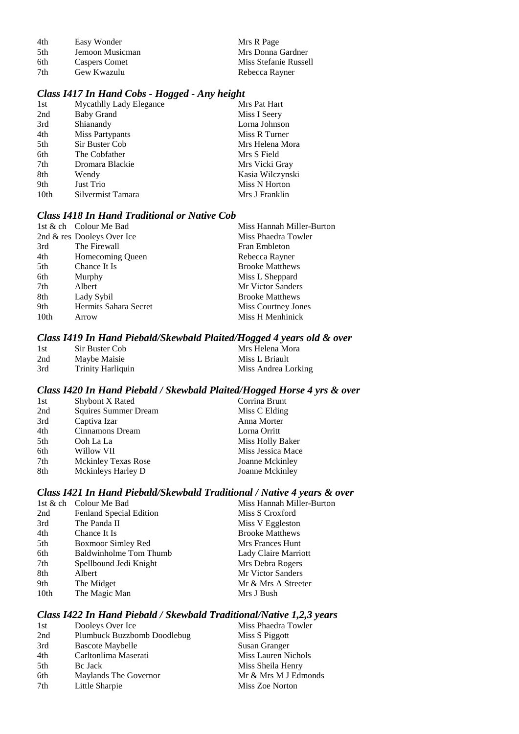| 4th  | Easy Wonder     | Mrs R Page            |
|------|-----------------|-----------------------|
| .5th | Jemoon Musicman | Mrs Donna Gardner     |
| 6th  | Caspers Comet   | Miss Stefanie Russell |
| 7th  | Gew Kwazulu     | Rebecca Rayner        |

#### *Class I417 In Hand Cobs - Hogged - Any height*

| <b>Mycathlly Lady Elegance</b> | Mrs Pat Hart     |
|--------------------------------|------------------|
| <b>Baby Grand</b>              | Miss I Seery     |
| Shianandy                      | Lorna Johnson    |
| Miss Partypants                | Miss R Turner    |
| Sir Buster Cob                 | Mrs Helena Mora  |
| The Cobfather                  | Mrs S Field      |
| Dromara Blackie                | Mrs Vicki Gray   |
| Wendy                          | Kasia Wilczynski |
| Just Trio                      | Miss N Horton    |
| Silvermist Tamara              | Mrs J Franklin   |
|                                |                  |

## *Class I418 In Hand Traditional or Native Cob*

|                  | 1st & ch Colour Me Bad     | Miss Hannah Miller-Burton |
|------------------|----------------------------|---------------------------|
|                  | 2nd & res Dooleys Over Ice | Miss Phaedra Towler       |
| 3rd              | The Firewall               | <b>Fran Embleton</b>      |
| 4th              | Homecoming Queen           | Rebecca Rayner            |
| 5th              | Chance It Is               | <b>Brooke Matthews</b>    |
| 6th              | Murphy                     | Miss L Sheppard           |
| 7th              | Albert                     | Mr Victor Sanders         |
| 8th              | Lady Sybil                 | <b>Brooke Matthews</b>    |
| 9th              | Hermits Sahara Secret      | Miss Courtney Jones       |
| 10 <sub>th</sub> | Arrow                      | Miss H Menhinick          |

#### *Class I419 In Hand Piebald/Skewbald Plaited/Hogged 4 years old & over*

| 1st | Sir Buster Cob           | Mrs Helena Mora     |
|-----|--------------------------|---------------------|
| 2nd | Maybe Maisie             | Miss L Briault      |
| 3rd | <b>Trinity Harliquin</b> | Miss Andrea Lorking |

# *Class I420 In Hand Piebald / Skewbald Plaited/Hogged Horse 4 yrs & over*

| 1st | Shybont X Rated             | Corrina Brunt     |
|-----|-----------------------------|-------------------|
| 2nd | <b>Squires Summer Dream</b> | Miss C Elding     |
| 3rd | Captiva Izar                | Anna Morter       |
| 4th | Cinnamons Dream             | Lorna Orritt      |
| 5th | Ooh La La                   | Miss Holly Baker  |
| 6th | Willow VII                  | Miss Jessica Mace |
| 7th | <b>Mckinley Texas Rose</b>  | Joanne Mckinley   |
| 8th | Mckinleys Harley D          | Joanne Mckinley   |

## *Class I421 In Hand Piebald/Skewbald Traditional / Native 4 years & over*

|      | 1st & ch Colour Me Bad        | Miss Hannah Miller-Burton |
|------|-------------------------------|---------------------------|
| 2nd  | Fenland Special Edition       | Miss S Croxford           |
| 3rd  | The Panda II                  | Miss V Eggleston          |
| 4th  | Chance It Is                  | <b>Brooke Matthews</b>    |
| 5th  | Boxmoor Simley Red            | Mrs Frances Hunt          |
| 6th  | <b>Baldwinholme Tom Thumb</b> | Lady Claire Marriott      |
| 7th  | Spellbound Jedi Knight        | Mrs Debra Rogers          |
| 8th  | Albert                        | Mr Victor Sanders         |
| 9th  | The Midget                    | Mr & Mrs A Streeter       |
| 10th | The Magic Man                 | Mrs J Bush                |

#### *Class I422 In Hand Piebald / Skewbald Traditional/Native 1,2,3 years*

| 1st | Dooleys Over Ice            | Miss Phaedra Towler  |
|-----|-----------------------------|----------------------|
| 2nd | Plumbuck Buzzbomb Doodlebug | Miss S Piggott       |
| 3rd | <b>Bascote Maybelle</b>     | Susan Granger        |
| 4th | Carltonlima Maserati        | Miss Lauren Nichols  |
| 5th | <b>Bc</b> Jack              | Miss Sheila Henry    |
| 6th | Maylands The Governor       | Mr & Mrs M J Edmonds |
| 7th | Little Sharpie              | Miss Zoe Norton      |
|     |                             |                      |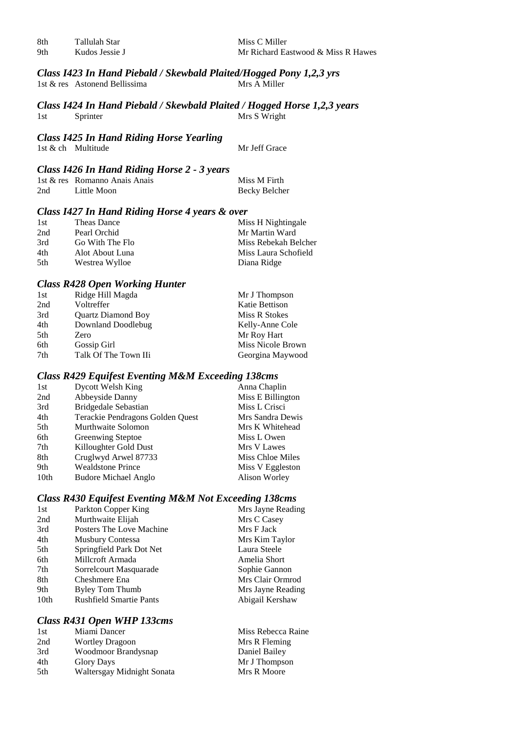| 8th             | Tallulah Star  |
|-----------------|----------------|
| 0 <sub>th</sub> | Kudos Iossie I |

Miss C Miller 9th Kudos Jessie J Mr Richard Eastwood & Miss R Hawes

#### *Class I423 In Hand Piebald / Skewbald Plaited/Hogged Pony 1,2,3 yrs* 1st  $&$  res Astonend Bellissima

#### *Class I424 In Hand Piebald / Skewbald Plaited / Hogged Horse 1,2,3 years* 1st Sprinter Mrs S Wright

## *Class I425 In Hand Riding Horse Yearling*

1st & ch Multitude Mr Jeff Grace

## *Class I426 In Hand Riding Horse 2 - 3 years*

|     | 1st & res Romanno Anais Anais | Miss M Firth  |
|-----|-------------------------------|---------------|
| 2nd | Little Moon                   | Becky Belcher |

#### *Class I427 In Hand Riding Horse 4 years & over*

| 1st | Theas Dance     | Miss H Nightingale   |
|-----|-----------------|----------------------|
| 2nd | Pearl Orchid    | Mr Martin Ward       |
| 3rd | Go With The Flo | Miss Rebekah Belcher |
| 4th | Alot About Luna | Miss Laura Schofield |
| 5th | Westrea Wylloe  | Diana Ridge          |

## *Class R428 Open Working Hunter*

| 1st | Ridge Hill Magda          | Mr J Thompson     |
|-----|---------------------------|-------------------|
| 2nd | Voltreffer                | Katie Bettison    |
| 3rd | <b>Quartz Diamond Boy</b> | Miss R Stokes     |
| 4th | Downland Doodlebug        | Kelly-Anne Cole   |
| 5th | Zero                      | Mr Roy Hart       |
| 6th | Gossip Girl               | Miss Nicole Brown |
| 7th | Talk Of The Town IIi      | Georgina Maywood  |

#### *Class R429 Equifest Eventing M&M Exceeding 138cms*

| <b>Dycott Welsh King</b>         | Anna Chaplin      |
|----------------------------------|-------------------|
| Abbeyside Danny                  | Miss E Billington |
| <b>Bridgedale Sebastian</b>      | Miss L Crisci     |
| Terackie Pendragons Golden Quest | Mrs Sandra Dewis  |
| Murthwaite Solomon               | Mrs K Whitehead   |
| <b>Greenwing Steptoe</b>         | Miss L Owen       |
| Killoughter Gold Dust            | Mrs V Lawes       |
| Cruglwyd Arwel 87733             | Miss Chloe Miles  |
| <b>Wealdstone Prince</b>         | Miss V Eggleston  |
| <b>Budore Michael Anglo</b>      | Alison Worley     |
|                                  |                   |

## *Class R430 Equifest Eventing M&M Not Exceeding 138cms*

| 1st              | Parkton Copper King            | Mrs Jayne Reading |
|------------------|--------------------------------|-------------------|
| 2nd              | Murthwaite Elijah              | Mrs C Casey       |
| 3rd              | Posters The Love Machine       | Mrs F Jack        |
| 4th              | <b>Musbury Contessa</b>        | Mrs Kim Taylor    |
| 5th              | Springfield Park Dot Net       | Laura Steele      |
| 6th              | Millcroft Armada               | Amelia Short      |
| 7th              | Sorrelcourt Masquarade         | Sophie Gannon     |
| 8th              | Cheshmere Ena                  | Mrs Clair Ormrod  |
| 9th              | Byley Tom Thumb                | Mrs Jayne Reading |
| 10 <sub>th</sub> | <b>Rushfield Smartie Pants</b> | Abigail Kershaw   |
|                  |                                |                   |

#### *Class R431 Open WHP 133cms*

| 1st  | Miami Dancer               | Miss Rebecca Raine |
|------|----------------------------|--------------------|
| 2nd  | <b>Wortley Dragoon</b>     | Mrs R Fleming      |
| 3rd  | Woodmoor Brandysnap        | Daniel Bailey      |
| 4th  | <b>Glory Days</b>          | Mr J Thompson      |
| .5th | Waltersgay Midnight Sonata | Mrs R Moore        |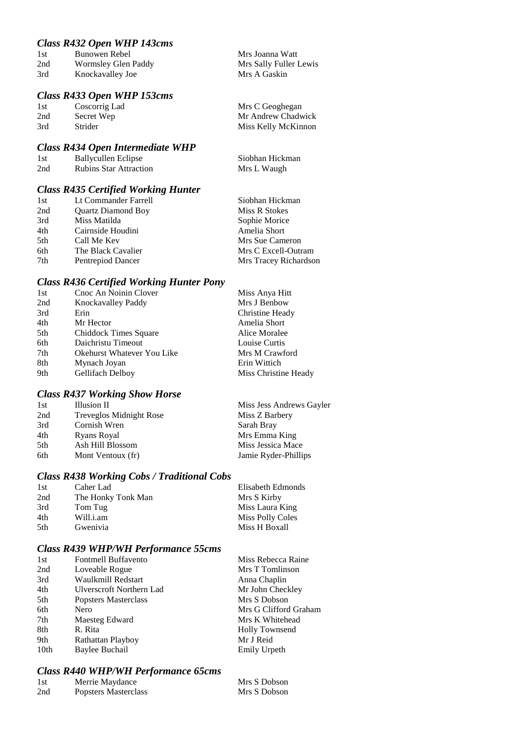# *Class R432 Open WHP 143cms*

| 1st | Bunowen Rebel       | Mrs Joanna Watt        |
|-----|---------------------|------------------------|
| 2nd | Wormsley Glen Paddy | Mrs Sally Fuller Lewis |
| 3rd | Knockavalley Joe    | Mrs A Gaskin           |

# *Class R433 Open WHP 153cms*

| Mrs C Geoghegan     |
|---------------------|
| Mr Andrew Chadwick  |
| Miss Kelly McKinnon |
|                     |

## *Class R434 Open Intermediate WHP*

| 1st | Ballycullen Eclipse           | Siobhan Hickman |
|-----|-------------------------------|-----------------|
| 2nd | <b>Rubins Star Attraction</b> | Mrs L Waugh     |

# *Class R435 Certified Working Hunter*

| 1st | Lt Commander Farrell      | Siobhan Hickman       |
|-----|---------------------------|-----------------------|
| 2nd | <b>Quartz Diamond Boy</b> | Miss R Stokes         |
| 3rd | Miss Matilda              | Sophie Morice         |
| 4th | Cairnside Houdini         | Amelia Short          |
| 5th | Call Me Kev               | Mrs Sue Cameron       |
| 6th | The Black Cavalier        | Mrs C Excell-Outram   |
| 7th | Pentrepiod Dancer         | Mrs Tracey Richardson |

#### *Class R436 Certified Working Hunter Pony*

| 1st | Cnoc An Noinin Clover             | Miss Anya Hitt       |
|-----|-----------------------------------|----------------------|
| 2nd | Knockavalley Paddy                | Mrs J Benbow         |
| 3rd | Erin                              | Christine Heady      |
| 4th | Mr Hector                         | Amelia Short         |
| 5th | Chiddock Times Square             | Alice Moralee        |
| 6th | Daichristu Timeout                | Louise Curtis        |
| 7th | <b>Okehurst Whatever You Like</b> | Mrs M Crawford       |
| 8th | Mynach Joyan                      | Erin Wittich         |
| 9th | Gellifach Delboy                  | Miss Christine Heady |

# *Class R437 Working Show Horse*

| 1st | Illusion II             | Miss Jess Andrews Gayler |
|-----|-------------------------|--------------------------|
| 2nd | Treveglos Midnight Rose | Miss Z Barbery           |
| 3rd | Cornish Wren            | Sarah Bray               |
| 4th | Ryans Royal             | Mrs Emma King            |
| 5th | Ash Hill Blossom        | Miss Jessica Mace        |
| 6th | Mont Ventoux (fr)       | Jamie Ryder-Phillips     |
|     |                         |                          |

## *Class R438 Working Cobs / Traditional Cobs*

| 1st | Caher Lad          | Elisabeth Edmonds       |
|-----|--------------------|-------------------------|
| 2nd | The Honky Tonk Man | Mrs S Kirby             |
| 3rd | Tom Tug            | Miss Laura King         |
| 4th | Will.i.am          | <b>Miss Polly Coles</b> |
| 5th | Gwenivia           | Miss H Boxall           |

# *Class R439 WHP/WH Performance 55cms*

| <b>Fontmell Buffavento</b> | Miss Rebecca Raine    |
|----------------------------|-----------------------|
| Loveable Rogue             | Mrs T Tomlinson       |
| Waulkmill Redstart         | Anna Chaplin          |
| Ulverscroft Northern Lad   | Mr John Checkley      |
| Popsters Masterclass       | Mrs S Dobson          |
| Nero                       | Mrs G Clifford Graham |
| Maesteg Edward             | Mrs K Whitehead       |
| R. Rita                    | <b>Holly Townsend</b> |
| Rathattan Playboy          | Mr J Reid             |
| Baylee Buchail             | Emily Urpeth          |
|                            |                       |

# *Class R440 WHP/WH Performance 65cms*

| 1st | Merrie Maydance      | Mrs S Dobson |
|-----|----------------------|--------------|
| 2nd | Popsters Masterclass | Mrs S Dobson |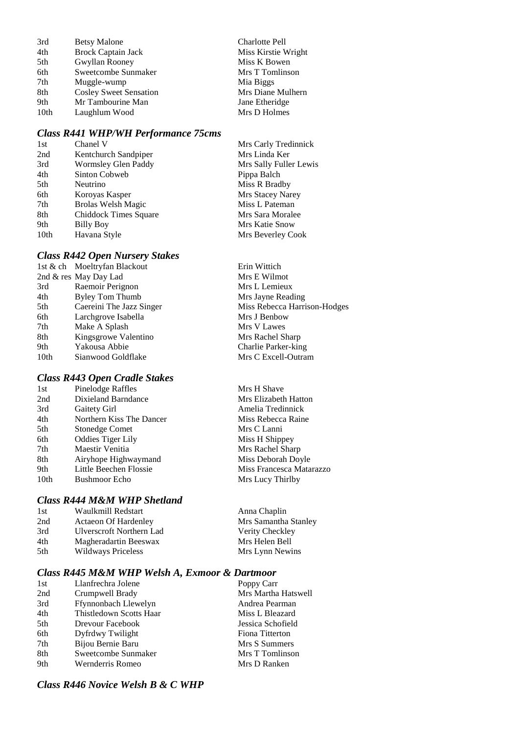| 3rd  | <b>Betsy Malone</b>           |
|------|-------------------------------|
| 4th  | <b>Brock Captain Jack</b>     |
| 5th  | Gwyllan Rooney                |
| 6th  | Sweetcombe Sunmaker           |
| 7th  | Muggle-wump                   |
| 8th  | <b>Cosley Sweet Sensation</b> |
| 9th  | Mr Tambourine Man             |
| 10th | Laughlum Wood                 |

# *Class R441 WHP/WH Performance 75cms*

| 1st  | Chanel V                  | Mrs Carly Tredinnick   |
|------|---------------------------|------------------------|
| 2nd  | Kentchurch Sandpiper      | Mrs Linda Ker          |
| 3rd  | Wormsley Glen Paddy       | Mrs Sally Fuller Lewis |
| 4th  | Sinton Cobweb             | Pippa Balch            |
| 5th  | Neutrino                  | Miss R Bradby          |
| 6th  | Koroyas Kasper            | Mrs Stacey Narey       |
| 7th  | <b>Brolas Welsh Magic</b> | Miss L Pateman         |
| 8th  | Chiddock Times Square     | Mrs Sara Moralee       |
| 9th  | <b>Billy Boy</b>          | Mrs Katie Snow         |
| 10th | Havana Style              | Mrs Beverley Cook      |

Charlotte Pell Miss Kirstie Wright Miss K Bowen Mrs T Tomlinson Mia Biggs

Mrs H Shave **Mrs Elizabeth Hatton** Amelia Tredinnick Miss Rebecca Raine Mrs C Lanni Miss H Shippey Mrs Rachel Sharp Miss Deborah Doyle Miss Francesca Matarazzo

Mrs Lucy Thirlby

Mrs Samantha Stanley Verity Checkley Mrs Helen Bell Mrs Lynn Newins

Anna Chaplin

Mrs Diane Mulhern Jane Etheridge Mrs D Holmes

## *Class R442 Open Nursery Stakes*

|      | 1st & ch Moeltryfan Blackout | Erin Wittich                 |
|------|------------------------------|------------------------------|
|      | 2nd & res May Day Lad        | Mrs E Wilmot                 |
| 3rd  | Raemoir Perignon             | Mrs L Lemieux                |
| 4th  | Byley Tom Thumb              | Mrs Jayne Reading            |
| 5th  | Caereini The Jazz Singer     | Miss Rebecca Harrison-Hodges |
| 6th  | Larchgrove Isabella          | Mrs J Benbow                 |
| 7th  | Make A Splash                | Mrs V Lawes                  |
| 8th  | Kingsgrowe Valentino         | Mrs Rachel Sharp             |
| 9th  | Yakousa Abbie                | Charlie Parker-king          |
| 10th | Sianwood Goldflake           | Mrs C Excell-Outram          |
|      |                              |                              |

# *Class R443 Open Cradle Stakes*

| 1st.             | Pinelodge Raffles        |
|------------------|--------------------------|
| 2nd              | Dixieland Barndance      |
| 3rd              | Gaitety Girl             |
| 4th              | Northern Kiss The Dancer |
| 5th              | <b>Stonedge Comet</b>    |
| 6th              | <b>Oddies Tiger Lily</b> |
| 7th              | Maestir Venitia          |
| 8th              | Airyhope Highwaymand     |
| 9th              | Little Beechen Flossie   |
| 10 <sub>th</sub> | <b>Bushmoor Echo</b>     |
|                  |                          |

## *Class R444 M&M WHP Shetland*

| 1st | Waulkmill Redstart          |
|-----|-----------------------------|
| 2nd | <b>Actaeon Of Hardenley</b> |
| 3rd | Ulverscroft Northern Lad    |
| 4th | Magheradartin Beeswax       |
| 5th | Wildways Priceless          |
|     |                             |

## *Class R445 M&M WHP Welsh A, Exmoor & Dartmoor*

| 1st | Llanfrechra Jolene      | Poppy Carr          |
|-----|-------------------------|---------------------|
| 2nd | Crumpwell Brady         | Mrs Martha Hatswell |
| 3rd | Ffynnonbach Llewelyn    | Andrea Pearman      |
| 4th | Thistledown Scotts Haar | Miss L Bleazard     |
| 5th | Drevour Facebook        | Jessica Schofield   |
| 6th | Dyfrdwy Twilight        | Fiona Titterton     |
| 7th | Bijou Bernie Baru       | Mrs S Summers       |
| 8th | Sweetcombe Sunmaker     | Mrs T Tomlinson     |
| 9th | Wernderris Romeo        | Mrs D Ranken        |

# *Class R446 Novice Welsh B & C WHP*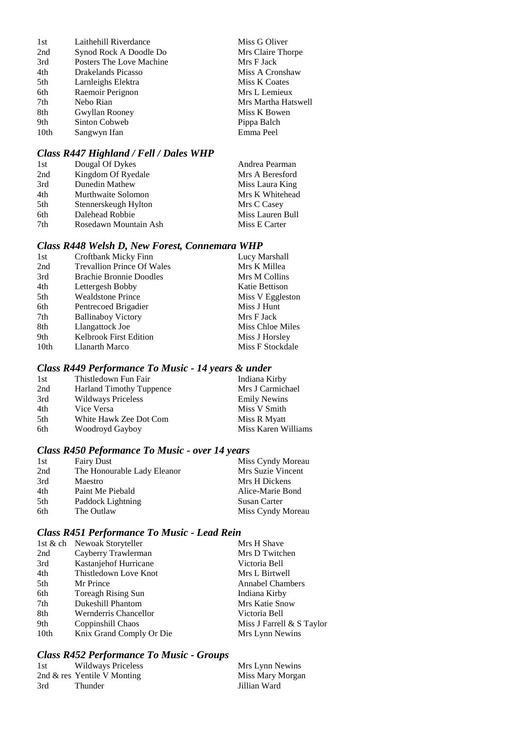| 1st  | Laithehill Riverdance    | Miss G Oliver       |
|------|--------------------------|---------------------|
| 2nd  | Synod Rock A Doodle Do   | Mrs Claire Thorpe   |
| 3rd  | Posters The Love Machine | Mrs F Jack          |
| 4th  | Drakelands Picasso       | Miss A Cronshaw     |
| 5th  | Larnleighs Elektra       | Miss K Coates       |
| 6th  | Raemoir Perignon         | Mrs L Lemieux       |
| 7th  | Nebo Rian                | Mrs Martha Hatswell |
| 8th  | Gwyllan Rooney           | Miss K Bowen        |
| 9th  | Sinton Cobweb            | Pippa Balch         |
| 10th | Sangwyn Ifan             | Emma Peel           |

# *Class R447 Highland / Fell / Dales WHP*

| 1st | Dougal Of Dykes       | Andrea Pearman   |
|-----|-----------------------|------------------|
| 2nd | Kingdom Of Ryedale    | Mrs A Beresford  |
| 3rd | Dunedin Mathew        | Miss Laura King  |
| 4th | Murthwaite Solomon    | Mrs K Whitehead  |
| 5th | Stennerskeugh Hylton  | Mrs C Casey      |
| 6th | Dalehead Robbie       | Miss Lauren Bull |
| 7th | Rosedawn Mountain Ash | Miss E Carter    |

# *Class R448 Welsh D, New Forest, Connemara WHP*

| 1st              | Croftbank Micky Finn              | Lucy Marshall           |
|------------------|-----------------------------------|-------------------------|
| 2nd              | <b>Trevallion Prince Of Wales</b> | Mrs K Millea            |
| 3rd              | <b>Brachie Bronnie Doodles</b>    | Mrs M Collins           |
| 4th              | Lettergesh Bobby                  | Katie Bettison          |
| 5th              | <b>Wealdstone Prince</b>          | Miss V Eggleston        |
| 6th              | Pentrecoed Brigadier              | Miss J Hunt             |
| 7th              | <b>Ballinaboy Victory</b>         | Mrs F Jack              |
| 8th              | Llangattock Joe                   | <b>Miss Chloe Miles</b> |
| 9th              | <b>Kelbrook First Edition</b>     | Miss J Horsley          |
| 10 <sub>th</sub> | Llanarth Marco                    | Miss F Stockdale        |
|                  |                                   |                         |

# *Class R449 Performance To Music - 14 years & under*

| 1st | Thistledown Fun Fair            | Indiana Kirby       |
|-----|---------------------------------|---------------------|
| 2nd | <b>Harland Timothy Tuppence</b> | Mrs J Carmichael    |
| 3rd | <b>Wildways Priceless</b>       | <b>Emily Newins</b> |
| 4th | Vice Versa                      | Miss V Smith        |
| 5th | White Hawk Zee Dot Com          | Miss R Myatt        |
| 6th | Woodroyd Gayboy                 | Miss Karen Williams |

# *Class R450 Peformance To Music - over 14 years*

| 1st | <b>Fairy Dust</b>           | Miss Cyndy Moreau   |
|-----|-----------------------------|---------------------|
| 2nd | The Honourable Lady Eleanor | Mrs Suzie Vincent   |
| 3rd | Maestro                     | Mrs H Dickens       |
| 4th | Paint Me Piebald            | Alice-Marie Bond    |
| 5th | Paddock Lightning           | <b>Susan Carter</b> |
| 6th | The Outlaw                  | Miss Cyndy Moreau   |

# *Class R451 Performance To Music - Lead Rein*

| 1st & ch Newoak Storyteller | Mrs H Shave               |
|-----------------------------|---------------------------|
| Cayberry Trawlerman         | Mrs D Twitchen            |
| Kastanjehof Hurricane       | Victoria Bell             |
| Thistledown Love Knot       | Mrs L Birtwell            |
| Mr Prince                   | <b>Annabel Chambers</b>   |
| Toreagh Rising Sun          | Indiana Kirby             |
| Dukeshill Phantom           | Mrs Katie Snow            |
| Wernderris Chancellor       | Victoria Bell             |
| Coppinshill Chaos           | Miss J Farrell & S Taylor |
| Knix Grand Comply Or Die    | Mrs Lynn Newins           |
|                             |                           |

# *Class R452 Performance To Music - Groups*

| 1st | Wildways Priceless             | Mrs Lynn Newins  |
|-----|--------------------------------|------------------|
|     | 2nd $\&$ res Yentile V Monting | Miss Mary Morgan |
| 3rd | Thunder                        | Jillian Ward     |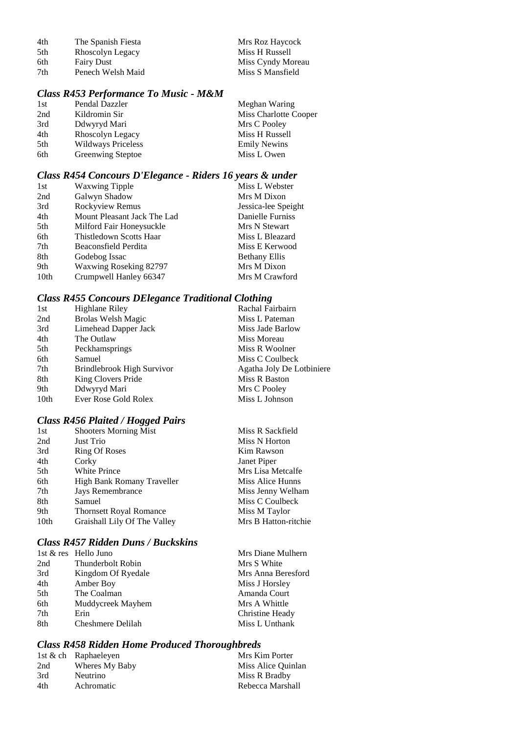| 4th  | The Spanish Fiesta | Mrs Roz Haycock   |
|------|--------------------|-------------------|
| .5th | Rhoscolyn Legacy   | Miss H Russell    |
| 6th  | <b>Fairy Dust</b>  | Miss Cyndy Moreau |
| 7th  | Penech Welsh Maid  | Miss S Mansfield  |

# *Class R453 Performance To Music - M&M*

| 1st | Pendal Dazzler            | Meghan Waring         |
|-----|---------------------------|-----------------------|
| 2nd | Kildromin Sir             | Miss Charlotte Cooper |
| 3rd | Ddwyryd Mari              | Mrs C Pooley          |
| 4th | Rhoscolyn Legacy          | Miss H Russell        |
| 5th | <b>Wildways Priceless</b> | <b>Emily Newins</b>   |
| 6th | <b>Greenwing Steptoe</b>  | Miss L Owen           |

# *Class R454 Concours D'Elegance - Riders 16 years & under*

| Mrs M Dixon          |
|----------------------|
|                      |
| Jessica-lee Speight  |
| Danielle Furniss     |
| Mrs N Stewart        |
| Miss L Bleazard      |
| Miss E Kerwood       |
| <b>Bethany Ellis</b> |
| Mrs M Dixon          |
| Mrs M Crawford       |
|                      |

# *Class R455 Concours DElegance Traditional Clothing*

| 1st              | Highlane Riley             | Rachal Fairbairn          |
|------------------|----------------------------|---------------------------|
| 2nd              | <b>Brolas Welsh Magic</b>  | Miss L Pateman            |
| 3rd              | Limehead Dapper Jack       | Miss Jade Barlow          |
| 4th              | The Outlaw                 | Miss Moreau               |
| 5th              | Peckhamsprings             | Miss R Woolner            |
| 6th              | Samuel                     | Miss C Coulbeck           |
| 7th              | Brindlebrook High Survivor | Agatha Joly De Lotbiniere |
| 8th              | King Clovers Pride         | Miss R Baston             |
| 9th              | Ddwyryd Mari               | Mrs C Pooley              |
| 10 <sub>th</sub> | Ever Rose Gold Rolex       | Miss L Johnson            |
|                  |                            |                           |

# *Class R456 Plaited / Hogged Pairs*

| 1st              | <b>Shooters Morning Mist</b>   | Miss R Sackfield     |
|------------------|--------------------------------|----------------------|
| 2nd              | Just Trio                      | Miss N Horton        |
| 3rd              | Ring Of Roses                  | Kim Rawson           |
| 4th              | Corky                          | Janet Piper          |
| 5th              | <b>White Prince</b>            | Mrs Lisa Metcalfe    |
| 6th              | High Bank Romany Traveller     | Miss Alice Hunns     |
| 7th              | Jays Remembrance               | Miss Jenny Welham    |
| 8th              | Samuel                         | Miss C Coulbeck      |
| 9th              | <b>Thornsett Royal Romance</b> | Miss M Taylor        |
| 10 <sub>th</sub> | Graishall Lily Of The Valley   | Mrs B Hatton-ritchie |

# *Class R457 Ridden Duns / Buckskins*

|     | 1st & res Hello Juno | Mrs Diane Mulhern  |
|-----|----------------------|--------------------|
| 2nd | Thunderbolt Robin    | Mrs S White        |
| 3rd | Kingdom Of Ryedale   | Mrs Anna Beresford |
| 4th | Amber Boy            | Miss J Horsley     |
| 5th | The Coalman          | Amanda Court       |
| 6th | Muddycreek Mayhem    | Mrs A Whittle      |
| 7th | Erin                 | Christine Heady    |
| 8th | Cheshmere Delilah    | Miss L Unthank     |

# *Class R458 Ridden Home Produced Thoroughbreds*

|     | 1st & ch Raphaeleven | Mrs Kim Porter     |
|-----|----------------------|--------------------|
| 2nd | Wheres My Baby       | Miss Alice Quinlan |
| 3rd | Neutrino             | Miss R Bradby      |
| 4th | Achromatic           | Rebecca Marshall   |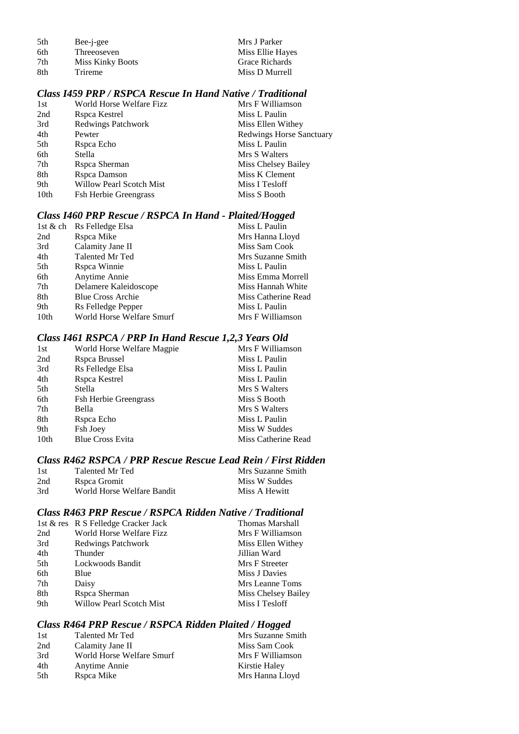| 5th | Bee-j-gee               | Mrs J Parker     |
|-----|-------------------------|------------------|
| 6th | Threeoseven             | Miss Ellie Hayes |
| 7th | <b>Miss Kinky Boots</b> | Grace Richards   |
| 8th | Trireme                 | Miss D Murrell   |

## *Class I459 PRP / RSPCA Rescue In Hand Native / Traditional*

| 1st              | World Horse Welfare Fizz     | Mrs F Williamson                |
|------------------|------------------------------|---------------------------------|
| 2nd              | Rspca Kestrel                | Miss L Paulin                   |
| 3rd              | <b>Redwings Patchwork</b>    | Miss Ellen Withey               |
| 4th              | Pewter                       | <b>Redwings Horse Sanctuary</b> |
| 5th              | Rspca Echo                   | Miss L Paulin                   |
| 6th              | Stella                       | Mrs S Walters                   |
| 7th              | Rspca Sherman                | Miss Chelsey Bailey             |
| 8th              | Rspca Damson                 | Miss K Clement                  |
| 9th              | Willow Pearl Scotch Mist     | Miss I Tesloff                  |
| 10 <sub>th</sub> | <b>Fsh Herbie Greengrass</b> | Miss S Booth                    |

#### *Class I460 PRP Rescue / RSPCA In Hand - Plaited/Hogged*

| Rs Felledge Elsa          | Miss L Paulin       |
|---------------------------|---------------------|
| Rspca Mike                | Mrs Hanna Lloyd     |
| Calamity Jane II          | Miss Sam Cook       |
| Talented Mr Ted           | Mrs Suzanne Smith   |
| Rspca Winnie              | Miss L Paulin       |
| Anytime Annie             | Miss Emma Morrell   |
| Delamere Kaleidoscope     | Miss Hannah White   |
| <b>Blue Cross Archie</b>  | Miss Catherine Read |
| Rs Felledge Pepper        | Miss L Paulin       |
| World Horse Welfare Smurf | Mrs F Williamson    |
| 1st & ch                  |                     |

## *Class I461 RSPCA / PRP In Hand Rescue 1,2,3 Years Old*

| World Horse Welfare Magpie   | Mrs F Williamson    |
|------------------------------|---------------------|
| Rspca Brussel                | Miss L Paulin       |
| Rs Felledge Elsa             | Miss L Paulin       |
| Rspca Kestrel                | Miss L Paulin       |
| Stella                       | Mrs S Walters       |
| <b>Fsh Herbie Greengrass</b> | Miss S Booth        |
| Bella                        | Mrs S Walters       |
| Rspca Echo                   | Miss L Paulin       |
| Fsh Joey                     | Miss W Suddes       |
| <b>Blue Cross Evita</b>      | Miss Catherine Read |
|                              |                     |

# *Class R462 RSPCA / PRP Rescue Rescue Lead Rein / First Ridden*

| 1st | Talented Mr Ted            | Mrs Suzanne Smith |
|-----|----------------------------|-------------------|
| 2nd | Rspca Gromit               | Miss W Suddes     |
| 3rd | World Horse Welfare Bandit | Miss A Hewitt     |

# *Class R463 PRP Rescue / RSPCA Ridden Native / Traditional*

|     | 1st & res R S Felledge Cracker Jack | Thomas Marshall     |
|-----|-------------------------------------|---------------------|
| 2nd | World Horse Welfare Fizz            | Mrs F Williamson    |
| 3rd | Redwings Patchwork                  | Miss Ellen Withey   |
| 4th | Thunder                             | Jillian Ward        |
| 5th | Lockwoods Bandit                    | Mrs F Streeter      |
| 6th | Blue                                | Miss J Davies       |
| 7th | Daisy                               | Mrs Leanne Toms     |
| 8th | Rspca Sherman                       | Miss Chelsey Bailey |
| 9th | Willow Pearl Scotch Mist            | Miss I Tesloff      |

#### *Class R464 PRP Rescue / RSPCA Ridden Plaited / Hogged*

| 1st | Talented Mr Ted           | Mrs Suzanne Smith |
|-----|---------------------------|-------------------|
| 2nd | Calamity Jane II          | Miss Sam Cook     |
| 3rd | World Horse Welfare Smurf | Mrs F Williamson  |
| 4th | Anytime Annie             | Kirstie Haley     |
| 5th | Rspca Mike                | Mrs Hanna Lloyd   |
|     |                           |                   |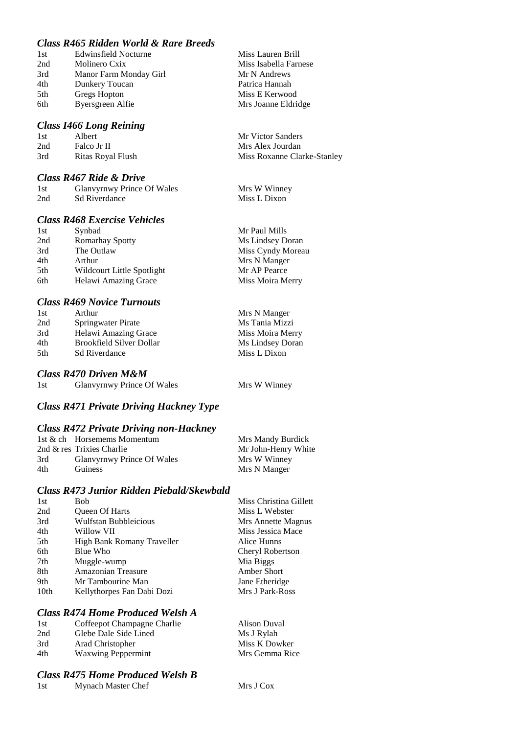# *Class R465 Ridden World & Rare Breeds*

| 1st | <b>Edwinsfield Nocturne</b> |
|-----|-----------------------------|
| 2nd | Molinero Cxix               |
| 3rd | Manor Farm Monday Girl      |
| 4th | Dunkery Toucan              |
| 5th | Gregs Hopton                |
| 6th | Byersgreen Alfie            |

#### *Class I466 Long Reining*

| 1st | Albert            | Mr Victor Sanders           |
|-----|-------------------|-----------------------------|
| 2nd | Falco Jr II       | Mrs Alex Jourdan            |
| 3rd | Ritas Royal Flush | Miss Roxanne Clarke-Stanley |

Miss Lauren Brill Miss Isabella Farnese Mr N Andrews Patrica Hannah Miss E Kerwood Mrs Joanne Eldridge

#### *Class R467 Ride & Drive*

| 1st | Glanvyrnwy Prince Of Wales | Mrs W Winney |
|-----|----------------------------|--------------|
| 2nd | <b>Sd Riverdance</b>       | Miss L Dixon |

## *Class R468 Exercise Vehicles*

| 1st | Synbad                      | Mr Paul Mills     |
|-----|-----------------------------|-------------------|
| 2nd | <b>Romarhay Spotty</b>      | Ms Lindsey Doran  |
| 3rd | The Outlaw                  | Miss Cyndy Moreau |
| 4th | Arthur                      | Mrs N Manger      |
| 5th | Wildcourt Little Spotlight  | Mr AP Pearce      |
| 6th | <b>Helawi Amazing Grace</b> | Miss Moira Merry  |

#### *Class R469 Novice Turnouts*

| 1st | Arthur                          | Mrs N Manger     |
|-----|---------------------------------|------------------|
| 2nd | Springwater Pirate              | Ms Tania Mizzi   |
| 3rd | Helawi Amazing Grace            | Miss Moira Merry |
| 4th | <b>Brookfield Silver Dollar</b> | Ms Lindsey Doran |
| 5th | <b>Sd Riverdance</b>            | Miss L Dixon     |

#### *Class R470 Driven M&M*

| 1st | <b>Glanvyrnwy Prince Of Wales</b> | Mrs W Winney |
|-----|-----------------------------------|--------------|
|     |                                   |              |

## *Class R471 Private Driving Hackney Type*

#### *Class R472 Private Driving non-Hackney*

|     | 1st & ch Horsemems Momentum | Mrs Mandy Burdick   |
|-----|-----------------------------|---------------------|
|     | 2nd & res Trixies Charlie   | Mr John-Henry White |
| 3rd | Glanvyrnwy Prince Of Wales  | Mrs W Winney        |
| 4th | Guiness                     | Mrs N Manger        |

#### *Class R473 Junior Ridden Piebald/Skewbald*

| 1st  | <b>Bob</b>                   | Miss Christina Gillett |
|------|------------------------------|------------------------|
| 2nd  | <b>Oueen Of Harts</b>        | Miss L Webster         |
| 3rd  | <b>Wulfstan Bubbleicious</b> | Mrs Annette Magnus     |
| 4th  | Willow VII                   | Miss Jessica Mace      |
| 5th  | High Bank Romany Traveller   | Alice Hunns            |
| 6th  | Blue Who                     | Cheryl Robertson       |
| 7th  | Muggle-wump                  | Mia Biggs              |
| 8th  | Amazonian Treasure           | Amber Short            |
| 9th  | Mr Tambourine Man            | Jane Etheridge         |
| 10th | Kellythorpes Fan Dabi Dozi   | Mrs J Park-Ross        |
|      |                              |                        |

#### *Class R474 Home Produced Welsh A*

| 1st | Coffeepot Champagne Charlie | Alison Duval   |
|-----|-----------------------------|----------------|
| 2nd | Glebe Dale Side Lined       | Ms J Rylah     |
| 3rd | Arad Christopher            | Miss K Dowker  |
| 4th | <b>Waxwing Peppermint</b>   | Mrs Gemma Rice |

## *Class R475 Home Produced Welsh B*

1st Mynach Master Chef Mrs J Cox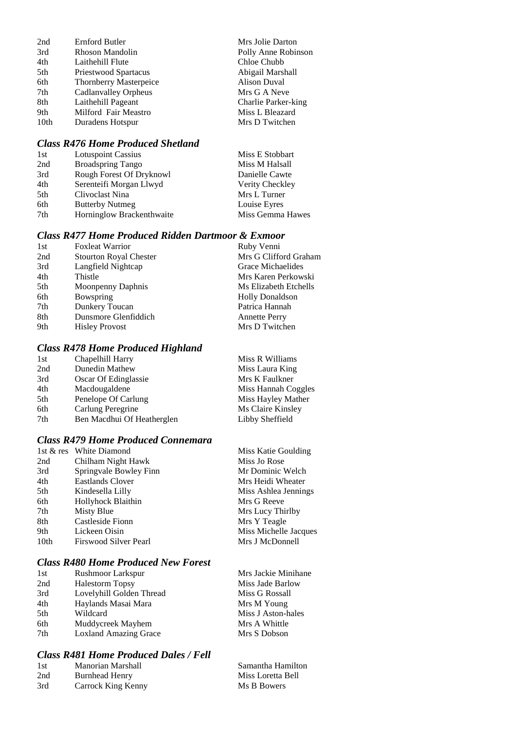| 2nd  | <b>Ernford Butler</b>         | Mrs Jolie Darton    |
|------|-------------------------------|---------------------|
| 3rd  | Rhoson Mandolin               | Polly Anne Robinson |
| 4th  | Laithehill Flute              | Chloe Chubb         |
| 5th  | Priestwood Spartacus          | Abigail Marshall    |
| 6th  | <b>Thornberry Masterpeice</b> | <b>Alison Duval</b> |
| 7th  | Cadlanvalley Orpheus          | Mrs G A Neve        |
| 8th  | Laithehill Pageant            | Charlie Parker-king |
| 9th  | Milford Fair Meastro          | Miss L Bleazard     |
| 10th | Duradens Hotspur              | Mrs D Twitchen      |

# *Class R476 Home Produced Shetland*

| 1st             | <b>Lotuspoint Cassius</b> | Miss E Stobbart  |
|-----------------|---------------------------|------------------|
| 2nd             | <b>Broadspring Tango</b>  | Miss M Halsall   |
| 3rd             | Rough Forest Of Dryknowl  | Danielle Cawte   |
| 4th             | Serenteifi Morgan Llwyd   | Verity Checkley  |
| 5 <sup>th</sup> | Clivoclast Nina           | Mrs L Turner     |
| 6th             | <b>Butterby Nutmeg</b>    | Louise Eyres     |
| 7 <sub>th</sub> | Horninglow Brackenthwaite | Miss Gemma Hawes |
|                 |                           |                  |

# *Class R477 Home Produced Ridden Dartmoor & Exmoor*

| 1st | <b>Foxleat Warrior</b>        | Ruby Venni             |
|-----|-------------------------------|------------------------|
| 2nd | <b>Stourton Royal Chester</b> | Mrs G Clifford Graham  |
| 3rd | Langfield Nightcap            | Grace Michaelides      |
| 4th | Thistle                       | Mrs Karen Perkowski    |
| 5th | Moonpenny Daphnis             | Ms Elizabeth Etchells  |
| 6th | Bowspring                     | <b>Holly Donaldson</b> |
| 7th | Dunkery Toucan                | Patrica Hannah         |
| 8th | Dunsmore Glenfiddich          | <b>Annette Perry</b>   |
| 9th | <b>Hisley Provost</b>         | Mrs D Twitchen         |

# *Class R478 Home Produced Highland*

| 1st | Chapelhill Harry           | Miss R Williams     |
|-----|----------------------------|---------------------|
| 2nd | Dunedin Mathew             | Miss Laura King     |
| 3rd | Oscar Of Edinglassie       | Mrs K Faulkner      |
| 4th | Macdougaldene              | Miss Hannah Coggles |
| 5th | Penelope Of Carlung        | Miss Hayley Mather  |
| 6th | Carlung Peregrine          | Ms Claire Kinsley   |
| 7th | Ben Macdhui Of Heatherglen | Libby Sheffield     |
|     |                            |                     |

# *Class R479 Home Produced Connemara*

|                  | 1st & res White Diamond | Miss Katie Goulding   |
|------------------|-------------------------|-----------------------|
| 2nd              | Chilham Night Hawk      | Miss Jo Rose          |
| 3rd              | Springvale Bowley Finn  | Mr Dominic Welch      |
| 4th              | Eastlands Clover        | Mrs Heidi Wheater     |
| 5th              | Kindesella Lilly        | Miss Ashlea Jennings  |
| 6th              | Hollyhock Blaithin      | Mrs G Reeve           |
| 7th              | Misty Blue              | Mrs Lucy Thirlby      |
| 8th              | Castleside Fionn        | Mrs Y Teagle          |
| 9th              | Lickeen Oisin           | Miss Michelle Jacques |
| 10 <sub>th</sub> | Firswood Silver Pearl   | Mrs J McDonnell       |
|                  |                         |                       |

# *Class R480 Home Produced New Forest*

| 1st | <b>Rushmoor Larkspur</b>     | Mrs Jackie Minihane |
|-----|------------------------------|---------------------|
| 2nd | <b>Halestorm Topsy</b>       | Miss Jade Barlow    |
| 3rd | Lovelyhill Golden Thread     | Miss G Rossall      |
| 4th | Haylands Masai Mara          | Mrs M Young         |
| 5th | Wildcard                     | Miss J Aston-hales  |
| 6th | Muddycreek Mayhem            | Mrs A Whittle       |
| 7th | <b>Loxland Amazing Grace</b> | Mrs S Dobson        |

## *Class R481 Home Produced Dales / Fell*

| -1st | Manorian Marshall  | Samantha Hamilton |
|------|--------------------|-------------------|
| 2nd  | Burnhead Henry     | Miss Loretta Bell |
| 3rd  | Carrock King Kenny | Ms B Bowers       |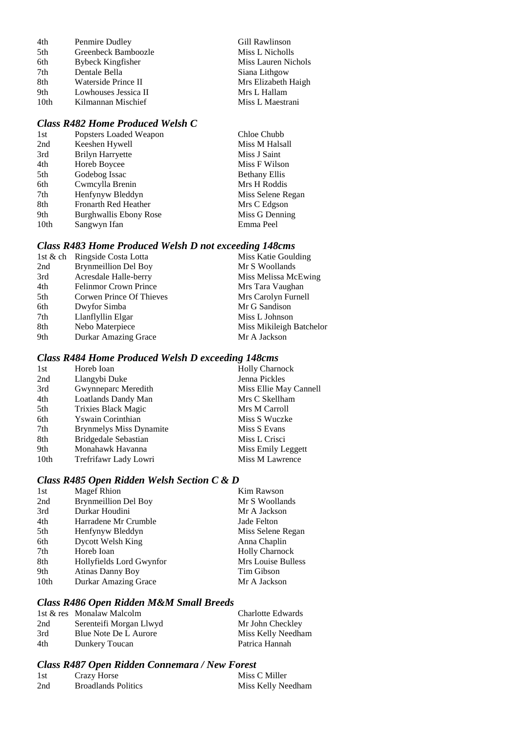| Penmire Dudley           | Gill Rawlinson      |
|--------------------------|---------------------|
| Greenbeck Bamboozle      | Miss L Nicholls     |
| <b>Bybeck Kingfisher</b> | Miss Lauren Nichols |
| Dentale Bella            | Siana Lithgow       |
| Waterside Prince II      | Mrs Elizabeth Haigh |
| Lowhouses Jessica II     | Mrs L Hallam        |
| Kilmannan Mischief       | Miss L Maestrani    |
|                          |                     |

# *Class R482 Home Produced Welsh C*

| Chloe Chubb          |
|----------------------|
| Miss M Halsall       |
| Miss J Saint         |
| Miss F Wilson        |
| <b>Bethany Ellis</b> |
| Mrs H Roddis         |
| Miss Selene Regan    |
| Mrs C Edgson         |
| Miss G Denning       |
| Emma Peel            |
|                      |

# *Class R483 Home Produced Welsh D not exceeding 148cms*

|     | 1st & ch Ringside Costa Lotta | Miss Katie Goulding      |
|-----|-------------------------------|--------------------------|
| 2nd | <b>Brynmeillion Del Boy</b>   | Mr S Woollands           |
| 3rd | Acresdale Halle-berry         | Miss Melissa McEwing     |
| 4th | <b>Felinmor Crown Prince</b>  | Mrs Tara Vaughan         |
| 5th | Corwen Prince Of Thieves      | Mrs Carolyn Furnell      |
| 6th | Dwyfor Simba                  | Mr G Sandison            |
| 7th | Llanflyllin Elgar             | Miss L Johnson           |
| 8th | Nebo Materpiece               | Miss Mikileigh Batchelor |
| 9th | Durkar Amazing Grace          | Mr A Jackson             |
|     |                               |                          |

## *Class R484 Home Produced Welsh D exceeding 148cms*

| 1st              | Horeb Ioan                     | <b>Holly Charnock</b>  |
|------------------|--------------------------------|------------------------|
| 2nd              | Llangybi Duke                  | Jenna Pickles          |
| 3rd              | Gwynneparc Meredith            | Miss Ellie May Cannell |
| 4th              | Loatlands Dandy Man            | Mrs C Skellham         |
| 5th              | <b>Trixies Black Magic</b>     | Mrs M Carroll          |
| 6th              | Yswain Corinthian              | Miss S Wuczke          |
| 7th              | <b>Brynmelys Miss Dynamite</b> | Miss S Evans           |
| 8th              | Bridgedale Sebastian           | Miss L Crisci          |
| 9th              | Monahawk Havanna               | Miss Emily Leggett     |
| 10 <sub>th</sub> | Trefrifawr Lady Lowri          | Miss M Lawrence        |

## *Class R485 Open Ridden Welsh Section C & D*

| 1st              | <b>Magef Rhion</b>          | Kim Rawson            |
|------------------|-----------------------------|-----------------------|
| 2nd              | <b>Brynmeillion Del Boy</b> | Mr S Woollands        |
| 3rd              | Durkar Houdini              | Mr A Jackson          |
| 4th              | Harradene Mr Crumble        | Jade Felton           |
| 5th              | Henfynyw Bleddyn            | Miss Selene Regan     |
| 6th              | <b>Dycott Welsh King</b>    | Anna Chaplin          |
| 7th              | Horeb Ioan                  | <b>Holly Charnock</b> |
| 8th              | Hollyfields Lord Gwynfor    | Mrs Louise Bulless    |
| 9th              | <b>Atinas Danny Boy</b>     | Tim Gibson            |
| 10 <sub>th</sub> | <b>Durkar Amazing Grace</b> | Mr A Jackson          |
|                  |                             |                       |

# *Class R486 Open Ridden M&M Small Breeds*

|     | 1st & res Monalaw Malcolm | Charlotte Edwards  |
|-----|---------------------------|--------------------|
| 2nd | Serenteifi Morgan Llwyd   | Mr John Checkley   |
| 3rd | Blue Note De L Aurore     | Miss Kelly Needham |
| 4th | Dunkery Toucan            | Patrica Hannah     |

# *Class R487 Open Ridden Connemara / New Forest*

| 1st | Crazy Horse                | Miss C Miller      |
|-----|----------------------------|--------------------|
| 2nd | <b>Broadlands Politics</b> | Miss Kelly Needham |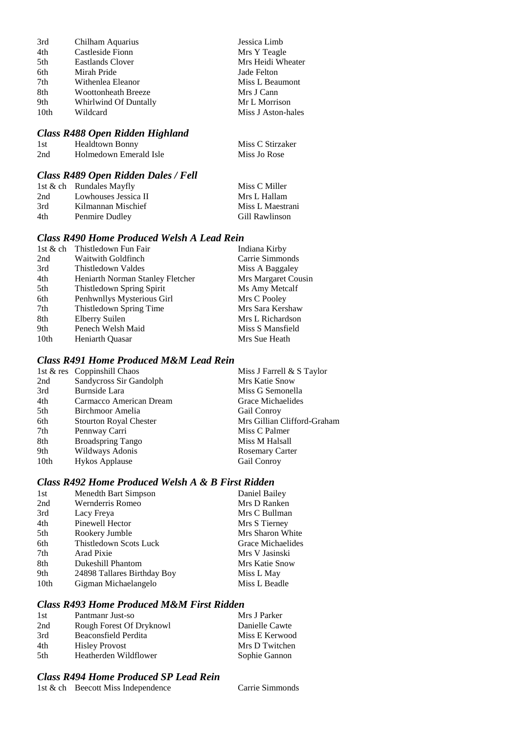| 3rd              | Chilham Aquarius           | Jessica Limb       |
|------------------|----------------------------|--------------------|
| 4th              | Castleside Fionn           | Mrs Y Teagle       |
| 5th              | <b>Eastlands Clover</b>    | Mrs Heidi Wheater  |
| 6th              | Mirah Pride                | Jade Felton        |
| 7th              | Withenlea Eleanor          | Miss L Beaumont    |
| 8th              | <b>Woottonheath Breeze</b> | Mrs J Cann         |
| 9th              | Whirlwind Of Duntally      | Mr L Morrison      |
| 10 <sub>th</sub> | Wildcard                   | Miss J Aston-hales |

#### *Class R488 Open Ridden Highland*

| -1 st | <b>Healdtown Bonny</b> | Miss C Stirzaker |
|-------|------------------------|------------------|
| 2nd   | Holmedown Emerald Isle | Miss Jo Rose     |

# *Class R489 Open Ridden Dales / Fell*

| 1st $\&$ ch Rundales Mayfly | Miss C Miller    |
|-----------------------------|------------------|
| Lowhouses Jessica II        | Mrs L Hallam     |
| Kilmannan Mischief          | Miss L Maestrani |
| Penmire Dudley              | Gill Rawlinson   |
|                             |                  |

## *Class R490 Home Produced Welsh A Lead Rein*

| 1st & ch Thistledown Fun Fair    | Indiana Kirby       |
|----------------------------------|---------------------|
| Waitwith Goldfinch               | Carrie Simmonds     |
| Thistledown Valdes               | Miss A Baggaley     |
| Heniarth Norman Stanley Fletcher | Mrs Margaret Cousin |
| Thistledown Spring Spirit        | Ms Amy Metcalf      |
| Penhwnllys Mysterious Girl       | Mrs C Pooley        |
| Thistledown Spring Time          | Mrs Sara Kershaw    |
| Elberry Suilen                   | Mrs L Richardson    |
| Penech Welsh Maid                | Miss S Mansfield    |
| <b>Heniarth Ouasar</b>           | Mrs Sue Heath       |
|                                  |                     |

# *Class R491 Home Produced M&M Lead Rein*

|      | 1st & res Coppinshill Chaos   | Miss J Farrell & S Taylor   |
|------|-------------------------------|-----------------------------|
| 2nd  | Sandycross Sir Gandolph       | Mrs Katie Snow              |
| 3rd  | Burnside Lara                 | Miss G Semonella            |
| 4th  | Carmacco American Dream       | Grace Michaelides           |
| 5th  | Birchmoor Amelia              | Gail Conroy                 |
| 6th  | <b>Stourton Royal Chester</b> | Mrs Gillian Clifford-Graham |
| 7th  | Pennway Carri                 | Miss C Palmer               |
| 8th  | <b>Broadspring Tango</b>      | Miss M Halsall              |
| 9th  | Wildways Adonis               | <b>Rosemary Carter</b>      |
| 10th | <b>Hykos Applause</b>         | Gail Conroy                 |
|      |                               |                             |

# *Class R492 Home Produced Welsh A & B First Ridden*

| 1st  | Menedth Bart Simpson          | Daniel Bailey     |
|------|-------------------------------|-------------------|
| 2nd  | Wernderris Romeo              | Mrs D Ranken      |
| 3rd  | Lacy Freya                    | Mrs C Bullman     |
| 4th  | Pinewell Hector               | Mrs S Tierney     |
| 5th  | Rookery Jumble                | Mrs Sharon White  |
| 6th  | <b>Thistledown Scots Luck</b> | Grace Michaelides |
| 7th  | Arad Pixie                    | Mrs V Jasinski    |
| 8th  | Dukeshill Phantom             | Mrs Katie Snow    |
| 9th  | 24898 Tallares Birthday Boy   | Miss L May        |
| 10th | Gigman Michaelangelo          | Miss L Beadle     |

## *Class R493 Home Produced M&M First Ridden*

| 1st  | Pantmanr Just-so         | Mrs J Parker   |
|------|--------------------------|----------------|
| 2nd  | Rough Forest Of Dryknowl | Danielle Cawte |
| 3rd  | Beaconsfield Perdita     | Miss E Kerwood |
| 4th  | <b>Hisley Provost</b>    | Mrs D Twitchen |
| .5th | Heatherden Wildflower    | Sophie Gannon  |

## *Class R494 Home Produced SP Lead Rein*

1st & ch Beecott Miss Independence Carrie Simmonds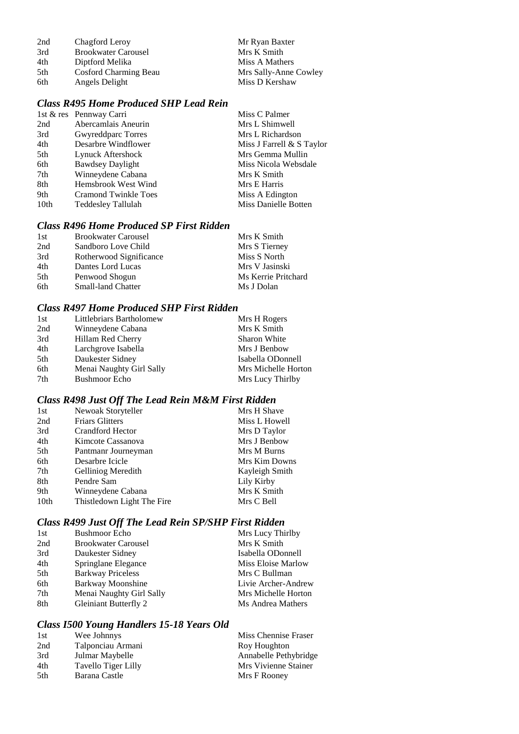| 2nd | Chagford Leroy             | Mr Ryan Baxter        |
|-----|----------------------------|-----------------------|
| 3rd | <b>Brookwater Carousel</b> | Mrs K Smith           |
| 4th | Diptford Melika            | Miss A Mathers        |
| 5th | Cosford Charming Beau      | Mrs Sally-Anne Cowley |
| 6th | Angels Delight             | Miss D Kershaw        |

# *Class R495 Home Produced SHP Lead Rein*

|                  | 1st & res Pennway Carri | Miss C Palmer               |
|------------------|-------------------------|-----------------------------|
| 2nd              | Abercamlais Aneurin     | Mrs L Shimwell              |
| 3rd              | Gwyreddparc Torres      | Mrs L Richardson            |
| 4th              | Desarbre Windflower     | Miss J Farrell $&$ S Taylor |
| 5th              | Lynuck Aftershock       | Mrs Gemma Mullin            |
| 6th              | <b>Bawdsey Daylight</b> | Miss Nicola Websdale        |
| 7th              | Winneydene Cabana       | Mrs K Smith                 |
| 8th              | Hemsbrook West Wind     | Mrs E Harris                |
| 9th              | Cramond Twinkle Toes    | Miss A Edington             |
| 10 <sub>th</sub> | Teddesley Tallulah      | Miss Danielle Botten        |
|                  |                         |                             |

# *Class R496 Home Produced SP First Ridden*

| <b>Brookwater Carousel</b> | Mrs K Smith         |
|----------------------------|---------------------|
| Sandboro Love Child        | Mrs S Tierney       |
| Rotherwood Significance    | Miss S North        |
| Dantes Lord Lucas          | Mrs V Jasinski      |
| Penwood Shogun             | Ms Kerrie Pritchard |
| <b>Small-land Chatter</b>  | Ms J Dolan          |
|                            |                     |

# *Class R497 Home Produced SHP First Ridden*

| 1st | Littlebriars Bartholomew | Mrs H Rogers        |
|-----|--------------------------|---------------------|
| 2nd | Winneydene Cabana        | Mrs K Smith         |
| 3rd | Hillam Red Cherry        | <b>Sharon White</b> |
| 4th | Larchgrove Isabella      | Mrs J Benbow        |
| 5th | Daukester Sidney         | Isabella ODonnell   |
| 6th | Menai Naughty Girl Sally | Mrs Michelle Horton |
| 7th | <b>Bushmoor Echo</b>     | Mrs Lucy Thirlby    |

# *Class R498 Just Off The Lead Rein M&M First Ridden*

| 1st              | Newoak Storyteller         | Mrs H Shave          |
|------------------|----------------------------|----------------------|
| 2nd              | <b>Friars Glitters</b>     | Miss L Howell        |
| 3rd              | Crandford Hector           | Mrs D Taylor         |
| 4th              | Kimcote Cassanova          | Mrs J Benbow         |
| 5th              | Pantmanr Journeyman        | Mrs M Burns          |
| 6th              | Desarbre Icicle            | <b>Mrs Kim Downs</b> |
| 7th              | Gelliniog Meredith         | Kayleigh Smith       |
| 8th              | Pendre Sam                 | Lily Kirby           |
| 9th              | Winneydene Cabana          | Mrs K Smith          |
| 10 <sub>th</sub> | Thistledown Light The Fire | Mrs C Bell           |

# *Class R499 Just Off The Lead Rein SP/SHP First Ridden*

| 1st | <b>Bushmoor Echo</b>         | Mrs Lucy Thirlby    |
|-----|------------------------------|---------------------|
| 2nd | <b>Brookwater Carousel</b>   | Mrs K Smith         |
| 3rd | Daukester Sidney             | Isabella ODonnell   |
| 4th | Springlane Elegance          | Miss Eloise Marlow  |
| 5th | <b>Barkway Priceless</b>     | Mrs C Bullman       |
| 6th | Barkway Moonshine            | Livie Archer-Andrew |
| 7th | Menai Naughty Girl Sally     | Mrs Michelle Horton |
| 8th | <b>Gleiniant Butterfly 2</b> | Ms Andrea Mathers   |

## *Class I500 Young Handlers 15-18 Years Old*

| 1st | Wee Johnnys         | Miss Chennise Fraser  |
|-----|---------------------|-----------------------|
| 2nd | Talponciau Armani   | Roy Houghton          |
| 3rd | Julmar Maybelle     | Annabelle Pethybridge |
| 4th | Tavello Tiger Lilly | Mrs Vivienne Stainer  |
| 5th | Barana Castle       | Mrs F Rooney          |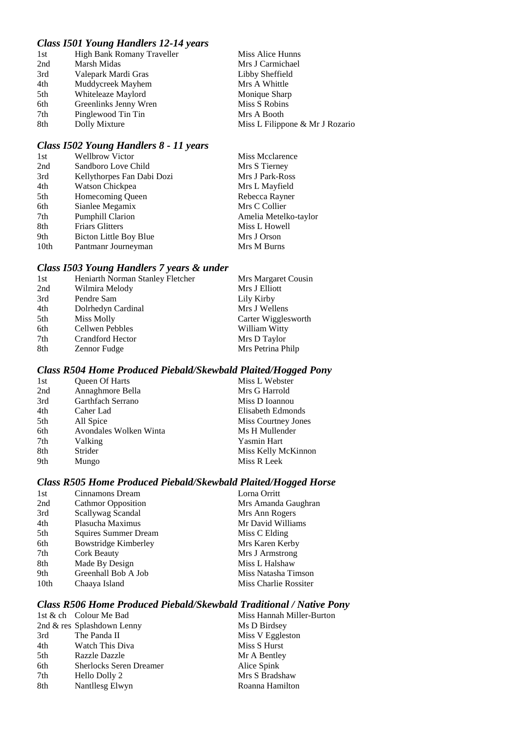# *Class I501 Young Handlers 12-14 years*

| 1st | High Bank Romany Traveller | Miss Alice Hunns                |
|-----|----------------------------|---------------------------------|
| 2nd | Marsh Midas                | Mrs J Carmichael                |
| 3rd | Valepark Mardi Gras        | Libby Sheffield                 |
| 4th | Muddycreek Mayhem          | Mrs A Whittle                   |
| 5th | Whiteleaze Maylord         | Monique Sharp                   |
| 6th | Greenlinks Jenny Wren      | Miss S Robins                   |
| 7th | Pinglewood Tin Tin         | Mrs A Booth                     |
| 8th | Dolly Mixture              | Miss L Filippone & Mr J Rozario |

# *Class I502 Young Handlers 8 - 11 years*

| 1st  | <b>Wellbrow Victor</b>     | Miss Mcclarence       |
|------|----------------------------|-----------------------|
| 2nd  | Sandboro Love Child        | Mrs S Tierney         |
| 3rd  | Kellythorpes Fan Dabi Dozi | Mrs J Park-Ross       |
| 4th  | Watson Chickpea            | Mrs L Mayfield        |
| 5th  | Homecoming Queen           | Rebecca Rayner        |
| 6th  | Sianlee Megamix            | Mrs C Collier         |
| 7th  | <b>Pumphill Clarion</b>    | Amelia Metelko-taylor |
| 8th  | <b>Friars Glitters</b>     | Miss L Howell         |
| 9th  | Bicton Little Boy Blue     | Mrs J Orson           |
| 10th | Pantmanr Journeyman        | Mrs M Burns           |

# *Class I503 Young Handlers 7 years & under*

| 1st | Heniarth Norman Stanley Fletcher | Mrs Margaret Cousin |
|-----|----------------------------------|---------------------|
| 2nd | Wilmira Melody                   | Mrs J Elliott       |
| 3rd | Pendre Sam                       | Lily Kirby          |
| 4th | Dolrhedyn Cardinal               | Mrs J Wellens       |
| 5th | Miss Molly                       | Carter Wigglesworth |
| 6th | Cellwen Pebbles                  | William Witty       |
| 7th | Crandford Hector                 | Mrs D Taylor        |
| 8th | Zennor Fudge                     | Mrs Petrina Philp   |

# *Class R504 Home Produced Piebald/Skewbald Plaited/Hogged Pony*

| Miss L Webster      |
|---------------------|
| Mrs G Harrold       |
| Miss D Ioannou      |
| Elisabeth Edmonds   |
| Miss Courtney Jones |
| Ms H Mullender      |
| <b>Yasmin Hart</b>  |
| Miss Kelly McKinnon |
| Miss R Leek         |
|                     |

## *Class R505 Home Produced Piebald/Skewbald Plaited/Hogged Horse*

| 1st  | Cinnamons Dream             | Lorna Orritt          |
|------|-----------------------------|-----------------------|
| 2nd  | <b>Cathmor Opposition</b>   | Mrs Amanda Gaughran   |
| 3rd  | Scallywag Scandal           | Mrs Ann Rogers        |
| 4th  | Plasucha Maximus            | Mr David Williams     |
| 5th  | Squires Summer Dream        | Miss C Elding         |
| 6th  | <b>Bowstridge Kimberley</b> | Mrs Karen Kerby       |
| 7th  | <b>Cork Beauty</b>          | Mrs J Armstrong       |
| 8th  | Made By Design              | Miss L Halshaw        |
| 9th  | Greenhall Bob A Job         | Miss Natasha Timson   |
| 10th | Chaaya Island               | Miss Charlie Rossiter |
|      |                             |                       |

## *Class R506 Home Produced Piebald/Skewbald Traditional / Native Pony*

|     | 1st & ch Colour Me Bad         | Miss Hannah Miller-Burton |
|-----|--------------------------------|---------------------------|
|     | 2nd & res Splashdown Lenny     | Ms D Birdsey              |
| 3rd | The Panda II                   | Miss V Eggleston          |
| 4th | Watch This Diva                | Miss S Hurst              |
| 5th | <b>Razzle Dazzle</b>           | Mr A Bentley              |
| 6th | <b>Sherlocks Seren Dreamer</b> | Alice Spink               |
| 7th | Hello Dolly 2                  | Mrs S Bradshaw            |
| 8th | Nantllesg Elwyn                | Roanna Hamilton           |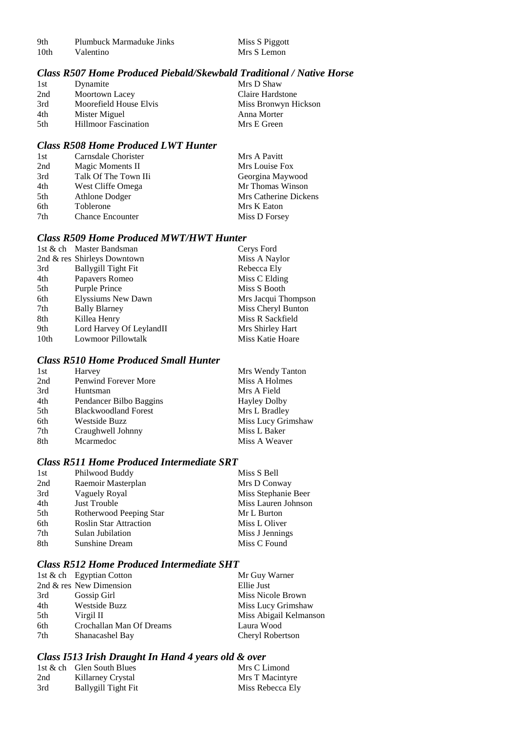| 9th              | Plumbuck Marmaduke Jinks | Miss S Piggott |
|------------------|--------------------------|----------------|
| 10 <sub>th</sub> | Valentino                | Mrs S Lemon    |

## *Class R507 Home Produced Piebald/Skewbald Traditional / Native Horse*

| 1st | Dynamite                    | Mrs D Shaw           |
|-----|-----------------------------|----------------------|
| 2nd | Moortown Lacey              | Claire Hardstone     |
| 3rd | Moorefield House Elvis      | Miss Bronwyn Hickson |
| 4th | Mister Miguel               | Anna Morter          |
| 5th | <b>Hillmoor Fascination</b> | Mrs E Green          |
|     |                             |                      |

## *Class R508 Home Produced LWT Hunter*

| 1st | Carnsdale Chorister     | Mrs A Pavitt          |
|-----|-------------------------|-----------------------|
| 2nd | Magic Moments II        | Mrs Louise Fox        |
| 3rd | Talk Of The Town IIi    | Georgina Maywood      |
| 4th | West Cliffe Omega       | Mr Thomas Winson      |
| 5th | Athlone Dodger          | Mrs Catherine Dickens |
| 6th | Toblerone               | Mrs K Eaton           |
| 7th | <b>Chance Encounter</b> | Miss D Forsey         |

## *Class R509 Home Produced MWT/HWT Hunter*

|      | 1st & ch Master Bandsman    | Cerys Ford          |
|------|-----------------------------|---------------------|
|      | 2nd & res Shirleys Downtown | Miss A Naylor       |
| 3rd  | <b>Ballygill Tight Fit</b>  | Rebecca Ely         |
| 4th  | Papavers Romeo              | Miss C Elding       |
| 5th  | Purple Prince               | Miss S Booth        |
| 6th  | <b>Elyssiums New Dawn</b>   | Mrs Jacqui Thompson |
| 7th  | <b>Bally Blarney</b>        | Miss Cheryl Bunton  |
| 8th  | Killea Henry                | Miss R Sackfield    |
| 9th  | Lord Harvey Of LeylandII    | Mrs Shirley Hart    |
| 10th | <b>Lowmoor Pillowtalk</b>   | Miss Katie Hoare    |

## *Class R510 Home Produced Small Hunter*

| Harvey                      | Mrs Wendy Tanton    |
|-----------------------------|---------------------|
| Penwind Forever More        | Miss A Holmes       |
| Huntsman                    | Mrs A Field         |
| Pendancer Bilbo Baggins     | <b>Hayley Dolby</b> |
| <b>Blackwoodland Forest</b> | Mrs L Bradley       |
| <b>Westside Buzz</b>        | Miss Lucy Grimshaw  |
| Craughwell Johnny           | Miss L Baker        |
| Mcarmedoc                   | Miss A Weaver       |
|                             |                     |

## *Class R511 Home Produced Intermediate SRT*

| Philwood Buddy                | Miss S Bell         |
|-------------------------------|---------------------|
| Raemoir Masterplan            | Mrs D Conway        |
| Vaguely Royal                 | Miss Stephanie Beer |
| <b>Just Trouble</b>           | Miss Lauren Johnson |
| Rotherwood Peeping Star       | Mr L Burton         |
| <b>Roslin Star Attraction</b> | Miss L Oliver       |
| Sulan Jubilation              | Miss J Jennings     |
| Sunshine Dream                | Miss C Found        |
|                               |                     |

## *Class R512 Home Produced Intermediate SHT*

|     | 1st & ch Egyptian Cotton | Mr Guy Warner          |
|-----|--------------------------|------------------------|
|     | 2nd & res New Dimension  | Ellie Just             |
| 3rd | Gossip Girl              | Miss Nicole Brown      |
| 4th | <b>Westside Buzz</b>     | Miss Lucy Grimshaw     |
| 5th | Virgil II                | Miss Abigail Kelmanson |
| 6th | Crochallan Man Of Dreams | Laura Wood             |
| 7th | Shanacashel Bay          | Cheryl Robertson       |

## *Class I513 Irish Draught In Hand 4 years old & over*

|     | 1st $\&$ ch Glen South Blues | Mrs C Limond     |
|-----|------------------------------|------------------|
| 2nd | Killarney Crystal            | Mrs T Macintyre  |
| 3rd | Ballygill Tight Fit          | Miss Rebecca Ely |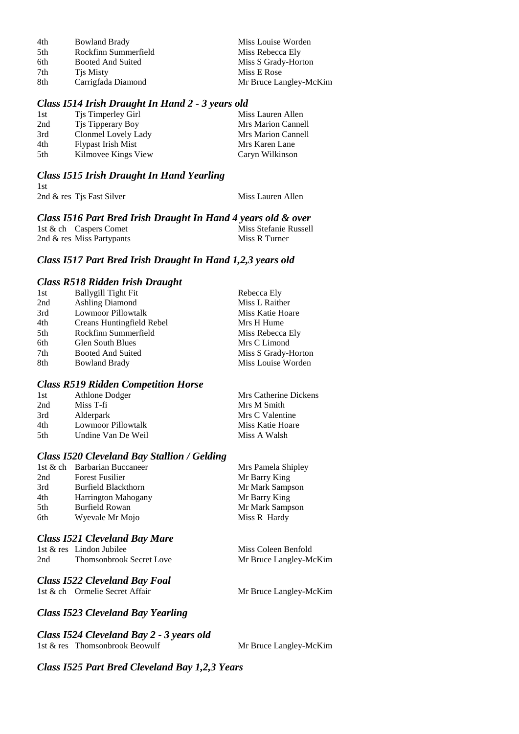| 4th | <b>Bowland Brady</b> | Miss Louise Worden     |
|-----|----------------------|------------------------|
| 5th | Rockfinn Summerfield | Miss Rebecca Ely       |
| 6th | Booted And Suited    | Miss S Grady-Horton    |
| 7th | Tis Misty            | Miss E Rose            |
| 8th | Carrigfada Diamond   | Mr Bruce Langley-McKim |

#### *Class I514 Irish Draught In Hand 2 - 3 years old*

| 1st | Tjs Timperley Girl        | Miss Lauren Allen  |
|-----|---------------------------|--------------------|
| 2nd | Tis Tipperary Boy         | Mrs Marion Cannell |
| 3rd | Clonmel Lovely Lady       | Mrs Marion Cannell |
| 4th | <b>Flypast Irish Mist</b> | Mrs Karen Lane     |
| 5th | Kilmovee Kings View       | Caryn Wilkinson    |
|     |                           |                    |

#### *Class I515 Irish Draught In Hand Yearling* 1st  $2nd \&$  res Tjs Fast Silver Miss Lauren Allen

*Class I516 Part Bred Irish Draught In Hand 4 years old & over* 1st & ch Caspers Comet Miss Stefanie Russell<br>
2nd & res Miss Partynants Miss R Turner 2nd  $&$  res Miss Partypants

#### *Class I517 Part Bred Irish Draught In Hand 1,2,3 years old*

#### *Class R518 Ridden Irish Draught*

| <b>Ballygill Tight Fit</b><br>1st | Rebecca Ely         |
|-----------------------------------|---------------------|
| 2nd<br><b>Ashling Diamond</b>     | Miss L Raither      |
| 3rd<br>Lowmoor Pillowtalk         | Miss Katie Hoare    |
| 4th<br>Creans Huntingfield Rebel  | Mrs H Hume          |
| 5th<br>Rockfinn Summerfield       | Miss Rebecca Ely    |
| 6th<br><b>Glen South Blues</b>    | Mrs C Limond        |
| 7th<br>Booted And Suited          | Miss S Grady-Horton |
| 8th<br><b>Bowland Brady</b>       | Miss Louise Worden  |

#### *Class R519 Ridden Competition Horse*

| 1st  | Athlone Dodger     | Mrs Catherine Dickens |
|------|--------------------|-----------------------|
| 2nd  | Miss T-fi          | Mrs M Smith           |
| 3rd  | Alderpark          | Mrs C Valentine       |
| 4th  | Lowmoor Pillowtalk | Miss Katie Hoare      |
| .5th | Undine Van De Weil | Miss A Walsh          |

#### *Class I520 Cleveland Bay Stallion / Gelding*

|     | 1st & ch Barbarian Buccaneer | Mrs Pamela Shipley |
|-----|------------------------------|--------------------|
| 2nd | <b>Forest Fusilier</b>       | Mr Barry King      |
| 3rd | Burfield Blackthorn          | Mr Mark Sampson    |
| 4th | <b>Harrington Mahogany</b>   | Mr Barry King      |
| 5th | Burfield Rowan               | Mr Mark Sampson    |
| 6th | Wyevale Mr Mojo              | Miss R Hardy       |
|     |                              |                    |

#### *Class I521 Cleveland Bay Mare*

|     | 1st & res Lindon Jubilee        |
|-----|---------------------------------|
| 2nd | <b>Thomsonbrook Secret Love</b> |

#### *Class I522 Cleveland Bay Foal*

1st & ch Ormelie Secret Affair Mr Bruce Langley-McKim

Miss Coleen Benfold Mr Bruce Langley-McKim

## *Class I523 Cleveland Bay Yearling*

#### *Class I524 Cleveland Bay 2 - 3 years old* 1st & res Thomsonbrook Beowulf Mr Bruce Langley-McKim

*Class I525 Part Bred Cleveland Bay 1,2,3 Years*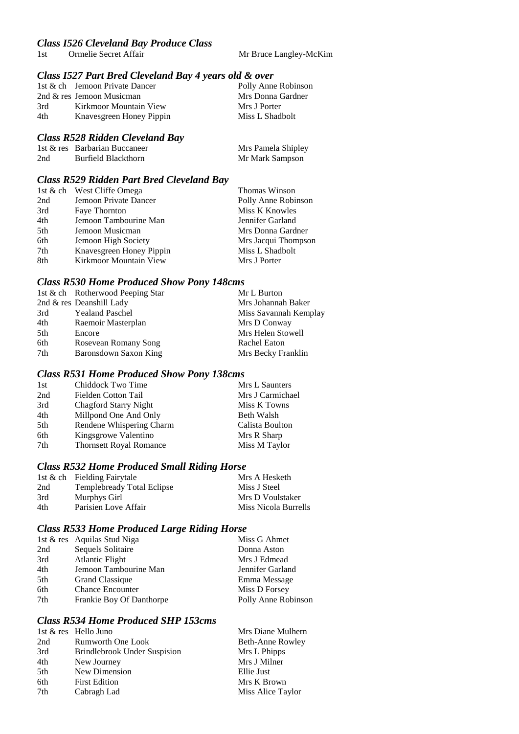# *Class I526 Cleveland Bay Produce Class*

1st Ormelie Secret Affair Mr Bruce Langley-McKim

## *Class I527 Part Bred Cleveland Bay 4 years old & over*

|     | 1st & ch Jemoon Private Dancer |  | Polly Anne Robinson |
|-----|--------------------------------|--|---------------------|
|     | 2nd & res Jemoon Musicman      |  | Mrs Donna Gardner   |
| 3rd | Kirkmoor Mountain View         |  | Mrs J Porter        |
| 4th | Knavesgreen Honey Pippin       |  | Miss L Shadbolt     |
|     |                                |  |                     |

#### *Class R528 Ridden Cleveland Bay*

|     | 1st & res Barbarian Buccaneer | Mrs Pamela Shipley |
|-----|-------------------------------|--------------------|
| 2nd | Burfield Blackthorn           | Mr Mark Sampson    |

#### *Class R529 Ridden Part Bred Cleveland Bay*

|     | 1st & ch West Cliffe Omega | Thomas Winson       |
|-----|----------------------------|---------------------|
| 2nd | Jemoon Private Dancer      | Polly Anne Robinson |
| 3rd | Faye Thornton              | Miss K Knowles      |
| 4th | Jemoon Tambourine Man      | Jennifer Garland    |
| 5th | Jemoon Musicman            | Mrs Donna Gardner   |
| 6th | Jemoon High Society        | Mrs Jacqui Thompson |
| 7th | Knavesgreen Honey Pippin   | Miss L Shadbolt     |
| 8th | Kirkmoor Mountain View     | Mrs J Porter        |

#### *Class R530 Home Produced Show Pony 148cms*

| 1st & ch Rotherwood Peeping Star | Mr L Burton           |
|----------------------------------|-----------------------|
| 2nd & res Deanshill Lady         | Mrs Johannah Baker    |
| <b>Yealand Paschel</b>           | Miss Savannah Kemplay |
| Raemoir Masterplan               | Mrs D Conway          |
| Encore                           | Mrs Helen Stowell     |
| Rosevean Romany Song             | Rachel Eaton          |
| Baronsdown Saxon King            | Mrs Becky Franklin    |
|                                  |                       |

#### *Class R531 Home Produced Show Pony 138cms*

| Mrs L Saunters   |
|------------------|
| Mrs J Carmichael |
| Miss K Towns     |
| Beth Walsh       |
| Calista Boulton  |
| Mrs R Sharp      |
| Miss M Taylor    |
|                  |

#### *Class R532 Home Produced Small Riding Horse*

|     | 1st & ch Fielding Fairytale | Mrs A Hesketh               |
|-----|-----------------------------|-----------------------------|
| 2nd | Templebready Total Eclipse  | Miss J Steel                |
| 3rd | Murphys Girl                | Mrs D Voulstaker            |
| 4th | Parisien Love Affair        | <b>Miss Nicola Burrells</b> |

#### *Class R533 Home Produced Large Riding Horse*

|     | 1st & res Aquilas Stud Niga | Miss G Ahmet        |
|-----|-----------------------------|---------------------|
| 2nd | Sequels Solitaire           | Donna Aston         |
| 3rd | <b>Atlantic Flight</b>      | Mrs J Edmead        |
| 4th | Jemoon Tambourine Man       | Jennifer Garland    |
| 5th | <b>Grand Classique</b>      | Emma Message        |
| 6th | <b>Chance Encounter</b>     | Miss D Forsey       |
| 7th | Frankie Boy Of Danthorpe    | Polly Anne Robinson |
|     |                             |                     |

## *Class R534 Home Produced SHP 153cms*

|     | 1st & res Hello Juno                | Mrs Diane Mulhern |
|-----|-------------------------------------|-------------------|
| 2nd | Rumworth One Look                   | Beth-Anne Rowley  |
| 3rd | <b>Brindlebrook Under Suspision</b> | Mrs L Phipps      |
| 4th | New Journey                         | Mrs J Milner      |
| 5th | New Dimension                       | Ellie Just        |
| 6th | <b>First Edition</b>                | Mrs K Brown       |
| 7th | Cabragh Lad                         | Miss Alice Taylor |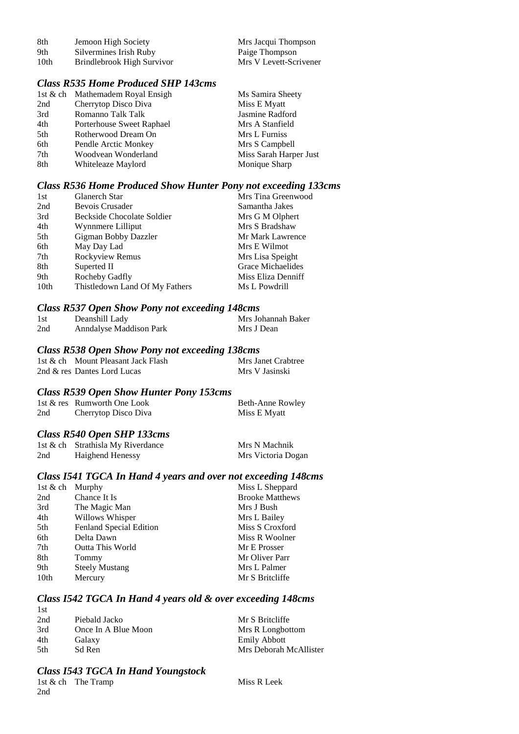| 8th  | Jemoon High Society        | Mrs Jacqui Thompson    |
|------|----------------------------|------------------------|
| 9th  | Silvermines Irish Ruby     | Paige Thompson         |
| 10th | Brindlebrook High Survivor | Mrs V Levett-Scrivener |

## *Class R535 Home Produced SHP 143cms*

|     | 1st & ch Mathemadem Royal Ensigh | Ms Samira Sheety       |
|-----|----------------------------------|------------------------|
| 2nd | Cherrytop Disco Diva             | Miss E Myatt           |
| 3rd | Romanno Talk Talk                | Jasmine Radford        |
| 4th | Porterhouse Sweet Raphael        | Mrs A Stanfield        |
| 5th | Rotherwood Dream On              | Mrs L Furniss          |
| 6th | Pendle Arctic Monkey             | Mrs S Campbell         |
| 7th | Woodvean Wonderland              | Miss Sarah Harper Just |
| 8th | Whiteleaze Maylord               | Monique Sharp          |

#### *Class R536 Home Produced Show Hunter Pony not exceeding 133cms*

| 1st              | <b>Glanerch Star</b>           | Mrs Tina Greenwood |
|------------------|--------------------------------|--------------------|
| 2nd              | Bevois Crusader                | Samantha Jakes     |
| 3rd              | Beckside Chocolate Soldier     | Mrs G M Olphert    |
| 4th              | Wynnmere Lilliput              | Mrs S Bradshaw     |
| 5th              | Gigman Bobby Dazzler           | Mr Mark Lawrence   |
| 6th              | May Day Lad                    | Mrs E Wilmot       |
| 7th              | Rockyview Remus                | Mrs Lisa Speight   |
| 8th              | Superted II                    | Grace Michaelides  |
| 9th              | Rocheby Gadfly                 | Miss Eliza Denniff |
| 10 <sub>th</sub> | Thistledown Land Of My Fathers | Ms L Powdrill      |

#### *Class R537 Open Show Pony not exceeding 148cms*

| 1st | Deanshill Lady          | Mrs Johannah Baker |
|-----|-------------------------|--------------------|
| 2nd | Anndalyse Maddison Park | Mrs J Dean         |

#### *Class R538 Open Show Pony not exceeding 138cms*

| 1st & ch Mount Pleasant Jack Flash |  | Mrs Janet Crabtree |
|------------------------------------|--|--------------------|
| 2nd & res Dantes Lord Lucas        |  | Mrs V Jasinski     |

#### *Class R539 Open Show Hunter Pony 153cms*

|     | 1st & res Rumworth One Look | Beth-Anne Rowley |
|-----|-----------------------------|------------------|
| 2nd | Cherrytop Disco Diva        | Miss E Myatt     |

## *Class R540 Open SHP 133cms*

|     | 1st & ch Strathisla My Riverdance | Mrs N Machnik      |
|-----|-----------------------------------|--------------------|
| 2nd | Haighend Henessy                  | Mrs Victoria Dogan |

## *Class I541 TGCA In Hand 4 years and over not exceeding 148cms*

| 1st & ch | Murphy                  | Miss L Sheppard        |
|----------|-------------------------|------------------------|
| 2nd      | Chance It Is            | <b>Brooke Matthews</b> |
| 3rd      | The Magic Man           | Mrs J Bush             |
| 4th      | Willows Whisper         | Mrs L Bailey           |
| 5th      | Fenland Special Edition | Miss S Croxford        |
| 6th      | Delta Dawn              | Miss R Woolner         |
| 7th      | <b>Outta This World</b> | Mr E Prosser           |
| 8th      | Tommy                   | Mr Oliver Parr         |
| 9th      | <b>Steely Mustang</b>   | Mrs L Palmer           |
| 10th     | Mercury                 | Mr S Britcliffe        |
|          |                         |                        |

## *Class I542 TGCA In Hand 4 years old & over exceeding 148cms*

| 1st  |                     |                        |
|------|---------------------|------------------------|
| 2nd  | Piebald Jacko       | Mr S Britcliffe        |
| 3rd  | Once In A Blue Moon | Mrs R Longbottom       |
| 4th  | Galaxy              | <b>Emily Abbott</b>    |
| .5th | Sd Ren              | Mrs Deborah McAllister |

#### *Class I543 TGCA In Hand Youngstock*

1st & ch The Tramp Miss R Leek 2nd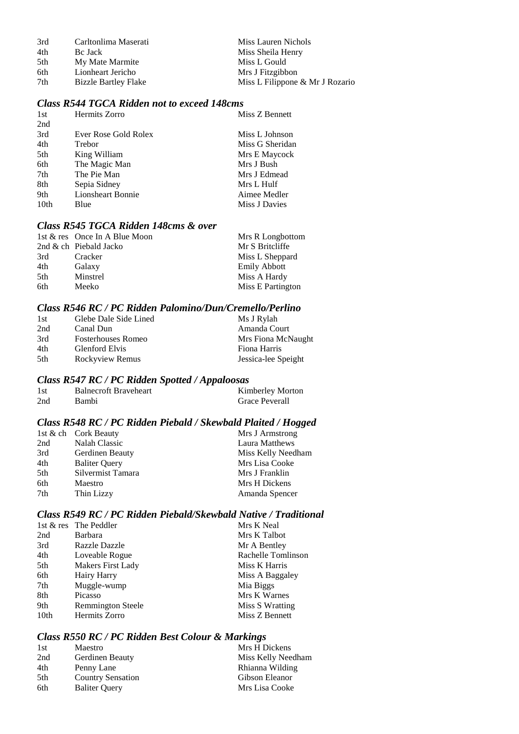| 3rd | Carltonlima Maserati        | Miss Lauren Nichols             |
|-----|-----------------------------|---------------------------------|
| 4th | Bc Jack                     | Miss Sheila Henry               |
| 5th | My Mate Marmite             | Miss L Gould                    |
| 6th | Lionheart Jericho           | Mrs J Fitzgibbon                |
| 7th | <b>Bizzle Bartley Flake</b> | Miss L Filippone & Mr J Rozario |

## *Class R544 TGCA Ridden not to exceed 148cms*

| Hermits Zorro            | Miss Z Bennett  |
|--------------------------|-----------------|
|                          |                 |
| Ever Rose Gold Rolex     | Miss L Johnson  |
| Trebor                   | Miss G Sheridan |
| King William             | Mrs E Maycock   |
| The Magic Man            | Mrs J Bush      |
| The Pie Man              | Mrs J Edmead    |
| Sepia Sidney             | Mrs L Hulf      |
| <b>Lionsheart Bonnie</b> | Aimee Medler    |
| Blue                     | Miss J Davies   |
|                          |                 |

## *Class R545 TGCA Ridden 148cms & over*

|     | 1st & res Once In A Blue Moon | Mrs R Longbottom    |
|-----|-------------------------------|---------------------|
|     | 2nd & ch Piebald Jacko        | Mr S Britcliffe     |
| 3rd | Cracker                       | Miss L Sheppard     |
| 4th | Galaxy                        | <b>Emily Abbott</b> |
| 5th | Minstrel                      | Miss A Hardy        |
| 6th | Meeko                         | Miss E Partington   |

#### *Class R546 RC / PC Ridden Palomino/Dun/Cremello/Perlino*

| 1st | Glebe Dale Side Lined     | Ms J Rylah          |
|-----|---------------------------|---------------------|
| 2nd | Canal Dun                 | Amanda Court        |
| 3rd | <b>Fosterhouses Romeo</b> | Mrs Fiona McNaught  |
| 4th | Glenford Elvis            | Fiona Harris        |
| 5th | Rockyview Remus           | Jessica-lee Speight |

#### *Class R547 RC / PC Ridden Spotted / Appaloosas*

| 1st | <b>Balnecroft Braveheart</b> | Kimberley Morton      |
|-----|------------------------------|-----------------------|
| 2nd | Bambi                        | <b>Grace Peverall</b> |

## *Class R548 RC / PC Ridden Piebald / Skewbald Plaited / Hogged*

| 1st & ch Cork Beauty | Mrs J Armstrong    |
|----------------------|--------------------|
| Nalah Classic        | Laura Matthews     |
| Gerdinen Beauty      | Miss Kelly Needham |
| <b>Baliter Query</b> | Mrs Lisa Cooke     |
| Silvermist Tamara    | Mrs J Franklin     |
| Maestro              | Mrs H Dickens      |
| Thin Lizzy           | Amanda Spencer     |
|                      |                    |

## *Class R549 RC / PC Ridden Piebald/Skewbald Native / Traditional*

|                  | 1st & res The Peddler    | Mrs K Neal         |
|------------------|--------------------------|--------------------|
| 2nd              | Barbara                  | Mrs K Talbot       |
| 3rd              | <b>Razzle Dazzle</b>     | Mr A Bentley       |
| 4th              | Loveable Rogue           | Rachelle Tomlinson |
| 5th              | <b>Makers First Lady</b> | Miss K Harris      |
| 6th              | Hairy Harry              | Miss A Baggaley    |
| 7th              | Muggle-wump              | Mia Biggs          |
| 8th              | Picasso                  | Mrs K Warnes       |
| 9th              | <b>Remmington Steele</b> | Miss S Wratting    |
| 10 <sub>th</sub> | Hermits Zorro            | Miss Z Bennett     |

## *Class R550 RC / PC Ridden Best Colour & Markings*

| 1st | Maestro                  | Mrs H Dickens      |
|-----|--------------------------|--------------------|
| 2nd | Gerdinen Beauty          | Miss Kelly Needham |
| 4th | Penny Lane               | Rhianna Wilding    |
| 5th | <b>Country Sensation</b> | Gibson Eleanor     |
| 6th | <b>Baliter Query</b>     | Mrs Lisa Cooke     |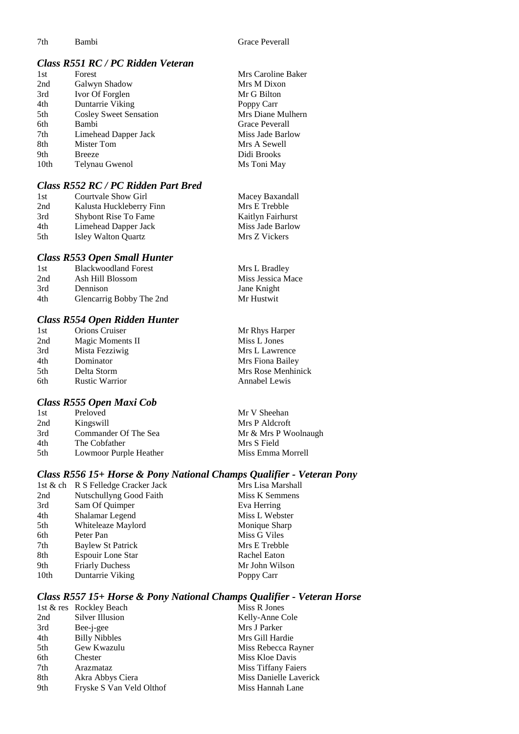## *Class R551 RC / PC Ridden Veteran*

| 1st  | Forest                        | Mrs Caroline Baker |
|------|-------------------------------|--------------------|
| 2nd  | Galwyn Shadow                 | Mrs M Dixon        |
| 3rd  | Ivor Of Forglen               | Mr G Bilton        |
| 4th  | Duntarrie Viking              | Poppy Carr         |
| 5th  | <b>Cosley Sweet Sensation</b> | Mrs Diane Mulhern  |
| 6th  | Bambi                         | Grace Peverall     |
| 7th  | Limehead Dapper Jack          | Miss Jade Barlow   |
| 8th  | Mister Tom                    | Mrs A Sewell       |
| 9th  | <b>Breeze</b>                 | Didi Brooks        |
| 10th | Telynau Gwenol                | Ms Toni May        |

## *Class R552 RC / PC Ridden Part Bred*

| 1st | Courtvale Show Girl         | Macey Baxandall   |
|-----|-----------------------------|-------------------|
| 2nd | Kalusta Huckleberry Finn    | Mrs E Trebble     |
| 3rd | <b>Shybont Rise To Fame</b> | Kaitlyn Fairhurst |
| 4th | Limehead Dapper Jack        | Miss Jade Barlow  |
| 5th | Isley Walton Quartz         | Mrs Z Vickers     |

#### *Class R553 Open Small Hunter*

| <b>Blackwoodland Forest</b> | Mrs L Bradley     |
|-----------------------------|-------------------|
| Ash Hill Blossom            | Miss Jessica Mace |
| Dennison                    | Jane Knight       |
| Glencarrig Bobby The 2nd    | Mr Hustwit        |
|                             |                   |

## *Class R554 Open Ridden Hunter*

| 1st             | <b>Orions Cruiser</b> | Mr Rhys Harper     |
|-----------------|-----------------------|--------------------|
| 2nd             | Magic Moments II      | Miss L Jones       |
| 3rd             | Mista Fezziwig        | Mrs L Lawrence     |
| 4th             | Dominator             | Mrs Fiona Bailey   |
| 5 <sup>th</sup> | Delta Storm           | Mrs Rose Menhinick |
| 6th             | <b>Rustic Warrior</b> | Annabel Lewis      |
|                 |                       |                    |

## *Class R555 Open Maxi Cob*

| 1st | Preloved               | Mr V Sheehan         |
|-----|------------------------|----------------------|
| 2nd | Kingswill              | Mrs P Aldcroft       |
| 3rd | Commander Of The Sea   | Mr & Mrs P Woolnaugh |
| 4th | The Cobfather          | Mrs S Field          |
| 5th | Lowmoor Purple Heather | Miss Emma Morrell    |
|     |                        |                      |

## *Class R556 15+ Horse & Pony National Champs Qualifier - Veteran Pony*

|      | 1st & ch R S Felledge Cracker Jack | Mrs Lisa Marshall |
|------|------------------------------------|-------------------|
| 2nd  | Nutschullyng Good Faith            | Miss K Semmens    |
| 3rd  | Sam Of Quimper                     | Eva Herring       |
| 4th  | Shalamar Legend                    | Miss L Webster    |
| 5th  | Whiteleaze Maylord                 | Monique Sharp     |
| 6th  | Peter Pan                          | Miss G Viles      |
| 7th  | Baylew St Patrick                  | Mrs E Trebble     |
| 8th  | Espouir Lone Star                  | Rachel Eaton      |
| 9th  | <b>Friarly Duchess</b>             | Mr John Wilson    |
| 10th | Duntarrie Viking                   | Poppy Carr        |
|      |                                    |                   |

## *Class R557 15+ Horse & Pony National Champs Qualifier - Veteran Horse*

|     | 1st & res Rockley Beach  | Miss R Jones           |
|-----|--------------------------|------------------------|
| 2nd | Silver Illusion          | Kelly-Anne Cole        |
| 3rd | Bee-j-gee                | Mrs J Parker           |
| 4th | <b>Billy Nibbles</b>     | Mrs Gill Hardie        |
| 5th | Gew Kwazulu              | Miss Rebecca Rayner    |
| 6th | Chester                  | Miss Kloe Davis        |
| 7th | Arazmataz                | Miss Tiffany Faiers    |
| 8th | Akra Abbys Ciera         | Miss Danielle Laverick |
| 9th | Fryske S Van Veld Olthof | Miss Hannah Lane       |
|     |                          |                        |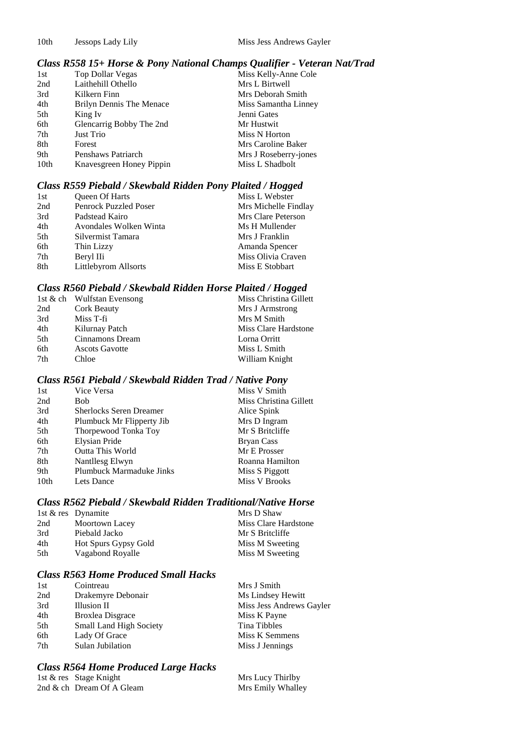## *Class R558 15+ Horse & Pony National Champs Qualifier - Veteran Nat/Trad*

| 1st  | Top Dollar Vegas         | Miss Kelly-Anne Cole  |
|------|--------------------------|-----------------------|
| 2nd  | Laithehill Othello       | Mrs L Birtwell        |
| 3rd  | Kilkern Finn             | Mrs Deborah Smith     |
| 4th  | Brilyn Dennis The Menace | Miss Samantha Linney  |
| 5th  | King Iv                  | Jenni Gates           |
| 6th  | Glencarrig Bobby The 2nd | Mr Hustwit            |
| 7th  | Just Trio                | Miss N Horton         |
| 8th  | Forest                   | Mrs Caroline Baker    |
| 9th  | Penshaws Patriarch       | Mrs J Roseberry-jones |
| 10th | Knavesgreen Honey Pippin | Miss L Shadbolt       |

## *Class R559 Piebald / Skewbald Ridden Pony Plaited / Hogged*

| 1st | Queen Of Harts               | Miss L Webster       |
|-----|------------------------------|----------------------|
| 2nd | <b>Penrock Puzzled Poser</b> | Mrs Michelle Findlay |
| 3rd | Padstead Kairo               | Mrs Clare Peterson   |
| 4th | Avondales Wolken Winta       | Ms H Mullender       |
| 5th | Silvermist Tamara            | Mrs J Franklin       |
| 6th | Thin Lizzy                   | Amanda Spencer       |
| 7th | Beryl IIi                    | Miss Olivia Craven   |
| 8th | Littlebyrom Allsorts         | Miss E Stobbart      |

#### *Class R560 Piebald / Skewbald Ridden Horse Plaited / Hogged*

|                       | Miss Christina Gillett     |
|-----------------------|----------------------------|
| Cork Beauty           | Mrs J Armstrong            |
| Miss T-fi             | Mrs M Smith                |
| Kilurnay Patch        | Miss Clare Hardstone       |
| Cinnamons Dream       | Lorna Orritt               |
| <b>Ascots Gavotte</b> | Miss L Smith               |
| Chloe                 | William Knight             |
|                       | 1st & ch Wulfstan Evensong |

#### *Class R561 Piebald / Skewbald Ridden Trad / Native Pony*

| 1st  | Vice Versa                      | Miss V Smith           |
|------|---------------------------------|------------------------|
| 2nd  | <b>Bob</b>                      | Miss Christina Gillett |
| 3rd  | <b>Sherlocks Seren Dreamer</b>  | Alice Spink            |
| 4th  | Plumbuck Mr Flipperty Jib       | Mrs D Ingram           |
| 5th  | Thorpewood Tonka Toy            | Mr S Britcliffe        |
| 6th  | Elysian Pride                   | <b>Bryan Cass</b>      |
| 7th  | <b>Outta This World</b>         | Mr E Prosser           |
| 8th  | Nantllesg Elwyn                 | Roanna Hamilton        |
| 9th  | <b>Plumbuck Marmaduke Jinks</b> | Miss S Piggott         |
| 10th | Lets Dance                      | Miss V Brooks          |

#### *Class R562 Piebald / Skewbald Ridden Traditional/Native Horse*

|     | 1st & res Dynamite   | Mrs D Shaw           |
|-----|----------------------|----------------------|
| 2nd | Moortown Lacey       | Miss Clare Hardstone |
| 3rd | Piebald Jacko        | Mr S Britcliffe      |
| 4th | Hot Spurs Gypsy Gold | Miss M Sweeting      |
| 5th | Vagabond Royalle     | Miss M Sweeting      |

## *Class R563 Home Produced Small Hacks*

| 1st | Cointreau               | Mrs J Smith              |
|-----|-------------------------|--------------------------|
| 2nd | Drakemyre Debonair      | Ms Lindsey Hewitt        |
| 3rd | Illusion II             | Miss Jess Andrews Gayler |
| 4th | <b>Broxlea Disgrace</b> | Miss K Payne             |
| 5th | Small Land High Society | Tina Tibbles             |
| 6th | Lady Of Grace           | Miss K Semmens           |
| 7th | Sulan Jubilation        | Miss J Jennings          |
|     |                         |                          |

## *Class R564 Home Produced Large Hacks*

| 1st & res Stage Knight    | Mrs Lucy Thirlby  |
|---------------------------|-------------------|
| 2nd & ch Dream Of A Gleam | Mrs Emily Whalley |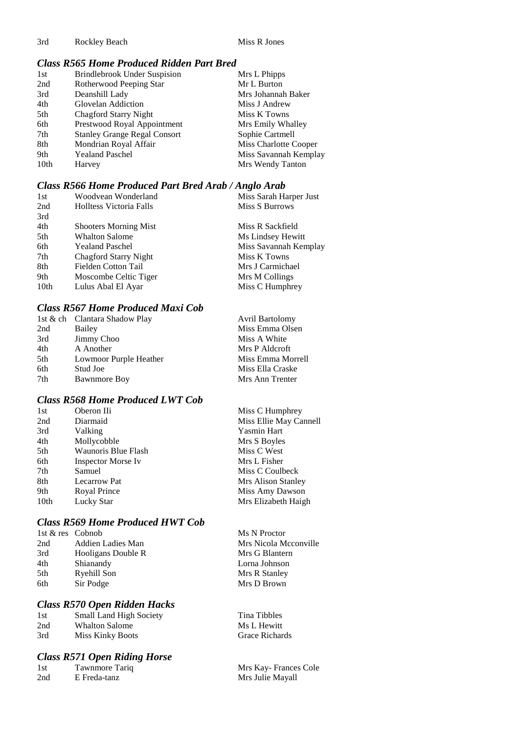3rd Rockley Beach Miss R Jones

## *Class R565 Home Produced Ridden Part Bred*

| 1st  | Brindlebrook Under Suspision        | Mrs L Phipps          |
|------|-------------------------------------|-----------------------|
| 2nd  | Rotherwood Peeping Star             | Mr L Burton           |
| 3rd  | Deanshill Lady                      | Mrs Johannah Baker    |
| 4th  | Glovelan Addiction                  | Miss J Andrew         |
| 5th  | <b>Chagford Starry Night</b>        | Miss K Towns          |
| 6th  | Prestwood Royal Appointment         | Mrs Emily Whalley     |
| 7th  | <b>Stanley Grange Regal Consort</b> | Sophie Cartmell       |
| 8th  | Mondrian Royal Affair               | Miss Charlotte Cooper |
| 9th  | <b>Yealand Paschel</b>              | Miss Savannah Kemplay |
| 10th | Harvey                              | Mrs Wendy Tanton      |
|      |                                     |                       |

## *Class R566 Home Produced Part Bred Arab / Anglo Arab*

| 1st  | Woodvean Wonderland            | Miss Sarah Harper Just |
|------|--------------------------------|------------------------|
| 2nd  | <b>Holltess Victoria Falls</b> | Miss S Burrows         |
| 3rd  |                                |                        |
| 4th  | <b>Shooters Morning Mist</b>   | Miss R Sackfield       |
| 5th  | <b>Whalton Salome</b>          | Ms Lindsey Hewitt      |
| 6th  | <b>Yealand Paschel</b>         | Miss Savannah Kemplay  |
| 7th  | <b>Chagford Starry Night</b>   | Miss K Towns           |
| 8th  | Fielden Cotton Tail            | Mrs J Carmichael       |
| 9th  | Moscombe Celtic Tiger          | Mrs M Collings         |
| 10th | Lulus Abal El Ayar             | Miss C Humphrey        |
|      |                                |                        |

## *Class R567 Home Produced Maxi Cob*

|                        | <b>Avril Bartolomy</b>                             |
|------------------------|----------------------------------------------------|
| Bailey                 | Miss Emma Olsen                                    |
|                        | Miss A White                                       |
| A Another              | Mrs P Aldcroft                                     |
| Lowmoor Purple Heather | Miss Emma Morrell                                  |
| Stud Joe               | Miss Ella Craske                                   |
| <b>Bawnmore Boy</b>    | Mrs Ann Trenter                                    |
|                        | 1st & ch Clantara Shadow Play<br><b>Jimmy Choo</b> |

## *Class R568 Home Produced LWT Cob*

| 1st  | Oberon IIi                | Miss C Humphrey        |
|------|---------------------------|------------------------|
| 2nd  | Diarmaid                  | Miss Ellie May Cannell |
| 3rd  | Valking                   | <b>Yasmin Hart</b>     |
| 4th  | Mollycobble               | Mrs S Boyles           |
| 5th  | Waunoris Blue Flash       | Miss C West            |
| 6th  | <b>Inspector Morse Iv</b> | Mrs L Fisher           |
| 7th  | Samuel                    | Miss C Coulbeck        |
| 8th  | <b>Lecarrow Pat</b>       | Mrs Alison Stanley     |
| 9th  | Royal Prince              | Miss Amy Dawson        |
| 10th | Lucky Star                | Mrs Elizabeth Haigh    |

## *Class R569 Home Produced HWT Cob*

| 1st & res Cobnob |                    | Ms N Proctor          |
|------------------|--------------------|-----------------------|
| 2nd              | Addien Ladies Man  | Mrs Nicola Mcconville |
| 3rd              | Hooligans Double R | Mrs G Blantern        |
| 4th              | Shianandy          | Lorna Johnson         |
| 5th              | Ryehill Son        | Mrs R Stanley         |
| 6th              | Sir Podge          | Mrs D Brown           |
|                  |                    |                       |

## *Class R570 Open Ridden Hacks*

| 1st | Small Land High Society |
|-----|-------------------------|
| 2nd | <b>Whalton Salome</b>   |
| 3rd | <b>Miss Kinky Boots</b> |

## *Class R571 Open Riding Horse*

| 1st | Tawnmore Tariq |  |
|-----|----------------|--|
| 2nd | E Freda-tanz   |  |

Tina Tibbles Ms L Hewitt Grace Richards

Mrs Kay- Frances Cole Mrs Julie Mayall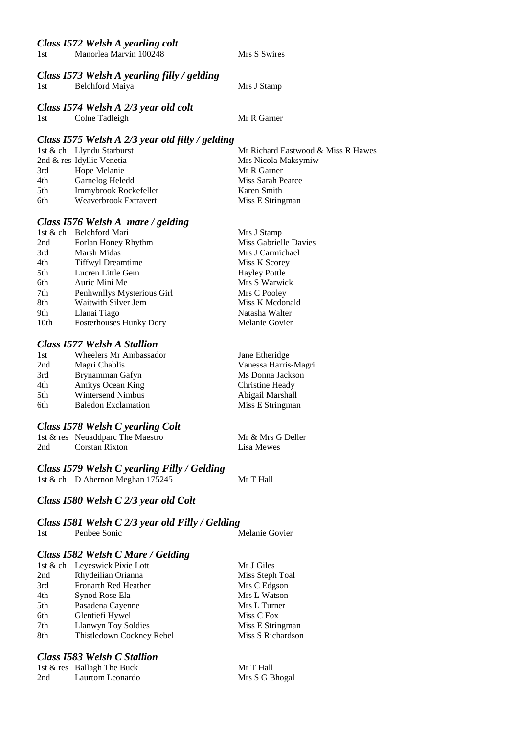#### *Class I572 Welsh A yearling colt*

| 1st | Manorlea Marvin 100248 |  |
|-----|------------------------|--|

Mrs S Swires

#### *Class I573 Welsh A yearling filly / gelding*

| 1st | Belchford Maiya |
|-----|-----------------|
|-----|-----------------|

Mrs J Stamp

#### *Class I574 Welsh A 2/3 year old colt*

1st Colne Tadleigh Mr R Garner

#### *Class I575 Welsh A 2/3 year old filly / gelding*

|     | 1st & ch Llyndu Starburst | Mr Richard Eastwood & Miss R Hawes |
|-----|---------------------------|------------------------------------|
|     | 2nd & res Idyllic Venetia | Mrs Nicola Maksymiw                |
| 3rd | Hope Melanie              | Mr R Garner                        |
| 4th | Garnelog Heledd           | Miss Sarah Pearce                  |
| 5th | Immybrook Rockefeller     | Karen Smith                        |
| 6th | Weaverbrook Extravert     | Miss E Stringman                   |

## *Class I576 Welsh A mare / gelding*

| 1st & ch Belchford Mari |                                | Mrs J Stamp           |
|-------------------------|--------------------------------|-----------------------|
| 2nd                     | Forlan Honey Rhythm            | Miss Gabrielle Davies |
| 3rd<br>Marsh Midas      |                                | Mrs J Carmichael      |
| 4th                     | <b>Tiffwyl Dreamtime</b>       | Miss K Scorey         |
| 5th                     | Lucren Little Gem              | <b>Hayley Pottle</b>  |
| 6th<br>Auric Mini Me    |                                | Mrs S Warwick         |
| 7th                     | Penhwnllys Mysterious Girl     | Mrs C Pooley          |
| 8th                     | Waitwith Silver Jem            | Miss K Mcdonald       |
| 9th<br>Llanai Tiago     |                                | Natasha Walter        |
| 10th                    | <b>Fosterhouses Hunky Dory</b> | Melanie Govier        |

## *Class I577 Welsh A Stallion*

| Jane Etheridge       |
|----------------------|
| Vanessa Harris-Magri |
| Ms Donna Jackson     |
| Christine Heady      |
| Abigail Marshall     |
| Miss E Stringman     |
|                      |

#### *Class I578 Welsh C yearling Colt*

|     | 1st & res Neuaddparc The Maestro | Mr & Mrs G Deller |
|-----|----------------------------------|-------------------|
| 2nd | Corstan Rixton                   | Lisa Mewes        |

## *Class I579 Welsh C yearling Filly / Gelding*

1st & ch D Abernon Meghan 175245 Mr T Hall

Mr T Hall Mrs S G Bhogal

## *Class I580 Welsh C 2/3 year old Colt*

## *Class I581 Welsh C 2/3 year old Filly / Gelding*

| 1st | Penbee Sonic |  | Melanie Govier |
|-----|--------------|--|----------------|
|     |              |  |                |

## *Class I582 Welsh C Mare / Gelding*

|     | 1st & ch Leyeswick Pixie Lott | Mr J Giles        |
|-----|-------------------------------|-------------------|
| 2nd | Rhydeilian Orianna            | Miss Steph Toal   |
| 3rd | Fronarth Red Heather          | Mrs C Edgson      |
| 4th | Synod Rose Ela                | Mrs L Watson      |
| 5th | Pasadena Cayenne              | Mrs L Turner      |
| 6th | Glentiefi Hywel               | Miss C Fox        |
| 7th | Llanwyn Toy Soldies           | Miss E Stringman  |
| 8th | Thistledown Cockney Rebel     | Miss S Richardson |
|     |                               |                   |

#### *Class I583 Welsh C Stallion*

|     | 1st & res Ballagh The Buck |
|-----|----------------------------|
| 2nd | Laurtom Leonardo           |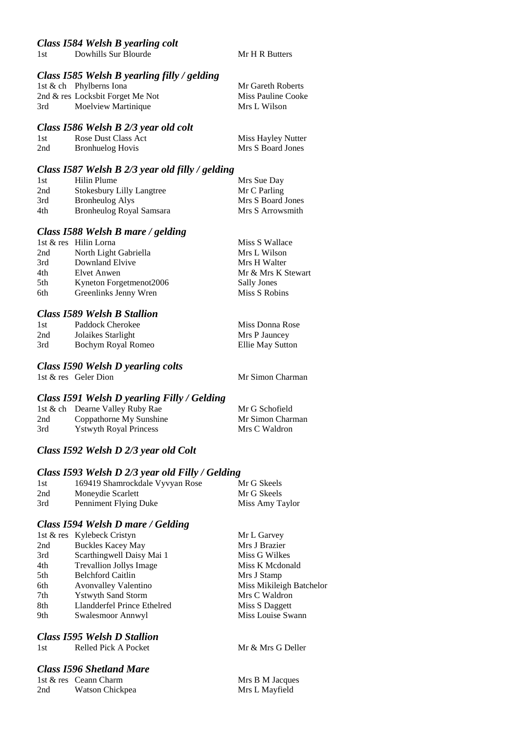#### *Class I585 Welsh B yearling filly / gelding*

|     | 1st & ch Phylberns Iona          | Mr Gareth Roberts  |
|-----|----------------------------------|--------------------|
|     | 2nd & res Locksbit Forget Me Not | Miss Pauline Cooke |
| 3rd | Moelview Martinique              | Mrs L Wilson       |

#### *Class I586 Welsh B 2/3 year old colt*

| 1st | Rose Dust Class Act     | Miss Hayley Nutter |
|-----|-------------------------|--------------------|
| 2nd | <b>Bronhuelog Hovis</b> | Mrs S Board Jones  |

## *Class I587 Welsh B 2/3 year old filly / gelding*

| 1st | Hilin Plume                      | Mrs Sue Day       |
|-----|----------------------------------|-------------------|
| 2nd | <b>Stokesbury Lilly Langtree</b> | Mr C Parling      |
| 3rd | Bronheulog Alys                  | Mrs S Board Jones |
| 4th | Bronheulog Royal Samsara         | Mrs S Arrowsmith  |

#### *Class I588 Welsh B mare / gelding*

|     | 1st & res Hilin Lorna   | Miss S Wallace     |
|-----|-------------------------|--------------------|
| 2nd | North Light Gabriella   | Mrs L Wilson       |
| 3rd | Downland Elvive         | Mrs H Walter       |
| 4th | Elvet Anwen             | Mr & Mrs K Stewart |
| 5th | Kyneton Forgetmenot2006 | <b>Sally Jones</b> |
| 6th | Greenlinks Jenny Wren   | Miss S Robins      |

#### *Class I589 Welsh B Stallion*

| 1st | Paddock Cherokee   | Miss Donna Rose  |
|-----|--------------------|------------------|
| 2nd | Jolaikes Starlight | Mrs P Jauncey    |
| 3rd | Bochym Royal Romeo | Ellie May Sutton |

#### *Class I590 Welsh D yearling colts*

1st & res Geler Dion Mr Simon Charman

#### *Class I591 Welsh D yearling Filly / Gelding*

|     | 1st & ch Dearne Valley Ruby Rae | Mr G Schofield   |
|-----|---------------------------------|------------------|
| 2nd | Coppathorne My Sunshine         | Mr Simon Charman |
| 3rd | <b>Y</b> stwyth Royal Princess  | Mrs C Waldron    |

## *Class I592 Welsh D 2/3 year old Colt*

#### *Class I593 Welsh D 2/3 year old Filly / Gelding*

| 1st | 169419 Shamrockdale Vyvyan Rose | Mr G Skeels     |
|-----|---------------------------------|-----------------|
| 2nd | Moneydie Scarlett               | Mr G Skeels     |
| 3rd | Penniment Flying Duke           | Miss Amy Taylor |

#### *Class I594 Welsh D mare / Gelding*

| 1st & res Kylebeck Cristyn     | Mr L Garvey              |
|--------------------------------|--------------------------|
| <b>Buckles Kacey May</b>       | Mrs J Brazier            |
| Scarthingwell Daisy Mai 1      | Miss G Wilkes            |
| <b>Trevallion Jollys Image</b> | Miss K Mcdonald          |
| <b>Belchford Caitlin</b>       | Mrs J Stamp              |
| <b>Avonvalley Valentino</b>    | Miss Mikileigh Batchelor |
| <b>Ystwyth Sand Storm</b>      | Mrs C Waldron            |
| Llandderfel Prince Ethelred    | Miss S Daggett           |
| Swalesmoor Annwyl              | Miss Louise Swann        |
|                                |                          |

#### *Class I595 Welsh D Stallion*

## *Class I596 Shetland Mare*

1st & res Ceann Charm Mrs B M Jacques 2nd Watson Chickpea Mrs L Mayfield

Mr & Mrs G Deller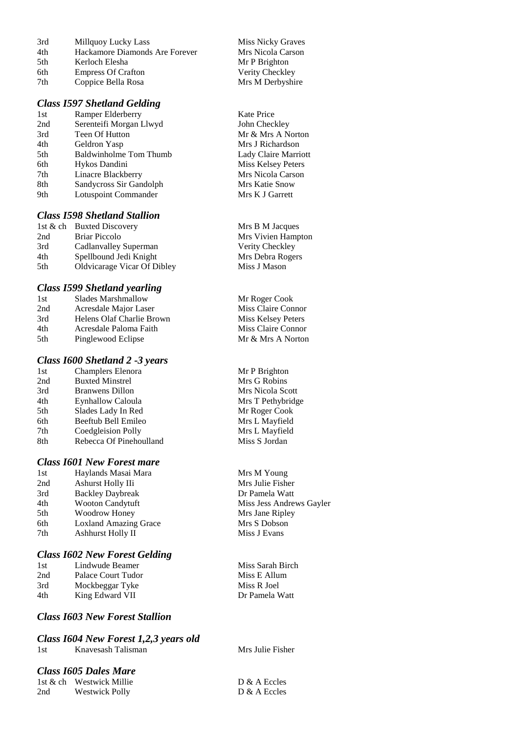| 3rd | Millquoy Lucky Lass            |
|-----|--------------------------------|
| 4th | Hackamore Diamonds Are Forever |
| 5th | Kerloch Elesha                 |
| 6th | <b>Empress Of Crafton</b>      |
| 7th | Coppice Bella Rosa             |
|     |                                |

#### *Class I597 Shetland Gelding*

1st Ramper Elderberry Kate Price 2nd Serenteifi Morgan Llwyd John Checkley 3rd Teen Of Hutton Mr & Mrs A Norton 4th Geldron Yasp Mrs J Richardson 5th Baldwinholme Tom Thumb Lady Claire Marriott 6th Hykos Dandini Miss Kelsey Peters 7th Linacre Blackberry Mrs Nicola Carson 8th Sandycross Sir Gandolph Mrs Katie Snow 9th Lotuspoint Commander Mrs K J Garrett

#### *Class I598 Shetland Stallion*

1st & ch Buxted Discovery Mrs B M Jacques 2nd Briar Piccolo Mrs Vivien Hampton 3rd Cadlanvalley Superman Verity Checkley 4th Spellbound Jedi Knight Mrs Debra Rogers 5th Oldvicarage Vicar Of Dibley Miss J Mason

#### *Class I599 Shetland yearling*

| 1st  | Slades Marshmallow        |
|------|---------------------------|
| 2nd  | Acresdale Major Laser     |
| 3rd  | Helens Olaf Charlie Brown |
| 4th  | Acresdale Paloma Faith    |
| .5th | Pinglewood Eclipse        |

#### *Class I600 Shetland 2 -3 years*

| 1st | <b>Champlers Elenora</b> |
|-----|--------------------------|
| 2nd | <b>Buxted Minstrel</b>   |
| 3rd | <b>Branwens Dillon</b>   |
| 4th | Eynhallow Caloula        |
| 5th | Slades Lady In Red       |
| 6th | Beeftub Bell Emileo      |
| 7th | Coedgleision Polly       |
| 8th | Rebecca Of Pinehoulland  |
|     |                          |

#### *Class I601 New Forest mare*

| 1st | Haylands Masai Mara          |
|-----|------------------------------|
| 2nd | Ashurst Holly IIi            |
| 3rd | <b>Backley Daybreak</b>      |
| 4th | <b>Wooton Candytuft</b>      |
| 5th | <b>Woodrow Honey</b>         |
| 6th | <b>Loxland Amazing Grace</b> |
| 7th | Ashhurst Holly II            |

#### *Class I602 New Forest Gelding*

1st Lindwude Beamer Miss Sarah Birch 2nd Palace Court Tudor Miss E Allum 3rd Mockbeggar Tyke Miss R Joel 4th King Edward VII Dr Pamela Watt

#### *Class I603 New Forest Stallion*

#### *Class I604 New Forest 1,2,3 years old* 1st Knavesash Talisman Mrs Julie Fisher

#### *Class I605 Dales Mare*

|     | 1st & ch Westwick Millie |
|-----|--------------------------|
| 2nd | <b>Westwick Polly</b>    |

Miss Nicky Graves Mrs Nicola Carson Mr P Brighton Verity Checkley Mrs M Derbyshire

Mr Roger Cook Miss Claire Connor Miss Kelsey Peters Miss Claire Connor Mr & Mrs A Norton

Mr P Brighton Mrs G Robins Mrs Nicola Scott Mrs T Pethybridge Mr Roger Cook Mrs L Mayfield Mrs L Mayfield d Miss S Jordan

> Mrs M Young Mrs Julie Fisher Dr Pamela Watt Miss Jess Andrews Gayler Mrs Jane Ripley Mrs S Dobson **Miss J Evans**

 $D & A$  Eccles D & A Eccles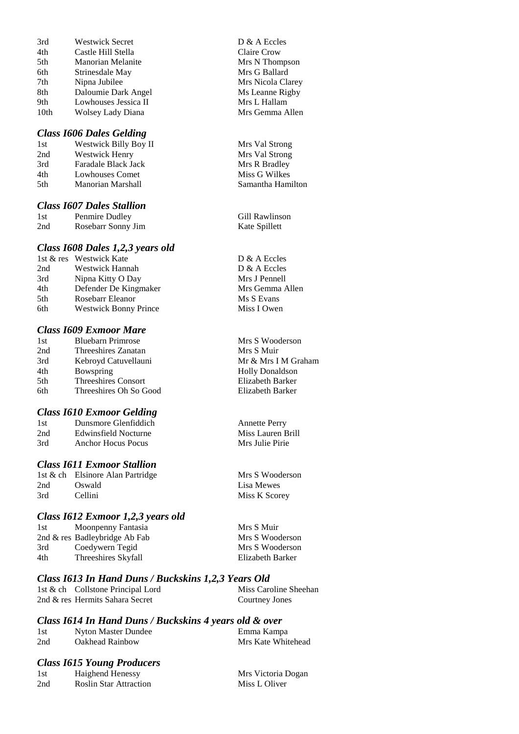| 3rd              | Westwick Secret          |
|------------------|--------------------------|
| 4th              | Castle Hill Stella       |
| 5th              | <b>Manorian Melanite</b> |
| 6th              | Strinesdale May          |
| 7th              | Nipna Jubilee            |
| 8th              | Daloumie Dark Angel      |
| 9th              | Lowhouses Jessica II     |
| 10 <sub>th</sub> | Wolsey Lady Diana        |

#### *Class I606 Dales Gelding*

| 1st | Westwick Billy Boy II    |
|-----|--------------------------|
| 2nd | <b>Westwick Henry</b>    |
| 3rd | Faradale Black Jack      |
| 4th | Lowhouses Comet          |
| 5th | <b>Manorian Marshall</b> |

#### *Class I607 Dales Stallion*

| -l st | Penmire Dudley     |  |  |
|-------|--------------------|--|--|
| 2nd   | Rosebarr Sonny Jim |  |  |

#### *Class I608 Dales 1,2,3 years old*

|     | 1st & res Westwick Kate      |
|-----|------------------------------|
| 2nd | Westwick Hannah              |
| 3rd | Nipna Kitty O Day            |
| 4th | Defender De Kingmaker        |
| 5th | Rosebarr Eleanor             |
| 6th | <b>Westwick Bonny Prince</b> |

#### *Class I609 Exmoor Mare*

| Threeshires Oh So Good |
|------------------------|
|                        |

#### *Class I610 Exmoor Gelding*

| 1st | Dunsmore Glenfiddich |
|-----|----------------------|
| 2nd | Edwinsfield Nocturne |
| 3rd | Anchor Hocus Pocus   |

#### *Class I611 Exmoor Stallion*

|     | 1st & ch Elsinore Alan Partridge |
|-----|----------------------------------|
| 2nd | Oswald                           |
| 3rd | Cellini                          |

#### *Class I612 Exmoor 1,2,3 years old*

| 1st | Moonpenny Fantasia            | Mrs S Muir       |
|-----|-------------------------------|------------------|
|     | 2nd & res Badleybridge Ab Fab | Mrs S Wooderson  |
| 3rd | Coedywern Tegid               | Mrs S Wooderson  |
| 4th | Threeshires Skyfall           | Elizabeth Barker |

#### *Class I613 In Hand Duns / Buckskins 1,2,3 Years Old* 1st & ch Collstone Principal Lord Miss Caroline Sheehan 2nd & res Hermits Sahara Secret Courtney Jones

## *Class I614 In Hand Duns / Buckskins 4 years old & over*

| 1st | Nyton Master Dundee | Emma Kampa         |
|-----|---------------------|--------------------|
| 2nd | Oakhead Rainbow     | Mrs Kate Whitehead |

#### *Class I615 Young Producers*

| 1st | <b>Haighend Henessy</b>       |
|-----|-------------------------------|
| 2nd | <b>Roslin Star Attraction</b> |

Claire Crow Mrs N Thompson Mrs G Ballard Mrs Nicola Clarey Ms Leanne Rigby Mrs L Hallam Mrs Gemma Allen

D & A Eccles

Mrs Val Strong Mrs Val Strong Mrs R Bradley **Miss G Wilkes** Samantha Hamilton

Gill Rawlinson Kate Spillett

D & A Eccles D & A Eccles Mrs J Pennell Mrs Gemma Allen Ms S Evans Miss I Owen

Mrs S Wooderson Mrs S Muir Mr & Mrs I M Graham Holly Donaldson Elizabeth Barker Elizabeth Barker

Annette Perry Miss Lauren Brill Mrs Julie Pirie

Mrs S Wooderson Lisa Mewes Miss K Scorey

| Mrs S Muir |                  |
|------------|------------------|
|            | Mrs S Woodersor  |
|            | Mrs S Woodersor  |
|            | Elizabeth Barker |

Mrs Victoria Dogan Miss L Oliver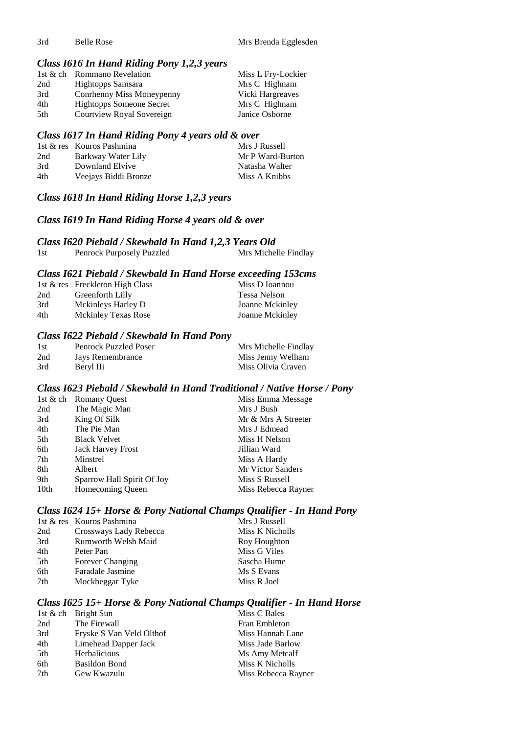3rd Belle Rose Mrs Brenda Egglesden

#### *Class I616 In Hand Riding Pony 1,2,3 years*

|     | 1st & ch Rommano Revelation     | Miss L Fry-Lockier |
|-----|---------------------------------|--------------------|
| 2nd | Hightopps Samsara               | Mrs C Highnam      |
| 3rd | Conrhenny Miss Moneypenny       | Vicki Hargreaves   |
| 4th | <b>Hightopps Someone Secret</b> | Mrs C Highnam      |
| 5th | Courtview Royal Sovereign       | Janice Osborne     |

#### *Class I617 In Hand Riding Pony 4 years old & over*

|     | 1st & res Kouros Pashmina | Mrs J Russell    |
|-----|---------------------------|------------------|
| 2nd | Barkway Water Lily        | Mr P Ward-Burton |
| 3rd | Downland Elvive           | Natasha Walter   |
| 4th | Veejays Biddi Bronze      | Miss A Knibbs    |

## *Class I618 In Hand Riding Horse 1,2,3 years*

#### *Class I619 In Hand Riding Horse 4 years old & over*

*Class I620 Piebald / Skewbald In Hand 1,2,3 Years Old* 1st Penrock Purposely Puzzled

#### *Class I621 Piebald / Skewbald In Hand Horse exceeding 153cms*

|     | 1st & res Freckleton High Class | Miss D Ioannou  |
|-----|---------------------------------|-----------------|
| 2nd | Greenforth Lilly                | Tessa Nelson    |
| 3rd | Mckinleys Harley D              | Joanne Mckinley |
| 4th | <b>Mckinley Texas Rose</b>      | Joanne Mckinley |

## *Class I622 Piebald / Skewbald In Hand Pony*

| 1st | <b>Penrock Puzzled Poser</b> | Mrs Michelle Findlay |
|-----|------------------------------|----------------------|
| 2nd | Jays Remembrance             | Miss Jenny Welham    |
| 3rd | Beryl IIi                    | Miss Olivia Craven   |

#### *Class I623 Piebald / Skewbald In Hand Traditional / Native Horse / Pony*

|      | 1st & ch Romany Quest      | Miss Emma Message        |
|------|----------------------------|--------------------------|
| 2nd  | The Magic Man              | Mrs J Bush               |
| 3rd  | King Of Silk               | Mr & Mrs A Streeter      |
| 4th  | The Pie Man                | Mrs J Edmead             |
| 5th  | <b>Black Velvet</b>        | Miss H Nelson            |
| 6th  | <b>Jack Harvey Frost</b>   | Jillian Ward             |
| 7th  | Minstrel                   | Miss A Hardy             |
| 8th  | Albert                     | <b>Mr Victor Sanders</b> |
| 9th  | Sparrow Hall Spirit Of Joy | Miss S Russell           |
| 10th | Homecoming Queen           | Miss Rebecca Rayner      |

## *Class I624 15+ Horse & Pony National Champs Qualifier - In Hand Pony*

|     | 1st & res Kouros Pashmina | Mrs J Russell   |
|-----|---------------------------|-----------------|
| 2nd | Crossways Lady Rebecca    | Miss K Nicholls |
| 3rd | Rumworth Welsh Maid       | Roy Houghton    |
| 4th | Peter Pan                 | Miss G Viles    |
| 5th | Forever Changing          | Sascha Hume     |
| 6th | Faradale Jasmine          | Ms S Evans      |
| 7th | Mockbeggar Tyke           | Miss R Joel     |
|     |                           |                 |

## *Class I625 15+ Horse & Pony National Champs Qualifier - In Hand Horse*

|     | 1st & ch Bright Sun      | Miss C Bales         |
|-----|--------------------------|----------------------|
| 2nd | The Firewall             | <b>Fran Embleton</b> |
| 3rd | Fryske S Van Veld Olthof | Miss Hannah Lane     |
| 4th | Limehead Dapper Jack     | Miss Jade Barlow     |
| 5th | <b>Herbalicious</b>      | Ms Amy Metcalf       |
| 6th | <b>Basildon Bond</b>     | Miss K Nicholls      |
| 7th | Gew Kwazulu              | Miss Rebecca Rayner  |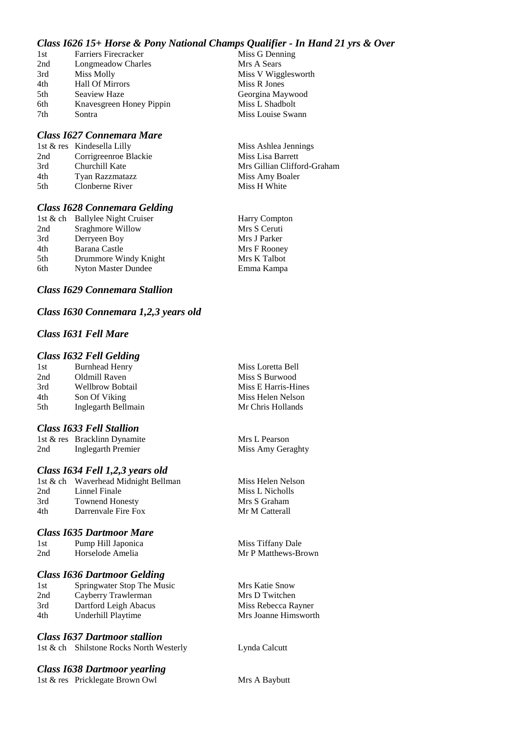## *Class I626 15+ Horse & Pony National Champs Qualifier - In Hand 21 yrs & Over*

| 1st | <b>Farriers Firecracker</b> | Miss G Denning      |
|-----|-----------------------------|---------------------|
| 2nd | Longmeadow Charles          | Mrs A Sears         |
| 3rd | Miss Molly                  | Miss V Wigglesworth |
| 4th | <b>Hall Of Mirrors</b>      | Miss R Jones        |
| 5th | Seaview Haze                | Georgina Maywood    |
| 6th | Knavesgreen Honey Pippin    | Miss L Shadbolt     |
| 7th | Sontra                      | Miss Louise Swann   |

#### *Class I627 Connemara Mare*

|      | 1st & res Kindesella Lilly | Miss Ashlea Jennings        |
|------|----------------------------|-----------------------------|
| 2nd  | Corrigreenroe Blackie      | Miss Lisa Barrett           |
| 3rd  | Churchill Kate             | Mrs Gillian Clifford-Graham |
| 4th  | Tyan Razzmatazz            | Miss Amy Boaler             |
| .5th | Clonberne River            | Miss H White                |
|      |                            |                             |

#### *Class I628 Connemara Gelding*

|     | 1st & ch Ballylee Night Cruiser | <b>Harry Compton</b> |
|-----|---------------------------------|----------------------|
| 2nd | Sraghmore Willow                | Mrs S Ceruti         |
| 3rd | Derryeen Boy                    | Mrs J Parker         |
| 4th | Barana Castle                   | Mrs F Rooney         |
| 5th | Drummore Windy Knight           | Mrs K Talbot         |
| 6th | <b>Nyton Master Dundee</b>      | Emma Kampa           |

#### *Class I629 Connemara Stallion*

## *Class I630 Connemara 1,2,3 years old*

## *Class I631 Fell Mare*

#### *Class I632 Fell Gelding*

| <b>Burnhead Henry</b> | Miss Loretta Bell  |
|-----------------------|--------------------|
| Oldmill Raven         | Miss S Burwood     |
| Wellbrow Bobtail      | Miss E Harris-Hine |
| Son Of Viking         | Miss Helen Nelson  |
| Inglegarth Bellmain   | Mr Chris Hollands  |
|                       |                    |

#### *Class I633 Fell Stallion*

|     | 1st & res Bracklinn Dynamite | Mrs L Pearson     |
|-----|------------------------------|-------------------|
| 2nd | Inglegarth Premier           | Miss Amy Geraghty |

## *Class I634 Fell 1,2,3 years old*

|     | 1st & ch Waverhead Midnight Bellman |
|-----|-------------------------------------|
| 2nd | Linnel Finale                       |
| 3rd | <b>Townend Honesty</b>              |
| 4th | Darrenvale Fire Fox                 |
|     |                                     |

## *Class I635 Dartmoor Mare*

| 1st | Pump Hill Japonica | Miss Tiffany Dale |
|-----|--------------------|-------------------|
| 2nd | Horselode Amelia   | Mr P Matthews-B   |
|     |                    |                   |

## *Class I636 Dartmoor Gelding*

| 1st | Springwater Stop The Music |  |
|-----|----------------------------|--|
| 2nd | Cayberry Trawlerman        |  |
| 3rd | Dartford Leigh Abacus      |  |
| 4th | Underhill Playtime         |  |
|     |                            |  |

## *Class I637 Dartmoor stallion*

| 1st & ch Shilstone Rocks North Westerly |  |
|-----------------------------------------|--|
|                                         |  |

## *Class I638 Dartmoor yearling*

1st & res Pricklegate Brown Owl Mrs A Baybutt

Loretta Bell S Burwood E Harris-Hines Helen Nelson

Miss Helen Nelson Miss L Nicholls Mrs S Graham Mr M Catterall

thews-Brown

Mrs Katie Snow Mrs D Twitchen Miss Rebecca Rayner Mrs Joanne Himsworth

Lynda Calcutt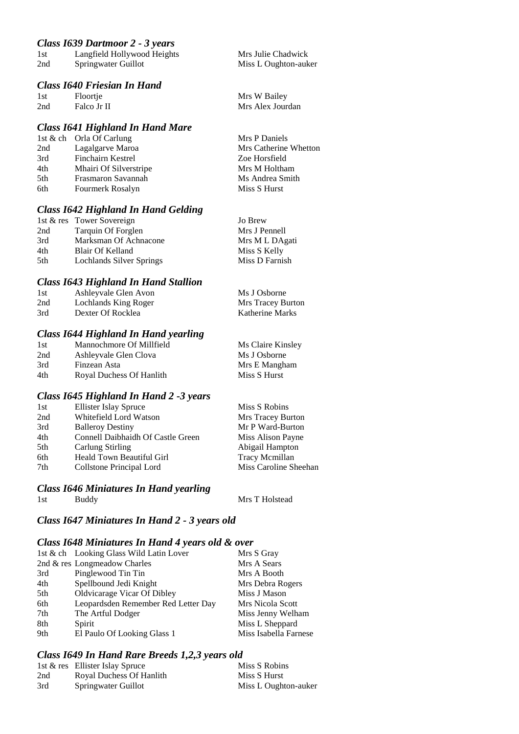## *Class I639 Dartmoor 2 - 3 years*

| 1st | Langfield Hollywood Heights |
|-----|-----------------------------|
| 2nd | Springwater Guillot         |

#### *Class I640 Friesian In Hand*

| 1st | Floortje    | Mrs W Bailey     |
|-----|-------------|------------------|
| 2nd | Falco Jr II | Mrs Alex Jourdan |

#### *Class I641 Highland In Hand Mare*

| 1st & ch Orla Of Carlung | Mrs P Daniels         |
|--------------------------|-----------------------|
| Lagalgarve Maroa         | Mrs Catherine Whetton |
| Finchairn Kestrel        | Zoe Horsfield         |
| Mhairi Of Silverstripe   | Mrs M Holtham         |
| Frasmaron Savannah       | Ms Andrea Smith       |
| Fourmerk Rosalyn         | Miss S Hurst          |
|                          |                       |

## *Class I642 Highland In Hand Gelding*

|     | 1st & res Tower Sovereign | Jo Brew        |
|-----|---------------------------|----------------|
| 2nd | Tarquin Of Forglen        | Mrs J Pennell  |
| 3rd | Marksman Of Achnacone     | Mrs M L DAgati |
| 4th | Blair Of Kelland          | Miss S Kelly   |
| 5th | Lochlands Silver Springs  | Miss D Farnish |

## *Class I643 Highland In Hand Stallion*

| 1st | Ashleyvale Glen Avon | Ms J Osborne             |
|-----|----------------------|--------------------------|
| 2nd | Lochlands King Roger | <b>Mrs Tracey Burton</b> |
| 3rd | Dexter Of Rocklea    | Katherine Marks          |

## *Class I644 Highland In Hand yearling*

| 1st | Mannochmore Of Millfield | Ms Claire Kinsley |
|-----|--------------------------|-------------------|
| 2nd | Ashleyvale Glen Clova    | Ms J Osborne      |
| 3rd | Finzean Asta             | Mrs E Mangham     |
| 4th | Royal Duchess Of Hanlith | Miss S Hurst      |

## *Class I645 Highland In Hand 2 -3 years*

| 1st | <b>Ellister Islay Spruce</b>      | Miss S Robins         |
|-----|-----------------------------------|-----------------------|
| 2nd | Whitefield Lord Watson            | Mrs Tracey Burton     |
| 3rd | <b>Balleroy Destiny</b>           | Mr P Ward-Burton      |
| 4th | Connell Daibhaidh Of Castle Green | Miss Alison Payne     |
| 5th | Carlung Stirling                  | Abigail Hampton       |
| 6th | Heald Town Beautiful Girl         | Tracy Memillan        |
| 7th | Collstone Principal Lord          | Miss Caroline Sheehan |
|     |                                   |                       |

## *Class I646 Miniatures In Hand yearling*

1st Buddy Mrs T Holstead

Mrs Julie Chadwick Miss L Oughton-auker

## *Class I647 Miniatures In Hand 2 - 3 years old*

## *Class I648 Miniatures In Hand 4 years old & over*

|     | 1st & ch Looking Glass Wild Latin Lover | Mrs S Gray            |
|-----|-----------------------------------------|-----------------------|
|     | 2nd & res Longmeadow Charles            | Mrs A Sears           |
| 3rd | Pinglewood Tin Tin                      | Mrs A Booth           |
| 4th | Spellbound Jedi Knight                  | Mrs Debra Rogers      |
| 5th | Oldvicarage Vicar Of Dibley             | Miss J Mason          |
| 6th | Leopardsden Remember Red Letter Day     | Mrs Nicola Scott      |
| 7th | The Artful Dodger                       | Miss Jenny Welham     |
| 8th | Spirit                                  | Miss L Sheppard       |
| 9th | El Paulo Of Looking Glass 1             | Miss Isabella Farnese |

## *Class I649 In Hand Rare Breeds 1,2,3 years old*

|     | 1st & res Ellister Islay Spruce | Miss S Robins        |
|-----|---------------------------------|----------------------|
| 2nd | Royal Duchess Of Hanlith        | Miss S Hurst         |
| 3rd | Springwater Guillot             | Miss L Oughton-auker |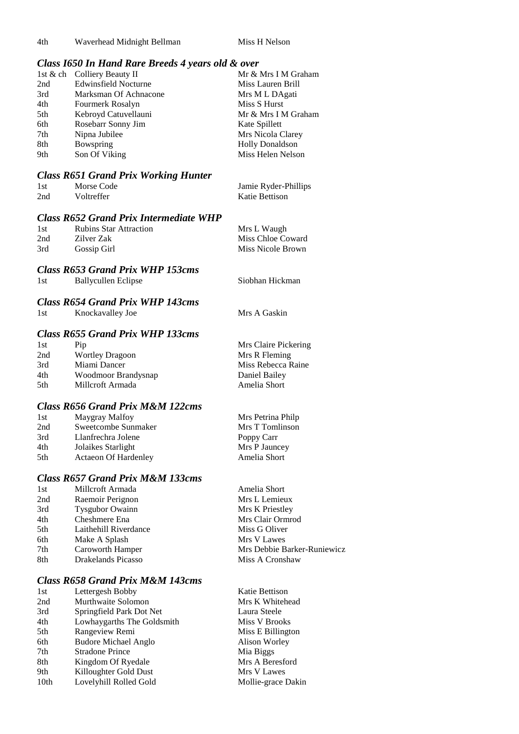4th Waverhead Midnight Bellman Miss H Nelson

Siobhan Hickman

#### *Class I650 In Hand Rare Breeds 4 years old & over*

|     | 1st & ch Colliery Beauty II | Mr & Mrs I M Graham    |
|-----|-----------------------------|------------------------|
| 2nd | <b>Edwinsfield Nocturne</b> | Miss Lauren Brill      |
| 3rd | Marksman Of Achnacone       | Mrs M L DAgati         |
| 4th | Fourmerk Rosalyn            | Miss S Hurst           |
| 5th | Kebroyd Catuvellauni        | Mr & Mrs I M Graham    |
| 6th | Rosebarr Sonny Jim          | Kate Spillett          |
| 7th | Nipna Jubilee               | Mrs Nicola Clarey      |
| 8th | Bowspring                   | <b>Holly Donaldson</b> |
| 9th | Son Of Viking               | Miss Helen Nelson      |

## *Class R651 Grand Prix Working Hunter*

| 1st | Morse Code | Jamie Ryder-Phillips |
|-----|------------|----------------------|
| 2nd | Voltreffer | Katie Bettison       |

#### *Class R652 Grand Prix Intermediate WHP*

| 1st | <b>Rubins Star Attraction</b> | Mrs L Waugh       |
|-----|-------------------------------|-------------------|
| 2nd | Zilver Zak                    | Miss Chloe Coward |
| 3rd | Gossip Girl                   | Miss Nicole Brown |

## *Class R653 Grand Prix WHP 153cms*

| 1st | <b>Ballycullen Eclipse</b> |  |
|-----|----------------------------|--|
|     |                            |  |

## *Class R654 Grand Prix WHP 143cms*

| 1st | Knockavalley Joe | Mrs A Gaskin |
|-----|------------------|--------------|
|     |                  |              |

## *Class R655 Grand Prix WHP 133cms*

| 1st | Pip                    | Mrs Claire Pickering |
|-----|------------------------|----------------------|
| 2nd | <b>Wortley Dragoon</b> | Mrs R Fleming        |
| 3rd | Miami Dancer           | Miss Rebecca Raine   |
| 4th | Woodmoor Brandysnap    | Daniel Bailey        |
| 5th | Millcroft Armada       | Amelia Short         |

## *Class R656 Grand Prix M&M 122cms*

| 1st | Maygray Malfoy              | Mrs Petrina Philp |
|-----|-----------------------------|-------------------|
| 2nd | Sweetcombe Sunmaker         | Mrs T Tomlinson   |
| 3rd | Llanfrechra Jolene          | Poppy Carr        |
| 4th | Jolaikes Starlight          | Mrs P Jauncey     |
| 5th | <b>Actaeon Of Hardenley</b> | Amelia Short      |

## *Class R657 Grand Prix M&M 133cms*

| 1st | Millcroft Armada       | Amelia Short                |
|-----|------------------------|-----------------------------|
| 2nd | Raemoir Perignon       | Mrs L Lemieux               |
| 3rd | <b>Tysgubor Owainn</b> | Mrs K Priestley             |
| 4th | Cheshmere Ena          | Mrs Clair Ormrod            |
| 5th | Laithehill Riverdance  | Miss G Oliver               |
| 6th | Make A Splash          | Mrs V Lawes                 |
| 7th | Caroworth Hamper       | Mrs Debbie Barker-Runiewicz |
| 8th | Drakelands Picasso     | Miss A Cronshaw             |
|     |                        |                             |

## *Class R658 Grand Prix M&M 143cms*

| 1st              | Lettergesh Bobby            | Katie Bettison     |
|------------------|-----------------------------|--------------------|
| 2nd              | Murthwaite Solomon          | Mrs K Whitehead    |
| 3rd              | Springfield Park Dot Net    | Laura Steele       |
| 4th              | Lowhaygarths The Goldsmith  | Miss V Brooks      |
| 5th              | Rangeview Remi              | Miss E Billington  |
| 6th              | <b>Budore Michael Anglo</b> | Alison Worley      |
| 7th              | <b>Stradone Prince</b>      | Mia Biggs          |
| 8th              | Kingdom Of Ryedale          | Mrs A Beresford    |
| 9th              | Killoughter Gold Dust       | Mrs V Lawes        |
| 10 <sub>th</sub> | Lovelyhill Rolled Gold      | Mollie-grace Dakin |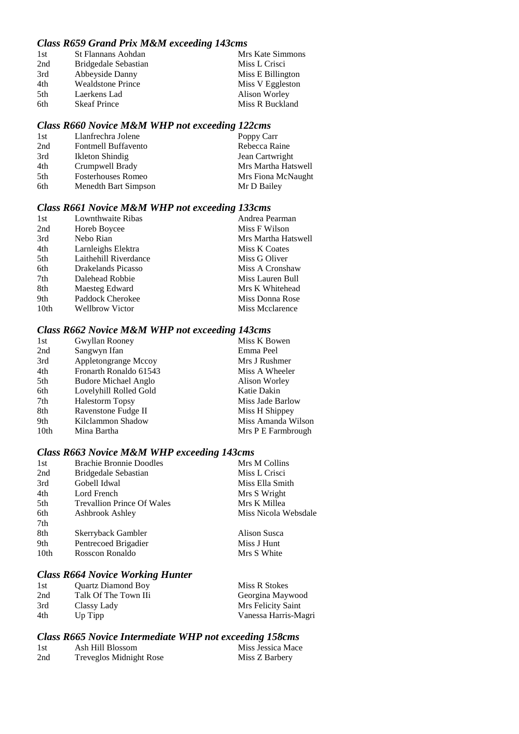## *Class R659 Grand Prix M&M exceeding 143cms*

| 1st  | <b>St Flannans Aohdan</b> | Mrs Kate Simmons  |
|------|---------------------------|-------------------|
| 2nd  | Bridgedale Sebastian      | Miss L Crisci     |
| 3rd  | Abbeyside Danny           | Miss E Billington |
| 4th  | <b>Wealdstone Prince</b>  | Miss V Eggleston  |
| .5th | Laerkens Lad              | Alison Worley     |
| 6th  | <b>Skeaf Prince</b>       | Miss R Buckland   |

## *Class R660 Novice M&M WHP not exceeding 122cms*

| Poppy Carr                                                                                                                           |
|--------------------------------------------------------------------------------------------------------------------------------------|
| Rebecca Raine                                                                                                                        |
| Jean Cartwright                                                                                                                      |
| Mrs Martha Hatswell                                                                                                                  |
| Mrs Fiona McNaught                                                                                                                   |
| Mr D Bailey                                                                                                                          |
| Llanfrechra Jolene<br>Fontmell Buffavento<br>Ikleton Shindig<br>Crumpwell Brady<br><b>Fosterhouses Romeo</b><br>Menedth Bart Simpson |

## *Class R661 Novice M&M WHP not exceeding 133cms*

| 1st              | Lownthwaite Ribas      | Andrea Pearman      |
|------------------|------------------------|---------------------|
| 2nd              | Horeb Boycee           | Miss F Wilson       |
| 3rd              | Nebo Rian              | Mrs Martha Hatswell |
| 4th              | Larnleighs Elektra     | Miss K Coates       |
| 5th              | Laithehill Riverdance  | Miss G Oliver       |
| 6th              | Drakelands Picasso     | Miss A Cronshaw     |
| 7th              | Dalehead Robbie        | Miss Lauren Bull    |
| 8th              | Maesteg Edward         | Mrs K Whitehead     |
| 9th              | Paddock Cherokee       | Miss Donna Rose     |
| 10 <sub>th</sub> | <b>Wellbrow Victor</b> | Miss Mcclarence     |

## *Class R662 Novice M&M WHP not exceeding 143cms*

| 1st              | Gwyllan Rooney              | Miss K Bowen       |
|------------------|-----------------------------|--------------------|
| 2nd              | Sangwyn Ifan                | Emma Peel          |
| 3rd              | Appletongrange Mccoy        | Mrs J Rushmer      |
| 4th              | Fronarth Ronaldo 61543      | Miss A Wheeler     |
| 5th              | <b>Budore Michael Anglo</b> | Alison Worley      |
| 6th              | Lovelyhill Rolled Gold      | Katie Dakin        |
| 7th              | <b>Halestorm Topsy</b>      | Miss Jade Barlow   |
| 8th              | Ravenstone Fudge II         | Miss H Shippey     |
| 9th              | Kilclammon Shadow           | Miss Amanda Wilson |
| 10 <sub>th</sub> | Mina Bartha                 | Mrs P E Farmbrough |
|                  |                             |                    |

## *Class R663 Novice M&M WHP exceeding 143cms*

| 1st  | <b>Brachie Bronnie Doodles</b>    | Mrs M Collins        |
|------|-----------------------------------|----------------------|
| 2nd  | Bridgedale Sebastian              | Miss L Crisci        |
| 3rd  | Gobell Idwal                      | Miss Ella Smith      |
| 4th  | Lord French                       | Mrs S Wright         |
| 5th  | <b>Trevallion Prince Of Wales</b> | Mrs K Millea         |
| 6th  | Ashbrook Ashley                   | Miss Nicola Websdale |
| 7th  |                                   |                      |
| 8th  | Skerryback Gambler                | Alison Susca         |
| 9th  | Pentrecoed Brigadier              | Miss J Hunt          |
| 10th | Rosscon Ronaldo                   | Mrs S White          |
|      |                                   |                      |

## *Class R664 Novice Working Hunter*

| 1st | <b>Quartz Diamond Boy</b> | Miss R Stokes        |
|-----|---------------------------|----------------------|
| 2nd | Talk Of The Town IIi      | Georgina Maywood     |
| 3rd | Classy Lady               | Mrs Felicity Saint   |
| 4th | Up Tipp                   | Vanessa Harris-Magri |

## *Class R665 Novice Intermediate WHP not exceeding 158cms*

| 1st | Ash Hill Blossom               | Miss Jessica Mace |
|-----|--------------------------------|-------------------|
| 2nd | <b>Treveglos Midnight Rose</b> | Miss Z Barbery    |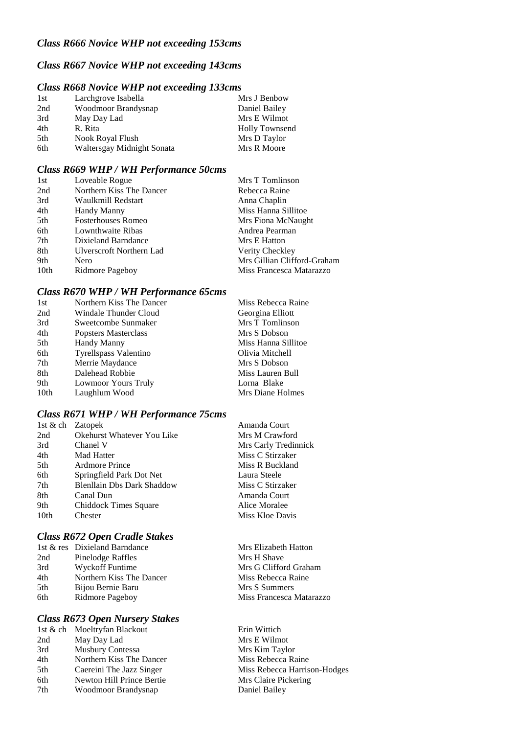## *Class R667 Novice WHP not exceeding 143cms*

## *Class R668 Novice WHP not exceeding 133cms*

| 1st | Larchgrove Isabella        | Mrs J Benbow          |
|-----|----------------------------|-----------------------|
| 2nd | Woodmoor Brandysnap        | Daniel Bailey         |
| 3rd | May Day Lad                | Mrs E Wilmot          |
| 4th | R. Rita                    | <b>Holly Townsend</b> |
| 5th | Nook Royal Flush           | Mrs D Taylor          |
| 6th | Waltersgay Midnight Sonata | Mrs R Moore           |

#### *Class R669 WHP / WH Performance 50cms*

| 1st  | Loveable Rogue                  | Mrs T Tomlinson             |
|------|---------------------------------|-----------------------------|
| 2nd  | Northern Kiss The Dancer        | Rebecca Raine               |
| 3rd  | Waulkmill Redstart              | Anna Chaplin                |
| 4th  | Handy Manny                     | Miss Hanna Sillitoe         |
| 5th  | <b>Fosterhouses Romeo</b>       | Mrs Fiona McNaught          |
| 6th  | Lownthwaite Ribas               | Andrea Pearman              |
| 7th  | Dixieland Barndance             | Mrs E Hatton                |
| 8th  | <b>Ulverscroft Northern Lad</b> | Verity Checkley             |
| 9th  | Nero                            | Mrs Gillian Clifford-Graham |
| 10th | Ridmore Pageboy                 | Miss Francesca Matarazzo    |

#### *Class R670 WHP / WH Performance 65cms*

| 1st  | Northern Kiss The Dancer | Miss Rebecca Raine  |
|------|--------------------------|---------------------|
| 2nd  | Windale Thunder Cloud    | Georgina Elliott    |
| 3rd  | Sweetcombe Sunmaker      | Mrs T Tomlinson     |
| 4th  | Popsters Masterclass     | Mrs S Dobson        |
| 5th  | Handy Manny              | Miss Hanna Sillitoe |
| 6th  | Tyrellspass Valentino    | Olivia Mitchell     |
| 7th  | Merrie Maydance          | Mrs S Dobson        |
| 8th  | Dalehead Robbie          | Miss Lauren Bull    |
| 9th  | Lowmoor Yours Truly      | Lorna Blake         |
| 10th | Laughlum Wood            | Mrs Diane Holmes    |

#### *Class R671 WHP / WH Performance 75cms*

|                  | 1st $\&$ ch Zatopek               | Amanda Court   |
|------------------|-----------------------------------|----------------|
| 2nd              | Okehurst Whatever You Like        | Mrs M Crawfo   |
| 3rd              | Chanel V                          | Mrs Carly Tree |
| 4th              | <b>Mad Hatter</b>                 | Miss C Stirzak |
| 5th              | <b>Ardmore Prince</b>             | Miss R Buckla  |
| 6th              | Springfield Park Dot Net          | Laura Steele   |
| 7th              | <b>Blenllain Dbs Dark Shaddow</b> | Miss C Stirzak |
| 8th              | Canal Dun                         | Amanda Court   |
| 9th              | Chiddock Times Square             | Alice Moralee  |
| 10 <sub>th</sub> | Chester                           | Miss Kloe Day  |
|                  |                                   |                |

## *Class R672 Open Cradle Stakes*

|     | 1st & res Dixieland Barndance |
|-----|-------------------------------|
| 2nd | Pinelodge Raffles             |
| 3rd | Wyckoff Funtime               |
| 4th | Northern Kiss The Dancer      |
| 5th | Bijou Bernie Baru             |
| 6th | Ridmore Pageboy               |

## *Class R673 Open Nursery Stakes*

| 1st & ch | Moeltryfan Blackout       |
|----------|---------------------------|
| 2nd      | May Day Lad               |
| 3rd      | <b>Musbury Contessa</b>   |
| 4th      | Northern Kiss The Dancer  |
| 5th      | Caereini The Jazz Singer  |
| 6th      | Newton Hill Prince Bertie |
| 7th      | Woodmoor Brandysnap       |

Crawford rly Tredinnick Stirzaker **Buckland** Stirzaker loe Davis

Mrs Elizabeth Hatton Mrs H Shave Mrs G Clifford Graham Miss Rebecca Raine Mrs S Summers Miss Francesca Matarazzo

Erin Wittich Mrs E Wilmot Mrs Kim Taylor Miss Rebecca Raine Miss Rebecca Harrison-Hodges Mrs Claire Pickering Daniel Bailey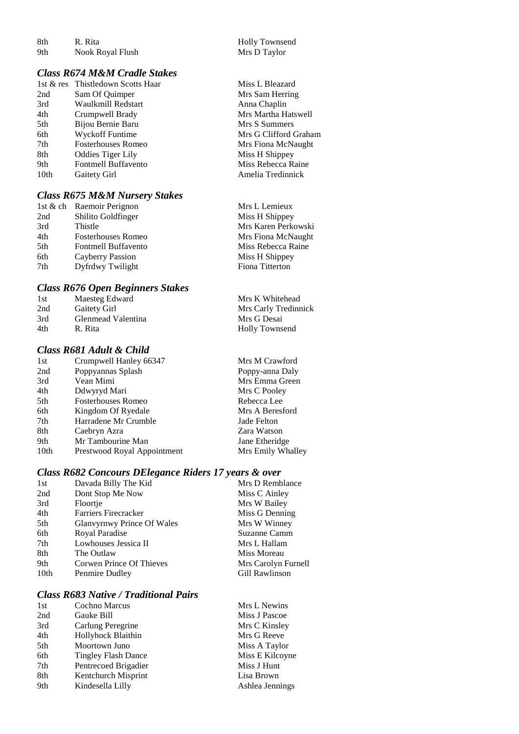8th R. Rita Holly Townsend<br>9th Nook Royal Flush Mrs D Taylor Nook Royal Flush

#### *Class R674 M&M Cradle Stakes*

| 1st $\&$ res     | Thistledown Scotts Haa    |
|------------------|---------------------------|
| 2nd              | Sam Of Quimper            |
| 3rd              | Waulkmill Redstart        |
| 4th              | Crumpwell Brady           |
| 5th              | Bijou Bernie Baru         |
| 6th              | <b>Wyckoff Funtime</b>    |
| 7th              | <b>Fosterhouses Romeo</b> |
| 8th              | <b>Oddies Tiger Lily</b>  |
| 9th              | Fontmell Buffavento       |
| 10 <sub>th</sub> | Gaitety Girl              |
|                  |                           |

## *Class R675 M&M Nursery Stakes*

| 1st & ch Raemoir Perignon         | Mrs L Lemieux       |
|-----------------------------------|---------------------|
| Shilito Goldfinger<br>2nd         | Miss H Shippey      |
| 3rd<br>Thistle                    | Mrs Karen Perkowski |
| 4th<br><b>Fosterhouses Romeo</b>  | Mrs Fiona McNaught  |
| 5th<br><b>Fontmell Buffavento</b> | Miss Rebecca Raine  |
| 6th<br>Cayberry Passion           | Miss H Shippey      |
| 7th<br>Dyfrdwy Twilight           | Fiona Titterton     |

## *Class R676 Open Beginners Stakes*

| 1st | Maesteg Edward     | Mrs K Whitehead       |
|-----|--------------------|-----------------------|
| 2nd | Gaitety Girl       | Mrs Carly Tredinnick  |
| 3rd | Glenmead Valentina | Mrs G Desai           |
| 4th | R. Rita            | <b>Holly Townsend</b> |

## *Class R681 Adult & Child*

| 1st              | Crumpwell Hanley 66347      |
|------------------|-----------------------------|
| 2nd              | Poppyannas Splash           |
| 3rd              | Vean Mimi                   |
| 4th              | Ddwyryd Mari                |
| 5th              | <b>Fosterhouses Romeo</b>   |
| 6th              | Kingdom Of Ryedale          |
| 7th              | Harradene Mr Crumble        |
| 8th              | Caebryn Azra                |
| 9th              | Mr Tambourine Man           |
| 10 <sub>th</sub> | Prestwood Royal Appointment |

## *Class R682 Concours DElegance Riders 17 years & over*

| 1st              | Davada Billy The Kid        | Mrs D Remblance     |
|------------------|-----------------------------|---------------------|
| 2nd              | Dont Stop Me Now            | Miss C Ainley       |
| 3rd              | Floortje                    | Mrs W Bailey        |
| 4th              | <b>Farriers Firecracker</b> | Miss G Denning      |
| 5th              | Glanvyrnwy Prince Of Wales  | Mrs W Winney        |
| 6th              | Royal Paradise              | Suzanne Camm        |
| 7th              | Lowhouses Jessica II        | Mrs L Hallam        |
| 8th              | The Outlaw                  | Miss Moreau         |
| 9th              | Corwen Prince Of Thieves    | Mrs Carolyn Furnell |
| 10 <sub>th</sub> | Penmire Dudley              | Gill Rawlinson      |
|                  |                             |                     |

#### *Class R683 Native / Traditional Pairs*

| 1st | Cochno Marcus              | Mrs L Newins    |
|-----|----------------------------|-----------------|
| 2nd | Gauke Bill                 | Miss J Pascoe   |
| 3rd | Carlung Peregrine          | Mrs C Kinsley   |
| 4th | Hollyhock Blaithin         | Mrs G Reeve     |
| 5th | Moortown Juno              | Miss A Taylor   |
| 6th | <b>Tingley Flash Dance</b> | Miss E Kilcoyne |
| 7th | Pentrecoed Brigadier       | Miss J Hunt     |
| 8th | Kentchurch Misprint        | Lisa Brown      |
| 9th | Kindesella Lilly           | Ashlea Jennings |
|     |                            |                 |

ar Miss L Bleazard Mrs Sam Herring Anna Chaplin Mrs Martha Hatswell Mrs S Summers Mrs G Clifford Graham Mrs Fiona McNaught Miss H Shippey Miss Rebecca Raine Amelia Tredinnick

| Mrs L Lemieux      |
|--------------------|
| Miss H Shippey     |
| Mrs Karen Perkowsk |
| Mrs Fiona McNaught |
| Miss Rebecca Raine |
| Miss H Shippey     |
| Fiona Titterton    |
|                    |

Mrs M Crawford Poppy-anna Daly Mrs Emma Green Mrs C Pooley Rebecca Lee Mrs A Beresford Jade Felton Zara Watson Jane Etheridge Mrs Emily Whalley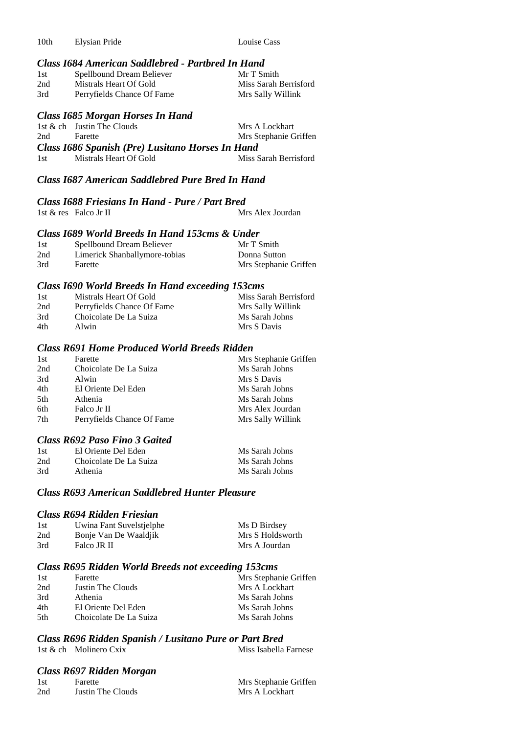10th Elysian Pride Louise Cass

## *Class I684 American Saddlebred - Partbred In Hand*

| 1st | Spellbound Dream Believer  | Mr T Smith            |
|-----|----------------------------|-----------------------|
| 2nd | Mistrals Heart Of Gold     | Miss Sarah Berrisford |
| 3rd | Perryfields Chance Of Fame | Mrs Sally Willink     |

#### *Class I685 Morgan Horses In Hand*

|     | 1st $\&$ ch Justin The Clouds                    | Mrs A Lockhart        |
|-----|--------------------------------------------------|-----------------------|
| 2nd | Farette                                          | Mrs Stephanie Griffen |
|     | Class 1686 Spanish (Pre) Lusitano Horses In Hand |                       |
|     |                                                  |                       |

## *Class I687 American Saddlebred Pure Bred In Hand*

#### *Class I688 Friesians In Hand - Pure / Part Bred*

| 1st $\&$ res Falco Jr II | Mrs Alex Jourdan |
|--------------------------|------------------|
|--------------------------|------------------|

#### *Class I689 World Breeds In Hand 153cms & Under*

| 1st | Spellbound Dream Believer     | Mr T Smith            |
|-----|-------------------------------|-----------------------|
| 2nd | Limerick Shanballymore-tobias | Donna Sutton          |
| 3rd | Farette                       | Mrs Stephanie Griffen |

#### *Class I690 World Breeds In Hand exceeding 153cms*

| 1st | Mistrals Heart Of Gold     | Miss Sarah Berrisford |
|-----|----------------------------|-----------------------|
| 2nd | Perryfields Chance Of Fame | Mrs Sally Willink     |
| 3rd | Choicolate De La Suiza     | Ms Sarah Johns        |
| 4th | Alwin                      | Mrs S Davis           |

#### *Class R691 Home Produced World Breeds Ridden*

| 1st  | Farette                    | Mrs Stephanie Griffen |
|------|----------------------------|-----------------------|
| 2nd  | Choicolate De La Suiza     | Ms Sarah Johns        |
| 3rd  | Alwin                      | Mrs S Davis           |
| 4th  | El Oriente Del Eden        | Ms Sarah Johns        |
| .5th | Athenia                    | Ms Sarah Johns        |
| 6th  | Falco Jr II                | Mrs Alex Jourdan      |
| 7th  | Perryfields Chance Of Fame | Mrs Sally Willink     |
|      |                            |                       |

## *Class R692 Paso Fino 3 Gaited*

| 1st | El Oriente Del Eden    | Ms Sarah Johns |
|-----|------------------------|----------------|
| 2nd | Choicolate De La Suiza | Ms Sarah Johns |
| 3rd | Athenia                | Ms Sarah Johns |

## *Class R693 American Saddlebred Hunter Pleasure*

## *Class R694 Ridden Friesian*

| 1st | Uwina Fant Suvelstjelphe | Ms D Birdsey     |
|-----|--------------------------|------------------|
| 2nd | Bonje Van De Waaldjik    | Mrs S Holdsworth |
| 3rd | Falco JR II              | Mrs A Jourdan    |

#### *Class R695 Ridden World Breeds not exceeding 153cms*

| 1st | Farette                | Mrs Stephanie Griffen |
|-----|------------------------|-----------------------|
| 2nd | Justin The Clouds      | Mrs A Lockhart        |
| 3rd | Athenia                | Ms Sarah Johns        |
| 4th | El Oriente Del Eden    | Ms Sarah Johns        |
| 5th | Choicolate De La Suiza | Ms Sarah Johns        |

## *Class R696 Ridden Spanish / Lusitano Pure or Part Bred*

1st & ch Molinero Cxix

# *Class R697 Ridden Morgan*

| Mrs Stephanie Griffen<br>1st<br>Farette    |  |
|--------------------------------------------|--|
| 2nd<br>Justin The Clouds<br>Mrs A Lockhart |  |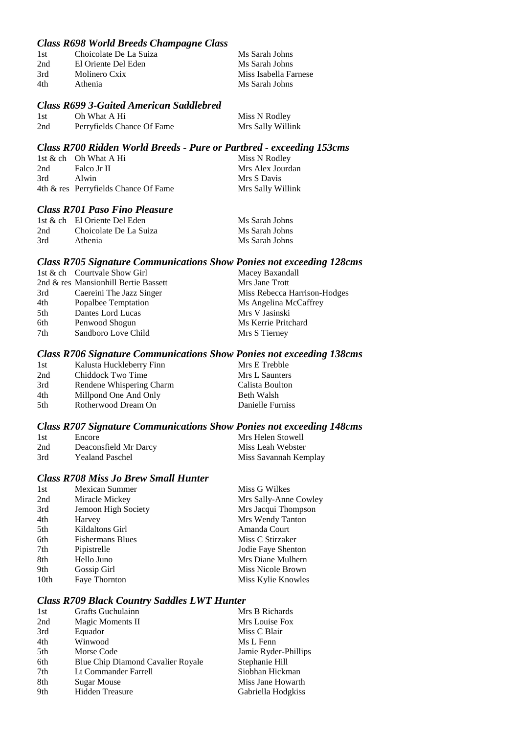## *Class R698 World Breeds Champagne Class*

| 1st | Choicolate De La Suiza | Ms Sarah Johns        |
|-----|------------------------|-----------------------|
| 2nd | El Oriente Del Eden    | Ms Sarah Johns        |
| 3rd | Molinero Cxix          | Miss Isabella Farnese |
| 4th | Athenia                | Ms Sarah Johns        |
|     |                        |                       |

#### *Class R699 3-Gaited American Saddlebred*

| 1st | Oh What A Hi               | Miss N Rodley     |
|-----|----------------------------|-------------------|
| 2nd | Perryfields Chance Of Fame | Mrs Sally Willink |

#### *Class R700 Ridden World Breeds - Pure or Partbred - exceeding 153cms*

|     | 1st $\&$ ch Oh What A Hi             | Miss N Rodley     |
|-----|--------------------------------------|-------------------|
| 2nd | Falco Jr II                          | Mrs Alex Jourdan  |
| 3rd | Alwin                                | Mrs S Davis       |
|     | 4th & res Perryfields Chance Of Fame | Mrs Sally Willink |

## *Class R701 Paso Fino Pleasure*

|     | 1st & ch El Oriente Del Eden | Ms Sarah Johns |
|-----|------------------------------|----------------|
| 2nd | Choicolate De La Suiza       | Ms Sarah Johns |
| 3rd | Athenia                      | Ms Sarah Johns |

#### *Class R705 Signature Communications Show Ponies not exceeding 128cms*

|     | 1st & ch Courtvale Show Girl         | Macey Baxandall              |
|-----|--------------------------------------|------------------------------|
|     | 2nd & res Mansionhill Bertie Bassett | Mrs Jane Trott               |
| 3rd | Caereini The Jazz Singer             | Miss Rebecca Harrison-Hodges |
| 4th | Popalbee Temptation                  | Ms Angelina McCaffrey        |
| 5th | Dantes Lord Lucas                    | Mrs V Jasinski               |
| 6th | Penwood Shogun                       | Ms Kerrie Pritchard          |
| 7th | Sandboro Love Child                  | Mrs S Tierney                |
|     |                                      |                              |

#### *Class R706 Signature Communications Show Ponies not exceeding 138cms*

| 1st | Kalusta Huckleberry Finn | Mrs E Trebble    |
|-----|--------------------------|------------------|
| 2nd | Chiddock Two Time        | Mrs L Saunters   |
| 3rd | Rendene Whispering Charm | Calista Boulton  |
| 4th | Millpond One And Only    | Beth Walsh       |
| 5th | Rotherwood Dream On      | Danielle Furniss |
|     |                          |                  |

## *Class R707 Signature Communications Show Ponies not exceeding 148cms*

| 1st | Encore                 | Mrs Helen Stowell     |
|-----|------------------------|-----------------------|
| 2nd | Deaconsfield Mr Darcy  | Miss Leah Webster     |
| 3rd | <b>Yealand Paschel</b> | Miss Savannah Kemplay |

## *Class R708 Miss Jo Brew Small Hunter*

| 1st              | <b>Mexican Summer</b>   | Miss G Wilkes         |
|------------------|-------------------------|-----------------------|
| 2nd              | Miracle Mickey          | Mrs Sally-Anne Cowley |
| 3rd              | Jemoon High Society     | Mrs Jacqui Thompson   |
| 4th              | Harvey                  | Mrs Wendy Tanton      |
| 5th              | Kildaltons Girl         | Amanda Court          |
| 6th              | <b>Fishermans Blues</b> | Miss C Stirzaker      |
| 7th              | Pipistrelle             | Jodie Faye Shenton    |
| 8th              | Hello Juno              | Mrs Diane Mulhern     |
| 9th              | Gossip Girl             | Miss Nicole Brown     |
| 10 <sub>th</sub> | Faye Thornton           | Miss Kylie Knowles    |
|                  |                         |                       |

#### *Class R709 Black Country Saddles LWT Hunter*

| 1st | Grafts Guchulainn                 | Mrs B Richards       |
|-----|-----------------------------------|----------------------|
| 2nd | Magic Moments II                  | Mrs Louise Fox       |
| 3rd | Equador                           | Miss C Blair         |
| 4th | Winwood                           | Ms L Fenn            |
| 5th | Morse Code                        | Jamie Ryder-Phillips |
| 6th | Blue Chip Diamond Cavalier Royale | Stephanie Hill       |
| 7th | Lt Commander Farrell              | Siobhan Hickman      |
| 8th | <b>Sugar Mouse</b>                | Miss Jane Howarth    |
| 9th | <b>Hidden Treasure</b>            | Gabriella Hodgkiss   |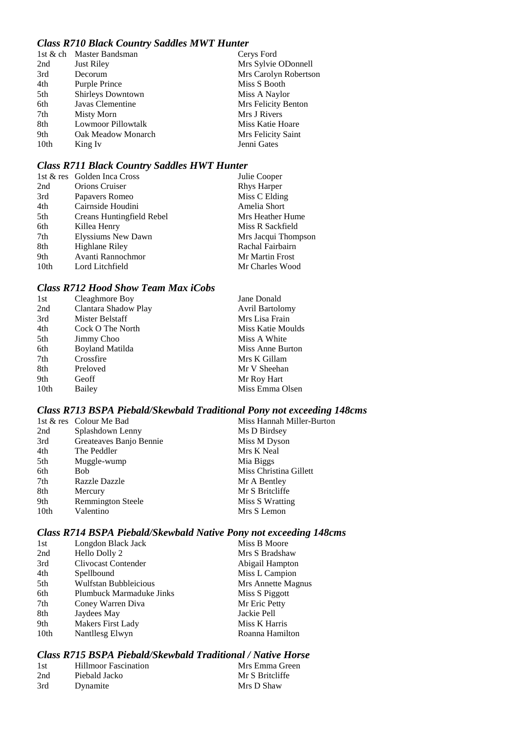## *Class R710 Black Country Saddles MWT Hunter*

|                  | 1st & ch Master Bandsman  | Cerys Ford            |
|------------------|---------------------------|-----------------------|
| 2nd              | <b>Just Riley</b>         | Mrs Sylvie ODonnell   |
| 3rd              | Decorum                   | Mrs Carolyn Robertson |
| 4th              | Purple Prince             | Miss S Booth          |
| 5th              | <b>Shirleys Downtown</b>  | Miss A Naylor         |
| 6th              | Javas Clementine          | Mrs Felicity Benton   |
| 7th              | Misty Morn                | Mrs J Rivers          |
| 8th              | <b>Lowmoor Pillowtalk</b> | Miss Katie Hoare      |
| 9th              | Oak Meadow Monarch        | Mrs Felicity Saint    |
| 10 <sub>th</sub> | King Iv                   | Jenni Gates           |

## *Class R711 Black Country Saddles HWT Hunter*

|                  | 1st & res Golden Inca Cross | Julie Cooper        |
|------------------|-----------------------------|---------------------|
| 2nd              | <b>Orions Cruiser</b>       | <b>Rhys Harper</b>  |
| 3rd              | Papavers Romeo              | Miss C Elding       |
| 4th              | Cairnside Houdini           | Amelia Short        |
| 5th              | Creans Huntingfield Rebel   | Mrs Heather Hume    |
| 6th              | Killea Henry                | Miss R Sackfield    |
| 7th              | Elyssiums New Dawn          | Mrs Jacqui Thompson |
| 8th              | Highlane Riley              | Rachal Fairbairn    |
| 9th              | Avanti Rannochmor           | Mr Martin Frost     |
| 10 <sub>th</sub> | Lord Litchfield             | Mr Charles Wood     |

## *Class R712 Hood Show Team Max iCobs*

| 1st  | Cleaghmore Boy         | Jane Donald            |
|------|------------------------|------------------------|
| 2nd  | Clantara Shadow Play   | <b>Avril Bartolomy</b> |
| 3rd  | Mister Belstaff        | Mrs Lisa Frain         |
| 4th  | Cock O The North       | Miss Katie Moulds      |
| 5th  | Jimmy Choo             | Miss A White           |
| 6th  | <b>Boyland Matilda</b> | Miss Anne Burton       |
| 7th  | Crossfire              | Mrs K Gillam           |
| 8th  | Preloved               | Mr V Sheehan           |
| 9th  | Geoff                  | Mr Roy Hart            |
| 10th | Bailey                 | Miss Emma Olsen        |
|      |                        |                        |

## *Class R713 BSPA Piebald/Skewbald Traditional Pony not exceeding 148cms*

|      | 1st & res Colour Me Bad  | Miss Hannah Miller-Burton |
|------|--------------------------|---------------------------|
| 2nd  | Splashdown Lenny         | Ms D Birdsey              |
| 3rd  | Greateaves Banjo Bennie  | Miss M Dyson              |
| 4th  | The Peddler              | Mrs K Neal                |
| 5th  | Muggle-wump              | Mia Biggs                 |
| 6th  | <b>Bob</b>               | Miss Christina Gillett    |
| 7th  | <b>Razzle Dazzle</b>     | Mr A Bentley              |
| 8th  | Mercury                  | Mr S Britcliffe           |
| 9th  | <b>Remmington Steele</b> | Miss S Wratting           |
| 10th | Valentino                | Mrs S Lemon               |

## *Class R714 BSPA Piebald/Skewbald Native Pony not exceeding 148cms*

| 1st              | Longdon Black Jack       | Miss B Moore       |
|------------------|--------------------------|--------------------|
| 2nd              | Hello Dolly 2            | Mrs S Bradshaw     |
| 3rd              | Clivocast Contender      | Abigail Hampton    |
| 4th              | Spellbound               | Miss L Campion     |
| 5th              | Wulfstan Bubbleicious    | Mrs Annette Magnus |
| 6th              | Plumbuck Marmaduke Jinks | Miss S Piggott     |
| 7th              | Coney Warren Diva        | Mr Eric Petty      |
| 8th              | Jaydees May              | Jackie Pell        |
| 9th              | <b>Makers First Lady</b> | Miss K Harris      |
| 10 <sub>th</sub> | Nantllesg Elwyn          | Roanna Hamilton    |
|                  |                          |                    |

## *Class R715 BSPA Piebald/Skewbald Traditional / Native Horse*

| 1st | Hillmoor Fascination | Mrs Emma Green  |
|-----|----------------------|-----------------|
| 2nd | Piebald Jacko        | Mr S Britcliffe |
| 3rd | Dynamite             | Mrs D Shaw      |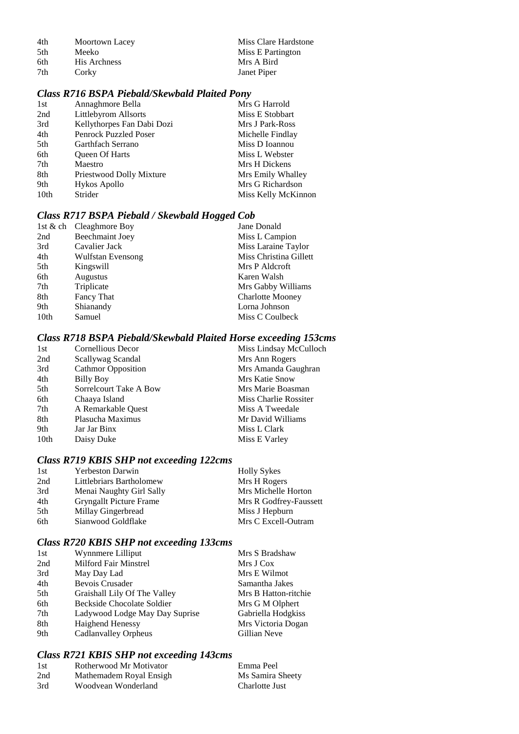| 4th | Moortown Lacey | Miss Clare Hardstone |
|-----|----------------|----------------------|
| 5th | <b>Meeko</b>   | Miss E Partington    |
| 6th | His Archness   | Mrs A Bird           |
| 7th | Corky          | Janet Piper          |

## *Class R716 BSPA Piebald/Skewbald Plaited Pony*

| 1st              | Annaghmore Bella             | Mrs G Harrold       |
|------------------|------------------------------|---------------------|
| 2nd              | Littlebyrom Allsorts         | Miss E Stobbart     |
| 3rd              | Kellythorpes Fan Dabi Dozi   | Mrs J Park-Ross     |
| 4th              | <b>Penrock Puzzled Poser</b> | Michelle Findlay    |
| 5th              | Garthfach Serrano            | Miss D Ioannou      |
| 6th              | <b>Oueen Of Harts</b>        | Miss L Webster      |
| 7th              | Maestro                      | Mrs H Dickens       |
| 8th              | Priestwood Dolly Mixture     | Mrs Emily Whalley   |
| 9th              | Hykos Apollo                 | Mrs G Richardson    |
| 10 <sub>th</sub> | Strider                      | Miss Kelly McKinnon |
|                  |                              |                     |

## *Class R717 BSPA Piebald / Skewbald Hogged Cob*

| 1st & ch Cleaghmore Boy | Jane Donald             |
|-------------------------|-------------------------|
| Beechmaint Joey         | Miss L Campion          |
| Cavalier Jack           | Miss Laraine Taylor     |
| Wulfstan Evensong       | Miss Christina Gillett  |
| Kingswill               | Mrs P Aldcroft          |
| <b>Augustus</b>         | Karen Walsh             |
| Triplicate              | Mrs Gabby Williams      |
| Fancy That              | <b>Charlotte Mooney</b> |
| Shianandy               | Lorna Johnson           |
| Samuel                  | Miss C Coulbeck         |
|                         |                         |

## *Class R718 BSPA Piebald/Skewbald Plaited Horse exceeding 153cms*

| 1st              | Cornellious Decor         | Miss Lindsay McCulloch |
|------------------|---------------------------|------------------------|
| 2nd              | Scallywag Scandal         | Mrs Ann Rogers         |
| 3rd              | <b>Cathmor Opposition</b> | Mrs Amanda Gaughran    |
| 4th              | <b>Billy Boy</b>          | Mrs Katie Snow         |
| 5th              | Sorrelcourt Take A Bow    | Mrs Marie Boasman      |
| 6th              | Chaaya Island             | Miss Charlie Rossiter  |
| 7th              | A Remarkable Quest        | Miss A Tweedale        |
| 8th              | Plasucha Maximus          | Mr David Williams      |
| 9th              | Jar Jar Binx              | Miss L Clark           |
| 10 <sub>th</sub> | Daisy Duke                | Miss E Varley          |
|                  |                           |                        |

## *Class R719 KBIS SHP not exceeding 122cms*

| 1st  | <b>Yerbeston Darwin</b>  | <b>Holly Sykes</b>     |
|------|--------------------------|------------------------|
| 2nd  | Littlebriars Bartholomew | Mrs H Rogers           |
| 3rd  | Menai Naughty Girl Sally | Mrs Michelle Horton    |
| 4th  | Gryngallt Picture Frame  | Mrs R Godfrey-Faussett |
| .5th | Millay Gingerbread       | Miss J Hepburn         |
| 6th  | Sianwood Goldflake       | Mrs C Excell-Outram    |

## *Class R720 KBIS SHP not exceeding 133cms*

| 1st | Wynnmere Lilliput              | Mrs S Bradshaw       |
|-----|--------------------------------|----------------------|
| 2nd | Milford Fair Minstrel          | Mrs J Cox            |
| 3rd | May Day Lad                    | Mrs E Wilmot         |
| 4th | <b>Bevois Crusader</b>         | Samantha Jakes       |
| 5th | Graishall Lily Of The Valley   | Mrs B Hatton-ritchie |
| 6th | Beckside Chocolate Soldier     | Mrs G M Olphert      |
| 7th | Ladywood Lodge May Day Suprise | Gabriella Hodgkiss   |
| 8th | <b>Haighend Henessy</b>        | Mrs Victoria Dogan   |
| 9th | Cadlanvalley Orpheus           | Gillian Neve         |

## *Class R721 KBIS SHP not exceeding 143cms*

| 1st | Rotherwood Mr Motivator | Emma Peel        |
|-----|-------------------------|------------------|
| 2nd | Mathemadem Royal Ensigh | Ms Samira Sheety |
| 3rd | Woodvean Wonderland     | Charlotte Just   |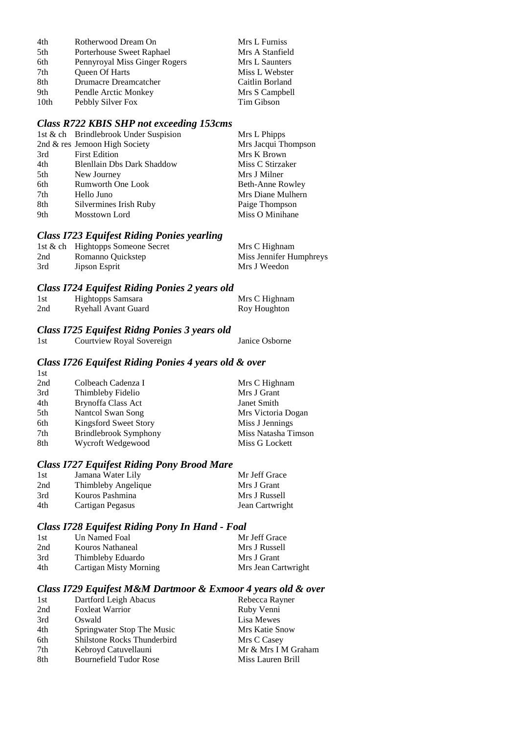| 4th  | Rotherwood Dream On           | Mrs L Furniss   |
|------|-------------------------------|-----------------|
| 5th  | Porterhouse Sweet Raphael     | Mrs A Stanfield |
| 6th  | Pennyroyal Miss Ginger Rogers | Mrs L Saunters  |
| 7th  | <b>Oueen Of Harts</b>         | Miss L Webster  |
| 8th  | Drumacre Dreamcatcher         | Caitlin Borland |
| 9th  | Pendle Arctic Monkey          | Mrs S Campbell  |
| 10th | Pebbly Silver Fox             | Tim Gibson      |

## *Class R722 KBIS SHP not exceeding 153cms*

|     | 1st & ch Brindlebrook Under Suspision | Mrs L Phipps        |
|-----|---------------------------------------|---------------------|
|     | 2nd & res Jemoon High Society         | Mrs Jacqui Thompson |
| 3rd | <b>First Edition</b>                  | Mrs K Brown         |
| 4th | <b>Blenllain Dbs Dark Shaddow</b>     | Miss C Stirzaker    |
| 5th | New Journey                           | Mrs J Milner        |
| 6th | <b>Rumworth One Look</b>              | Beth-Anne Rowley    |
| 7th | Hello Juno                            | Mrs Diane Mulhern   |
| 8th | Silvermines Irish Ruby                | Paige Thompson      |
| 9th | Mosstown Lord                         | Miss O Minihane     |
|     |                                       |                     |

## *Class I723 Equifest Riding Ponies yearling*

|     | 1st & ch Hightopps Someone Secret | Mrs C Highnam           |
|-----|-----------------------------------|-------------------------|
| 2nd | Romanno Quickstep                 | Miss Jennifer Humphreys |
| 3rd | Jipson Esprit                     | Mrs J Weedon            |

#### *Class I724 Equifest Riding Ponies 2 years old*

| 1st | Hightopps Samsara          | Mrs C Highnam |
|-----|----------------------------|---------------|
| 2nd | <b>Ryehall Avant Guard</b> | Roy Houghton  |

## *Class I725 Equifest Ridng Ponies 3 years old*

 $1st$ 

| 1st | Courtview Royal Sovereign |  | Janice Osborne |
|-----|---------------------------|--|----------------|

## *Class I726 Equifest Riding Ponies 4 years old & over*

| 2nd | Colbeach Cadenza I           | Mrs C Highnam       |
|-----|------------------------------|---------------------|
| 3rd | Thimbleby Fidelio            | Mrs J Grant         |
| 4th | <b>Brynoffa Class Act</b>    | Janet Smith         |
| 5th | Nantcol Swan Song            | Mrs Victoria Dogan  |
| 6th | Kingsford Sweet Story        | Miss J Jennings     |
| 7th | <b>Brindlebrook Symphony</b> | Miss Natasha Timson |
| 8th | Wycroft Wedgewood            | Miss G Lockett      |
|     |                              |                     |

## *Class I727 Equifest Riding Pony Brood Mare*

| 1st | Jamana Water Lily   | Mr Jeff Grace   |
|-----|---------------------|-----------------|
| 2nd | Thimbleby Angelique | Mrs J Grant     |
| 3rd | Kouros Pashmina     | Mrs J Russell   |
| 4th | Cartigan Pegasus    | Jean Cartwright |

#### *Class I728 Equifest Riding Pony In Hand - Foal*

| 1st | Un Named Foal          | Mr Jeff Grace       |
|-----|------------------------|---------------------|
| 2nd | Kouros Nathaneal       | Mrs J Russell       |
| 3rd | Thimbleby Eduardo      | Mrs J Grant         |
| 4th | Cartigan Misty Morning | Mrs Jean Cartwright |

## *Class I729 Equifest M&M Dartmoor & Exmoor 4 years old & over*

| 1st | Dartford Leigh Abacus         | Rebecca Rayner      |
|-----|-------------------------------|---------------------|
| 2nd | <b>Foxleat Warrior</b>        | Ruby Venni          |
| 3rd | Oswald                        | Lisa Mewes          |
| 4th | Springwater Stop The Music    | Mrs Katie Snow      |
| 6th | Shilstone Rocks Thunderbird   | Mrs C Casey         |
| 7th | Kebroyd Catuvellauni          | Mr & Mrs I M Graham |
| 8th | <b>Bournefield Tudor Rose</b> | Miss Lauren Brill   |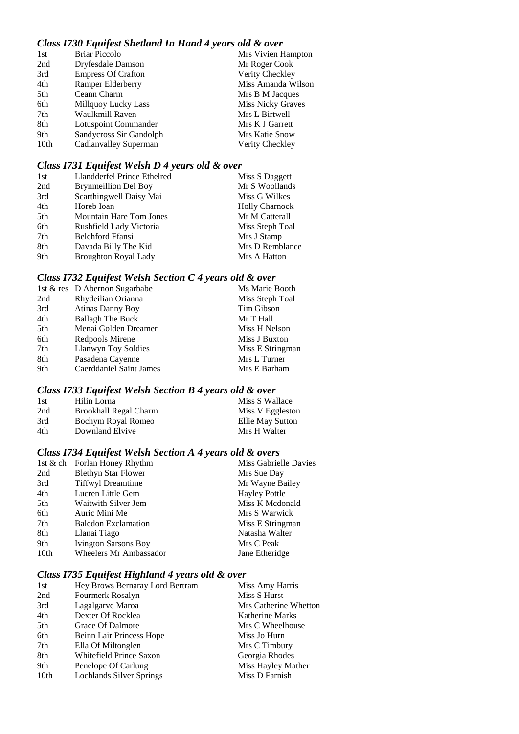## *Class I730 Equifest Shetland In Hand 4 years old & over*

| 1st  | <b>Briar Piccolo</b>      | Mrs Vivien Hampton       |
|------|---------------------------|--------------------------|
| 2nd  | Dryfesdale Damson         | Mr Roger Cook            |
| 3rd  | <b>Empress Of Crafton</b> | Verity Checkley          |
| 4th  | Ramper Elderberry         | Miss Amanda Wilson       |
| 5th  | Ceann Charm               | Mrs B M Jacques          |
| 6th  | Millquoy Lucky Lass       | <b>Miss Nicky Graves</b> |
| 7th  | Waulkmill Raven           | Mrs L Birtwell           |
| 8th  | Lotuspoint Commander      | Mrs K J Garrett          |
| 9th  | Sandycross Sir Gandolph   | Mrs Katie Snow           |
| 10th | Cadlanvalley Superman     | Verity Checkley          |
|      |                           |                          |

## *Class I731 Equifest Welsh D 4 years old & over*

| 1st | Llandderfel Prince Ethelred | Miss S Daggett        |
|-----|-----------------------------|-----------------------|
| 2nd | <b>Brynmeillion Del Boy</b> | Mr S Woollands        |
| 3rd | Scarthingwell Daisy Mai     | Miss G Wilkes         |
| 4th | Horeb Ioan                  | <b>Holly Charnock</b> |
| 5th | Mountain Hare Tom Jones     | Mr M Catterall        |
| 6th | Rushfield Lady Victoria     | Miss Steph Toal       |
| 7th | <b>Belchford Ffansi</b>     | Mrs J Stamp           |
| 8th | Davada Billy The Kid        | Mrs D Remblance       |
| 9th | <b>Broughton Royal Lady</b> | Mrs A Hatton          |
|     |                             |                       |

## *Class I732 Equifest Welsh Section C 4 years old & over*

| 1st & res D Abernon Sugarbabe  | Ms Marie Booth   |
|--------------------------------|------------------|
| Rhydeilian Orianna<br>2nd      | Miss Steph Toal  |
| <b>Atinas Danny Boy</b><br>3rd | Tim Gibson       |
| <b>Ballagh The Buck</b><br>4th | Mr T Hall        |
| Menai Golden Dreamer<br>5th    | Miss H Nelson    |
| 6th<br>Redpools Mirene         | Miss J Buxton    |
| Llanwyn Toy Soldies<br>7th     | Miss E Stringman |
| 8th<br>Pasadena Cayenne        | Mrs L Turner     |
| Caerddaniel Saint James<br>9th | Mrs E Barham     |

## *Class I733 Equifest Welsh Section B 4 years old & over*

| 1st | Hilin Lorna           | Miss S Wallace   |
|-----|-----------------------|------------------|
| 2nd | Brookhall Regal Charm | Miss V Eggleston |
| 3rd | Bochym Royal Romeo    | Ellie May Sutton |
| 4th | Downland Elvive       | Mrs H Walter     |

## *Class I734 Equifest Welsh Section A 4 years old & overs*

|                  | 1st & ch Forlan Honey Rhythm  | Miss Gabrielle Davies |
|------------------|-------------------------------|-----------------------|
| 2nd              | <b>Blethyn Star Flower</b>    | Mrs Sue Day           |
| 3rd              | <b>Tiffwyl Dreamtime</b>      | Mr Wayne Bailey       |
| 4th              | Lucren Little Gem             | <b>Hayley Pottle</b>  |
| 5th              | Waitwith Silver Jem           | Miss K Mcdonald       |
| 6th              | Auric Mini Me                 | Mrs S Warwick         |
| 7th              | <b>Baledon Exclamation</b>    | Miss E Stringman      |
| 8th              | Llanai Tiago                  | Natasha Walter        |
| 9th              | <b>Ivington Sarsons Boy</b>   | Mrs C Peak            |
| 10 <sub>th</sub> | <b>Wheelers Mr Ambassador</b> | Jane Etheridge        |

## *Class I735 Equifest Highland 4 years old & over*

| 1st  | Hey Brows Bernaray Lord Bertram | Miss Amy Harris       |
|------|---------------------------------|-----------------------|
| 2nd  | Fourmerk Rosalyn                | Miss S Hurst          |
| 3rd  | Lagalgarve Maroa                | Mrs Catherine Whetton |
| 4th  | Dexter Of Rocklea               | Katherine Marks       |
| 5th  | Grace Of Dalmore                | Mrs C Wheelhouse      |
| 6th  | Beinn Lair Princess Hope        | Miss Jo Hurn          |
| 7th  | Ella Of Miltonglen              | Mrs C Timbury         |
| 8th  | Whitefield Prince Saxon         | Georgia Rhodes        |
| 9th  | Penelope Of Carlung             | Miss Hayley Mather    |
| 10th | <b>Lochlands Silver Springs</b> | Miss D Farnish        |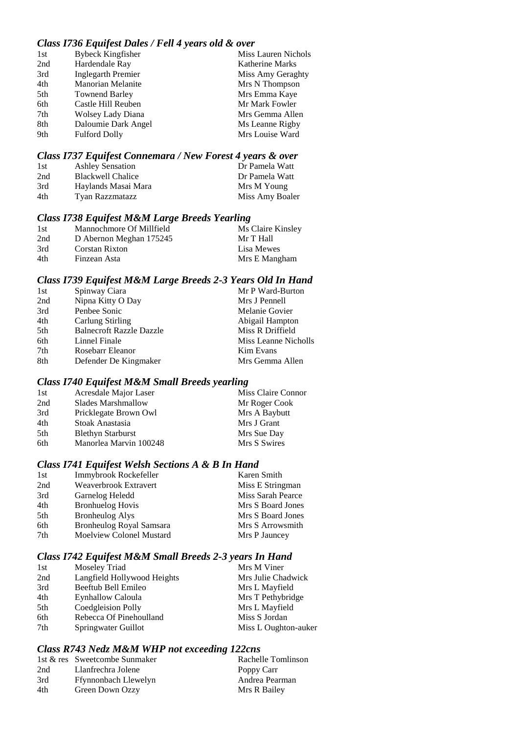## *Class I736 Equifest Dales / Fell 4 years old & over*

| 1st | <b>Bybeck Kingfisher</b> | Miss Lauren Nichols    |
|-----|--------------------------|------------------------|
| 2nd | Hardendale Ray           | <b>Katherine Marks</b> |
| 3rd | Inglegarth Premier       | Miss Amy Geraghty      |
| 4th | <b>Manorian Melanite</b> | Mrs N Thompson         |
| 5th | <b>Townend Barley</b>    | Mrs Emma Kaye          |
| 6th | Castle Hill Reuben       | Mr Mark Fowler         |
| 7th | Wolsey Lady Diana        | Mrs Gemma Allen        |
| 8th | Daloumie Dark Angel      | Ms Leanne Rigby        |
| 9th | <b>Fulford Dolly</b>     | Mrs Louise Ward        |
|     |                          |                        |

## *Class I737 Equifest Connemara / New Forest 4 years & over*

| 1st | <b>Ashley Sensation</b>  | Dr Pamela Watt  |
|-----|--------------------------|-----------------|
| 2nd | <b>Blackwell Chalice</b> | Dr Pamela Watt  |
| 3rd | Haylands Masai Mara      | Mrs M Young     |
| 4th | Tyan Razzmatazz          | Miss Amy Boaler |

## *Class I738 Equifest M&M Large Breeds Yearling*

| -1st | Mannochmore Of Millfield | Ms Claire Kinsley |
|------|--------------------------|-------------------|
| 2nd  | D Abernon Meghan 175245  | Mr T Hall         |
| 3rd  | Corstan Rixton           | Lisa Mewes        |
| 4th  | Finzean Asta             | Mrs E Mangham     |

## *Class I739 Equifest M&M Large Breeds 2-3 Years Old In Hand*

| Spinway Ciara                   | Mr P Ward-Burton     |
|---------------------------------|----------------------|
| Nipna Kitty O Day               | Mrs J Pennell        |
| Penbee Sonic                    | Melanie Govier       |
| Carlung Stirling                | Abigail Hampton      |
| <b>Balnecroft Razzle Dazzle</b> | Miss R Driffield     |
| Linnel Finale                   | Miss Leanne Nicholls |
| Rosebarr Eleanor                | <b>Kim Evans</b>     |
| Defender De Kingmaker           | Mrs Gemma Allen      |
|                                 |                      |

#### *Class I740 Equifest M&M Small Breeds yearling*

| 1st | Acresdale Major Laser    | Miss Claire Connor |
|-----|--------------------------|--------------------|
| 2nd | Slades Marshmallow       | Mr Roger Cook      |
| 3rd | Pricklegate Brown Owl    | Mrs A Baybutt      |
| 4th | Stoak Anastasia          | Mrs J Grant        |
| 5th | <b>Blethyn Starburst</b> | Mrs Sue Day        |
| 6th | Manorlea Marvin 100248   | Mrs S Swires       |
|     |                          |                    |

## *Class I741 Equifest Welsh Sections A & B In Hand*

| 1st | Immybrook Rockefeller    | Karen Smith       |
|-----|--------------------------|-------------------|
| 2nd | Weaverbrook Extravert    | Miss E Stringman  |
| 3rd | Garnelog Heledd          | Miss Sarah Pearce |
| 4th | <b>Bronhuelog Hovis</b>  | Mrs S Board Jones |
| 5th | <b>Bronheulog Alys</b>   | Mrs S Board Jones |
| 6th | Bronheulog Royal Samsara | Mrs S Arrowsmith  |
| 7th | Moelview Colonel Mustard | Mrs P Jauncey     |

## *Class I742 Equifest M&M Small Breeds 2-3 years In Hand*

| Moseley Triad               | Mrs M Viner          |
|-----------------------------|----------------------|
| Langfield Hollywood Heights | Mrs Julie Chadwick   |
| Beeftub Bell Emileo         | Mrs L Mayfield       |
| Eynhallow Caloula           | Mrs T Pethybridge    |
| Coedgleision Polly          | Mrs L Mayfield       |
| Rebecca Of Pinehoulland     | Miss S Jordan        |
| Springwater Guillot         | Miss L Oughton-auker |
|                             |                      |

## *Class R743 Nedz M&M WHP not exceeding 122cns*

|     | 1st & res Sweetcombe Sunmaker | Rachelle Tomlinson |
|-----|-------------------------------|--------------------|
| 2nd | Llanfrechra Jolene            | Poppy Carr         |
| 3rd | Ffynnonbach Llewelyn          | Andrea Pearman     |
| 4th | Green Down Ozzy               | Mrs R Bailey       |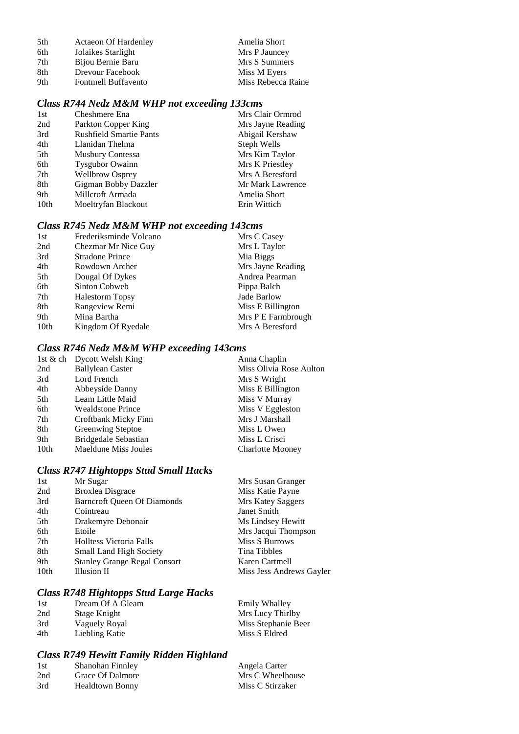| 5th | <b>Actaeon Of Hardenley</b> | Amelia Short       |
|-----|-----------------------------|--------------------|
| 6th | Jolaikes Starlight          | Mrs P Jauncey      |
| 7th | Bijou Bernie Baru           | Mrs S Summers      |
| 8th | Drevour Facebook            | Miss M Eyers       |
| 9th | <b>Fontmell Buffavento</b>  | Miss Rebecca Raine |

## *Class R744 Nedz M&M WHP not exceeding 133cms*

| 1st              | Cheshmere Ena                  | Mrs Clair Ormrod  |
|------------------|--------------------------------|-------------------|
| 2nd              | Parkton Copper King            | Mrs Jayne Reading |
| 3rd              | <b>Rushfield Smartie Pants</b> | Abigail Kershaw   |
| 4th              | Llanidan Thelma                | Steph Wells       |
| 5th              | Musbury Contessa               | Mrs Kim Taylor    |
| 6th              | <b>Tysgubor Owainn</b>         | Mrs K Priestley   |
| 7th              | <b>Wellbrow Osprey</b>         | Mrs A Beresford   |
| 8th              | Gigman Bobby Dazzler           | Mr Mark Lawrence  |
| 9th              | Millcroft Armada               | Amelia Short      |
| 10 <sub>th</sub> | Moeltryfan Blackout            | Erin Wittich      |

## *Class R745 Nedz M&M WHP not exceeding 143cms*

| Mrs L Taylor       |
|--------------------|
| Mia Biggs          |
| Mrs Jayne Reading  |
| Andrea Pearman     |
| Pippa Balch        |
| Jade Barlow        |
| Miss E Billington  |
| Mrs P E Farmbrough |
| Mrs A Beresford    |
|                    |

## *Class R746 Nedz M&M WHP exceeding 143cms*

|      | 1st & ch Dycott Welsh King | Anna Chaplin            |
|------|----------------------------|-------------------------|
| 2nd  | <b>Ballylean Caster</b>    | Miss Olivia Rose Aulton |
| 3rd  | Lord French                | Mrs S Wright            |
| 4th  | Abbeyside Danny            | Miss E Billington       |
| 5th  | Leam Little Maid           | Miss V Murray           |
| 6th  | <b>Wealdstone Prince</b>   | Miss V Eggleston        |
| 7th  | Croftbank Micky Finn       | Mrs J Marshall          |
| 8th  | <b>Greenwing Steptoe</b>   | Miss L Owen             |
| 9th  | Bridgedale Sebastian       | Miss L Crisci           |
| 10th | Maeldune Miss Joules       | <b>Charlotte Mooney</b> |
|      |                            |                         |

## *Class R747 Hightopps Stud Small Hacks*

| 1st  | Mr Sugar                            | Mrs Susan Granger        |
|------|-------------------------------------|--------------------------|
| 2nd  | <b>Broxlea Disgrace</b>             | Miss Katie Payne         |
| 3rd  | <b>Barncroft Queen Of Diamonds</b>  | Mrs Katey Saggers        |
| 4th  | Cointreau                           | Janet Smith              |
| 5th  | Drakemyre Debonair                  | Ms Lindsey Hewitt        |
| 6th  | Etoile                              | Mrs Jacqui Thompson      |
| 7th  | <b>Holltess Victoria Falls</b>      | Miss S Burrows           |
| 8th  | <b>Small Land High Society</b>      | Tina Tibbles             |
| 9th  | <b>Stanley Grange Regal Consort</b> | Karen Cartmell           |
| 10th | Illusion II                         | Miss Jess Andrews Gayler |
|      |                                     |                          |

## *Class R748 Hightopps Stud Large Hacks*

| 1st | Dream Of A Gleam | Emily Whalley       |
|-----|------------------|---------------------|
| 2nd | Stage Knight     | Mrs Lucy Thirlby    |
| 3rd | Vaguely Royal    | Miss Stephanie Beer |
| 4th | Liebling Katie   | Miss S Eldred       |

## *Class R749 Hewitt Family Ridden Highland*

| 1st | Shanohan Finnley        | Angela Carter    |
|-----|-------------------------|------------------|
| 2nd | <b>Grace Of Dalmore</b> | Mrs C Wheelhouse |
| 3rd | <b>Healdtown Bonny</b>  | Miss C Stirzaker |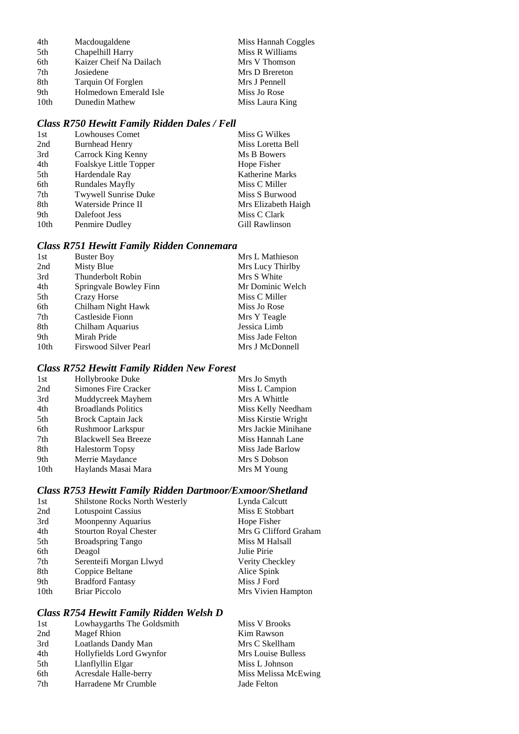| 4th              | Macdougaldene           | Miss Hannah Coggles |
|------------------|-------------------------|---------------------|
| 5th              | Chapelhill Harry        | Miss R Williams     |
| 6th              | Kaizer Cheif Na Dailach | Mrs V Thomson       |
| 7th              | Josiedene               | Mrs D Brereton      |
| 8th              | Tarquin Of Forglen      | Mrs J Pennell       |
| 9th              | Holmedown Emerald Isle  | Miss Jo Rose        |
| 10 <sub>th</sub> | Dunedin Mathew          | Miss Laura King     |

## *Class R750 Hewitt Family Ridden Dales / Fell*

| 1st  | <b>Lowhouses Comet</b>      | Miss G Wilkes          |
|------|-----------------------------|------------------------|
| 2nd  | <b>Burnhead Henry</b>       | Miss Loretta Bell      |
| 3rd  | Carrock King Kenny          | Ms B Bowers            |
| 4th  | Foalskye Little Topper      | Hope Fisher            |
| 5th  | Hardendale Ray              | <b>Katherine Marks</b> |
| 6th  | <b>Rundales Mayfly</b>      | Miss C Miller          |
| 7th  | <b>Twywell Sunrise Duke</b> | Miss S Burwood         |
| 8th  | Waterside Prince II         | Mrs Elizabeth Haigh    |
| 9th  | Dalefoot Jess               | Miss C Clark           |
| 10th | Penmire Dudley              | Gill Rawlinson         |
|      |                             |                        |

## *Class R751 Hewitt Family Ridden Connemara*

| 1st              | <b>Buster Boy</b>      | Mrs L Mathieson  |
|------------------|------------------------|------------------|
| 2nd              | Misty Blue             | Mrs Lucy Thirlby |
| 3rd              | Thunderbolt Robin      | Mrs S White      |
| 4th              | Springvale Bowley Finn | Mr Dominic Welch |
| 5th              | Crazy Horse            | Miss C Miller    |
| 6th              | Chilham Night Hawk     | Miss Jo Rose     |
| 7th              | Castleside Fionn       | Mrs Y Teagle     |
| 8th              | Chilham Aquarius       | Jessica Limb     |
| 9th              | Mirah Pride            | Miss Jade Felton |
| 10 <sub>th</sub> | Firswood Silver Pearl  | Mrs J McDonnell  |

## *Class R752 Hewitt Family Ridden New Forest*

| 1st  | Hollybrooke Duke            | Mrs Jo Smyth        |
|------|-----------------------------|---------------------|
| 2nd  | Simones Fire Cracker        | Miss L Campion      |
| 3rd  | Muddycreek Mayhem           | Mrs A Whittle       |
| 4th  | <b>Broadlands Politics</b>  | Miss Kelly Needham  |
| 5th  | Brock Captain Jack          | Miss Kirstie Wright |
| 6th  | <b>Rushmoor Larkspur</b>    | Mrs Jackie Minihane |
| 7th  | <b>Blackwell Sea Breeze</b> | Miss Hannah Lane    |
| 8th  | <b>Halestorm Topsy</b>      | Miss Jade Barlow    |
| 9th  | Merrie Maydance             | Mrs S Dobson        |
| 10th | Haylands Masai Mara         | Mrs M Young         |

## *Class R753 Hewitt Family Ridden Dartmoor/Exmoor/Shetland*

| 1st              | <b>Shilstone Rocks North Westerly</b> | Lynda Calcutt         |
|------------------|---------------------------------------|-----------------------|
| 2nd              | <b>Lotuspoint Cassius</b>             | Miss E Stobbart       |
| 3rd              | Moonpenny Aquarius                    | Hope Fisher           |
| 4th              | <b>Stourton Royal Chester</b>         | Mrs G Clifford Graham |
| 5th              | <b>Broadspring Tango</b>              | Miss M Halsall        |
| 6th              | Deagol                                | Julie Pirie           |
| 7th              | Serenteifi Morgan Llwyd               | Verity Checkley       |
| 8th              | Coppice Beltane                       | Alice Spink           |
| 9th              | <b>Bradford Fantasy</b>               | Miss J Ford           |
| 10 <sub>th</sub> | <b>Briar Piccolo</b>                  | Mrs Vivien Hampton    |

## *Class R754 Hewitt Family Ridden Welsh D*

| 1st | Lowhaygarths The Goldsmith | Miss V Brooks        |
|-----|----------------------------|----------------------|
| 2nd | <b>Magef Rhion</b>         | Kim Rawson           |
| 3rd | Loatlands Dandy Man        | Mrs C Skellham       |
| 4th | Hollyfields Lord Gwynfor   | Mrs Louise Bulless   |
| 5th | Llanflyllin Elgar          | Miss L Johnson       |
| 6th | Acresdale Halle-berry      | Miss Melissa McEwing |
| 7th | Harradene Mr Crumble       | Jade Felton          |
|     |                            |                      |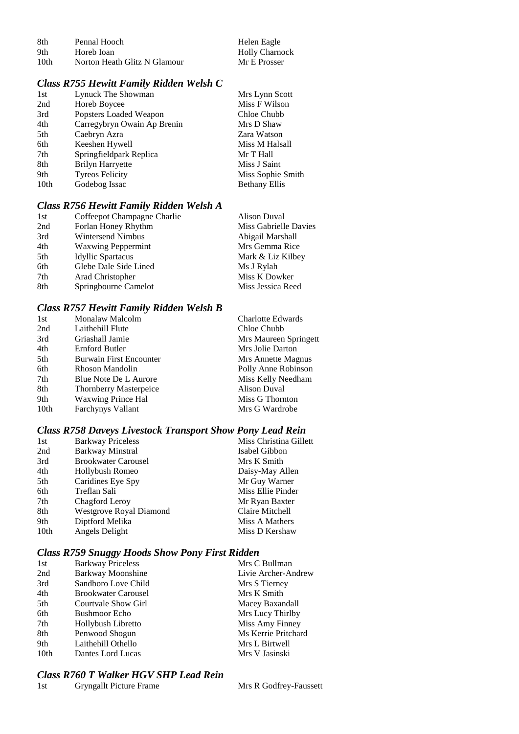| -8th | Pennal Hooch                 | Helen Eagle           |
|------|------------------------------|-----------------------|
| 9th  | Horeb Ioan                   | <b>Holly Charnock</b> |
| 10th | Norton Heath Glitz N Glamour | Mr E Prosser          |

## *Class R755 Hewitt Family Ridden Welsh C*

| 1st              | Lynuck The Showman          | Mrs Lynn Scott       |
|------------------|-----------------------------|----------------------|
| 2nd              | Horeb Boycee                | Miss F Wilson        |
| 3rd              | Popsters Loaded Weapon      | Chloe Chubb          |
| 4th              | Carregybryn Owain Ap Brenin | Mrs D Shaw           |
| 5th              | Caebryn Azra                | Zara Watson          |
| 6th              | Keeshen Hywell              | Miss M Halsall       |
| 7th              | Springfieldpark Replica     | Mr T Hall            |
| 8th              | <b>Brilyn Harryette</b>     | Miss J Saint         |
| 9th              | <b>Tyreos Felicity</b>      | Miss Sophie Smith    |
| 10 <sub>th</sub> | Godebog Issac               | <b>Bethany Ellis</b> |
|                  |                             |                      |

## *Class R756 Hewitt Family Ridden Welsh A*

| 1st | Coffeepot Champagne Charlie | <b>Alison Duval</b>   |
|-----|-----------------------------|-----------------------|
| 2nd | Forlan Honey Rhythm         | Miss Gabrielle Davies |
| 3rd | Wintersend Nimbus           | Abigail Marshall      |
| 4th | <b>Waxwing Peppermint</b>   | Mrs Gemma Rice        |
| 5th | <b>Idyllic Spartacus</b>    | Mark & Liz Kilbey     |
| 6th | Glebe Dale Side Lined       | Ms J Rylah            |
| 7th | Arad Christopher            | Miss K Dowker         |
| 8th | Springbourne Camelot        | Miss Jessica Reed     |

## *Class R757 Hewitt Family Ridden Welsh B*

| 1st  | Monalaw Malcolm                | <b>Charlotte Edwards</b> |
|------|--------------------------------|--------------------------|
| 2nd  | Laithehill Flute               | Chloe Chubb              |
| 3rd  | Griashall Jamie                | Mrs Maureen Springett    |
| 4th  | Ernford Butler                 | Mrs Jolie Darton         |
| 5th  | <b>Burwain First Encounter</b> | Mrs Annette Magnus       |
| 6th  | Rhoson Mandolin                | Polly Anne Robinson      |
| 7th  | Blue Note De L Aurore          | Miss Kelly Needham       |
| 8th  | <b>Thornberry Masterpeice</b>  | Alison Duval             |
| 9th  | <b>Waxwing Prince Hal</b>      | Miss G Thornton          |
| 10th | <b>Farchynys Vallant</b>       | Mrs G Wardrobe           |
|      |                                |                          |

## *Class R758 Daveys Livestock Transport Show Pony Lead Rein*

| 1st  | <b>Barkway Priceless</b>   | Miss Christina Gillett |
|------|----------------------------|------------------------|
| 2nd  | Barkway Minstral           | Isabel Gibbon          |
| 3rd  | <b>Brookwater Carousel</b> | Mrs K Smith            |
| 4th  | Hollybush Romeo            | Daisy-May Allen        |
| 5th  | Caridines Eye Spy          | Mr Guy Warner          |
| 6th  | Treflan Sali               | Miss Ellie Pinder      |
| 7th  | Chagford Leroy             | Mr Ryan Baxter         |
| 8th  | Westgrove Royal Diamond    | Claire Mitchell        |
| 9th  | Diptford Melika            | Miss A Mathers         |
| 10th | Angels Delight             | Miss D Kershaw         |
|      |                            |                        |

## *Class R759 Snuggy Hoods Show Pony First Ridden*

| <b>Barkway Priceless</b>   | Mrs C Bullman       |
|----------------------------|---------------------|
| Barkway Moonshine          | Livie Archer-Andrew |
| Sandboro Love Child        | Mrs S Tierney       |
| <b>Brookwater Carousel</b> | Mrs K Smith         |
| Courtvale Show Girl        | Macey Baxandall     |
| <b>Bushmoor</b> Echo       | Mrs Lucy Thirlby    |
| Hollybush Libretto         | Miss Amy Finney     |
| Penwood Shogun             | Ms Kerrie Pritchard |
| Laithehill Othello         | Mrs L Birtwell      |
| Dantes Lord Lucas          | Mrs V Jasinski      |
|                            |                     |

## *Class R760 T Walker HGV SHP Lead Rein*

| 1st | Gryngallt Picture Frame |
|-----|-------------------------|
|-----|-------------------------|

Mrs R Godfrey-Faussett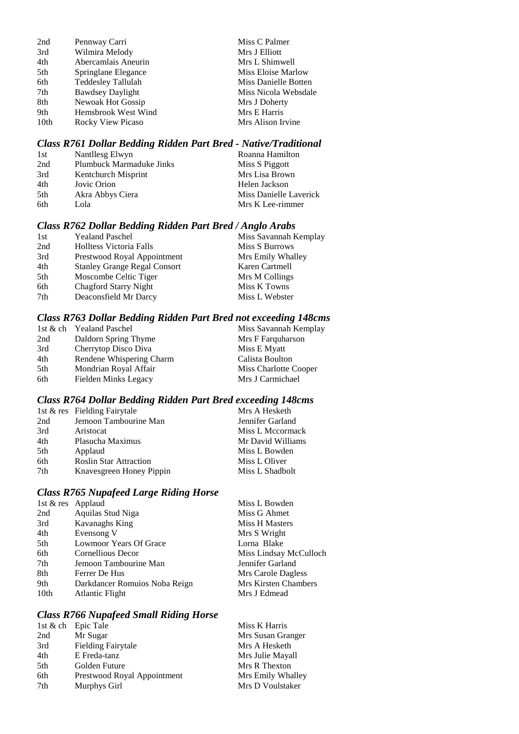| 2nd  | Pennway Carri           | Miss C Palmer        |
|------|-------------------------|----------------------|
| 3rd  | Wilmira Melody          | Mrs J Elliott        |
| 4th  | Abercamlais Aneurin     | Mrs L Shimwell       |
| 5th  | Springlane Elegance     | Miss Eloise Marlow   |
| 6th  | Teddesley Tallulah      | Miss Danielle Botten |
| 7th  | <b>Bawdsey Daylight</b> | Miss Nicola Websdale |
| 8th  | Newoak Hot Gossip       | Mrs J Doherty        |
| 9th  | Hemsbrook West Wind     | Mrs E Harris         |
| 10th | Rocky View Picaso       | Mrs Alison Irvine    |

## *Class R761 Dollar Bedding Ridden Part Bred - Native/Traditional*

| 1st | Nantllesg Elwyn                 | Roanna Hamilton        |
|-----|---------------------------------|------------------------|
| 2nd | <b>Plumbuck Marmaduke Jinks</b> | Miss S Piggott         |
| 3rd | Kentchurch Misprint             | Mrs Lisa Brown         |
| 4th | Jovic Orion                     | Helen Jackson          |
| 5th | Akra Abbys Ciera                | Miss Danielle Laverick |
| 6th | Lola                            | Mrs K Lee-rimmer       |

## *Class R762 Dollar Bedding Ridden Part Bred / Anglo Arabs*

| 1st | <b>Yealand Paschel</b>              | Miss Savannah Kemplay |
|-----|-------------------------------------|-----------------------|
| 2nd | Holltess Victoria Falls             | Miss S Burrows        |
| 3rd | Prestwood Royal Appointment         | Mrs Emily Whalley     |
| 4th | <b>Stanley Grange Regal Consort</b> | Karen Cartmell        |
| 5th | Moscombe Celtic Tiger               | Mrs M Collings        |
| 6th | <b>Chagford Starry Night</b>        | Miss K Towns          |
| 7th | Deaconsfield Mr Darcy               | Miss L Webster        |
|     |                                     |                       |

## *Class R763 Dollar Bedding Ridden Part Bred not exceeding 148cms*

|     | 1st & ch Yealand Paschel | Miss Savannah Kemplay |
|-----|--------------------------|-----------------------|
| 2nd | Daldorn Spring Thyme     | Mrs F Farquharson     |
| 3rd | Cherrytop Disco Diva     | Miss E Myatt          |
| 4th | Rendene Whispering Charm | Calista Boulton       |
| 5th | Mondrian Royal Affair    | Miss Charlotte Cooper |
| 6th | Fielden Minks Legacy     | Mrs J Carmichael      |

## *Class R764 Dollar Bedding Ridden Part Bred exceeding 148cms*

|     | 1st & res Fielding Fairytale  | Mrs A Hesketh     |
|-----|-------------------------------|-------------------|
| 2nd | Jemoon Tambourine Man         | Jennifer Garland  |
| 3rd | Aristocat                     | Miss L Mccormack  |
| 4th | Plasucha Maximus              | Mr David Williams |
| 5th | Applaud                       | Miss L Bowden     |
| 6th | <b>Roslin Star Attraction</b> | Miss L Oliver     |
| 7th | Knavesgreen Honey Pippin      | Miss L Shadbolt   |
|     |                               |                   |

## *Class R765 Nupafeed Large Riding Horse*

| 1st & res Applaud |                               | Miss L Bowden               |
|-------------------|-------------------------------|-----------------------------|
| 2nd               | Aquilas Stud Niga             | Miss G Ahmet                |
| 3rd               | Kavanaghs King                | Miss H Masters              |
| 4th               | Evensong V                    | Mrs S Wright                |
| 5th               | Lowmoor Years Of Grace        | Lorna Blake                 |
| 6th               | Cornellious Decor             | Miss Lindsay McCulloch      |
| 7th               | Jemoon Tambourine Man         | Jennifer Garland            |
| 8th               | Ferrer De Hus                 | Mrs Carole Dagless          |
| 9th               | Darkdancer Romuios Noba Reign | <b>Mrs Kirsten Chambers</b> |
| 10th              | <b>Atlantic Flight</b>        | Mrs J Edmead                |
|                   |                               |                             |

## *Class R766 Nupafeed Small Riding Horse*

| 1st & ch Epic Tale          | Miss K Harris     |
|-----------------------------|-------------------|
| Mr Sugar                    | Mrs Susan Granger |
| <b>Fielding Fairytale</b>   | Mrs A Hesketh     |
| E Freda-tanz                | Mrs Julie Mayall  |
| Golden Future               | Mrs R Thexton     |
| Prestwood Royal Appointment | Mrs Emily Whalley |
| Murphys Girl                | Mrs D Voulstaker  |
|                             |                   |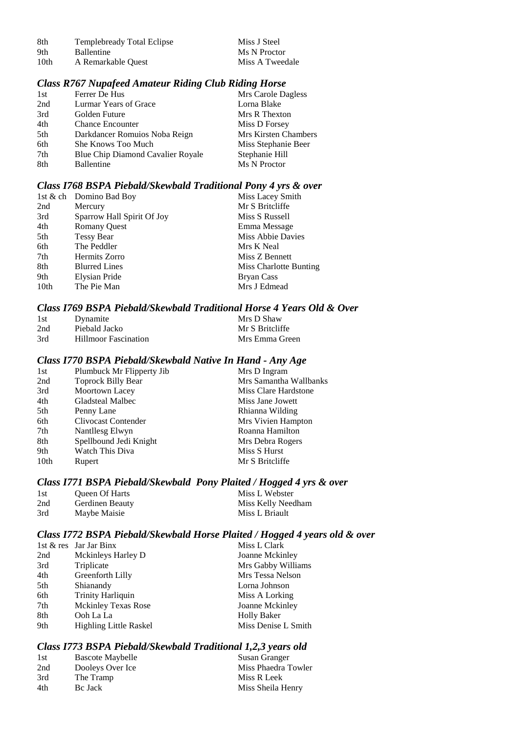| 8th | <b>Templebready Total Eclipse</b> |
|-----|-----------------------------------|
| - - |                                   |

9th Ballentine Ms N Proctor<br>10th A Remarkable Ouest Miss A Tweedale A Remarkable Quest

Miss J Steel

#### *Class R767 Nupafeed Amateur Riding Club Riding Horse*

| 1st | Ferrer De Hus                     | Mrs Carole Dagless   |
|-----|-----------------------------------|----------------------|
| 2nd | Lurmar Years of Grace             | Lorna Blake          |
| 3rd | Golden Future                     | Mrs R Thexton        |
| 4th | <b>Chance Encounter</b>           | Miss D Forsey        |
| 5th | Darkdancer Romuios Noba Reign     | Mrs Kirsten Chambers |
| 6th | She Knows Too Much                | Miss Stephanie Beer  |
| 7th | Blue Chip Diamond Cavalier Royale | Stephanie Hill       |
| 8th | Ballentine                        | Ms N Proctor         |
|     |                                   |                      |

#### *Class I768 BSPA Piebald/Skewbald Traditional Pony 4 yrs & over*

|      | 1st & ch Domino Bad Boy    | Miss Lacey Smith       |
|------|----------------------------|------------------------|
| 2nd  | Mercury                    | Mr S Britcliffe        |
| 3rd  | Sparrow Hall Spirit Of Joy | Miss S Russell         |
| 4th  | <b>Romany Quest</b>        | Emma Message           |
| 5th  | <b>Tessy Bear</b>          | Miss Abbie Davies      |
| 6th  | The Peddler                | Mrs K Neal             |
| 7th  | Hermits Zorro              | Miss Z Bennett         |
| 8th  | <b>Blurred Lines</b>       | Miss Charlotte Bunting |
| 9th  | Elysian Pride              | Bryan Cass             |
| 10th | The Pie Man                | Mrs J Edmead           |
|      |                            |                        |

## *Class I769 BSPA Piebald/Skewbald Traditional Horse 4 Years Old & Over*

| 1st | Dynamite                    | Mrs D Shaw      |
|-----|-----------------------------|-----------------|
| 2nd | Piebald Jacko               | Mr S Britcliffe |
| 3rd | <b>Hillmoor Fascination</b> | Mrs Emma Green  |

## *Class I770 BSPA Piebald/Skewbald Native In Hand - Any Age*

| Plumbuck Mr Flipperty Jib | Mrs D Ingram           |
|---------------------------|------------------------|
| <b>Toprock Billy Bear</b> | Mrs Samantha Wallbanks |
| Moortown Lacey            | Miss Clare Hardstone   |
| <b>Gladsteal Malbec</b>   | Miss Jane Jowett       |
| Penny Lane                | Rhianna Wilding        |
| Clivocast Contender       | Mrs Vivien Hampton     |
| Nantllesg Elwyn           | Roanna Hamilton        |
| Spellbound Jedi Knight    | Mrs Debra Rogers       |
| Watch This Diva           | Miss S Hurst           |
| Rupert                    | Mr S Britcliffe        |
|                           |                        |

## *Class I771 BSPA Piebald/Skewbald Pony Plaited / Hogged 4 yrs & over*

| 1st | <b>Oueen Of Harts</b> | Miss L Webster     |
|-----|-----------------------|--------------------|
| 2nd | Gerdinen Beauty       | Miss Kelly Needham |
| 3rd | Maybe Maisie          | Miss L Briault     |

## *Class I772 BSPA Piebald/Skewbald Horse Plaited / Hogged 4 years old & over*

|     | 1st $&$ res Jar Jar Binx      | Miss L Clark        |
|-----|-------------------------------|---------------------|
| 2nd | Mckinleys Harley D            | Joanne Mckinley     |
| 3rd | Triplicate                    | Mrs Gabby Williams  |
| 4th | Greenforth Lilly              | Mrs Tessa Nelson    |
| 5th | Shianandy                     | Lorna Johnson       |
| 6th | <b>Trinity Harliquin</b>      | Miss A Lorking      |
| 7th | <b>Mckinley Texas Rose</b>    | Joanne Mckinley     |
| 8th | Ooh La La                     | <b>Holly Baker</b>  |
| 9th | <b>Highling Little Raskel</b> | Miss Denise L Smith |
|     |                               |                     |

## *Class I773 BSPA Piebald/Skewbald Traditional 1,2,3 years old*

| -1st | <b>Bascote Maybelle</b> | Susan Granger       |
|------|-------------------------|---------------------|
| 2nd  | Dooleys Over Ice        | Miss Phaedra Towler |
| 3rd  | The Tramp               | Miss R Leek         |
| 4th  | Be Jack                 | Miss Sheila Henry   |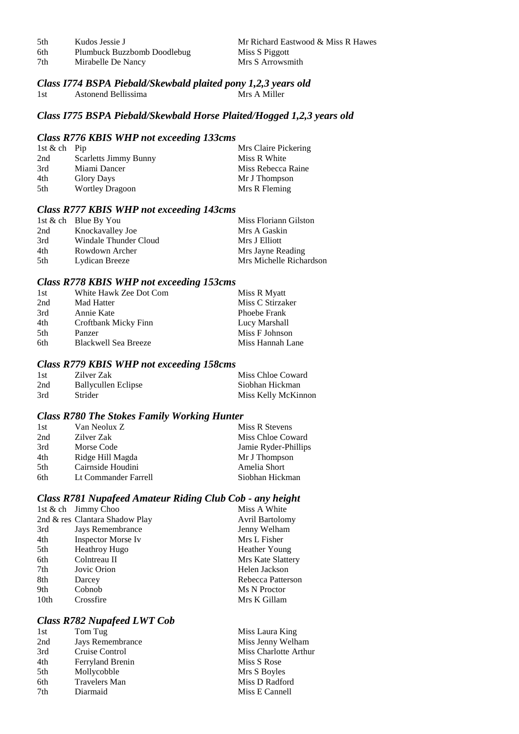5th Kudos Jessie J<br>6th Plumbuck Buzzbomb Doodlebug Miss S Piggott<br>Miss S Piggott Plumbuck Buzzbomb Doodlebug Miss S Piggott<br>Mirabelle De Nancy Miss S Arrowsmith 7th Mirabelle De Nancy

# *Class I774 BSPA Piebald/Skewbald plaited pony 1,2,3 years old*

1st Astonend Bellissima

#### *Class I775 BSPA Piebald/Skewbald Horse Plaited/Hogged 1,2,3 years old*

#### *Class R776 KBIS WHP not exceeding 133cms*

| 1st & ch Pip |                              | Mrs Claire Pickering |
|--------------|------------------------------|----------------------|
| 2nd          | <b>Scarletts Jimmy Bunny</b> | Miss R White         |
| 3rd          | Miami Dancer                 | Miss Rebecca Raine   |
| 4th          | <b>Glory Days</b>            | Mr J Thompson        |
| 5th          | <b>Wortley Dragoon</b>       | Mrs R Fleming        |

## *Class R777 KBIS WHP not exceeding 143cms*

|     | 1st $\&$ ch Blue By You | Miss Floriann Gilston   |
|-----|-------------------------|-------------------------|
| 2nd | Knockavalley Joe        | Mrs A Gaskin            |
| 3rd | Windale Thunder Cloud   | Mrs J Elliott           |
| 4th | Rowdown Archer          | Mrs Jayne Reading       |
| 5th | Lydican Breeze          | Mrs Michelle Richardson |

## *Class R778 KBIS WHP not exceeding 153cms*

| 1st | White Hawk Zee Dot Com      | Miss R Myatt     |
|-----|-----------------------------|------------------|
| 2nd | Mad Hatter                  | Miss C Stirzaker |
| 3rd | Annie Kate                  | Phoebe Frank     |
| 4th | Croftbank Micky Finn        | Lucy Marshall    |
| 5th | Panzer                      | Miss F Johnson   |
| 6th | <b>Blackwell Sea Breeze</b> | Miss Hannah Lane |

#### *Class R779 KBIS WHP not exceeding 158cms*

| -1 st | Zilver Zak          | Miss Chloe Coward   |
|-------|---------------------|---------------------|
| 2nd   | Ballycullen Eclipse | Siobhan Hickman     |
| 3rd   | Strider             | Miss Kelly McKinnon |

#### *Class R780 The Stokes Family Working Hunter*

| 1st | Van Neolux Z         | Miss R Stevens       |
|-----|----------------------|----------------------|
| 2nd | Zilver Zak           | Miss Chloe Coward    |
| 3rd | Morse Code           | Jamie Ryder-Phillips |
| 4th | Ridge Hill Magda     | Mr J Thompson        |
| 5th | Cairnside Houdini    | Amelia Short         |
| 6th | Lt Commander Farrell | Siobhan Hickman      |

## *Class R781 Nupafeed Amateur Riding Club Cob - any height*

|      | 1st & ch Jimmy Choo            | Miss A White           |
|------|--------------------------------|------------------------|
|      | 2nd & res Clantara Shadow Play | <b>Avril Bartolomy</b> |
| 3rd  | Jays Remembrance               | Jenny Welham           |
| 4th  | <b>Inspector Morse Iv</b>      | Mrs L Fisher           |
| 5th  | Heathroy Hugo                  | <b>Heather Young</b>   |
| 6th  | Colntreau II                   | Mrs Kate Slattery      |
| 7th  | Jovic Orion                    | Helen Jackson          |
| 8th  | Darcey                         | Rebecca Patterson      |
| 9th  | Cobnob                         | Ms N Proctor           |
| 10th | Crossfire                      | Mrs K Gillam           |
|      |                                |                        |

## *Class R782 Nupafeed LWT Cob*

| 1st | Tom Tug          | Miss Laura King       |
|-----|------------------|-----------------------|
| 2nd | Jays Remembrance | Miss Jenny Welham     |
| 3rd | Cruise Control   | Miss Charlotte Arthur |
| 4th | Ferryland Brenin | Miss S Rose           |
| 5th | Mollycobble      | Mrs S Boyles          |
| 6th | Travelers Man    | Miss D Radford        |
| 7th | Diarmaid         | Miss E Cannell        |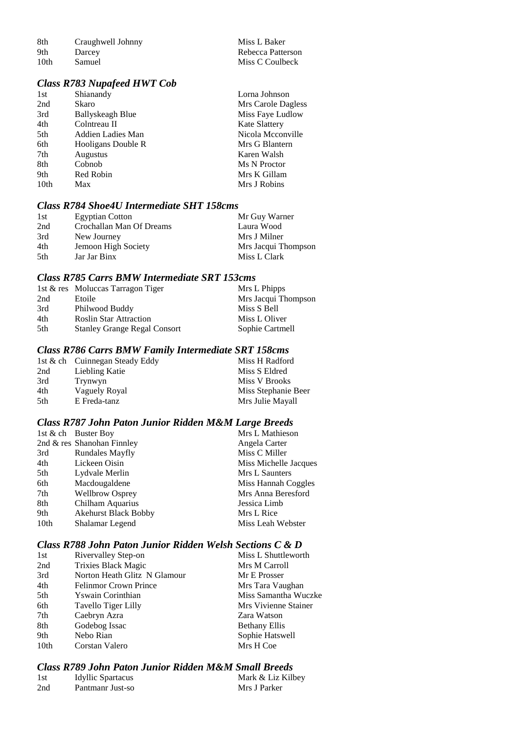| 8th  | Craughwell Johnny |
|------|-------------------|
| 9th  | Darcey            |
| 10th | Samuel            |

## *Class R783 Nupafeed HWT Cob*

| 1st  | Shianandy               | Lorna Johnson        |
|------|-------------------------|----------------------|
| 2nd  | Skaro                   | Mrs Carole Dagless   |
| 3rd  | <b>Ballyskeagh Blue</b> | Miss Faye Ludlow     |
| 4th  | Colntreau II            | <b>Kate Slattery</b> |
| 5th  | Addien Ladies Man       | Nicola Mcconville    |
| 6th  | Hooligans Double R      | Mrs G Blantern       |
| 7th  | <b>Augustus</b>         | Karen Walsh          |
| 8th  | Cobnob                  | Ms N Proctor         |
| 9th  | Red Robin               | Mrs K Gillam         |
| 10th | Max                     | Mrs J Robins         |

Miss L Baker Rebecca Patterson Miss C Coulbeck

## *Class R784 Shoe4U Intermediate SHT 158cms*

| 1st | <b>Egyptian Cotton</b>   | Mr Guy Warner       |
|-----|--------------------------|---------------------|
| 2nd | Crochallan Man Of Dreams | Laura Wood          |
| 3rd | New Journey              | Mrs J Milner        |
| 4th | Jemoon High Society      | Mrs Jacqui Thompson |
| 5th | Jar Jar Binx             | Miss L Clark        |

## *Class R785 Carrs BMW Intermediate SRT 153cms*

|     | 1st & res Moluccas Tarragon Tiger   | Mrs L Phipps        |
|-----|-------------------------------------|---------------------|
| 2nd | Etoile                              | Mrs Jacqui Thompson |
| 3rd | Philwood Buddy                      | Miss S Bell         |
| 4th | <b>Roslin Star Attraction</b>       | Miss L Oliver       |
| 5th | <b>Stanley Grange Regal Consort</b> | Sophie Cartmell     |

#### *Class R786 Carrs BMW Family Intermediate SRT 158cms*

|      | 1st & ch Cuinnegan Steady Eddy | Miss H Radford      |
|------|--------------------------------|---------------------|
| 2nd  | Liebling Katie                 | Miss S Eldred       |
| 3rd  | Trynwyn                        | Miss V Brooks       |
| 4th  | Vaguely Royal                  | Miss Stephanie Beer |
| .5th | E Freda-tanz                   | Mrs Julie Mayall    |

## *Class R787 John Paton Junior Ridden M&M Large Breeds*

|      | 1st & ch Buster Boy         | Mrs L Mathieson       |
|------|-----------------------------|-----------------------|
|      | 2nd & res Shanohan Finnley  | Angela Carter         |
| 3rd  | <b>Rundales Mayfly</b>      | Miss C Miller         |
| 4th  | Lickeen Oisin               | Miss Michelle Jacques |
| 5th  | Lydvale Merlin              | Mrs L Saunters        |
| 6th  | Macdougaldene               | Miss Hannah Coggles   |
| 7th  | <b>Wellbrow Osprey</b>      | Mrs Anna Beresford    |
| 8th  | Chilham Aquarius            | Jessica Limb          |
| 9th  | <b>Akehurst Black Bobby</b> | Mrs L Rice            |
| 10th | Shalamar Legend             | Miss Leah Webster     |
|      |                             |                       |

## *Class R788 John Paton Junior Ridden Welsh Sections C & D*

| 1st  | Rivervalley Step-on          | Miss L Shuttleworth  |
|------|------------------------------|----------------------|
| 2nd  | <b>Trixies Black Magic</b>   | Mrs M Carroll        |
| 3rd  | Norton Heath Glitz N Glamour | Mr E Prosser         |
| 4th  | <b>Felinmor Crown Prince</b> | Mrs Tara Vaughan     |
| 5th  | <b>Y</b> swain Corinthian    | Miss Samantha Wuczke |
| 6th  | Tavello Tiger Lilly          | Mrs Vivienne Stainer |
| 7th  | Caebryn Azra                 | Zara Watson          |
| 8th  | Godebog Issac                | <b>Bethany Ellis</b> |
| 9th  | Nebo Rian                    | Sophie Hatswell      |
| 10th | Corstan Valero               | Mrs H Coe            |
|      |                              |                      |

## *Class R789 John Paton Junior Ridden M&M Small Breeds*

| 1st | <b>Idyllic Spartacus</b> | Mark & Liz Kilbey |
|-----|--------------------------|-------------------|
| 2nd | Pantmanr Just-so         | Mrs J Parker      |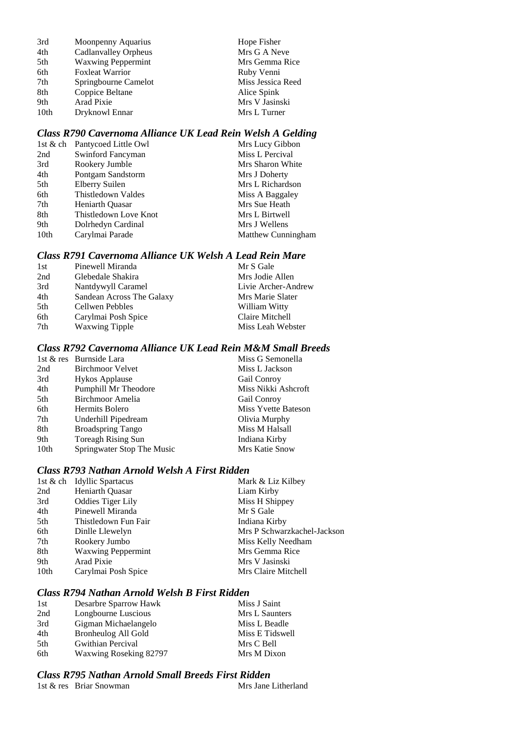| 3rd  | Moonpenny Aquarius        | Hope Fisher       |
|------|---------------------------|-------------------|
| 4th  | Cadlanvalley Orpheus      | Mrs G A Neve      |
| 5th  | <b>Waxwing Peppermint</b> | Mrs Gemma Rice    |
| 6th  | <b>Foxleat Warrior</b>    | Ruby Venni        |
| 7th  | Springbourne Camelot      | Miss Jessica Reed |
| 8th  | Coppice Beltane           | Alice Spink       |
| 9th  | Arad Pixie                | Mrs V Jasinski    |
| 10th | Dryknowl Ennar            | Mrs L Turner      |
|      |                           |                   |

## *Class R790 Cavernoma Alliance UK Lead Rein Welsh A Gelding*

|      | 1st & ch Pantycoed Little Owl | Mrs Lucy Gibbon    |
|------|-------------------------------|--------------------|
| 2nd  | Swinford Fancyman             | Miss L Percival    |
| 3rd  | Rookery Jumble                | Mrs Sharon White   |
| 4th  | Pontgam Sandstorm             | Mrs J Doherty      |
| 5th  | Elberry Suilen                | Mrs L Richardson   |
| 6th  | Thistledown Valdes            | Miss A Baggaley    |
| 7th  | <b>Heniarth Ouasar</b>        | Mrs Sue Heath      |
| 8th  | Thistledown Love Knot         | Mrs L Birtwell     |
| 9th  | Dolrhedyn Cardinal            | Mrs J Wellens      |
| 10th | Carylmai Parade               | Matthew Cunningham |

## *Class R791 Cavernoma Alliance UK Welsh A Lead Rein Mare*

| 1st | Pinewell Miranda          | Mr S Gale           |
|-----|---------------------------|---------------------|
| 2nd | Glebedale Shakira         | Mrs Jodie Allen     |
| 3rd | Nantdywyll Caramel        | Livie Archer-Andrew |
| 4th | Sandean Across The Galaxy | Mrs Marie Slater    |
| 5th | Cellwen Pebbles           | William Witty       |
| 6th | Carylmai Posh Spice       | Claire Mitchell     |
| 7th | <b>Waxwing Tipple</b>     | Miss Leah Webster   |

## *Class R792 Cavernoma Alliance UK Lead Rein M&M Small Breeds*

|      | 1st & res Burnside Lara    | Miss G Semonella    |
|------|----------------------------|---------------------|
| 2nd  | Birchmoor Velvet           | Miss L Jackson      |
| 3rd  | <b>Hykos Applause</b>      | Gail Conroy         |
| 4th  | Pumphill Mr Theodore       | Miss Nikki Ashcroft |
| 5th  | Birchmoor Amelia           | Gail Conroy         |
| 6th  | Hermits Bolero             | Miss Yvette Bateson |
| 7th  | Underhill Pipedream        | Olivia Murphy       |
| 8th  | <b>Broadspring Tango</b>   | Miss M Halsall      |
| 9th  | Toreagh Rising Sun         | Indiana Kirby       |
| 10th | Springwater Stop The Music | Mrs Katie Snow      |

## *Class R793 Nathan Arnold Welsh A First Ridden*

|                  | 1st & ch Idyllic Spartacus | Mark & Liz Kilbey           |
|------------------|----------------------------|-----------------------------|
| 2nd              | Heniarth Quasar            | Liam Kirby                  |
| 3rd              | <b>Oddies Tiger Lily</b>   | Miss H Shippey              |
| 4th              | Pinewell Miranda           | Mr S Gale                   |
| 5th              | Thistledown Fun Fair       | Indiana Kirby               |
| 6th              | Dinlle Llewelyn            | Mrs P Schwarzkachel-Jackson |
| 7th              | Rookery Jumbo              | Miss Kelly Needham          |
| 8th              | <b>Waxwing Peppermint</b>  | Mrs Gemma Rice              |
| 9th              | Arad Pixie                 | Mrs V Jasinski              |
| 10 <sub>th</sub> | Carylmai Posh Spice        | Mrs Claire Mitchell         |
|                  |                            |                             |

## *Class R794 Nathan Arnold Welsh B First Ridden*

| 1st | Desarbre Sparrow Hawk  | Miss J Saint    |
|-----|------------------------|-----------------|
| 2nd | Longbourne Luscious    | Mrs L Saunters  |
| 3rd | Gigman Michaelangelo   | Miss L Beadle   |
| 4th | Bronheulog All Gold    | Miss E Tidswell |
| 5th | Gwithian Percival      | Mrs C Bell      |
| 6th | Waxwing Roseking 82797 | Mrs M Dixon     |

## *Class R795 Nathan Arnold Small Breeds First Ridden*

| 1st & res Briar Snowman | Mrs Jane Litherland |
|-------------------------|---------------------|
|-------------------------|---------------------|